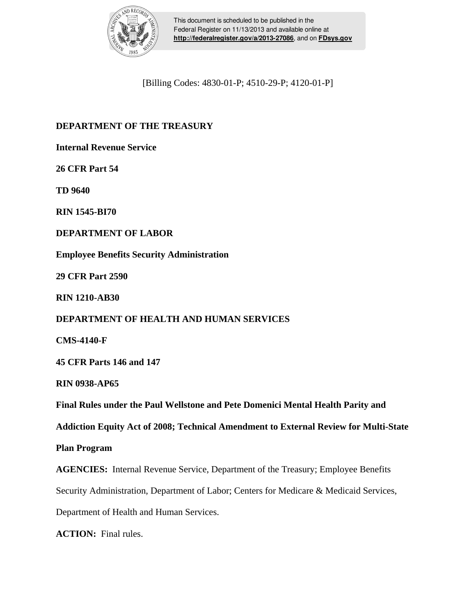

This document is scheduled to be published in the Federal Register on 11/13/2013 and available online at **<http://federalregister.gov/a/2013-27086>**, and on **[FDsys.gov](http://federalregister.gov/a/2013-27086.pdf)**

[Billing Codes: 4830-01-P; 4510-29-P; 4120-01-P]

# **DEPARTMENT OF THE TREASURY**

**Internal Revenue Service** 

**26 CFR Part 54** 

**TD 9640** 

**RIN 1545-BI70** 

**DEPARTMENT OF LABOR**

**Employee Benefits Security Administration**

**29 CFR Part 2590** 

**RIN 1210-AB30**

## **DEPARTMENT OF HEALTH AND HUMAN SERVICES**

**CMS-4140-F** 

**45 CFR Parts 146 and 147** 

**RIN 0938-AP65** 

**Final Rules under the Paul Wellstone and Pete Domenici Mental Health Parity and** 

**Addiction Equity Act of 2008; Technical Amendment to External Review for Multi-State** 

## **Plan Program**

**AGENCIES:** Internal Revenue Service, Department of the Treasury; Employee Benefits

Security Administration, Department of Labor; Centers for Medicare & Medicaid Services,

Department of Health and Human Services.

**ACTION:** Final rules.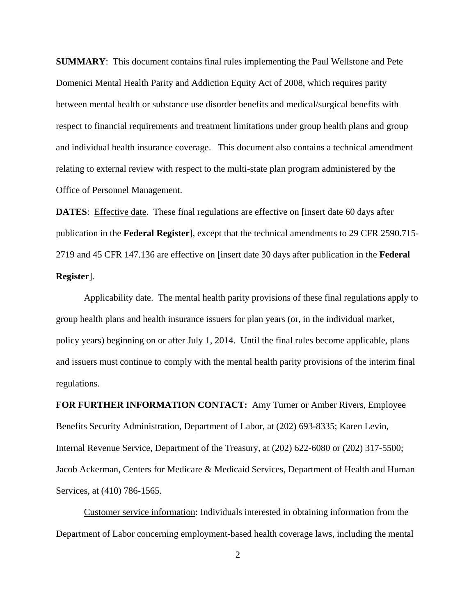**SUMMARY**: This document contains final rules implementing the Paul Wellstone and Pete Domenici Mental Health Parity and Addiction Equity Act of 2008, which requires parity between mental health or substance use disorder benefits and medical/surgical benefits with respect to financial requirements and treatment limitations under group health plans and group and individual health insurance coverage. This document also contains a technical amendment relating to external review with respect to the multi-state plan program administered by the Office of Personnel Management.

**DATES:** Effective date. These final regulations are effective on [insert date 60 days after publication in the **Federal Register**], except that the technical amendments to 29 CFR 2590.715- 2719 and 45 CFR 147.136 are effective on [insert date 30 days after publication in the **Federal Register**].

Applicability date. The mental health parity provisions of these final regulations apply to group health plans and health insurance issuers for plan years (or, in the individual market, policy years) beginning on or after July 1, 2014. Until the final rules become applicable, plans and issuers must continue to comply with the mental health parity provisions of the interim final regulations.

**FOR FURTHER INFORMATION CONTACT:** Amy Turner or Amber Rivers, Employee Benefits Security Administration, Department of Labor, at (202) 693-8335; Karen Levin, Internal Revenue Service, Department of the Treasury, at (202) 622-6080 or (202) 317-5500; Jacob Ackerman, Centers for Medicare & Medicaid Services, Department of Health and Human Services, at (410) 786-1565.

Customer service information: Individuals interested in obtaining information from the Department of Labor concerning employment-based health coverage laws, including the mental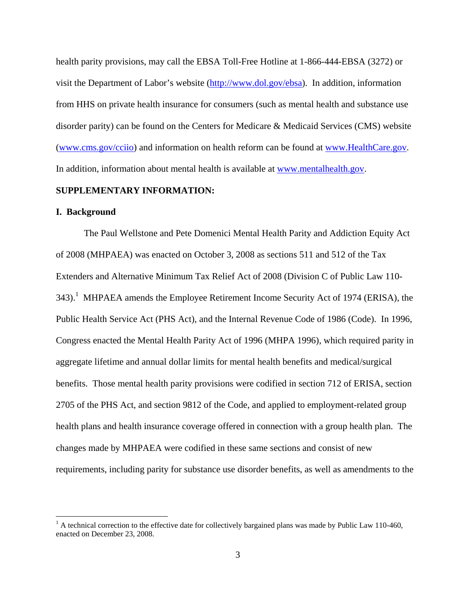health parity provisions, may call the EBSA Toll-Free Hotline at 1-866-444-EBSA (3272) or visit the Department of Labor's website (http://www.dol.gov/ebsa). In addition, information from HHS on private health insurance for consumers (such as mental health and substance use disorder parity) can be found on the Centers for Medicare & Medicaid Services (CMS) website (www.cms.gov/cciio) and information on health reform can be found at www.HealthCare.gov. In addition, information about mental health is available at www.mentalhealth.gov.

## **SUPPLEMENTARY INFORMATION:**

#### **I. Background**

 $\overline{a}$ 

The Paul Wellstone and Pete Domenici Mental Health Parity and Addiction Equity Act of 2008 (MHPAEA) was enacted on October 3, 2008 as sections 511 and 512 of the Tax Extenders and Alternative Minimum Tax Relief Act of 2008 (Division C of Public Law 110- 343).<sup>1</sup> MHPAEA amends the Employee Retirement Income Security Act of 1974 (ERISA), the Public Health Service Act (PHS Act), and the Internal Revenue Code of 1986 (Code). In 1996, Congress enacted the Mental Health Parity Act of 1996 (MHPA 1996), which required parity in aggregate lifetime and annual dollar limits for mental health benefits and medical/surgical benefits. Those mental health parity provisions were codified in section 712 of ERISA, section 2705 of the PHS Act, and section 9812 of the Code, and applied to employment-related group health plans and health insurance coverage offered in connection with a group health plan. The changes made by MHPAEA were codified in these same sections and consist of new requirements, including parity for substance use disorder benefits, as well as amendments to the

 $<sup>1</sup>$  A technical correction to the effective date for collectively bargained plans was made by Public Law 110-460,</sup> enacted on December 23, 2008.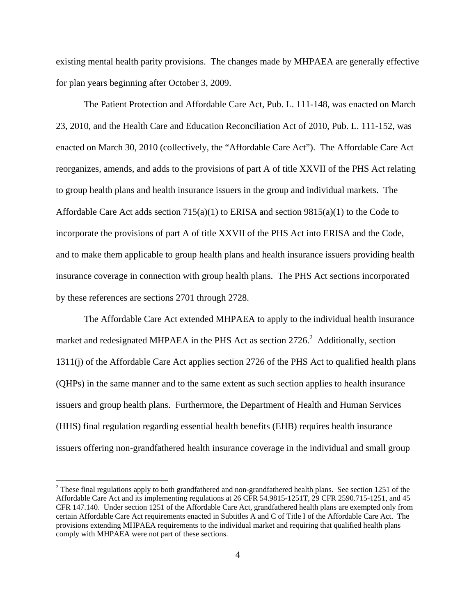existing mental health parity provisions. The changes made by MHPAEA are generally effective for plan years beginning after October 3, 2009.

The Patient Protection and Affordable Care Act, Pub. L. 111-148, was enacted on March 23, 2010, and the Health Care and Education Reconciliation Act of 2010, Pub. L. 111-152, was enacted on March 30, 2010 (collectively, the "Affordable Care Act"). The Affordable Care Act reorganizes, amends, and adds to the provisions of part A of title XXVII of the PHS Act relating to group health plans and health insurance issuers in the group and individual markets. The Affordable Care Act adds section  $715(a)(1)$  to ERISA and section  $9815(a)(1)$  to the Code to incorporate the provisions of part A of title XXVII of the PHS Act into ERISA and the Code, and to make them applicable to group health plans and health insurance issuers providing health insurance coverage in connection with group health plans. The PHS Act sections incorporated by these references are sections 2701 through 2728.

The Affordable Care Act extended MHPAEA to apply to the individual health insurance market and redesignated MHPAEA in the PHS Act as section  $2726$ <sup>2</sup> Additionally, section 1311(j) of the Affordable Care Act applies section 2726 of the PHS Act to qualified health plans (QHPs) in the same manner and to the same extent as such section applies to health insurance issuers and group health plans. Furthermore, the Department of Health and Human Services (HHS) final regulation regarding essential health benefits (EHB) requires health insurance issuers offering non-grandfathered health insurance coverage in the individual and small group

<sup>&</sup>lt;sup>2</sup> These final regulations apply to both grandfathered and non-grandfathered health plans. <u>See</u> section 1251 of the Affordable Care Act and its implementing regulations at 26 CFR 54.9815-1251T, 29 CFR 2590.715-1251, and 45 CFR 147.140. Under section 1251 of the Affordable Care Act, grandfathered health plans are exempted only from certain Affordable Care Act requirements enacted in Subtitles A and C of Title I of the Affordable Care Act. The provisions extending MHPAEA requirements to the individual market and requiring that qualified health plans comply with MHPAEA were not part of these sections.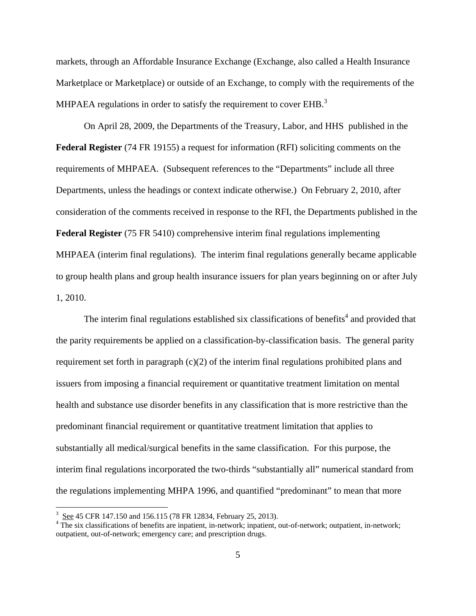markets, through an Affordable Insurance Exchange (Exchange, also called a Health Insurance Marketplace or Marketplace) or outside of an Exchange, to comply with the requirements of the MHPAEA regulations in order to satisfy the requirement to cover  $EHB$ <sup>3</sup>

On April 28, 2009, the Departments of the Treasury, Labor, and HHS published in the **Federal Register** (74 FR 19155) a request for information (RFI) soliciting comments on the requirements of MHPAEA. (Subsequent references to the "Departments" include all three Departments, unless the headings or context indicate otherwise.) On February 2, 2010, after consideration of the comments received in response to the RFI, the Departments published in the **Federal Register** (75 FR 5410) comprehensive interim final regulations implementing MHPAEA (interim final regulations). The interim final regulations generally became applicable to group health plans and group health insurance issuers for plan years beginning on or after July 1, 2010.

The interim final regulations established six classifications of benefits<sup>4</sup> and provided that the parity requirements be applied on a classification-by-classification basis. The general parity requirement set forth in paragraph (c)(2) of the interim final regulations prohibited plans and issuers from imposing a financial requirement or quantitative treatment limitation on mental health and substance use disorder benefits in any classification that is more restrictive than the predominant financial requirement or quantitative treatment limitation that applies to substantially all medical/surgical benefits in the same classification. For this purpose, the interim final regulations incorporated the two-thirds "substantially all" numerical standard from the regulations implementing MHPA 1996, and quantified "predominant" to mean that more

 $\frac{3}{\text{2}}$  See 45 CFR 147.150 and 156.115 (78 FR 12834, February 25, 2013).

The six classifications of benefits are inpatient, in-network; inpatient, out-of-network; outpatient, in-network; outpatient, out-of-network; emergency care; and prescription drugs.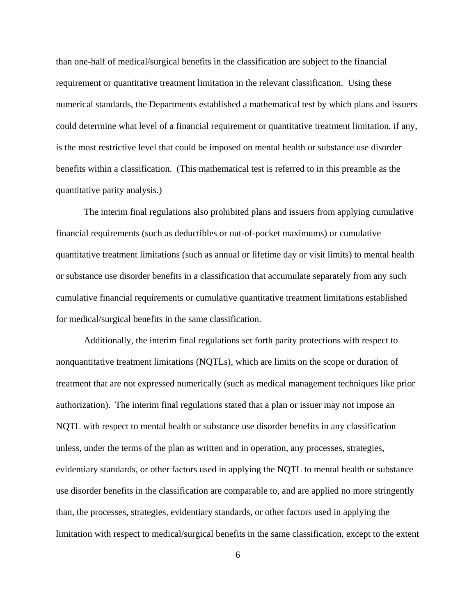than one-half of medical/surgical benefits in the classification are subject to the financial requirement or quantitative treatment limitation in the relevant classification. Using these numerical standards, the Departments established a mathematical test by which plans and issuers could determine what level of a financial requirement or quantitative treatment limitation, if any, is the most restrictive level that could be imposed on mental health or substance use disorder benefits within a classification. (This mathematical test is referred to in this preamble as the quantitative parity analysis.)

The interim final regulations also prohibited plans and issuers from applying cumulative financial requirements (such as deductibles or out-of-pocket maximums) or cumulative quantitative treatment limitations (such as annual or lifetime day or visit limits) to mental health or substance use disorder benefits in a classification that accumulate separately from any such cumulative financial requirements or cumulative quantitative treatment limitations established for medical/surgical benefits in the same classification.

Additionally, the interim final regulations set forth parity protections with respect to nonquantitative treatment limitations (NQTLs), which are limits on the scope or duration of treatment that are not expressed numerically (such as medical management techniques like prior authorization). The interim final regulations stated that a plan or issuer may not impose an NQTL with respect to mental health or substance use disorder benefits in any classification unless, under the terms of the plan as written and in operation, any processes, strategies, evidentiary standards, or other factors used in applying the NQTL to mental health or substance use disorder benefits in the classification are comparable to, and are applied no more stringently than, the processes, strategies, evidentiary standards, or other factors used in applying the limitation with respect to medical/surgical benefits in the same classification, except to the extent

6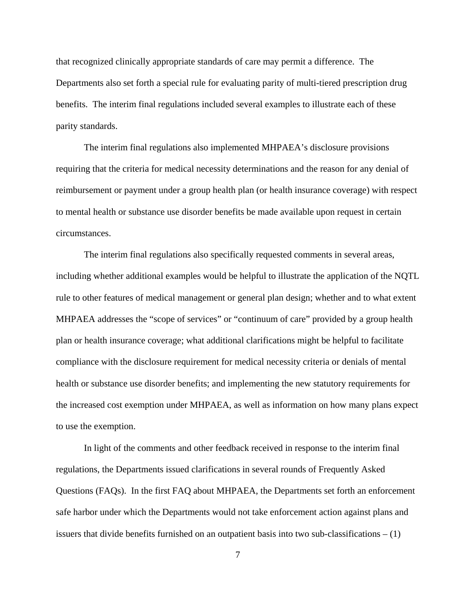that recognized clinically appropriate standards of care may permit a difference. The Departments also set forth a special rule for evaluating parity of multi-tiered prescription drug benefits. The interim final regulations included several examples to illustrate each of these parity standards.

The interim final regulations also implemented MHPAEA's disclosure provisions requiring that the criteria for medical necessity determinations and the reason for any denial of reimbursement or payment under a group health plan (or health insurance coverage) with respect to mental health or substance use disorder benefits be made available upon request in certain circumstances.

The interim final regulations also specifically requested comments in several areas, including whether additional examples would be helpful to illustrate the application of the NQTL rule to other features of medical management or general plan design; whether and to what extent MHPAEA addresses the "scope of services" or "continuum of care" provided by a group health plan or health insurance coverage; what additional clarifications might be helpful to facilitate compliance with the disclosure requirement for medical necessity criteria or denials of mental health or substance use disorder benefits; and implementing the new statutory requirements for the increased cost exemption under MHPAEA, as well as information on how many plans expect to use the exemption.

In light of the comments and other feedback received in response to the interim final regulations, the Departments issued clarifications in several rounds of Frequently Asked Questions (FAQs). In the first FAQ about MHPAEA, the Departments set forth an enforcement safe harbor under which the Departments would not take enforcement action against plans and issuers that divide benefits furnished on an outpatient basis into two sub-classifications – (1)

7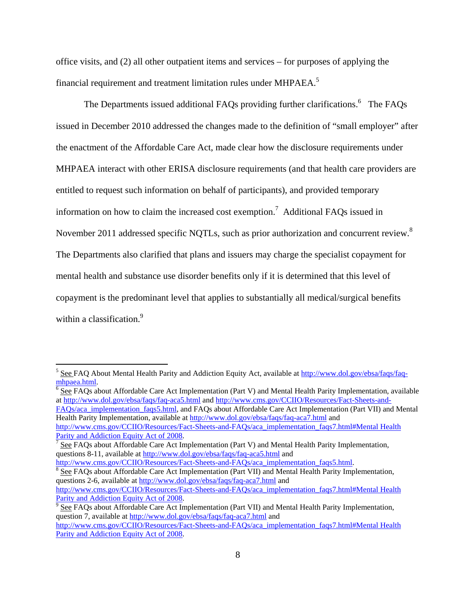office visits, and (2) all other outpatient items and services – for purposes of applying the financial requirement and treatment limitation rules under MHPAEA.<sup>5</sup>

The Departments issued additional FAQs providing further clarifications.  $6$  The FAQs issued in December 2010 addressed the changes made to the definition of "small employer" after the enactment of the Affordable Care Act, made clear how the disclosure requirements under MHPAEA interact with other ERISA disclosure requirements (and that health care providers are entitled to request such information on behalf of participants), and provided temporary information on how to claim the increased cost exemption.<sup>7</sup> Additional FAQs issued in November 2011 addressed specific NQTLs, such as prior authorization and concurrent review.<sup>8</sup> The Departments also clarified that plans and issuers may charge the specialist copayment for mental health and substance use disorder benefits only if it is determined that this level of copayment is the predominant level that applies to substantially all medical/surgical benefits within a classification.<sup>9</sup>

 $\overline{a}$ 

 $<sup>6</sup>$  See FAQs about Affordable Care Act Implementation (Part V) and Mental Health Parity Implementation, available</sup> at http://www.dol.gov/ebsa/faqs/faq-aca5.html and http://www.cms.gov/CCIIO/Resources/Fact-Sheets-and-FAQs/aca\_implementation\_faqs5.html, and FAQs about Affordable Care Act Implementation (Part VII) and Mental

Health Parity Implementation, available at http://www.dol.gov/ebsa/faqs/faq-aca7.html and http://www.cms.gov/CCIIO/Resources/Fact-Sheets-and-FAQs/aca\_implementation\_faqs7.html#Mental Health Parity and Addiction Equity Act of 2008.

http://www.cms.gov/CCIIO/Resources/Fact-Sheets-and-FAQs/aca\_implementation\_faqs5.html. <sup>8</sup> See FAQs about Affordable Care Act Implementation (Part VII) and Mental Health Parity Implementation, questions 2-6, available at http://www.dol.gov/ebsa/faqs/faq-aca7.html and http://www.cms.gov/CCIIO/Resources/Fact-Sheets-and-FAQs/aca\_implementation\_faqs7.html#Mental Health Parity and Addiction Equity Act of 2008.

<sup>&</sup>lt;sup>5</sup> See FAQ About Mental Health Parity and Addiction Equity Act, available at http://www.dol.gov/ebsa/faqs/faqmhpaea.html. 6

See FAQs about Affordable Care Act Implementation (Part V) and Mental Health Parity Implementation, questions 8-11, available at http://www.dol.gov/ebsa/faqs/faq-aca5.html and

See FAQs about Affordable Care Act Implementation (Part VII) and Mental Health Parity Implementation, question 7, available at http://www.dol.gov/ebsa/faqs/faq-aca7.html and

http://www.cms.gov/CCIIO/Resources/Fact-Sheets-and-FAQs/aca\_implementation\_faqs7.html#Mental Health Parity and Addiction Equity Act of 2008.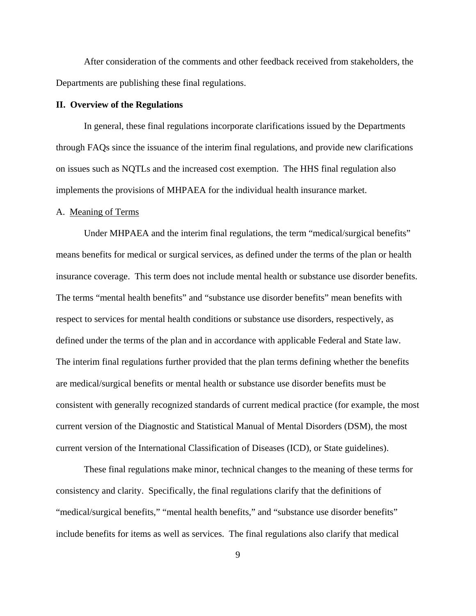After consideration of the comments and other feedback received from stakeholders, the Departments are publishing these final regulations.

## **II. Overview of the Regulations**

In general, these final regulations incorporate clarifications issued by the Departments through FAQs since the issuance of the interim final regulations, and provide new clarifications on issues such as NQTLs and the increased cost exemption. The HHS final regulation also implements the provisions of MHPAEA for the individual health insurance market.

#### A. Meaning of Terms

 Under MHPAEA and the interim final regulations, the term "medical/surgical benefits" means benefits for medical or surgical services, as defined under the terms of the plan or health insurance coverage. This term does not include mental health or substance use disorder benefits. The terms "mental health benefits" and "substance use disorder benefits" mean benefits with respect to services for mental health conditions or substance use disorders, respectively, as defined under the terms of the plan and in accordance with applicable Federal and State law. The interim final regulations further provided that the plan terms defining whether the benefits are medical/surgical benefits or mental health or substance use disorder benefits must be consistent with generally recognized standards of current medical practice (for example, the most current version of the Diagnostic and Statistical Manual of Mental Disorders (DSM), the most current version of the International Classification of Diseases (ICD), or State guidelines).

These final regulations make minor, technical changes to the meaning of these terms for consistency and clarity. Specifically, the final regulations clarify that the definitions of "medical/surgical benefits," "mental health benefits," and "substance use disorder benefits" include benefits for items as well as services. The final regulations also clarify that medical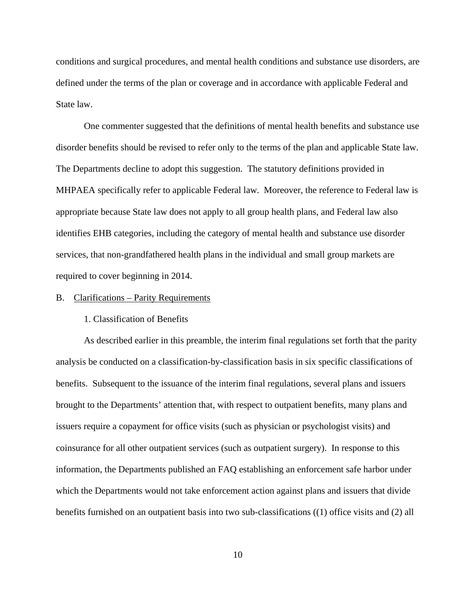conditions and surgical procedures, and mental health conditions and substance use disorders, are defined under the terms of the plan or coverage and in accordance with applicable Federal and State law.

One commenter suggested that the definitions of mental health benefits and substance use disorder benefits should be revised to refer only to the terms of the plan and applicable State law. The Departments decline to adopt this suggestion. The statutory definitions provided in MHPAEA specifically refer to applicable Federal law. Moreover, the reference to Federal law is appropriate because State law does not apply to all group health plans, and Federal law also identifies EHB categories, including the category of mental health and substance use disorder services, that non-grandfathered health plans in the individual and small group markets are required to cover beginning in 2014.

### B. Clarifications – Parity Requirements

## 1. Classification of Benefits

As described earlier in this preamble, the interim final regulations set forth that the parity analysis be conducted on a classification-by-classification basis in six specific classifications of benefits. Subsequent to the issuance of the interim final regulations, several plans and issuers brought to the Departments' attention that, with respect to outpatient benefits, many plans and issuers require a copayment for office visits (such as physician or psychologist visits) and coinsurance for all other outpatient services (such as outpatient surgery). In response to this information, the Departments published an FAQ establishing an enforcement safe harbor under which the Departments would not take enforcement action against plans and issuers that divide benefits furnished on an outpatient basis into two sub-classifications ((1) office visits and (2) all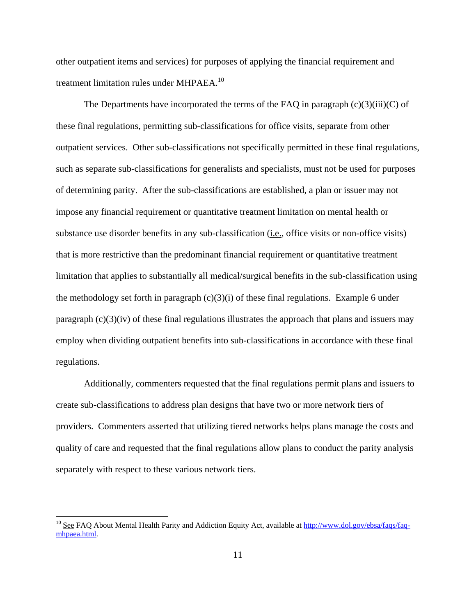other outpatient items and services) for purposes of applying the financial requirement and treatment limitation rules under MHPAEA.<sup>10</sup>

The Departments have incorporated the terms of the FAQ in paragraph  $(c)(3)(iii)(C)$  of these final regulations, permitting sub-classifications for office visits, separate from other outpatient services. Other sub-classifications not specifically permitted in these final regulations, such as separate sub-classifications for generalists and specialists, must not be used for purposes of determining parity. After the sub-classifications are established, a plan or issuer may not impose any financial requirement or quantitative treatment limitation on mental health or substance use disorder benefits in any sub-classification (i.e., office visits or non-office visits) that is more restrictive than the predominant financial requirement or quantitative treatment limitation that applies to substantially all medical/surgical benefits in the sub-classification using the methodology set forth in paragraph  $(c)(3)(i)$  of these final regulations. Example 6 under paragraph  $(c)(3)(iv)$  of these final regulations illustrates the approach that plans and issuers may employ when dividing outpatient benefits into sub-classifications in accordance with these final regulations.

Additionally, commenters requested that the final regulations permit plans and issuers to create sub-classifications to address plan designs that have two or more network tiers of providers. Commenters asserted that utilizing tiered networks helps plans manage the costs and quality of care and requested that the final regulations allow plans to conduct the parity analysis separately with respect to these various network tiers.

<u>.</u>

<sup>&</sup>lt;sup>10</sup> See FAQ About Mental Health Parity and Addiction Equity Act, available at http://www.dol.gov/ebsa/faqs/faqmhpaea.html.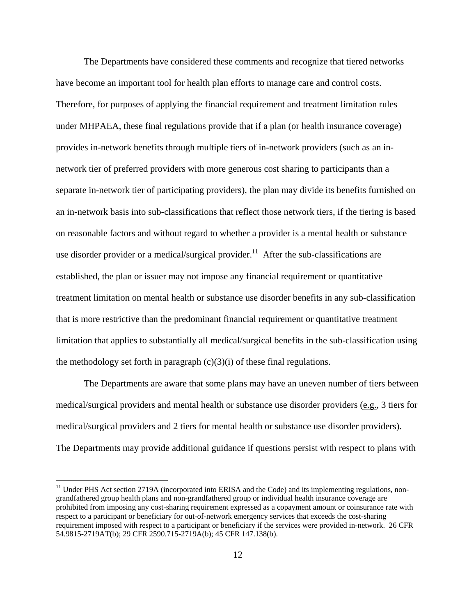The Departments have considered these comments and recognize that tiered networks have become an important tool for health plan efforts to manage care and control costs. Therefore, for purposes of applying the financial requirement and treatment limitation rules under MHPAEA, these final regulations provide that if a plan (or health insurance coverage) provides in-network benefits through multiple tiers of in-network providers (such as an innetwork tier of preferred providers with more generous cost sharing to participants than a separate in-network tier of participating providers), the plan may divide its benefits furnished on an in-network basis into sub-classifications that reflect those network tiers, if the tiering is based on reasonable factors and without regard to whether a provider is a mental health or substance use disorder provider or a medical/surgical provider.<sup>11</sup> After the sub-classifications are established, the plan or issuer may not impose any financial requirement or quantitative treatment limitation on mental health or substance use disorder benefits in any sub-classification that is more restrictive than the predominant financial requirement or quantitative treatment limitation that applies to substantially all medical/surgical benefits in the sub-classification using the methodology set forth in paragraph  $(c)(3)(i)$  of these final regulations.

The Departments are aware that some plans may have an uneven number of tiers between medical/surgical providers and mental health or substance use disorder providers (e.g., 3 tiers for medical/surgical providers and 2 tiers for mental health or substance use disorder providers). The Departments may provide additional guidance if questions persist with respect to plans with

<sup>&</sup>lt;sup>11</sup> Under PHS Act section 2719A (incorporated into ERISA and the Code) and its implementing regulations, nongrandfathered group health plans and non-grandfathered group or individual health insurance coverage are prohibited from imposing any cost-sharing requirement expressed as a copayment amount or coinsurance rate with respect to a participant or beneficiary for out-of-network emergency services that exceeds the cost-sharing requirement imposed with respect to a participant or beneficiary if the services were provided in-network. 26 CFR 54.9815-2719AT(b); 29 CFR 2590.715-2719A(b); 45 CFR 147.138(b).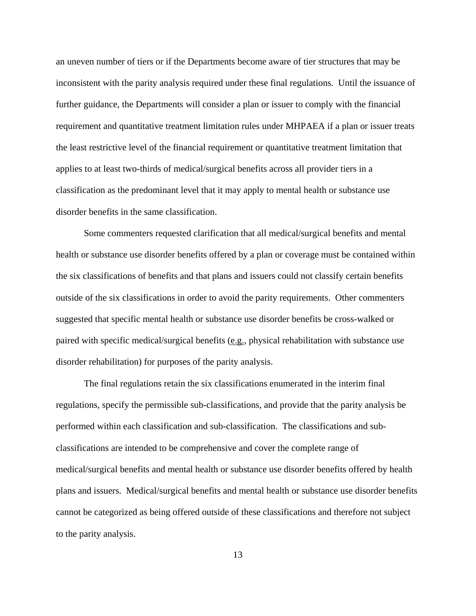an uneven number of tiers or if the Departments become aware of tier structures that may be inconsistent with the parity analysis required under these final regulations. Until the issuance of further guidance, the Departments will consider a plan or issuer to comply with the financial requirement and quantitative treatment limitation rules under MHPAEA if a plan or issuer treats the least restrictive level of the financial requirement or quantitative treatment limitation that applies to at least two-thirds of medical/surgical benefits across all provider tiers in a classification as the predominant level that it may apply to mental health or substance use disorder benefits in the same classification.

Some commenters requested clarification that all medical/surgical benefits and mental health or substance use disorder benefits offered by a plan or coverage must be contained within the six classifications of benefits and that plans and issuers could not classify certain benefits outside of the six classifications in order to avoid the parity requirements. Other commenters suggested that specific mental health or substance use disorder benefits be cross-walked or paired with specific medical/surgical benefits (e.g., physical rehabilitation with substance use disorder rehabilitation) for purposes of the parity analysis.

The final regulations retain the six classifications enumerated in the interim final regulations, specify the permissible sub-classifications, and provide that the parity analysis be performed within each classification and sub-classification. The classifications and subclassifications are intended to be comprehensive and cover the complete range of medical/surgical benefits and mental health or substance use disorder benefits offered by health plans and issuers. Medical/surgical benefits and mental health or substance use disorder benefits cannot be categorized as being offered outside of these classifications and therefore not subject to the parity analysis.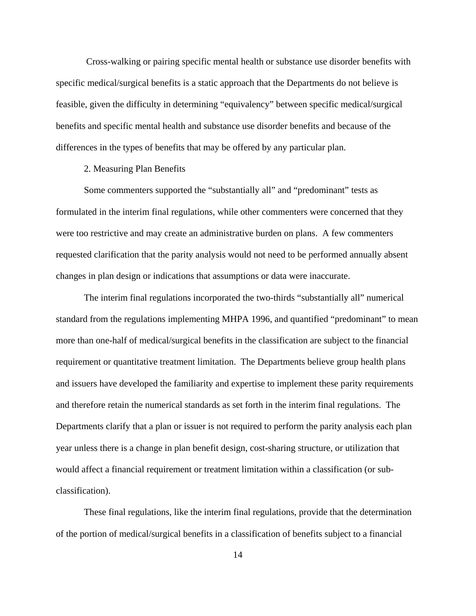Cross-walking or pairing specific mental health or substance use disorder benefits with specific medical/surgical benefits is a static approach that the Departments do not believe is feasible, given the difficulty in determining "equivalency" between specific medical/surgical benefits and specific mental health and substance use disorder benefits and because of the differences in the types of benefits that may be offered by any particular plan.

## 2. Measuring Plan Benefits

Some commenters supported the "substantially all" and "predominant" tests as formulated in the interim final regulations, while other commenters were concerned that they were too restrictive and may create an administrative burden on plans. A few commenters requested clarification that the parity analysis would not need to be performed annually absent changes in plan design or indications that assumptions or data were inaccurate.

The interim final regulations incorporated the two-thirds "substantially all" numerical standard from the regulations implementing MHPA 1996, and quantified "predominant" to mean more than one-half of medical/surgical benefits in the classification are subject to the financial requirement or quantitative treatment limitation. The Departments believe group health plans and issuers have developed the familiarity and expertise to implement these parity requirements and therefore retain the numerical standards as set forth in the interim final regulations. The Departments clarify that a plan or issuer is not required to perform the parity analysis each plan year unless there is a change in plan benefit design, cost-sharing structure, or utilization that would affect a financial requirement or treatment limitation within a classification (or subclassification).

These final regulations, like the interim final regulations, provide that the determination of the portion of medical/surgical benefits in a classification of benefits subject to a financial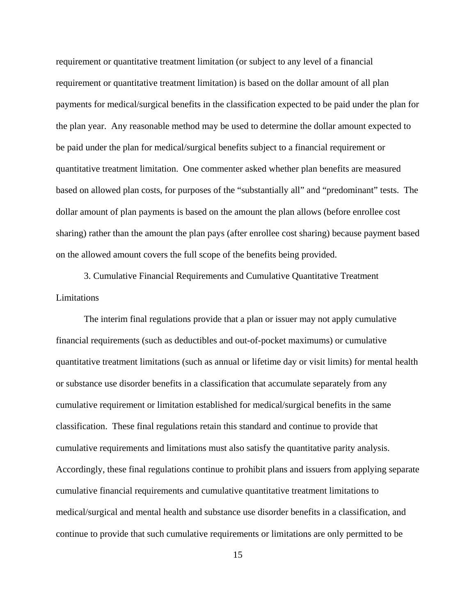requirement or quantitative treatment limitation (or subject to any level of a financial requirement or quantitative treatment limitation) is based on the dollar amount of all plan payments for medical/surgical benefits in the classification expected to be paid under the plan for the plan year. Any reasonable method may be used to determine the dollar amount expected to be paid under the plan for medical/surgical benefits subject to a financial requirement or quantitative treatment limitation. One commenter asked whether plan benefits are measured based on allowed plan costs, for purposes of the "substantially all" and "predominant" tests. The dollar amount of plan payments is based on the amount the plan allows (before enrollee cost sharing) rather than the amount the plan pays (after enrollee cost sharing) because payment based on the allowed amount covers the full scope of the benefits being provided.

3. Cumulative Financial Requirements and Cumulative Quantitative Treatment Limitations

The interim final regulations provide that a plan or issuer may not apply cumulative financial requirements (such as deductibles and out-of-pocket maximums) or cumulative quantitative treatment limitations (such as annual or lifetime day or visit limits) for mental health or substance use disorder benefits in a classification that accumulate separately from any cumulative requirement or limitation established for medical/surgical benefits in the same classification. These final regulations retain this standard and continue to provide that cumulative requirements and limitations must also satisfy the quantitative parity analysis. Accordingly, these final regulations continue to prohibit plans and issuers from applying separate cumulative financial requirements and cumulative quantitative treatment limitations to medical/surgical and mental health and substance use disorder benefits in a classification, and continue to provide that such cumulative requirements or limitations are only permitted to be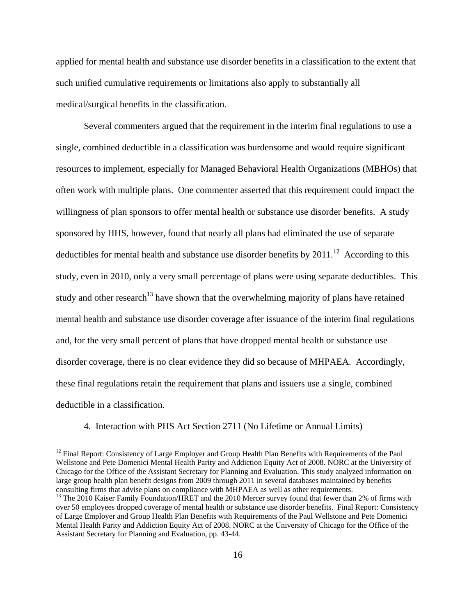applied for mental health and substance use disorder benefits in a classification to the extent that such unified cumulative requirements or limitations also apply to substantially all medical/surgical benefits in the classification.

Several commenters argued that the requirement in the interim final regulations to use a single, combined deductible in a classification was burdensome and would require significant resources to implement, especially for Managed Behavioral Health Organizations (MBHOs) that often work with multiple plans. One commenter asserted that this requirement could impact the willingness of plan sponsors to offer mental health or substance use disorder benefits. A study sponsored by HHS, however, found that nearly all plans had eliminated the use of separate deductibles for mental health and substance use disorder benefits by  $2011$ .<sup>12</sup> According to this study, even in 2010, only a very small percentage of plans were using separate deductibles. This study and other research<sup>13</sup> have shown that the overwhelming majority of plans have retained mental health and substance use disorder coverage after issuance of the interim final regulations and, for the very small percent of plans that have dropped mental health or substance use disorder coverage, there is no clear evidence they did so because of MHPAEA. Accordingly, these final regulations retain the requirement that plans and issuers use a single, combined deductible in a classification.

4. Interaction with PHS Act Section 2711 (No Lifetime or Annual Limits)

 $12$  Final Report: Consistency of Large Employer and Group Health Plan Benefits with Requirements of the Paul Wellstone and Pete Domenici Mental Health Parity and Addiction Equity Act of 2008. NORC at the University of Chicago for the Office of the Assistant Secretary for Planning and Evaluation. This study analyzed information on large group health plan benefit designs from 2009 through 2011 in several databases maintained by benefits consulting firms that advise plans on compliance with MHPAEA as well as other requirements.

<sup>&</sup>lt;sup>13</sup> The 2010 Kaiser Family Foundation/HRET and the 2010 Mercer survey found that fewer than 2% of firms with over 50 employees dropped coverage of mental health or substance use disorder benefits. Final Report: Consistency of Large Employer and Group Health Plan Benefits with Requirements of the Paul Wellstone and Pete Domenici Mental Health Parity and Addiction Equity Act of 2008. NORC at the University of Chicago for the Office of the Assistant Secretary for Planning and Evaluation, pp. 43-44.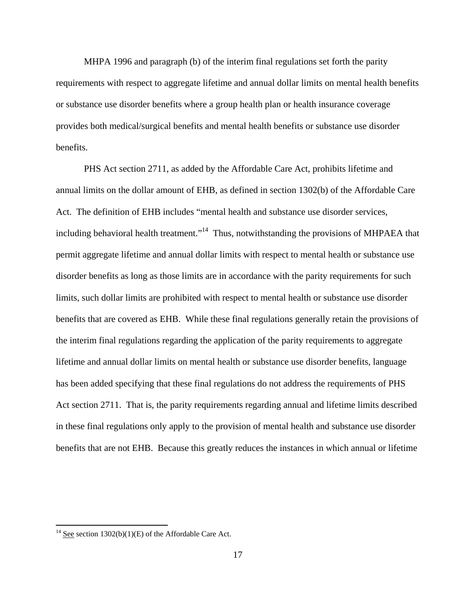MHPA 1996 and paragraph (b) of the interim final regulations set forth the parity requirements with respect to aggregate lifetime and annual dollar limits on mental health benefits or substance use disorder benefits where a group health plan or health insurance coverage provides both medical/surgical benefits and mental health benefits or substance use disorder benefits.

 PHS Act section 2711, as added by the Affordable Care Act, prohibits lifetime and annual limits on the dollar amount of EHB, as defined in section 1302(b) of the Affordable Care Act. The definition of EHB includes "mental health and substance use disorder services, including behavioral health treatment."<sup>14</sup> Thus, notwithstanding the provisions of MHPAEA that permit aggregate lifetime and annual dollar limits with respect to mental health or substance use disorder benefits as long as those limits are in accordance with the parity requirements for such limits, such dollar limits are prohibited with respect to mental health or substance use disorder benefits that are covered as EHB. While these final regulations generally retain the provisions of the interim final regulations regarding the application of the parity requirements to aggregate lifetime and annual dollar limits on mental health or substance use disorder benefits, language has been added specifying that these final regulations do not address the requirements of PHS Act section 2711. That is, the parity requirements regarding annual and lifetime limits described in these final regulations only apply to the provision of mental health and substance use disorder benefits that are not EHB. Because this greatly reduces the instances in which annual or lifetime

<sup>&</sup>lt;sup>14</sup> See section 1302(b)(1)(E) of the Affordable Care Act.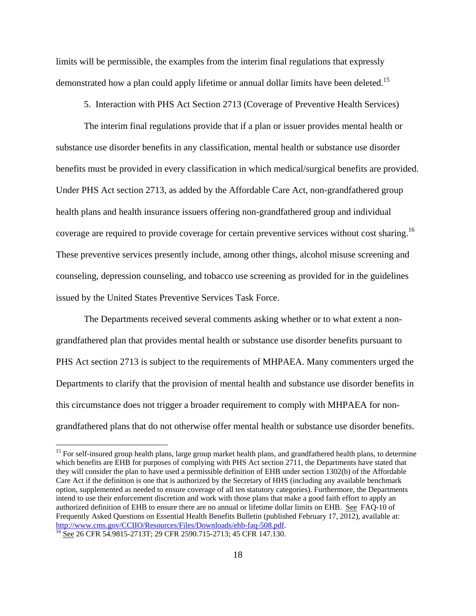limits will be permissible, the examples from the interim final regulations that expressly demonstrated how a plan could apply lifetime or annual dollar limits have been deleted.<sup>15</sup>

5. Interaction with PHS Act Section 2713 (Coverage of Preventive Health Services)

The interim final regulations provide that if a plan or issuer provides mental health or substance use disorder benefits in any classification, mental health or substance use disorder benefits must be provided in every classification in which medical/surgical benefits are provided. Under PHS Act section 2713, as added by the Affordable Care Act, non-grandfathered group health plans and health insurance issuers offering non-grandfathered group and individual coverage are required to provide coverage for certain preventive services without cost sharing.<sup>16</sup> These preventive services presently include, among other things, alcohol misuse screening and counseling, depression counseling, and tobacco use screening as provided for in the guidelines issued by the United States Preventive Services Task Force.

The Departments received several comments asking whether or to what extent a nongrandfathered plan that provides mental health or substance use disorder benefits pursuant to PHS Act section 2713 is subject to the requirements of MHPAEA. Many commenters urged the Departments to clarify that the provision of mental health and substance use disorder benefits in this circumstance does not trigger a broader requirement to comply with MHPAEA for nongrandfathered plans that do not otherwise offer mental health or substance use disorder benefits.

 $15$  For self-insured group health plans, large group market health plans, and grandfathered health plans, to determine which benefits are EHB for purposes of complying with PHS Act section 2711, the Departments have stated that they will consider the plan to have used a permissible definition of EHB under section 1302(b) of the Affordable Care Act if the definition is one that is authorized by the Secretary of HHS (including any available benchmark option, supplemented as needed to ensure coverage of all ten statutory categories). Furthermore, the Departments intend to use their enforcement discretion and work with those plans that make a good faith effort to apply an authorized definition of EHB to ensure there are no annual or lifetime dollar limits on EHB. See FAQ-10 of Frequently Asked Questions on Essential Health Benefits Bulletin (published February 17, 2012), available at:<br>http://www.cms.gov/CCIIO/Resources/Files/Downloads/ehb-faq-508.pdf.

 $^{16}$  See 26 CFR 54.9815-2713T; 29 CFR 2590.715-2713; 45 CFR 147.130.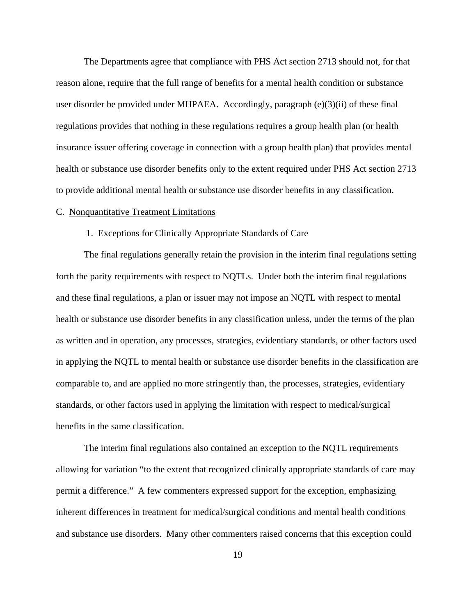The Departments agree that compliance with PHS Act section 2713 should not, for that reason alone, require that the full range of benefits for a mental health condition or substance user disorder be provided under MHPAEA. Accordingly, paragraph (e)(3)(ii) of these final regulations provides that nothing in these regulations requires a group health plan (or health insurance issuer offering coverage in connection with a group health plan) that provides mental health or substance use disorder benefits only to the extent required under PHS Act section 2713 to provide additional mental health or substance use disorder benefits in any classification.

#### C. Nonquantitative Treatment Limitations

#### 1. Exceptions for Clinically Appropriate Standards of Care

The final regulations generally retain the provision in the interim final regulations setting forth the parity requirements with respect to NQTLs. Under both the interim final regulations and these final regulations, a plan or issuer may not impose an NQTL with respect to mental health or substance use disorder benefits in any classification unless, under the terms of the plan as written and in operation, any processes, strategies, evidentiary standards, or other factors used in applying the NQTL to mental health or substance use disorder benefits in the classification are comparable to, and are applied no more stringently than, the processes, strategies, evidentiary standards, or other factors used in applying the limitation with respect to medical/surgical benefits in the same classification.

The interim final regulations also contained an exception to the NQTL requirements allowing for variation "to the extent that recognized clinically appropriate standards of care may permit a difference." A few commenters expressed support for the exception, emphasizing inherent differences in treatment for medical/surgical conditions and mental health conditions and substance use disorders. Many other commenters raised concerns that this exception could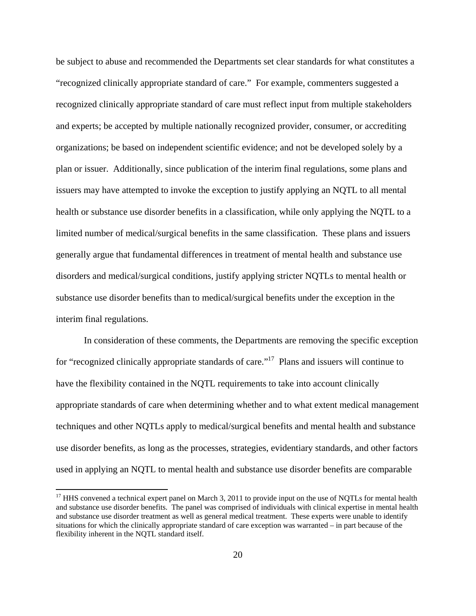be subject to abuse and recommended the Departments set clear standards for what constitutes a "recognized clinically appropriate standard of care." For example, commenters suggested a recognized clinically appropriate standard of care must reflect input from multiple stakeholders and experts; be accepted by multiple nationally recognized provider, consumer, or accrediting organizations; be based on independent scientific evidence; and not be developed solely by a plan or issuer. Additionally, since publication of the interim final regulations, some plans and issuers may have attempted to invoke the exception to justify applying an NQTL to all mental health or substance use disorder benefits in a classification, while only applying the NQTL to a limited number of medical/surgical benefits in the same classification. These plans and issuers generally argue that fundamental differences in treatment of mental health and substance use disorders and medical/surgical conditions, justify applying stricter NQTLs to mental health or substance use disorder benefits than to medical/surgical benefits under the exception in the interim final regulations.

In consideration of these comments, the Departments are removing the specific exception for "recognized clinically appropriate standards of care."<sup>17</sup> Plans and issuers will continue to have the flexibility contained in the NQTL requirements to take into account clinically appropriate standards of care when determining whether and to what extent medical management techniques and other NQTLs apply to medical/surgical benefits and mental health and substance use disorder benefits, as long as the processes, strategies, evidentiary standards, and other factors used in applying an NQTL to mental health and substance use disorder benefits are comparable

 $17$  HHS convened a technical expert panel on March 3, 2011 to provide input on the use of NQTLs for mental health and substance use disorder benefits. The panel was comprised of individuals with clinical expertise in mental health and substance use disorder treatment as well as general medical treatment. These experts were unable to identify situations for which the clinically appropriate standard of care exception was warranted – in part because of the flexibility inherent in the NQTL standard itself.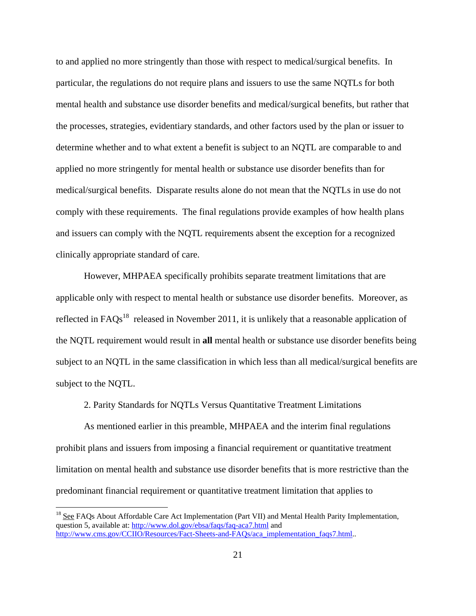to and applied no more stringently than those with respect to medical/surgical benefits. In particular, the regulations do not require plans and issuers to use the same NQTLs for both mental health and substance use disorder benefits and medical/surgical benefits, but rather that the processes, strategies, evidentiary standards, and other factors used by the plan or issuer to determine whether and to what extent a benefit is subject to an NQTL are comparable to and applied no more stringently for mental health or substance use disorder benefits than for medical/surgical benefits. Disparate results alone do not mean that the NQTLs in use do not comply with these requirements. The final regulations provide examples of how health plans and issuers can comply with the NQTL requirements absent the exception for a recognized clinically appropriate standard of care.

However, MHPAEA specifically prohibits separate treatment limitations that are applicable only with respect to mental health or substance use disorder benefits. Moreover, as reflected in  $FAQs<sup>18</sup>$  released in November 2011, it is unlikely that a reasonable application of the NQTL requirement would result in **all** mental health or substance use disorder benefits being subject to an NQTL in the same classification in which less than all medical/surgical benefits are subject to the NQTL.

2. Parity Standards for NQTLs Versus Quantitative Treatment Limitations

As mentioned earlier in this preamble, MHPAEA and the interim final regulations prohibit plans and issuers from imposing a financial requirement or quantitative treatment limitation on mental health and substance use disorder benefits that is more restrictive than the predominant financial requirement or quantitative treatment limitation that applies to

1

<sup>&</sup>lt;sup>18</sup> See FAQs About Affordable Care Act Implementation (Part VII) and Mental Health Parity Implementation, question 5, available at: http://www.dol.gov/ebsa/faqs/faq-aca7.html and http://www.cms.gov/CCIIO/Resources/Fact-Sheets-and-FAQs/aca\_implementation\_faqs7.html...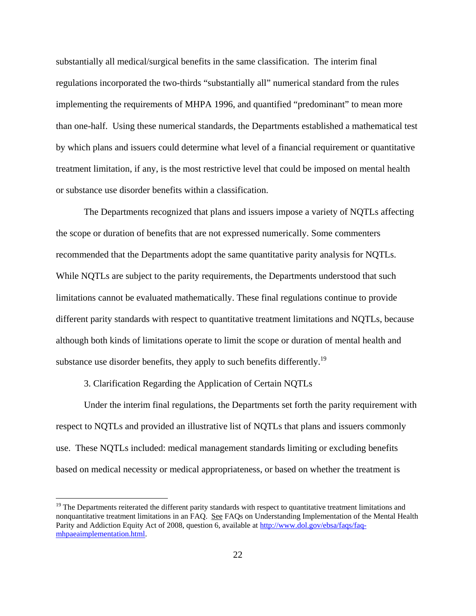substantially all medical/surgical benefits in the same classification. The interim final regulations incorporated the two-thirds "substantially all" numerical standard from the rules implementing the requirements of MHPA 1996, and quantified "predominant" to mean more than one-half. Using these numerical standards, the Departments established a mathematical test by which plans and issuers could determine what level of a financial requirement or quantitative treatment limitation, if any, is the most restrictive level that could be imposed on mental health or substance use disorder benefits within a classification.

The Departments recognized that plans and issuers impose a variety of NQTLs affecting the scope or duration of benefits that are not expressed numerically. Some commenters recommended that the Departments adopt the same quantitative parity analysis for NQTLs. While NQTLs are subject to the parity requirements, the Departments understood that such limitations cannot be evaluated mathematically. These final regulations continue to provide different parity standards with respect to quantitative treatment limitations and NQTLs, because although both kinds of limitations operate to limit the scope or duration of mental health and substance use disorder benefits, they apply to such benefits differently.<sup>19</sup>

3. Clarification Regarding the Application of Certain NQTLs

 $\overline{a}$ 

Under the interim final regulations, the Departments set forth the parity requirement with respect to NQTLs and provided an illustrative list of NQTLs that plans and issuers commonly use. These NQTLs included: medical management standards limiting or excluding benefits based on medical necessity or medical appropriateness, or based on whether the treatment is

<sup>&</sup>lt;sup>19</sup> The Departments reiterated the different parity standards with respect to quantitative treatment limitations and nonquantitative treatment limitations in an FAQ. See FAQs on Understanding Implementation of the Mental Health Parity and Addiction Equity Act of 2008, question 6, available at http://www.dol.gov/ebsa/faqs/faqmhpaeaimplementation.html.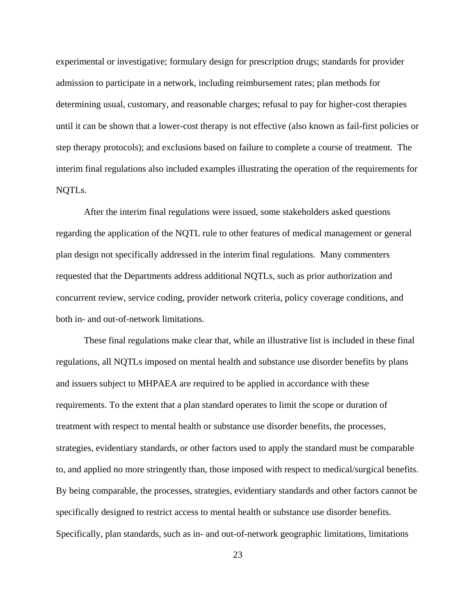experimental or investigative; formulary design for prescription drugs; standards for provider admission to participate in a network, including reimbursement rates; plan methods for determining usual, customary, and reasonable charges; refusal to pay for higher-cost therapies until it can be shown that a lower-cost therapy is not effective (also known as fail-first policies or step therapy protocols); and exclusions based on failure to complete a course of treatment. The interim final regulations also included examples illustrating the operation of the requirements for NQTLs.

After the interim final regulations were issued, some stakeholders asked questions regarding the application of the NQTL rule to other features of medical management or general plan design not specifically addressed in the interim final regulations. Many commenters requested that the Departments address additional NQTLs, such as prior authorization and concurrent review, service coding, provider network criteria, policy coverage conditions, and both in- and out-of-network limitations.

These final regulations make clear that, while an illustrative list is included in these final regulations, all NQTLs imposed on mental health and substance use disorder benefits by plans and issuers subject to MHPAEA are required to be applied in accordance with these requirements. To the extent that a plan standard operates to limit the scope or duration of treatment with respect to mental health or substance use disorder benefits, the processes, strategies, evidentiary standards, or other factors used to apply the standard must be comparable to, and applied no more stringently than, those imposed with respect to medical/surgical benefits. By being comparable, the processes, strategies, evidentiary standards and other factors cannot be specifically designed to restrict access to mental health or substance use disorder benefits. Specifically, plan standards, such as in- and out-of-network geographic limitations, limitations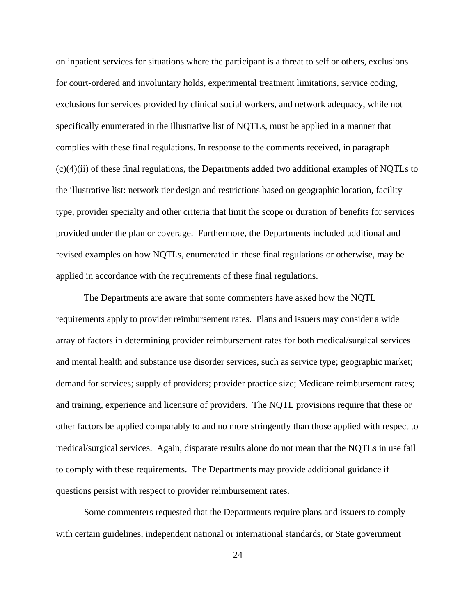on inpatient services for situations where the participant is a threat to self or others, exclusions for court-ordered and involuntary holds, experimental treatment limitations, service coding, exclusions for services provided by clinical social workers, and network adequacy, while not specifically enumerated in the illustrative list of NQTLs, must be applied in a manner that complies with these final regulations. In response to the comments received, in paragraph (c)(4)(ii) of these final regulations, the Departments added two additional examples of NQTLs to the illustrative list: network tier design and restrictions based on geographic location, facility type, provider specialty and other criteria that limit the scope or duration of benefits for services provided under the plan or coverage. Furthermore, the Departments included additional and revised examples on how NQTLs, enumerated in these final regulations or otherwise, may be applied in accordance with the requirements of these final regulations.

The Departments are aware that some commenters have asked how the NQTL requirements apply to provider reimbursement rates. Plans and issuers may consider a wide array of factors in determining provider reimbursement rates for both medical/surgical services and mental health and substance use disorder services, such as service type; geographic market; demand for services; supply of providers; provider practice size; Medicare reimbursement rates; and training, experience and licensure of providers. The NQTL provisions require that these or other factors be applied comparably to and no more stringently than those applied with respect to medical/surgical services. Again, disparate results alone do not mean that the NQTLs in use fail to comply with these requirements. The Departments may provide additional guidance if questions persist with respect to provider reimbursement rates.

Some commenters requested that the Departments require plans and issuers to comply with certain guidelines, independent national or international standards, or State government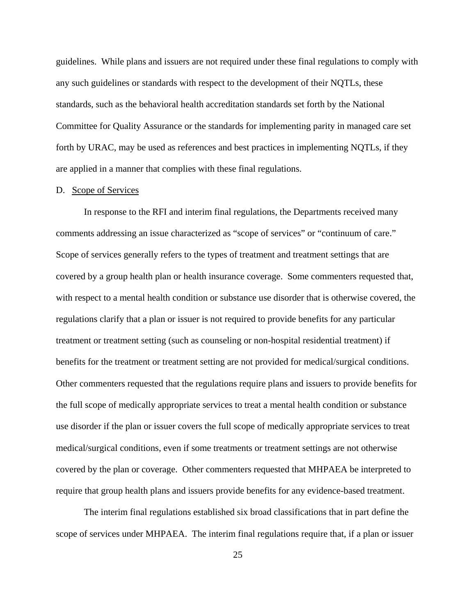guidelines. While plans and issuers are not required under these final regulations to comply with any such guidelines or standards with respect to the development of their NQTLs, these standards, such as the behavioral health accreditation standards set forth by the National Committee for Quality Assurance or the standards for implementing parity in managed care set forth by URAC, may be used as references and best practices in implementing NQTLs, if they are applied in a manner that complies with these final regulations.

#### D. Scope of Services

In response to the RFI and interim final regulations, the Departments received many comments addressing an issue characterized as "scope of services" or "continuum of care." Scope of services generally refers to the types of treatment and treatment settings that are covered by a group health plan or health insurance coverage. Some commenters requested that, with respect to a mental health condition or substance use disorder that is otherwise covered, the regulations clarify that a plan or issuer is not required to provide benefits for any particular treatment or treatment setting (such as counseling or non-hospital residential treatment) if benefits for the treatment or treatment setting are not provided for medical/surgical conditions. Other commenters requested that the regulations require plans and issuers to provide benefits for the full scope of medically appropriate services to treat a mental health condition or substance use disorder if the plan or issuer covers the full scope of medically appropriate services to treat medical/surgical conditions, even if some treatments or treatment settings are not otherwise covered by the plan or coverage. Other commenters requested that MHPAEA be interpreted to require that group health plans and issuers provide benefits for any evidence-based treatment.

The interim final regulations established six broad classifications that in part define the scope of services under MHPAEA. The interim final regulations require that, if a plan or issuer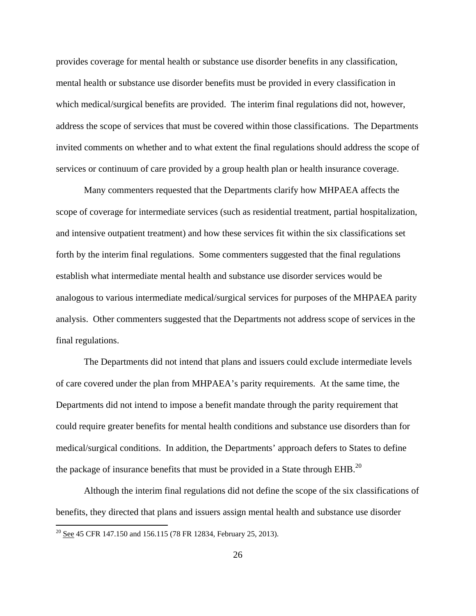provides coverage for mental health or substance use disorder benefits in any classification, mental health or substance use disorder benefits must be provided in every classification in which medical/surgical benefits are provided. The interim final regulations did not, however, address the scope of services that must be covered within those classifications. The Departments invited comments on whether and to what extent the final regulations should address the scope of services or continuum of care provided by a group health plan or health insurance coverage.

Many commenters requested that the Departments clarify how MHPAEA affects the scope of coverage for intermediate services (such as residential treatment, partial hospitalization, and intensive outpatient treatment) and how these services fit within the six classifications set forth by the interim final regulations. Some commenters suggested that the final regulations establish what intermediate mental health and substance use disorder services would be analogous to various intermediate medical/surgical services for purposes of the MHPAEA parity analysis. Other commenters suggested that the Departments not address scope of services in the final regulations.

The Departments did not intend that plans and issuers could exclude intermediate levels of care covered under the plan from MHPAEA's parity requirements. At the same time, the Departments did not intend to impose a benefit mandate through the parity requirement that could require greater benefits for mental health conditions and substance use disorders than for medical/surgical conditions. In addition, the Departments' approach defers to States to define the package of insurance benefits that must be provided in a State through  $EHB$ <sup>20</sup>

Although the interim final regulations did not define the scope of the six classifications of benefits, they directed that plans and issuers assign mental health and substance use disorder

 $20 \text{ See } 45 \text{ CFR } 147.150 \text{ and } 156.115 \text{ (78 FR } 12834, \text{ February } 25, 2013).$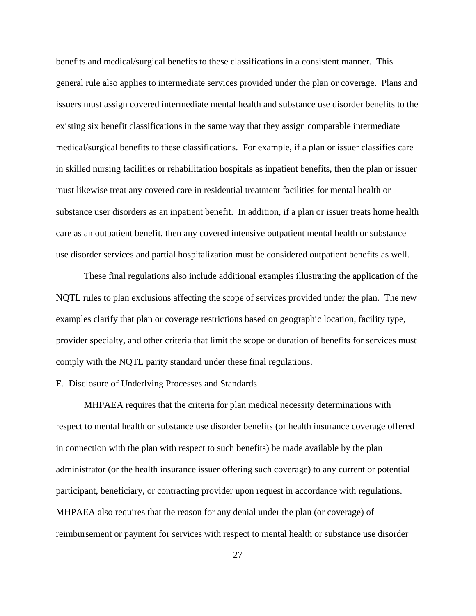benefits and medical/surgical benefits to these classifications in a consistent manner. This general rule also applies to intermediate services provided under the plan or coverage. Plans and issuers must assign covered intermediate mental health and substance use disorder benefits to the existing six benefit classifications in the same way that they assign comparable intermediate medical/surgical benefits to these classifications. For example, if a plan or issuer classifies care in skilled nursing facilities or rehabilitation hospitals as inpatient benefits, then the plan or issuer must likewise treat any covered care in residential treatment facilities for mental health or substance user disorders as an inpatient benefit. In addition, if a plan or issuer treats home health care as an outpatient benefit, then any covered intensive outpatient mental health or substance use disorder services and partial hospitalization must be considered outpatient benefits as well.

These final regulations also include additional examples illustrating the application of the NQTL rules to plan exclusions affecting the scope of services provided under the plan. The new examples clarify that plan or coverage restrictions based on geographic location, facility type, provider specialty, and other criteria that limit the scope or duration of benefits for services must comply with the NQTL parity standard under these final regulations.

### E. Disclosure of Underlying Processes and Standards

MHPAEA requires that the criteria for plan medical necessity determinations with respect to mental health or substance use disorder benefits (or health insurance coverage offered in connection with the plan with respect to such benefits) be made available by the plan administrator (or the health insurance issuer offering such coverage) to any current or potential participant, beneficiary, or contracting provider upon request in accordance with regulations. MHPAEA also requires that the reason for any denial under the plan (or coverage) of reimbursement or payment for services with respect to mental health or substance use disorder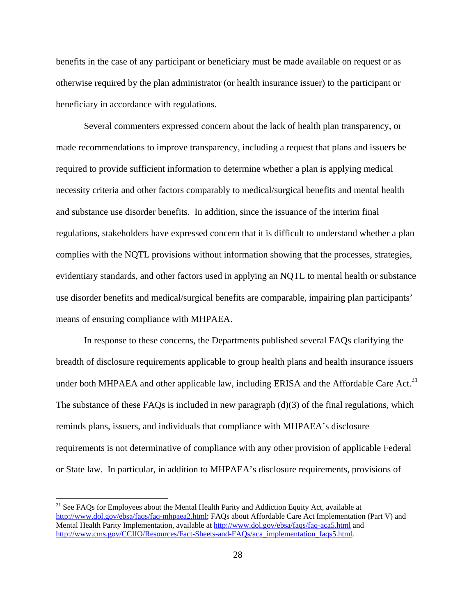benefits in the case of any participant or beneficiary must be made available on request or as otherwise required by the plan administrator (or health insurance issuer) to the participant or beneficiary in accordance with regulations.

Several commenters expressed concern about the lack of health plan transparency, or made recommendations to improve transparency, including a request that plans and issuers be required to provide sufficient information to determine whether a plan is applying medical necessity criteria and other factors comparably to medical/surgical benefits and mental health and substance use disorder benefits. In addition, since the issuance of the interim final regulations, stakeholders have expressed concern that it is difficult to understand whether a plan complies with the NQTL provisions without information showing that the processes, strategies, evidentiary standards, and other factors used in applying an NQTL to mental health or substance use disorder benefits and medical/surgical benefits are comparable, impairing plan participants' means of ensuring compliance with MHPAEA.

 In response to these concerns, the Departments published several FAQs clarifying the breadth of disclosure requirements applicable to group health plans and health insurance issuers under both MHPAEA and other applicable law, including ERISA and the Affordable Care Act.<sup>21</sup> The substance of these FAQs is included in new paragraph  $(d)(3)$  of the final regulations, which reminds plans, issuers, and individuals that compliance with MHPAEA's disclosure requirements is not determinative of compliance with any other provision of applicable Federal or State law. In particular, in addition to MHPAEA's disclosure requirements, provisions of

<sup>&</sup>lt;sup>21</sup> See FAQs for Employees about the Mental Health Parity and Addiction Equity Act, available at http://www.dol.gov/ebsa/faqs/faq-mhpaea2.html; FAQs about Affordable Care Act Implementation (Part V) and Mental Health Parity Implementation, available at http://www.dol.gov/ebsa/faqs/faq-aca5.html and http://www.cms.gov/CCIIO/Resources/Fact-Sheets-and-FAQs/aca\_implementation\_faqs5.html.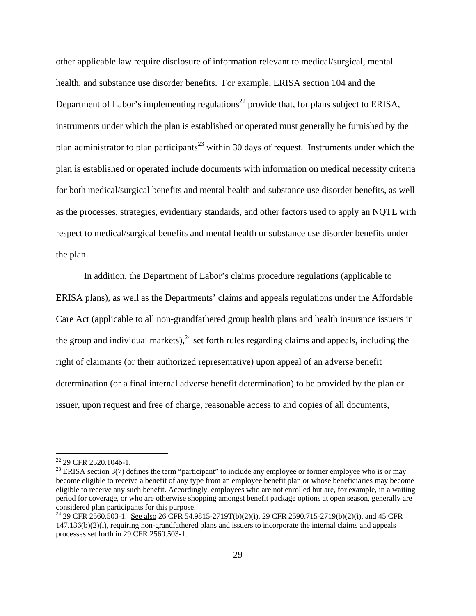other applicable law require disclosure of information relevant to medical/surgical, mental health, and substance use disorder benefits. For example, ERISA section 104 and the Department of Labor's implementing regulations<sup>22</sup> provide that, for plans subject to ERISA, instruments under which the plan is established or operated must generally be furnished by the plan administrator to plan participants<sup>23</sup> within 30 days of request. Instruments under which the plan is established or operated include documents with information on medical necessity criteria for both medical/surgical benefits and mental health and substance use disorder benefits, as well as the processes, strategies, evidentiary standards, and other factors used to apply an NQTL with respect to medical/surgical benefits and mental health or substance use disorder benefits under the plan.

In addition, the Department of Labor's claims procedure regulations (applicable to ERISA plans), as well as the Departments' claims and appeals regulations under the Affordable Care Act (applicable to all non-grandfathered group health plans and health insurance issuers in the group and individual markets),  $^{24}$  set forth rules regarding claims and appeals, including the right of claimants (or their authorized representative) upon appeal of an adverse benefit determination (or a final internal adverse benefit determination) to be provided by the plan or issuer, upon request and free of charge, reasonable access to and copies of all documents,

<sup>&</sup>lt;sup>22</sup> 29 CFR 2520.104b-1.

 $23$  ERISA section 3(7) defines the term "participant" to include any employee or former employee who is or may become eligible to receive a benefit of any type from an employee benefit plan or whose beneficiaries may become eligible to receive any such benefit. Accordingly, employees who are not enrolled but are, for example, in a waiting period for coverage, or who are otherwise shopping amongst benefit package options at open season, generally are considered plan participants for this purpose.<br><sup>24</sup> 29 CFR 2560.503-1. <u>See also</u> 26 CFR 54.9815-2719T(b)(2)(i), 29 CFR 2590.715-2719(b)(2)(i), and 45 CFR

<sup>147.136(</sup>b)(2)(i), requiring non-grandfathered plans and issuers to incorporate the internal claims and appeals processes set forth in 29 CFR 2560.503-1.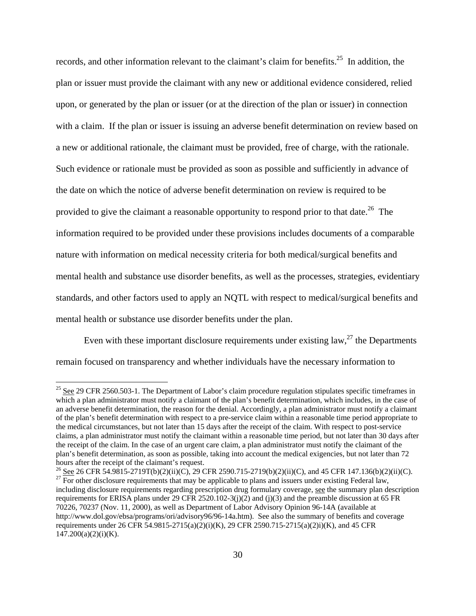records, and other information relevant to the claimant's claim for benefits.<sup>25</sup> In addition, the plan or issuer must provide the claimant with any new or additional evidence considered, relied upon, or generated by the plan or issuer (or at the direction of the plan or issuer) in connection with a claim. If the plan or issuer is issuing an adverse benefit determination on review based on a new or additional rationale, the claimant must be provided, free of charge, with the rationale. Such evidence or rationale must be provided as soon as possible and sufficiently in advance of the date on which the notice of adverse benefit determination on review is required to be provided to give the claimant a reasonable opportunity to respond prior to that date.<sup>26</sup> The information required to be provided under these provisions includes documents of a comparable nature with information on medical necessity criteria for both medical/surgical benefits and mental health and substance use disorder benefits, as well as the processes, strategies, evidentiary standards, and other factors used to apply an NQTL with respect to medical/surgical benefits and mental health or substance use disorder benefits under the plan.

Even with these important disclosure requirements under existing law,  $27$  the Departments remain focused on transparency and whether individuals have the necessary information to

 $\overline{a}$ 

<sup>26</sup> See 26 CFR 54.9815-2719T(b)(2)(ii)(C), 29 CFR 2590.715-2719(b)(2)(ii)(C), and 45 CFR 147.136(b)(2)(ii)(C). <sup>27</sup> For other disclosure requirements that may be applicable to plans and issuers under existing Federal law

 $^{25}$  See 29 CFR 2560.503-1. The Department of Labor's claim procedure regulation stipulates specific timeframes in which a plan administrator must notify a claimant of the plan's benefit determination, which includes, in the case of an adverse benefit determination, the reason for the denial. Accordingly, a plan administrator must notify a claimant of the plan's benefit determination with respect to a pre-service claim within a reasonable time period appropriate to the medical circumstances, but not later than 15 days after the receipt of the claim. With respect to post-service claims, a plan administrator must notify the claimant within a reasonable time period, but not later than 30 days after the receipt of the claim. In the case of an urgent care claim, a plan administrator must notify the claimant of the plan's benefit determination, as soon as possible, taking into account the medical exigencies, but not later than 72 hours after the receipt of the claimant's request.

including disclosure requirements regarding prescription drug formulary coverage, see the summary plan description requirements for ERISA plans under 29 CFR 2520.102-3(j)(2) and (j)(3) and the preamble discussion at 65 FR 70226, 70237 (Nov. 11, 2000), as well as Department of Labor Advisory Opinion 96-14A (available at http://www.dol.gov/ebsa/programs/ori/advisory96/96-14a.htm). See also the summary of benefits and coverage requirements under 26 CFR 54.9815-2715(a)(2)(i)(K), 29 CFR 2590.715-2715(a)(2)i)(K), and 45 CFR  $147.200(a)(2)(i)(K)$ .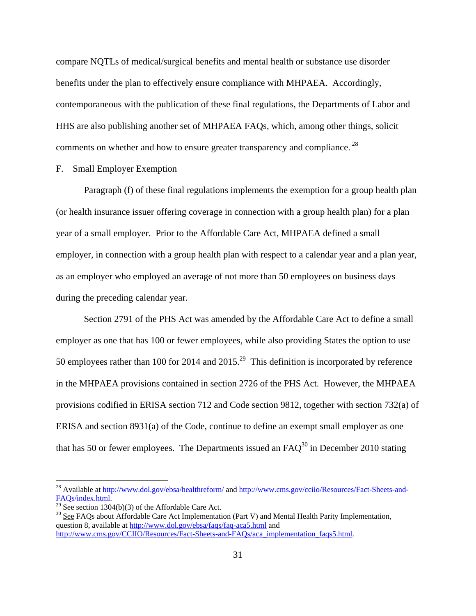compare NQTLs of medical/surgical benefits and mental health or substance use disorder benefits under the plan to effectively ensure compliance with MHPAEA. Accordingly, contemporaneous with the publication of these final regulations, the Departments of Labor and HHS are also publishing another set of MHPAEA FAQs, which, among other things, solicit comments on whether and how to ensure greater transparency and compliance.<sup>28</sup>

## F. Small Employer Exemption

 Paragraph (f) of these final regulations implements the exemption for a group health plan (or health insurance issuer offering coverage in connection with a group health plan) for a plan year of a small employer. Prior to the Affordable Care Act, MHPAEA defined a small employer, in connection with a group health plan with respect to a calendar year and a plan year, as an employer who employed an average of not more than 50 employees on business days during the preceding calendar year.

 Section 2791 of the PHS Act was amended by the Affordable Care Act to define a small employer as one that has 100 or fewer employees, while also providing States the option to use 50 employees rather than 100 for 2014 and 2015.<sup>29</sup> This definition is incorporated by reference in the MHPAEA provisions contained in section 2726 of the PHS Act. However, the MHPAEA provisions codified in ERISA section 712 and Code section 9812, together with section 732(a) of ERISA and section 8931(a) of the Code, continue to define an exempt small employer as one that has 50 or fewer employees. The Departments issued an  $FAQ<sup>30</sup>$  in December 2010 stating

<sup>&</sup>lt;sup>28</sup> Available at http://www.dol.gov/ebsa/healthreform/ and http://www.cms.gov/cciio/Resources/Fact-Sheets-and-FAQs/index.html.<br><sup>29</sup> See section 1304(b)(3) of the Affordable Care Act.<br><sup>30</sup> See FAQs about Affordable Care Act Implementation (Part V) and Mental Health Parity Implementation,

question 8, available at http://www.dol.gov/ebsa/faqs/faq-aca5.html and http://www.cms.gov/CCIIO/Resources/Fact-Sheets-and-FAQs/aca\_implementation\_faqs5.html.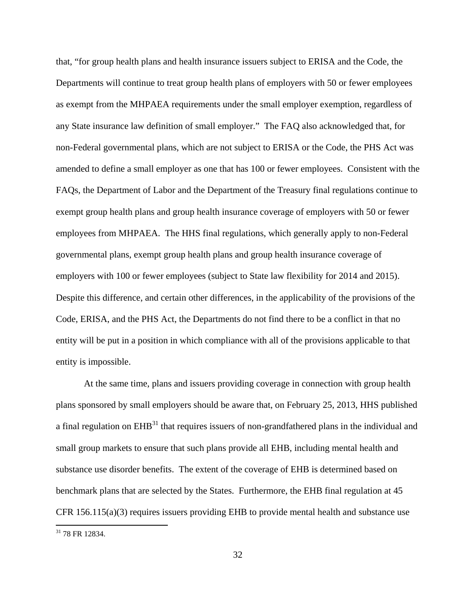that, "for group health plans and health insurance issuers subject to ERISA and the Code, the Departments will continue to treat group health plans of employers with 50 or fewer employees as exempt from the MHPAEA requirements under the small employer exemption, regardless of any State insurance law definition of small employer." The FAQ also acknowledged that, for non-Federal governmental plans, which are not subject to ERISA or the Code, the PHS Act was amended to define a small employer as one that has 100 or fewer employees. Consistent with the FAQs, the Department of Labor and the Department of the Treasury final regulations continue to exempt group health plans and group health insurance coverage of employers with 50 or fewer employees from MHPAEA. The HHS final regulations, which generally apply to non-Federal governmental plans, exempt group health plans and group health insurance coverage of employers with 100 or fewer employees (subject to State law flexibility for 2014 and 2015). Despite this difference, and certain other differences, in the applicability of the provisions of the Code, ERISA, and the PHS Act, the Departments do not find there to be a conflict in that no entity will be put in a position in which compliance with all of the provisions applicable to that entity is impossible.

At the same time, plans and issuers providing coverage in connection with group health plans sponsored by small employers should be aware that, on February 25, 2013, HHS published a final regulation on  $EHB<sup>31</sup>$  that requires issuers of non-grandfathered plans in the individual and small group markets to ensure that such plans provide all EHB, including mental health and substance use disorder benefits. The extent of the coverage of EHB is determined based on benchmark plans that are selected by the States. Furthermore, the EHB final regulation at 45 CFR 156.115(a)(3) requires issuers providing EHB to provide mental health and substance use 1  $31$  78 FR 12834.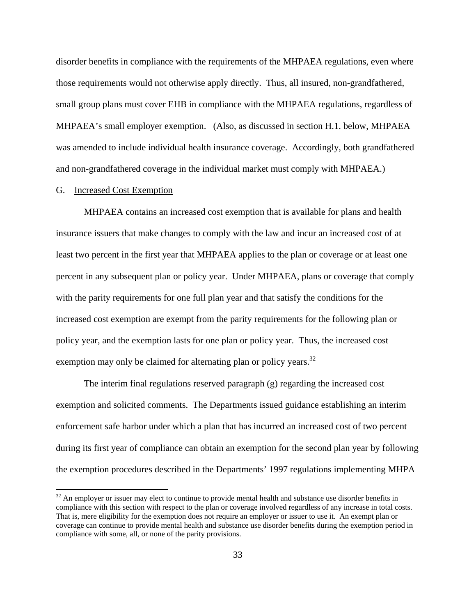disorder benefits in compliance with the requirements of the MHPAEA regulations, even where those requirements would not otherwise apply directly. Thus, all insured, non-grandfathered, small group plans must cover EHB in compliance with the MHPAEA regulations, regardless of MHPAEA's small employer exemption. (Also, as discussed in section H.1. below, MHPAEA was amended to include individual health insurance coverage. Accordingly, both grandfathered and non-grandfathered coverage in the individual market must comply with MHPAEA.)

#### G. Increased Cost Exemption

 $\overline{a}$ 

MHPAEA contains an increased cost exemption that is available for plans and health insurance issuers that make changes to comply with the law and incur an increased cost of at least two percent in the first year that MHPAEA applies to the plan or coverage or at least one percent in any subsequent plan or policy year. Under MHPAEA, plans or coverage that comply with the parity requirements for one full plan year and that satisfy the conditions for the increased cost exemption are exempt from the parity requirements for the following plan or policy year, and the exemption lasts for one plan or policy year. Thus, the increased cost exemption may only be claimed for alternating plan or policy years.<sup>32</sup>

The interim final regulations reserved paragraph (g) regarding the increased cost exemption and solicited comments. The Departments issued guidance establishing an interim enforcement safe harbor under which a plan that has incurred an increased cost of two percent during its first year of compliance can obtain an exemption for the second plan year by following the exemption procedures described in the Departments' 1997 regulations implementing MHPA

 $32$  An employer or issuer may elect to continue to provide mental health and substance use disorder benefits in compliance with this section with respect to the plan or coverage involved regardless of any increase in total costs. That is, mere eligibility for the exemption does not require an employer or issuer to use it. An exempt plan or coverage can continue to provide mental health and substance use disorder benefits during the exemption period in compliance with some, all, or none of the parity provisions.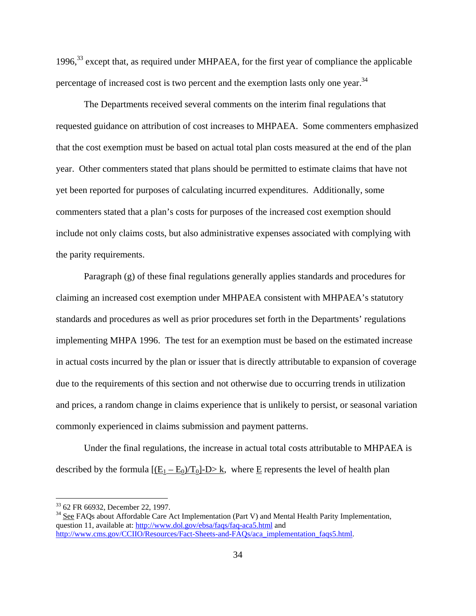1996,33 except that, as required under MHPAEA, for the first year of compliance the applicable percentage of increased cost is two percent and the exemption lasts only one year.<sup>34</sup>

The Departments received several comments on the interim final regulations that requested guidance on attribution of cost increases to MHPAEA. Some commenters emphasized that the cost exemption must be based on actual total plan costs measured at the end of the plan year. Other commenters stated that plans should be permitted to estimate claims that have not yet been reported for purposes of calculating incurred expenditures. Additionally, some commenters stated that a plan's costs for purposes of the increased cost exemption should include not only claims costs, but also administrative expenses associated with complying with the parity requirements.

Paragraph (g) of these final regulations generally applies standards and procedures for claiming an increased cost exemption under MHPAEA consistent with MHPAEA's statutory standards and procedures as well as prior procedures set forth in the Departments' regulations implementing MHPA 1996. The test for an exemption must be based on the estimated increase in actual costs incurred by the plan or issuer that is directly attributable to expansion of coverage due to the requirements of this section and not otherwise due to occurring trends in utilization and prices, a random change in claims experience that is unlikely to persist, or seasonal variation commonly experienced in claims submission and payment patterns.

Under the final regulations, the increase in actual total costs attributable to MHPAEA is described by the formula  $[(E_1 - E_0)/T_0]$ -D>k, where E represents the level of health plan

<sup>&</sup>lt;sup>33</sup> 62 FR 66932, December 22, 1997.<br><sup>34</sup> See FAOs about Affordable Care Act Implementation (Part V) and Mental Health Parity Implementation, question 11, available at: http://www.dol.gov/ebsa/faqs/faq-aca5.html and http://www.cms.gov/CCIIO/Resources/Fact-Sheets-and-FAQs/aca\_implementation\_faqs5.html.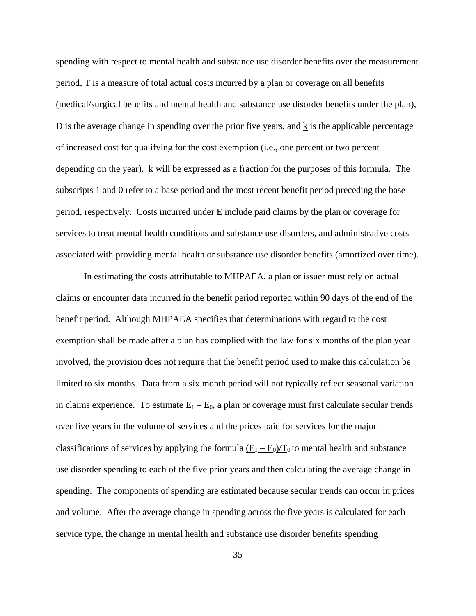spending with respect to mental health and substance use disorder benefits over the measurement period, T is a measure of total actual costs incurred by a plan or coverage on all benefits (medical/surgical benefits and mental health and substance use disorder benefits under the plan), D is the average change in spending over the prior five years, and k is the applicable percentage of increased cost for qualifying for the cost exemption (i.e., one percent or two percent depending on the year). k will be expressed as a fraction for the purposes of this formula. The subscripts 1 and 0 refer to a base period and the most recent benefit period preceding the base period, respectively. Costs incurred under E include paid claims by the plan or coverage for services to treat mental health conditions and substance use disorders, and administrative costs associated with providing mental health or substance use disorder benefits (amortized over time).

In estimating the costs attributable to MHPAEA, a plan or issuer must rely on actual claims or encounter data incurred in the benefit period reported within 90 days of the end of the benefit period. Although MHPAEA specifies that determinations with regard to the cost exemption shall be made after a plan has complied with the law for six months of the plan year involved, the provision does not require that the benefit period used to make this calculation be limited to six months. Data from a six month period will not typically reflect seasonal variation in claims experience. To estimate  $E_1 - E_0$ , a plan or coverage must first calculate secular trends over five years in the volume of services and the prices paid for services for the major classifications of services by applying the formula  $(E_1 - E_0)/T_0$  to mental health and substance use disorder spending to each of the five prior years and then calculating the average change in spending. The components of spending are estimated because secular trends can occur in prices and volume. After the average change in spending across the five years is calculated for each service type, the change in mental health and substance use disorder benefits spending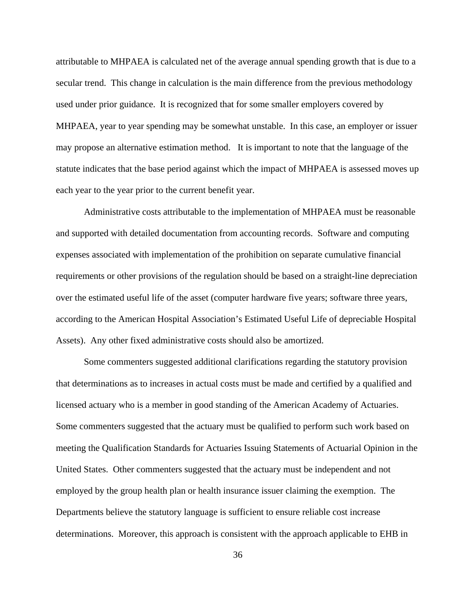attributable to MHPAEA is calculated net of the average annual spending growth that is due to a secular trend. This change in calculation is the main difference from the previous methodology used under prior guidance. It is recognized that for some smaller employers covered by MHPAEA, year to year spending may be somewhat unstable. In this case, an employer or issuer may propose an alternative estimation method. It is important to note that the language of the statute indicates that the base period against which the impact of MHPAEA is assessed moves up each year to the year prior to the current benefit year.

Administrative costs attributable to the implementation of MHPAEA must be reasonable and supported with detailed documentation from accounting records. Software and computing expenses associated with implementation of the prohibition on separate cumulative financial requirements or other provisions of the regulation should be based on a straight-line depreciation over the estimated useful life of the asset (computer hardware five years; software three years, according to the American Hospital Association's Estimated Useful Life of depreciable Hospital Assets). Any other fixed administrative costs should also be amortized.

Some commenters suggested additional clarifications regarding the statutory provision that determinations as to increases in actual costs must be made and certified by a qualified and licensed actuary who is a member in good standing of the American Academy of Actuaries. Some commenters suggested that the actuary must be qualified to perform such work based on meeting the Qualification Standards for Actuaries Issuing Statements of Actuarial Opinion in the United States. Other commenters suggested that the actuary must be independent and not employed by the group health plan or health insurance issuer claiming the exemption. The Departments believe the statutory language is sufficient to ensure reliable cost increase determinations. Moreover, this approach is consistent with the approach applicable to EHB in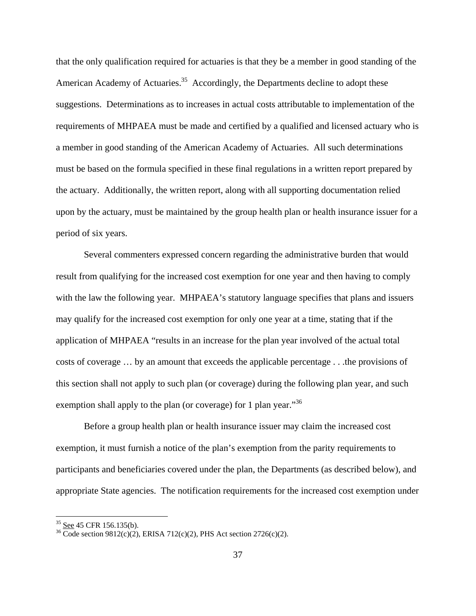that the only qualification required for actuaries is that they be a member in good standing of the American Academy of Actuaries.<sup>35</sup> Accordingly, the Departments decline to adopt these suggestions. Determinations as to increases in actual costs attributable to implementation of the requirements of MHPAEA must be made and certified by a qualified and licensed actuary who is a member in good standing of the American Academy of Actuaries. All such determinations must be based on the formula specified in these final regulations in a written report prepared by the actuary. Additionally, the written report, along with all supporting documentation relied upon by the actuary, must be maintained by the group health plan or health insurance issuer for a period of six years.

Several commenters expressed concern regarding the administrative burden that would result from qualifying for the increased cost exemption for one year and then having to comply with the law the following year. MHPAEA's statutory language specifies that plans and issuers may qualify for the increased cost exemption for only one year at a time, stating that if the application of MHPAEA "results in an increase for the plan year involved of the actual total costs of coverage … by an amount that exceeds the applicable percentage . . .the provisions of this section shall not apply to such plan (or coverage) during the following plan year, and such exemption shall apply to the plan (or coverage) for 1 plan year.<sup>36</sup>

Before a group health plan or health insurance issuer may claim the increased cost exemption, it must furnish a notice of the plan's exemption from the parity requirements to participants and beneficiaries covered under the plan, the Departments (as described below), and appropriate State agencies. The notification requirements for the increased cost exemption under

<sup>&</sup>lt;sup>35</sup> <u>See</u> 45 CFR 156.135(b).<br><sup>36</sup> Code section 9812(c)(2), ERISA 712(c)(2), PHS Act section 2726(c)(2).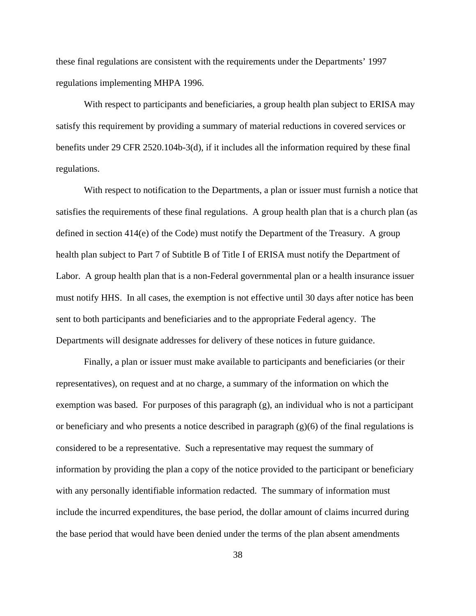these final regulations are consistent with the requirements under the Departments' 1997 regulations implementing MHPA 1996.

With respect to participants and beneficiaries, a group health plan subject to ERISA may satisfy this requirement by providing a summary of material reductions in covered services or benefits under 29 CFR 2520.104b-3(d), if it includes all the information required by these final regulations.

With respect to notification to the Departments, a plan or issuer must furnish a notice that satisfies the requirements of these final regulations. A group health plan that is a church plan (as defined in section 414(e) of the Code) must notify the Department of the Treasury. A group health plan subject to Part 7 of Subtitle B of Title I of ERISA must notify the Department of Labor. A group health plan that is a non-Federal governmental plan or a health insurance issuer must notify HHS. In all cases, the exemption is not effective until 30 days after notice has been sent to both participants and beneficiaries and to the appropriate Federal agency. The Departments will designate addresses for delivery of these notices in future guidance.

Finally, a plan or issuer must make available to participants and beneficiaries (or their representatives), on request and at no charge, a summary of the information on which the exemption was based. For purposes of this paragraph (g), an individual who is not a participant or beneficiary and who presents a notice described in paragraph  $(g)(6)$  of the final regulations is considered to be a representative. Such a representative may request the summary of information by providing the plan a copy of the notice provided to the participant or beneficiary with any personally identifiable information redacted. The summary of information must include the incurred expenditures, the base period, the dollar amount of claims incurred during the base period that would have been denied under the terms of the plan absent amendments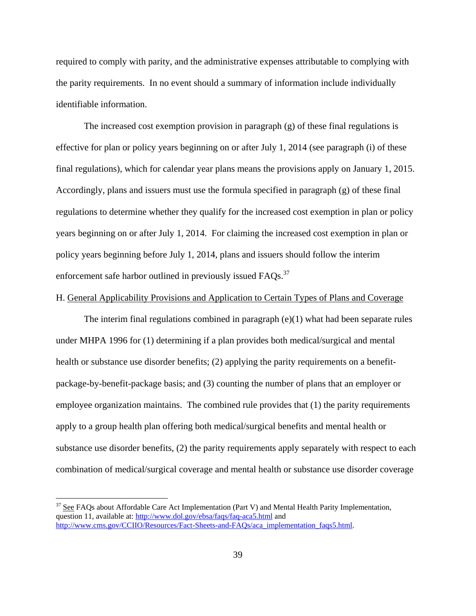required to comply with parity, and the administrative expenses attributable to complying with the parity requirements. In no event should a summary of information include individually identifiable information.

The increased cost exemption provision in paragraph (g) of these final regulations is effective for plan or policy years beginning on or after July 1, 2014 (see paragraph (i) of these final regulations), which for calendar year plans means the provisions apply on January 1, 2015. Accordingly, plans and issuers must use the formula specified in paragraph (g) of these final regulations to determine whether they qualify for the increased cost exemption in plan or policy years beginning on or after July 1, 2014. For claiming the increased cost exemption in plan or policy years beginning before July 1, 2014, plans and issuers should follow the interim enforcement safe harbor outlined in previously issued FAQs.<sup>37</sup>

#### H. General Applicability Provisions and Application to Certain Types of Plans and Coverage

The interim final regulations combined in paragraph (e)(1) what had been separate rules under MHPA 1996 for (1) determining if a plan provides both medical/surgical and mental health or substance use disorder benefits; (2) applying the parity requirements on a benefitpackage-by-benefit-package basis; and (3) counting the number of plans that an employer or employee organization maintains. The combined rule provides that (1) the parity requirements apply to a group health plan offering both medical/surgical benefits and mental health or substance use disorder benefits, (2) the parity requirements apply separately with respect to each combination of medical/surgical coverage and mental health or substance use disorder coverage

1

 $37$  See FAQs about Affordable Care Act Implementation (Part V) and Mental Health Parity Implementation, question 11, available at: http://www.dol.gov/ebsa/faqs/faq-aca5.html and http://www.cms.gov/CCIIO/Resources/Fact-Sheets-and-FAOs/aca\_implementation\_faqs5.html.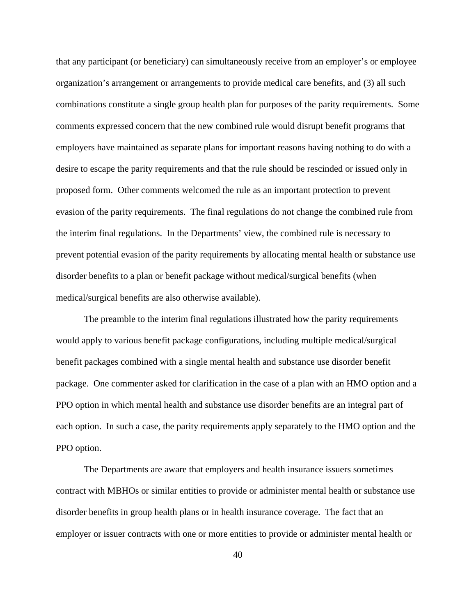that any participant (or beneficiary) can simultaneously receive from an employer's or employee organization's arrangement or arrangements to provide medical care benefits, and (3) all such combinations constitute a single group health plan for purposes of the parity requirements. Some comments expressed concern that the new combined rule would disrupt benefit programs that employers have maintained as separate plans for important reasons having nothing to do with a desire to escape the parity requirements and that the rule should be rescinded or issued only in proposed form. Other comments welcomed the rule as an important protection to prevent evasion of the parity requirements. The final regulations do not change the combined rule from the interim final regulations. In the Departments' view, the combined rule is necessary to prevent potential evasion of the parity requirements by allocating mental health or substance use disorder benefits to a plan or benefit package without medical/surgical benefits (when medical/surgical benefits are also otherwise available).

 The preamble to the interim final regulations illustrated how the parity requirements would apply to various benefit package configurations, including multiple medical/surgical benefit packages combined with a single mental health and substance use disorder benefit package. One commenter asked for clarification in the case of a plan with an HMO option and a PPO option in which mental health and substance use disorder benefits are an integral part of each option. In such a case, the parity requirements apply separately to the HMO option and the PPO option.

The Departments are aware that employers and health insurance issuers sometimes contract with MBHOs or similar entities to provide or administer mental health or substance use disorder benefits in group health plans or in health insurance coverage. The fact that an employer or issuer contracts with one or more entities to provide or administer mental health or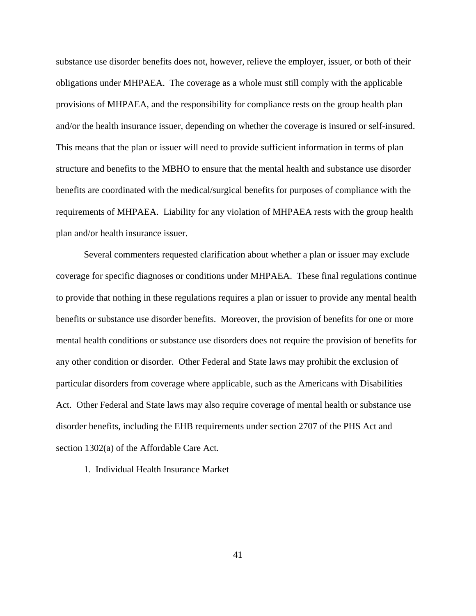substance use disorder benefits does not, however, relieve the employer, issuer, or both of their obligations under MHPAEA. The coverage as a whole must still comply with the applicable provisions of MHPAEA, and the responsibility for compliance rests on the group health plan and/or the health insurance issuer, depending on whether the coverage is insured or self-insured. This means that the plan or issuer will need to provide sufficient information in terms of plan structure and benefits to the MBHO to ensure that the mental health and substance use disorder benefits are coordinated with the medical/surgical benefits for purposes of compliance with the requirements of MHPAEA. Liability for any violation of MHPAEA rests with the group health plan and/or health insurance issuer.

Several commenters requested clarification about whether a plan or issuer may exclude coverage for specific diagnoses or conditions under MHPAEA. These final regulations continue to provide that nothing in these regulations requires a plan or issuer to provide any mental health benefits or substance use disorder benefits. Moreover, the provision of benefits for one or more mental health conditions or substance use disorders does not require the provision of benefits for any other condition or disorder. Other Federal and State laws may prohibit the exclusion of particular disorders from coverage where applicable, such as the Americans with Disabilities Act. Other Federal and State laws may also require coverage of mental health or substance use disorder benefits, including the EHB requirements under section 2707 of the PHS Act and section 1302(a) of the Affordable Care Act.

1. Individual Health Insurance Market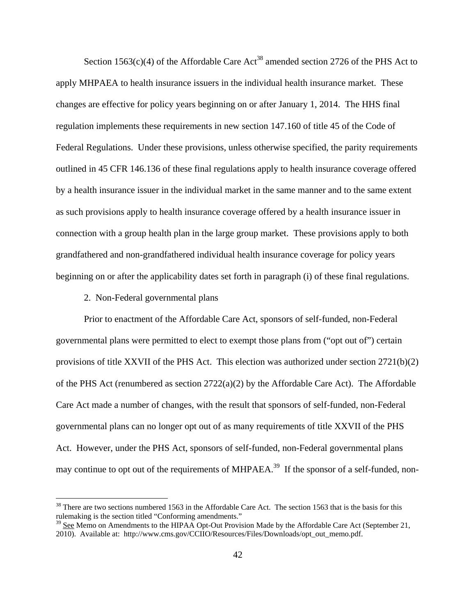Section 1563(c)(4) of the Affordable Care  $Act^{38}$  amended section 2726 of the PHS Act to apply MHPAEA to health insurance issuers in the individual health insurance market. These changes are effective for policy years beginning on or after January 1, 2014. The HHS final regulation implements these requirements in new section 147.160 of title 45 of the Code of Federal Regulations. Under these provisions, unless otherwise specified, the parity requirements outlined in 45 CFR 146.136 of these final regulations apply to health insurance coverage offered by a health insurance issuer in the individual market in the same manner and to the same extent as such provisions apply to health insurance coverage offered by a health insurance issuer in connection with a group health plan in the large group market. These provisions apply to both grandfathered and non-grandfathered individual health insurance coverage for policy years beginning on or after the applicability dates set forth in paragraph (i) of these final regulations.

2. Non-Federal governmental plans

 $\overline{a}$ 

Prior to enactment of the Affordable Care Act, sponsors of self-funded, non-Federal governmental plans were permitted to elect to exempt those plans from ("opt out of") certain provisions of title XXVII of the PHS Act. This election was authorized under section 2721(b)(2) of the PHS Act (renumbered as section  $2722(a)(2)$  by the Affordable Care Act). The Affordable Care Act made a number of changes, with the result that sponsors of self-funded, non-Federal governmental plans can no longer opt out of as many requirements of title XXVII of the PHS Act. However, under the PHS Act, sponsors of self-funded, non-Federal governmental plans may continue to opt out of the requirements of MHPAEA.<sup>39</sup> If the sponsor of a self-funded, non-

 $38$  There are two sections numbered 1563 in the Affordable Care Act. The section 1563 that is the basis for this rulemaking is the section titled "Conforming amendments."

<sup>&</sup>lt;sup>39</sup> See Memo on Amendments to the HIPAA Opt-Out Provision Made by the Affordable Care Act (September 21, 2010). Available at: http://www.cms.gov/CCIIO/Resources/Files/Downloads/opt\_out\_memo.pdf.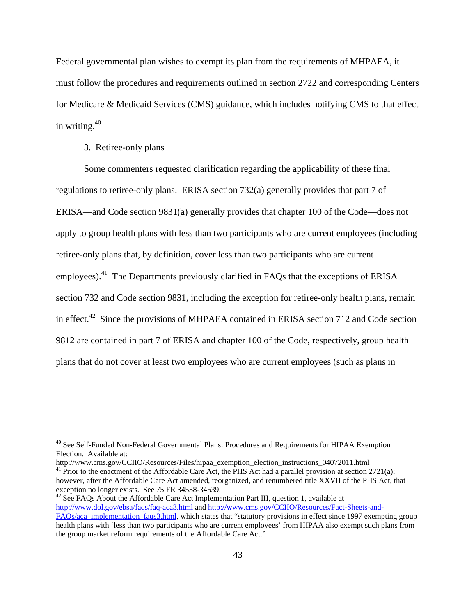Federal governmental plan wishes to exempt its plan from the requirements of MHPAEA, it must follow the procedures and requirements outlined in section 2722 and corresponding Centers for Medicare & Medicaid Services (CMS) guidance, which includes notifying CMS to that effect in writing. $40$ 

#### 3. Retiree-only plans

<u>.</u>

Some commenters requested clarification regarding the applicability of these final regulations to retiree-only plans. ERISA section 732(a) generally provides that part 7 of ERISA—and Code section 9831(a) generally provides that chapter 100 of the Code—does not apply to group health plans with less than two participants who are current employees (including retiree-only plans that, by definition, cover less than two participants who are current employees).<sup>41</sup> The Departments previously clarified in FAQs that the exceptions of ERISA section 732 and Code section 9831, including the exception for retiree-only health plans, remain in effect.<sup>42</sup> Since the provisions of MHPAEA contained in ERISA section 712 and Code section 9812 are contained in part 7 of ERISA and chapter 100 of the Code, respectively, group health plans that do not cover at least two employees who are current employees (such as plans in

<sup>&</sup>lt;sup>40</sup> See Self-Funded Non-Federal Governmental Plans: Procedures and Requirements for HIPAA Exemption Election. Available at:<br>http://www.cms.gov/CCIIO/Resources/Files/hipaa\_exemption\_election\_instructions\_04072011.html

<sup>&</sup>lt;sup>41</sup> Prior to the enactment of the Affordable Care Act, the PHS Act had a parallel provision at section 2721(a); however, after the Affordable Care Act amended, reorganized, and renumbered title XXVII of the PHS Act, that exception no longer exists. <u>See</u> 75 FR 34538-34539.<br><sup>42</sup> See FAQs About the Affordable Care Act Implementation Part III, question 1, available at

http://www.dol.gov/ebsa/faqs/faq-aca3.html and http://www.cms.gov/CCIIO/Resources/Fact-Sheets-and-FAQs/aca\_implementation\_faqs3.html, which states that "statutory provisions in effect since 1997 exempting group health plans with 'less than two participants who are current employees' from HIPAA also exempt such plans from the group market reform requirements of the Affordable Care Act."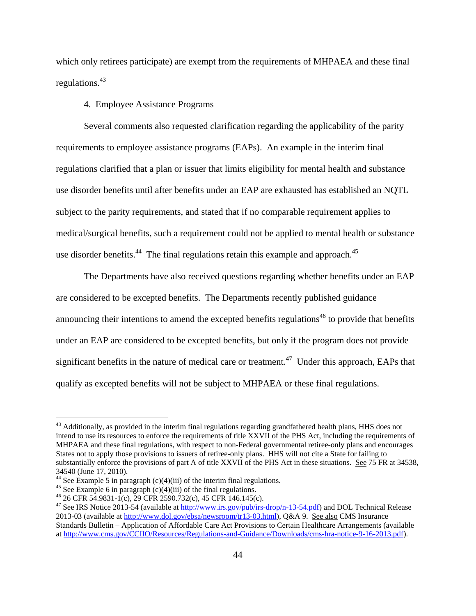which only retirees participate) are exempt from the requirements of MHPAEA and these final regulations.43

4. Employee Assistance Programs

Several comments also requested clarification regarding the applicability of the parity requirements to employee assistance programs (EAPs). An example in the interim final regulations clarified that a plan or issuer that limits eligibility for mental health and substance use disorder benefits until after benefits under an EAP are exhausted has established an NQTL subject to the parity requirements, and stated that if no comparable requirement applies to medical/surgical benefits, such a requirement could not be applied to mental health or substance use disorder benefits.<sup>44</sup> The final regulations retain this example and approach.<sup>45</sup>

The Departments have also received questions regarding whether benefits under an EAP are considered to be excepted benefits. The Departments recently published guidance announcing their intentions to amend the excepted benefits regulations<sup> $46$ </sup> to provide that benefits under an EAP are considered to be excepted benefits, but only if the program does not provide significant benefits in the nature of medical care or treatment.<sup>47</sup> Under this approach, EAPs that qualify as excepted benefits will not be subject to MHPAEA or these final regulations.

<sup>&</sup>lt;sup>43</sup> Additionally, as provided in the interim final regulations regarding grandfathered health plans, HHS does not intend to use its resources to enforce the requirements of title XXVII of the PHS Act, including the requirements of MHPAEA and these final regulations, with respect to non-Federal governmental retiree-only plans and encourages States not to apply those provisions to issuers of retiree-only plans. HHS will not cite a State for failing to substantially enforce the provisions of part A of title XXVII of the PHS Act in these situations. See 75 FR at 34538, 34540 (June 17, 2010).

<sup>&</sup>lt;sup>44</sup> See Example 5 in paragraph  $(c)(4)(iii)$  of the interim final regulations.

<sup>&</sup>lt;sup>45</sup> See Example 6 in paragraph  $(c)(4)(iii)$  of the final regulations.

<sup>46 26</sup> CFR 54.9831-1(c), 29 CFR 2590.732(c), 45 CFR 146.145(c).

<sup>&</sup>lt;sup>47</sup> See IRS Notice 2013-54 (available at  $\frac{http://www.irs.gov/public/irs-drop/n-13-54.pdf}{http://www.irs.gov/public/irs-drop/n-13-54.pdf}$ ) and DOL Technical Release 2013-03 (available at http://www.dol.gov/ebsa/newsroom/tr13-03.html), Q&A 9. See also CMS Insurance Standards Bulletin – Application of Affordable Care Act Provisions to Certain Healthcare Arrangements (available at http://www.cms.gov/CCIIO/Resources/Regulations-and-Guidance/Downloads/cms-hra-notice-9-16-2013.pdf).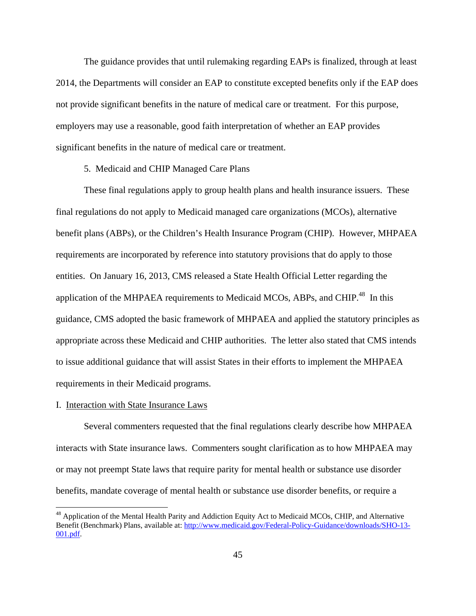The guidance provides that until rulemaking regarding EAPs is finalized, through at least 2014, the Departments will consider an EAP to constitute excepted benefits only if the EAP does not provide significant benefits in the nature of medical care or treatment. For this purpose, employers may use a reasonable, good faith interpretation of whether an EAP provides significant benefits in the nature of medical care or treatment.

5. Medicaid and CHIP Managed Care Plans

These final regulations apply to group health plans and health insurance issuers. These final regulations do not apply to Medicaid managed care organizations (MCOs), alternative benefit plans (ABPs), or the Children's Health Insurance Program (CHIP). However, MHPAEA requirements are incorporated by reference into statutory provisions that do apply to those entities. On January 16, 2013, CMS released a State Health Official Letter regarding the application of the MHPAEA requirements to Medicaid MCOs, ABPs, and CHIP.<sup>48</sup> In this guidance, CMS adopted the basic framework of MHPAEA and applied the statutory principles as appropriate across these Medicaid and CHIP authorities. The letter also stated that CMS intends to issue additional guidance that will assist States in their efforts to implement the MHPAEA requirements in their Medicaid programs.

#### I. Interaction with State Insurance Laws

 $\overline{a}$ 

Several commenters requested that the final regulations clearly describe how MHPAEA interacts with State insurance laws. Commenters sought clarification as to how MHPAEA may or may not preempt State laws that require parity for mental health or substance use disorder benefits, mandate coverage of mental health or substance use disorder benefits, or require a

<sup>&</sup>lt;sup>48</sup> Application of the Mental Health Parity and Addiction Equity Act to Medicaid MCOs, CHIP, and Alternative Benefit (Benchmark) Plans, available at: http://www.medicaid.gov/Federal-Policy-Guidance/downloads/SHO-13- 001.pdf.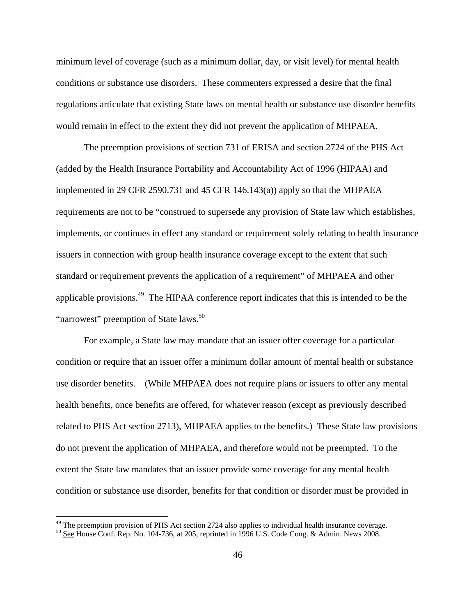minimum level of coverage (such as a minimum dollar, day, or visit level) for mental health conditions or substance use disorders. These commenters expressed a desire that the final regulations articulate that existing State laws on mental health or substance use disorder benefits would remain in effect to the extent they did not prevent the application of MHPAEA.

The preemption provisions of section 731 of ERISA and section 2724 of the PHS Act (added by the Health Insurance Portability and Accountability Act of 1996 (HIPAA) and implemented in 29 CFR 2590.731 and 45 CFR 146.143(a)) apply so that the MHPAEA requirements are not to be "construed to supersede any provision of State law which establishes, implements, or continues in effect any standard or requirement solely relating to health insurance issuers in connection with group health insurance coverage except to the extent that such standard or requirement prevents the application of a requirement" of MHPAEA and other applicable provisions.49 The HIPAA conference report indicates that this is intended to be the "narrowest" preemption of State laws.<sup>50</sup>

For example, a State law may mandate that an issuer offer coverage for a particular condition or require that an issuer offer a minimum dollar amount of mental health or substance use disorder benefits. (While MHPAEA does not require plans or issuers to offer any mental health benefits, once benefits are offered, for whatever reason (except as previously described related to PHS Act section 2713), MHPAEA applies to the benefits.) These State law provisions do not prevent the application of MHPAEA, and therefore would not be preempted. To the extent the State law mandates that an issuer provide some coverage for any mental health condition or substance use disorder, benefits for that condition or disorder must be provided in

 $49$  The preemption provision of PHS Act section 2724 also applies to individual health insurance coverage.

<sup>&</sup>lt;sup>50</sup> See House Conf. Rep. No. 104-736, at 205, reprinted in 1996 U.S. Code Cong. & Admin. News 2008.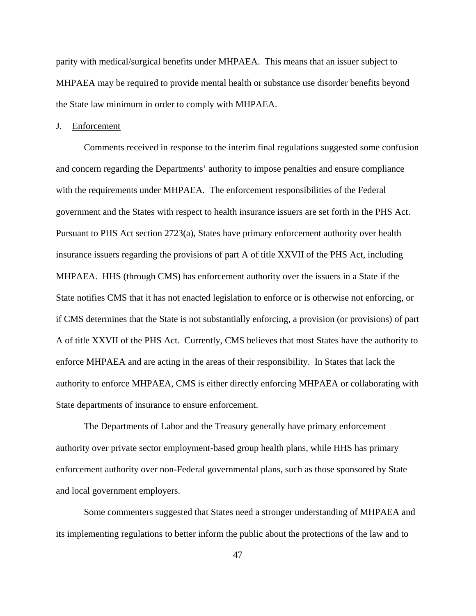parity with medical/surgical benefits under MHPAEA. This means that an issuer subject to MHPAEA may be required to provide mental health or substance use disorder benefits beyond the State law minimum in order to comply with MHPAEA.

#### J. Enforcement

Comments received in response to the interim final regulations suggested some confusion and concern regarding the Departments' authority to impose penalties and ensure compliance with the requirements under MHPAEA. The enforcement responsibilities of the Federal government and the States with respect to health insurance issuers are set forth in the PHS Act. Pursuant to PHS Act section 2723(a), States have primary enforcement authority over health insurance issuers regarding the provisions of part A of title XXVII of the PHS Act, including MHPAEA. HHS (through CMS) has enforcement authority over the issuers in a State if the State notifies CMS that it has not enacted legislation to enforce or is otherwise not enforcing, or if CMS determines that the State is not substantially enforcing, a provision (or provisions) of part A of title XXVII of the PHS Act. Currently, CMS believes that most States have the authority to enforce MHPAEA and are acting in the areas of their responsibility. In States that lack the authority to enforce MHPAEA, CMS is either directly enforcing MHPAEA or collaborating with State departments of insurance to ensure enforcement.

The Departments of Labor and the Treasury generally have primary enforcement authority over private sector employment-based group health plans, while HHS has primary enforcement authority over non-Federal governmental plans, such as those sponsored by State and local government employers.

Some commenters suggested that States need a stronger understanding of MHPAEA and its implementing regulations to better inform the public about the protections of the law and to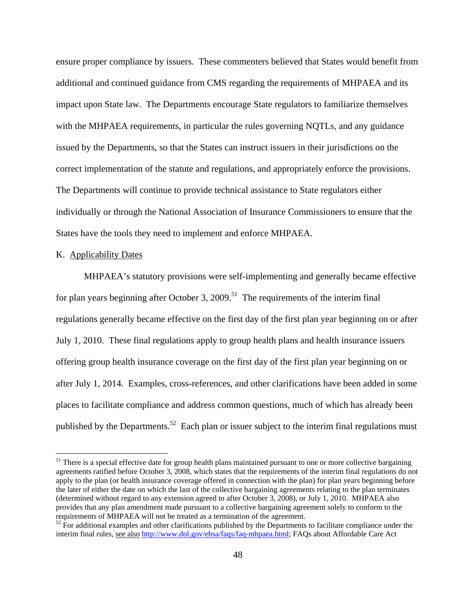ensure proper compliance by issuers. These commenters believed that States would benefit from additional and continued guidance from CMS regarding the requirements of MHPAEA and its impact upon State law. The Departments encourage State regulators to familiarize themselves with the MHPAEA requirements, in particular the rules governing NQTLs, and any guidance issued by the Departments, so that the States can instruct issuers in their jurisdictions on the correct implementation of the statute and regulations, and appropriately enforce the provisions. The Departments will continue to provide technical assistance to State regulators either individually or through the National Association of Insurance Commissioners to ensure that the States have the tools they need to implement and enforce MHPAEA.

## K. Applicability Dates

 $\overline{a}$ 

MHPAEA's statutory provisions were self-implementing and generally became effective for plan years beginning after October 3, 2009.<sup>51</sup> The requirements of the interim final regulations generally became effective on the first day of the first plan year beginning on or after July 1, 2010. These final regulations apply to group health plans and health insurance issuers offering group health insurance coverage on the first day of the first plan year beginning on or after July 1, 2014. Examples, cross-references, and other clarifications have been added in some places to facilitate compliance and address common questions, much of which has already been published by the Departments.<sup>52</sup> Each plan or issuer subject to the interim final regulations must

 $51$  There is a special effective date for group health plans maintained pursuant to one or more collective bargaining agreements ratified before October 3, 2008, which states that the requirements of the interim final regulations do not apply to the plan (or health insurance coverage offered in connection with the plan) for plan years beginning before the later of either the date on which the last of the collective bargaining agreements relating to the plan terminates (determined without regard to any extension agreed to after October 3, 2008), or July 1, 2010. MHPAEA also provides that any plan amendment made pursuant to a collective bargaining agreement solely to conform to the requirements of MHPAEA will not be treated as a termination of the agreement.

 $52$  For additional examples and other clarifications published by the Departments to facilitate compliance under the interim final rules, see also http://www.dol.gov/ebsa/faqs/faq-mhpaea.html; FAQs about Affordable Care Act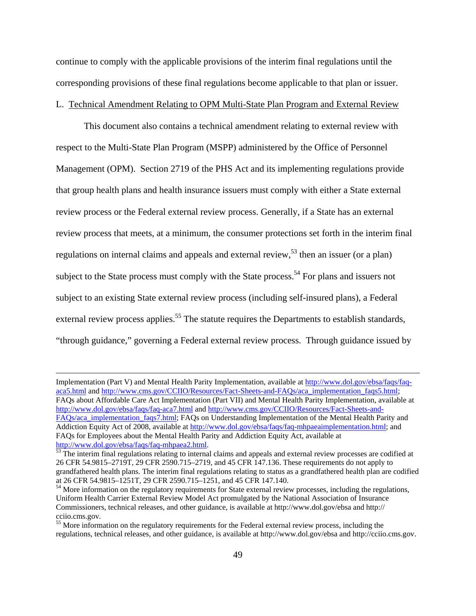continue to comply with the applicable provisions of the interim final regulations until the corresponding provisions of these final regulations become applicable to that plan or issuer.

### L. Technical Amendment Relating to OPM Multi-State Plan Program and External Review

This document also contains a technical amendment relating to external review with respect to the Multi-State Plan Program (MSPP) administered by the Office of Personnel Management (OPM). Section 2719 of the PHS Act and its implementing regulations provide that group health plans and health insurance issuers must comply with either a State external review process or the Federal external review process. Generally, if a State has an external review process that meets, at a minimum, the consumer protections set forth in the interim final regulations on internal claims and appeals and external review,  $5<sup>3</sup>$  then an issuer (or a plan) subject to the State process must comply with the State process.<sup>54</sup> For plans and issuers not subject to an existing State external review process (including self-insured plans), a Federal external review process applies.<sup>55</sup> The statute requires the Departments to establish standards, "through guidance," governing a Federal external review process. Through guidance issued by

Implementation (Part V) and Mental Health Parity Implementation, available at http://www.dol.gov/ebsa/faqs/faqaca5.html and http://www.cms.gov/CCIIO/Resources/Fact-Sheets-and-FAQs/aca\_implementation\_faqs5.html; FAQs about Affordable Care Act Implementation (Part VII) and Mental Health Parity Implementation, available at http://www.dol.gov/ebsa/faqs/faq-aca7.html and http://www.cms.gov/CCIIO/Resources/Fact-Sheets-and-FAQs/aca\_implementation\_faqs7.html; FAQs on Understanding Implementation of the Mental Health Parity and Addiction Equity Act of 2008, available at http://www.dol.gov/ebsa/faqs/faq-mhpaeaimplementation.html; and FAQs for Employees about the Mental Health Parity and Addiction Equity Act, available at http://www.dol.gov/ebsa/faqs/faq-mhpaea2.html.

 $53$  The interim final regulations relating to internal claims and appeals and external review processes are codified at 26 CFR 54.9815–2719T, 29 CFR 2590.715–2719, and 45 CFR 147.136. These requirements do not apply to grandfathered health plans. The interim final regulations relating to status as a grandfathered health plan are codified at 26 CFR 54.9815–1251T, 29 CFR 2590.715–1251, and 45 CFR 147.140.<br><sup>54</sup> More information on the regulatory requirements for State external review processes, including the regulations,

Uniform Health Carrier External Review Model Act promulgated by the National Association of Insurance Commissioners, technical releases, and other guidance, is available at http://www.dol.gov/ebsa and http:// cciio.cms.gov.

<sup>&</sup>lt;sup>55</sup> More information on the regulatory requirements for the Federal external review process, including the regulations, technical releases, and other guidance, is available at http://www.dol.gov/ebsa and http://cciio.cms.gov.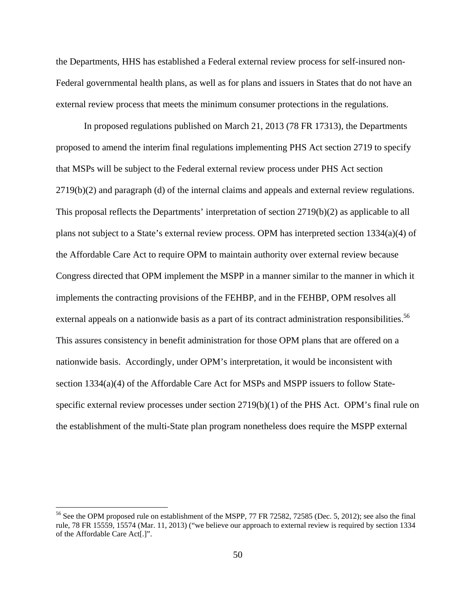the Departments, HHS has established a Federal external review process for self-insured non-Federal governmental health plans, as well as for plans and issuers in States that do not have an external review process that meets the minimum consumer protections in the regulations.

In proposed regulations published on March 21, 2013 (78 FR 17313), the Departments proposed to amend the interim final regulations implementing PHS Act section 2719 to specify that MSPs will be subject to the Federal external review process under PHS Act section 2719(b)(2) and paragraph (d) of the internal claims and appeals and external review regulations. This proposal reflects the Departments' interpretation of section 2719(b)(2) as applicable to all plans not subject to a State's external review process. OPM has interpreted section 1334(a)(4) of the Affordable Care Act to require OPM to maintain authority over external review because Congress directed that OPM implement the MSPP in a manner similar to the manner in which it implements the contracting provisions of the FEHBP, and in the FEHBP, OPM resolves all external appeals on a nationwide basis as a part of its contract administration responsibilities.<sup>56</sup> This assures consistency in benefit administration for those OPM plans that are offered on a nationwide basis. Accordingly, under OPM's interpretation, it would be inconsistent with section 1334(a)(4) of the Affordable Care Act for MSPs and MSPP issuers to follow Statespecific external review processes under section  $2719(b)(1)$  of the PHS Act. OPM's final rule on the establishment of the multi-State plan program nonetheless does require the MSPP external

<sup>&</sup>lt;sup>56</sup> See the OPM proposed rule on establishment of the MSPP, 77 FR 72582, 72585 (Dec. 5, 2012); see also the final rule, 78 FR 15559, 15574 (Mar. 11, 2013) ("we believe our approach to external review is required by section 1334 of the Affordable Care Act[.]".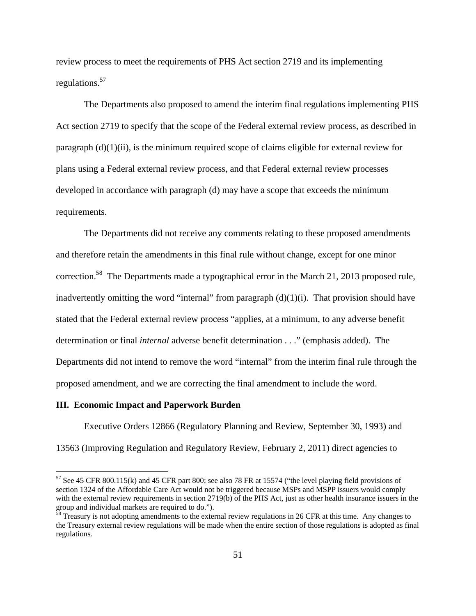review process to meet the requirements of PHS Act section 2719 and its implementing regulations.57

The Departments also proposed to amend the interim final regulations implementing PHS Act section 2719 to specify that the scope of the Federal external review process, as described in paragraph  $(d)(1)(ii)$ , is the minimum required scope of claims eligible for external review for plans using a Federal external review process, and that Federal external review processes developed in accordance with paragraph (d) may have a scope that exceeds the minimum requirements.

 The Departments did not receive any comments relating to these proposed amendments and therefore retain the amendments in this final rule without change, except for one minor correction.<sup>58</sup> The Departments made a typographical error in the March 21, 2013 proposed rule, inadvertently omitting the word "internal" from paragraph  $(d)(1)(i)$ . That provision should have stated that the Federal external review process "applies, at a minimum, to any adverse benefit determination or final *internal* adverse benefit determination . . ." (emphasis added). The Departments did not intend to remove the word "internal" from the interim final rule through the proposed amendment, and we are correcting the final amendment to include the word.

#### **III. Economic Impact and Paperwork Burden**

 $\overline{a}$ 

Executive Orders 12866 (Regulatory Planning and Review, September 30, 1993) and 13563 (Improving Regulation and Regulatory Review, February 2, 2011) direct agencies to

<sup>57</sup> See 45 CFR 800.115(k) and 45 CFR part 800; see also 78 FR at 15574 ("the level playing field provisions of section 1324 of the Affordable Care Act would not be triggered because MSPs and MSPP issuers would comply with the external review requirements in section 2719(b) of the PHS Act, just as other health insurance issuers in the group and individual markets are required to do.").

 $\frac{58}{10}$  Treasury is not adopting amendments to the external review regulations in 26 CFR at this time. Any changes to the Treasury external review regulations will be made when the entire section of those regulations is adopted as final regulations.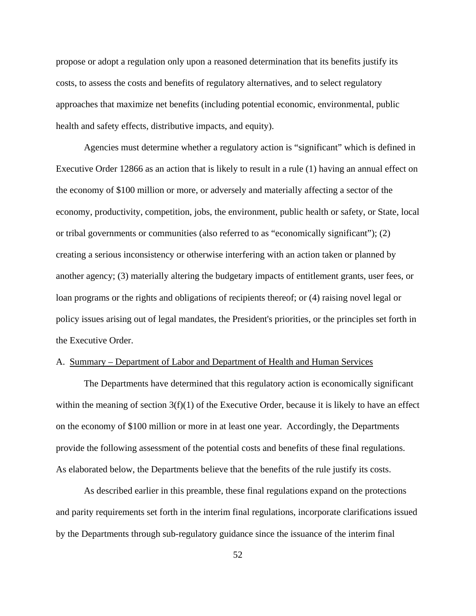propose or adopt a regulation only upon a reasoned determination that its benefits justify its costs, to assess the costs and benefits of regulatory alternatives, and to select regulatory approaches that maximize net benefits (including potential economic, environmental, public health and safety effects, distributive impacts, and equity).

Agencies must determine whether a regulatory action is "significant" which is defined in Executive Order 12866 as an action that is likely to result in a rule (1) having an annual effect on the economy of \$100 million or more, or adversely and materially affecting a sector of the economy, productivity, competition, jobs, the environment, public health or safety, or State, local or tribal governments or communities (also referred to as "economically significant"); (2) creating a serious inconsistency or otherwise interfering with an action taken or planned by another agency; (3) materially altering the budgetary impacts of entitlement grants, user fees, or loan programs or the rights and obligations of recipients thereof; or (4) raising novel legal or policy issues arising out of legal mandates, the President's priorities, or the principles set forth in the Executive Order.

#### A. Summary – Department of Labor and Department of Health and Human Services

The Departments have determined that this regulatory action is economically significant within the meaning of section  $3(f)(1)$  of the Executive Order, because it is likely to have an effect on the economy of \$100 million or more in at least one year. Accordingly, the Departments provide the following assessment of the potential costs and benefits of these final regulations. As elaborated below, the Departments believe that the benefits of the rule justify its costs.

As described earlier in this preamble, these final regulations expand on the protections and parity requirements set forth in the interim final regulations, incorporate clarifications issued by the Departments through sub-regulatory guidance since the issuance of the interim final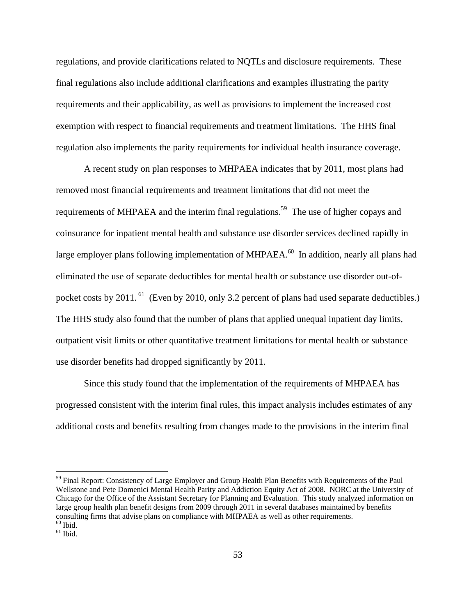regulations, and provide clarifications related to NQTLs and disclosure requirements. These final regulations also include additional clarifications and examples illustrating the parity requirements and their applicability, as well as provisions to implement the increased cost exemption with respect to financial requirements and treatment limitations. The HHS final regulation also implements the parity requirements for individual health insurance coverage.

A recent study on plan responses to MHPAEA indicates that by 2011, most plans had removed most financial requirements and treatment limitations that did not meet the requirements of MHPAEA and the interim final regulations.<sup>59</sup> The use of higher copays and coinsurance for inpatient mental health and substance use disorder services declined rapidly in large employer plans following implementation of MHPAEA.<sup>60</sup> In addition, nearly all plans had eliminated the use of separate deductibles for mental health or substance use disorder out-ofpocket costs by 2011.<sup>61</sup> (Even by 2010, only 3.2 percent of plans had used separate deductibles.) The HHS study also found that the number of plans that applied unequal inpatient day limits, outpatient visit limits or other quantitative treatment limitations for mental health or substance use disorder benefits had dropped significantly by 2011.

Since this study found that the implementation of the requirements of MHPAEA has progressed consistent with the interim final rules, this impact analysis includes estimates of any additional costs and benefits resulting from changes made to the provisions in the interim final

<sup>&</sup>lt;sup>59</sup> Final Report: Consistency of Large Employer and Group Health Plan Benefits with Requirements of the Paul Wellstone and Pete Domenici Mental Health Parity and Addiction Equity Act of 2008. NORC at the University of Chicago for the Office of the Assistant Secretary for Planning and Evaluation. This study analyzed information on large group health plan benefit designs from 2009 through 2011 in several databases maintained by benefits consulting firms that advise plans on compliance with MHPAEA as well as other requirements.  $\rm ^{60}$  Ibid.

 $^{61}$  Ibid.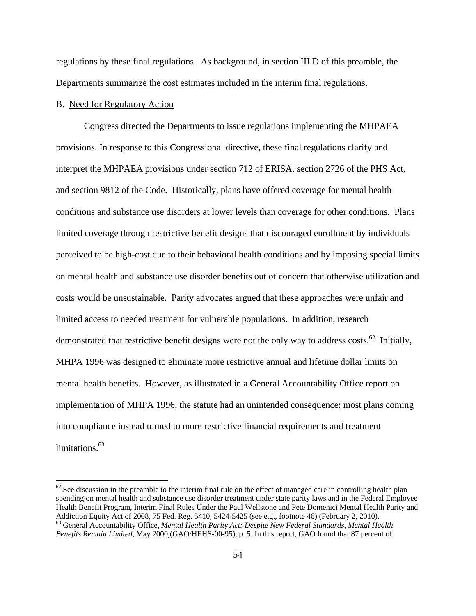regulations by these final regulations. As background, in section III.D of this preamble, the Departments summarize the cost estimates included in the interim final regulations.

## B. Need for Regulatory Action

 $\overline{a}$ 

Congress directed the Departments to issue regulations implementing the MHPAEA provisions. In response to this Congressional directive, these final regulations clarify and interpret the MHPAEA provisions under section 712 of ERISA, section 2726 of the PHS Act, and section 9812 of the Code. Historically, plans have offered coverage for mental health conditions and substance use disorders at lower levels than coverage for other conditions. Plans limited coverage through restrictive benefit designs that discouraged enrollment by individuals perceived to be high-cost due to their behavioral health conditions and by imposing special limits on mental health and substance use disorder benefits out of concern that otherwise utilization and costs would be unsustainable. Parity advocates argued that these approaches were unfair and limited access to needed treatment for vulnerable populations. In addition, research demonstrated that restrictive benefit designs were not the only way to address costs.<sup>62</sup> Initially, MHPA 1996 was designed to eliminate more restrictive annual and lifetime dollar limits on mental health benefits. However, as illustrated in a General Accountability Office report on implementation of MHPA 1996, the statute had an unintended consequence: most plans coming into compliance instead turned to more restrictive financial requirements and treatment limitations.<sup>63</sup>

 $62$  See discussion in the preamble to the interim final rule on the effect of managed care in controlling health plan spending on mental health and substance use disorder treatment under state parity laws and in the Federal Employee Health Benefit Program, Interim Final Rules Under the Paul Wellstone and Pete Domenici Mental Health Parity and Addiction Equity Act of 2008, 75 Fed. Reg. 5410, 5424-5425 (see e.g., footnote 46) (February 2, 2010). 63 General Accountability Office, *Mental Health Parity Act: Despite New Federal Standards, Mental Health Benefits Remain Limited,* May 2000,(GAO/HEHS-00-95), p. 5*.* In this report, GAO found that 87 percent of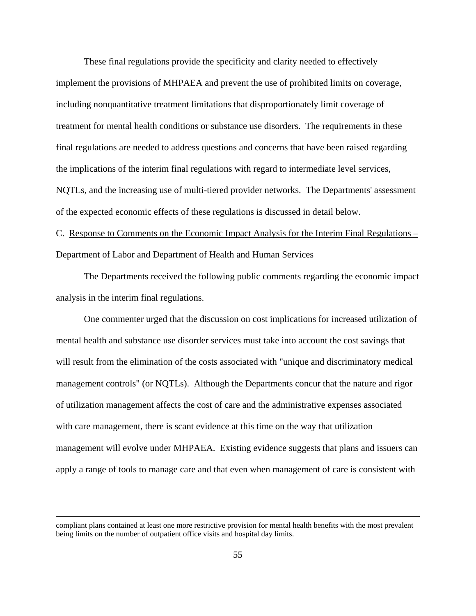These final regulations provide the specificity and clarity needed to effectively implement the provisions of MHPAEA and prevent the use of prohibited limits on coverage, including nonquantitative treatment limitations that disproportionately limit coverage of treatment for mental health conditions or substance use disorders. The requirements in these final regulations are needed to address questions and concerns that have been raised regarding the implications of the interim final regulations with regard to intermediate level services, NQTLs, and the increasing use of multi-tiered provider networks. The Departments' assessment of the expected economic effects of these regulations is discussed in detail below.

# C. Response to Comments on the Economic Impact Analysis for the Interim Final Regulations – Department of Labor and Department of Health and Human Services

The Departments received the following public comments regarding the economic impact analysis in the interim final regulations.

One commenter urged that the discussion on cost implications for increased utilization of mental health and substance use disorder services must take into account the cost savings that will result from the elimination of the costs associated with "unique and discriminatory medical management controls" (or NQTLs). Although the Departments concur that the nature and rigor of utilization management affects the cost of care and the administrative expenses associated with care management, there is scant evidence at this time on the way that utilization management will evolve under MHPAEA. Existing evidence suggests that plans and issuers can apply a range of tools to manage care and that even when management of care is consistent with

compliant plans contained at least one more restrictive provision for mental health benefits with the most prevalent being limits on the number of outpatient office visits and hospital day limits.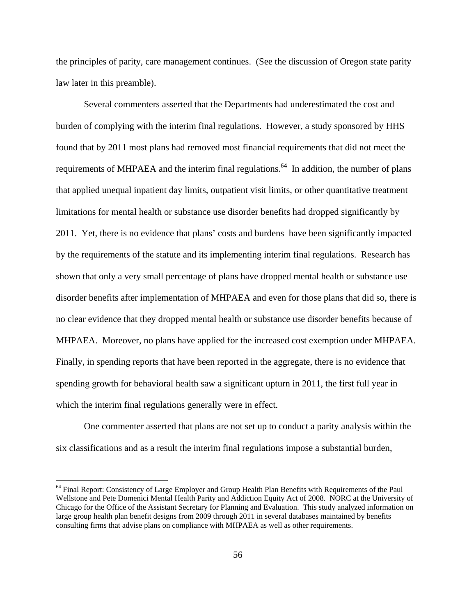the principles of parity, care management continues. (See the discussion of Oregon state parity law later in this preamble).

Several commenters asserted that the Departments had underestimated the cost and burden of complying with the interim final regulations. However, a study sponsored by HHS found that by 2011 most plans had removed most financial requirements that did not meet the requirements of MHPAEA and the interim final regulations.<sup>64</sup> In addition, the number of plans that applied unequal inpatient day limits, outpatient visit limits, or other quantitative treatment limitations for mental health or substance use disorder benefits had dropped significantly by 2011. Yet, there is no evidence that plans' costs and burdens have been significantly impacted by the requirements of the statute and its implementing interim final regulations. Research has shown that only a very small percentage of plans have dropped mental health or substance use disorder benefits after implementation of MHPAEA and even for those plans that did so, there is no clear evidence that they dropped mental health or substance use disorder benefits because of MHPAEA. Moreover, no plans have applied for the increased cost exemption under MHPAEA. Finally, in spending reports that have been reported in the aggregate, there is no evidence that spending growth for behavioral health saw a significant upturn in 2011, the first full year in which the interim final regulations generally were in effect.

One commenter asserted that plans are not set up to conduct a parity analysis within the six classifications and as a result the interim final regulations impose a substantial burden,

<sup>&</sup>lt;sup>64</sup> Final Report: Consistency of Large Employer and Group Health Plan Benefits with Requirements of the Paul Wellstone and Pete Domenici Mental Health Parity and Addiction Equity Act of 2008. NORC at the University of Chicago for the Office of the Assistant Secretary for Planning and Evaluation. This study analyzed information on large group health plan benefit designs from 2009 through 2011 in several databases maintained by benefits consulting firms that advise plans on compliance with MHPAEA as well as other requirements.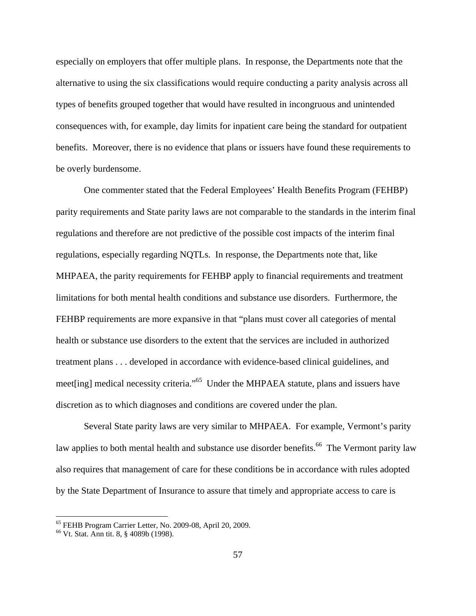especially on employers that offer multiple plans. In response, the Departments note that the alternative to using the six classifications would require conducting a parity analysis across all types of benefits grouped together that would have resulted in incongruous and unintended consequences with, for example, day limits for inpatient care being the standard for outpatient benefits. Moreover, there is no evidence that plans or issuers have found these requirements to be overly burdensome.

One commenter stated that the Federal Employees' Health Benefits Program (FEHBP) parity requirements and State parity laws are not comparable to the standards in the interim final regulations and therefore are not predictive of the possible cost impacts of the interim final regulations, especially regarding NQTLs. In response, the Departments note that, like MHPAEA, the parity requirements for FEHBP apply to financial requirements and treatment limitations for both mental health conditions and substance use disorders. Furthermore, the FEHBP requirements are more expansive in that "plans must cover all categories of mental health or substance use disorders to the extent that the services are included in authorized treatment plans . . . developed in accordance with evidence-based clinical guidelines, and meet[ing] medical necessity criteria."65 Under the MHPAEA statute, plans and issuers have discretion as to which diagnoses and conditions are covered under the plan.

Several State parity laws are very similar to MHPAEA. For example, Vermont's parity law applies to both mental health and substance use disorder benefits.<sup>66</sup> The Vermont parity law also requires that management of care for these conditions be in accordance with rules adopted by the State Department of Insurance to assure that timely and appropriate access to care is

<sup>65</sup> FEHB Program Carrier Letter, No. 2009-08, April 20, 2009.

<sup>66</sup> Vt. Stat. Ann tit. 8, § 4089b (1998).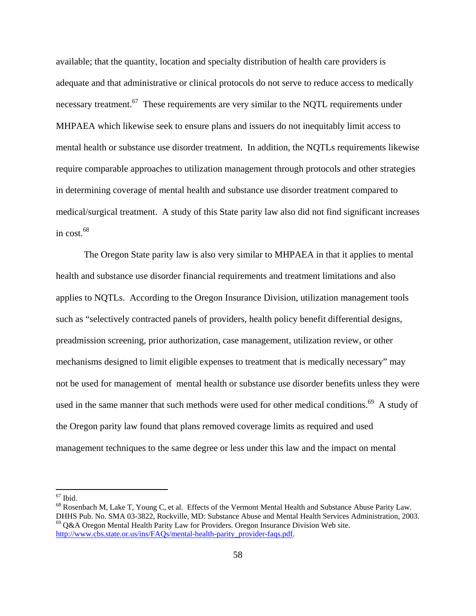available; that the quantity, location and specialty distribution of health care providers is adequate and that administrative or clinical protocols do not serve to reduce access to medically necessary treatment.<sup>67</sup> These requirements are very similar to the NOTL requirements under MHPAEA which likewise seek to ensure plans and issuers do not inequitably limit access to mental health or substance use disorder treatment. In addition, the NQTLs requirements likewise require comparable approaches to utilization management through protocols and other strategies in determining coverage of mental health and substance use disorder treatment compared to medical/surgical treatment. A study of this State parity law also did not find significant increases in cost. $68$ 

The Oregon State parity law is also very similar to MHPAEA in that it applies to mental health and substance use disorder financial requirements and treatment limitations and also applies to NQTLs. According to the Oregon Insurance Division, utilization management tools such as "selectively contracted panels of providers, health policy benefit differential designs, preadmission screening, prior authorization, case management, utilization review, or other mechanisms designed to limit eligible expenses to treatment that is medically necessary" may not be used for management of mental health or substance use disorder benefits unless they were used in the same manner that such methods were used for other medical conditions.<sup>69</sup> A study of the Oregon parity law found that plans removed coverage limits as required and used management techniques to the same degree or less under this law and the impact on mental

 $67$  Ibid.

<sup>68</sup> Rosenbach M, Lake T, Young C, et al. Effects of the Vermont Mental Health and Substance Abuse Parity Law. DHHS Pub. No. SMA 03-3822, Rockville, MD: Substance Abuse and Mental Health Services Administration, 2003.<br><sup>69</sup> Q&A Oregon Mental Health Parity Law for Providers. Oregon Insurance Division Web site. http://www.cbs.state.or.us/ins/FAQs/mental-health-parity\_provider-faqs.pdf.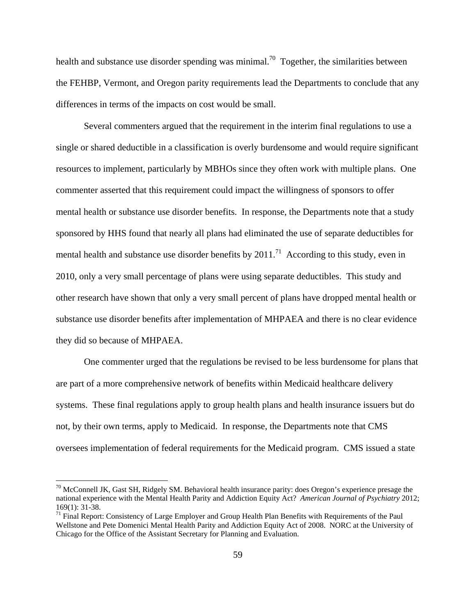health and substance use disorder spending was minimal.<sup>70</sup> Together, the similarities between the FEHBP, Vermont, and Oregon parity requirements lead the Departments to conclude that any differences in terms of the impacts on cost would be small.

Several commenters argued that the requirement in the interim final regulations to use a single or shared deductible in a classification is overly burdensome and would require significant resources to implement, particularly by MBHOs since they often work with multiple plans. One commenter asserted that this requirement could impact the willingness of sponsors to offer mental health or substance use disorder benefits. In response, the Departments note that a study sponsored by HHS found that nearly all plans had eliminated the use of separate deductibles for mental health and substance use disorder benefits by  $2011<sup>71</sup>$  According to this study, even in 2010, only a very small percentage of plans were using separate deductibles. This study and other research have shown that only a very small percent of plans have dropped mental health or substance use disorder benefits after implementation of MHPAEA and there is no clear evidence they did so because of MHPAEA.

One commenter urged that the regulations be revised to be less burdensome for plans that are part of a more comprehensive network of benefits within Medicaid healthcare delivery systems. These final regulations apply to group health plans and health insurance issuers but do not, by their own terms, apply to Medicaid. In response, the Departments note that CMS oversees implementation of federal requirements for the Medicaid program. CMS issued a state

 $70$  McConnell JK, Gast SH, Ridgely SM. Behavioral health insurance parity: does Oregon's experience presage the national experience with the Mental Health Parity and Addiction Equity Act? *American Journal of Psychiatry* 2012; 169(1): 31-38.

 $71$  Final Report: Consistency of Large Employer and Group Health Plan Benefits with Requirements of the Paul Wellstone and Pete Domenici Mental Health Parity and Addiction Equity Act of 2008. NORC at the University of Chicago for the Office of the Assistant Secretary for Planning and Evaluation.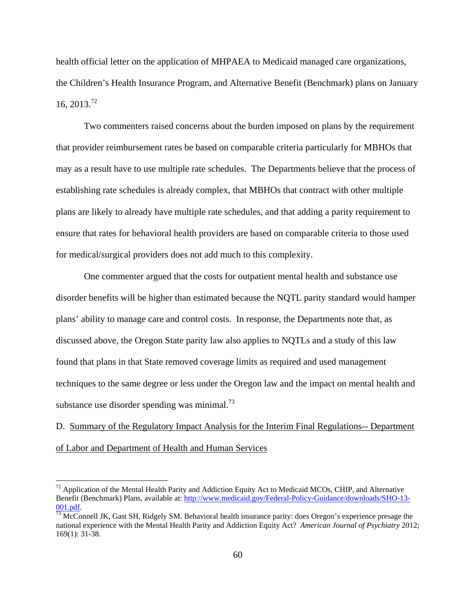health official letter on the application of MHPAEA to Medicaid managed care organizations, the Children's Health Insurance Program, and Alternative Benefit (Benchmark) plans on January 16,  $2013^{2}$ 

Two commenters raised concerns about the burden imposed on plans by the requirement that provider reimbursement rates be based on comparable criteria particularly for MBHOs that may as a result have to use multiple rate schedules. The Departments believe that the process of establishing rate schedules is already complex, that MBHOs that contract with other multiple plans are likely to already have multiple rate schedules, and that adding a parity requirement to ensure that rates for behavioral health providers are based on comparable criteria to those used for medical/surgical providers does not add much to this complexity.

One commenter argued that the costs for outpatient mental health and substance use disorder benefits will be higher than estimated because the NQTL parity standard would hamper plans' ability to manage care and control costs. In response, the Departments note that, as discussed above, the Oregon State parity law also applies to NQTLs and a study of this law found that plans in that State removed coverage limits as required and used management techniques to the same degree or less under the Oregon law and the impact on mental health and substance use disorder spending was minimal.<sup>73</sup>

D. Summary of the Regulatory Impact Analysis for the Interim Final Regulations-- Department of Labor and Department of Health and Human Services

 $72$  Application of the Mental Health Parity and Addiction Equity Act to Medicaid MCOs, CHIP, and Alternative Benefit (Benchmark) Plans, available at: http://www.medicaid.gov/Federal-Policy-Guidance/downloads/SHO-13-

 $\frac{001.pdf}{73}$  McConnell JK, Gast SH, Ridgely SM. Behavioral health insurance parity: does Oregon's experience presage the national experience with the Mental Health Parity and Addiction Equity Act? *American Journal of Psychiatry* 2012; 169(1): 31-38.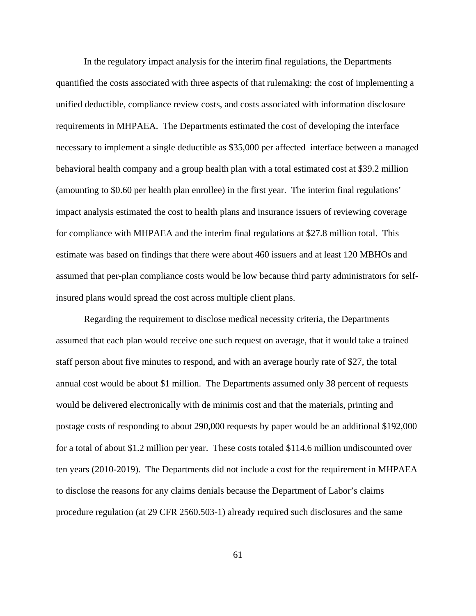In the regulatory impact analysis for the interim final regulations, the Departments quantified the costs associated with three aspects of that rulemaking: the cost of implementing a unified deductible, compliance review costs, and costs associated with information disclosure requirements in MHPAEA. The Departments estimated the cost of developing the interface necessary to implement a single deductible as \$35,000 per affected interface between a managed behavioral health company and a group health plan with a total estimated cost at \$39.2 million (amounting to \$0.60 per health plan enrollee) in the first year. The interim final regulations' impact analysis estimated the cost to health plans and insurance issuers of reviewing coverage for compliance with MHPAEA and the interim final regulations at \$27.8 million total. This estimate was based on findings that there were about 460 issuers and at least 120 MBHOs and assumed that per-plan compliance costs would be low because third party administrators for selfinsured plans would spread the cost across multiple client plans.

Regarding the requirement to disclose medical necessity criteria, the Departments assumed that each plan would receive one such request on average, that it would take a trained staff person about five minutes to respond, and with an average hourly rate of \$27, the total annual cost would be about \$1 million. The Departments assumed only 38 percent of requests would be delivered electronically with de minimis cost and that the materials, printing and postage costs of responding to about 290,000 requests by paper would be an additional \$192,000 for a total of about \$1.2 million per year. These costs totaled \$114.6 million undiscounted over ten years (2010-2019). The Departments did not include a cost for the requirement in MHPAEA to disclose the reasons for any claims denials because the Department of Labor's claims procedure regulation (at 29 CFR 2560.503-1) already required such disclosures and the same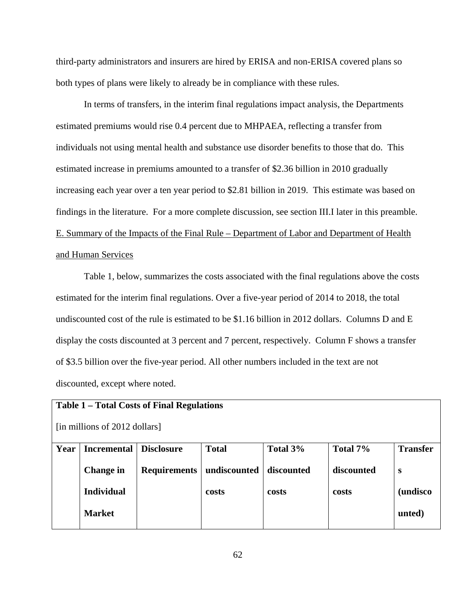third-party administrators and insurers are hired by ERISA and non-ERISA covered plans so both types of plans were likely to already be in compliance with these rules.

In terms of transfers, in the interim final regulations impact analysis, the Departments estimated premiums would rise 0.4 percent due to MHPAEA, reflecting a transfer from individuals not using mental health and substance use disorder benefits to those that do. This estimated increase in premiums amounted to a transfer of \$2.36 billion in 2010 gradually increasing each year over a ten year period to \$2.81 billion in 2019. This estimate was based on findings in the literature. For a more complete discussion, see section III.I later in this preamble. E. Summary of the Impacts of the Final Rule – Department of Labor and Department of Health and Human Services

Table 1, below, summarizes the costs associated with the final regulations above the costs estimated for the interim final regulations. Over a five-year period of 2014 to 2018, the total undiscounted cost of the rule is estimated to be \$1.16 billion in 2012 dollars. Columns D and E display the costs discounted at 3 percent and 7 percent, respectively. Column F shows a transfer of \$3.5 billion over the five-year period. All other numbers included in the text are not discounted, except where noted.

| <b>Table 1 – Total Costs of Final Regulations</b> |                    |                     |              |            |            |                  |  |  |  |  |  |
|---------------------------------------------------|--------------------|---------------------|--------------|------------|------------|------------------|--|--|--|--|--|
| [in millions of 2012 dollars]                     |                    |                     |              |            |            |                  |  |  |  |  |  |
| Year                                              | <b>Incremental</b> | <b>Disclosure</b>   | <b>Total</b> | Total 3%   | Total 7%   | <b>Transfer</b>  |  |  |  |  |  |
|                                                   | <b>Change in</b>   | <b>Requirements</b> | undiscounted | discounted | discounted | S                |  |  |  |  |  |
|                                                   | <b>Individual</b>  |                     | costs        | costs      | costs      | <i>(undisco)</i> |  |  |  |  |  |
|                                                   | <b>Market</b>      |                     |              |            |            | unted)           |  |  |  |  |  |
|                                                   |                    |                     |              |            |            |                  |  |  |  |  |  |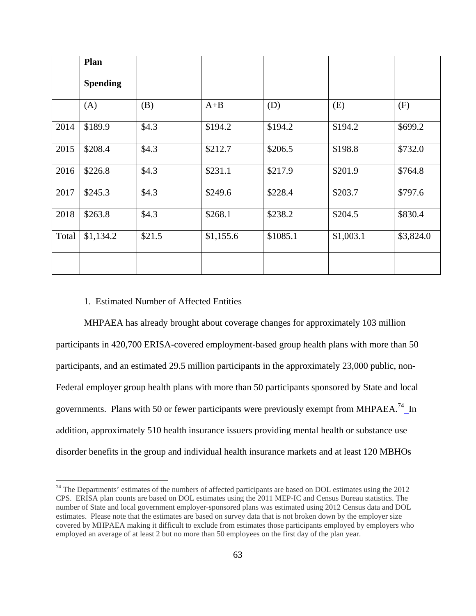|       | Plan            |        |           |          |           |           |
|-------|-----------------|--------|-----------|----------|-----------|-----------|
|       | <b>Spending</b> |        |           |          |           |           |
|       | (A)             | (B)    | $A+B$     | (D)      | (E)       | (F)       |
| 2014  | \$189.9         | \$4.3  | \$194.2   | \$194.2  | \$194.2   | \$699.2   |
| 2015  | \$208.4         | \$4.3  | \$212.7   | \$206.5  | \$198.8   | \$732.0   |
| 2016  | \$226.8         | \$4.3  | \$231.1   | \$217.9  | \$201.9   | \$764.8   |
| 2017  | \$245.3         | \$4.3  | \$249.6   | \$228.4  | \$203.7   | \$797.6   |
| 2018  | \$263.8         | \$4.3  | \$268.1   | \$238.2  | \$204.5   | \$830.4   |
| Total | \$1,134.2       | \$21.5 | \$1,155.6 | \$1085.1 | \$1,003.1 | \$3,824.0 |
|       |                 |        |           |          |           |           |

## 1. Estimated Number of Affected Entities

 $\overline{a}$ 

MHPAEA has already brought about coverage changes for approximately 103 million participants in 420,700 ERISA-covered employment-based group health plans with more than 50 participants, and an estimated 29.5 million participants in the approximately 23,000 public, non-Federal employer group health plans with more than 50 participants sponsored by State and local governments. Plans with 50 or fewer participants were previously exempt from MHPAEA.<sup>74</sup> In addition, approximately 510 health insurance issuers providing mental health or substance use disorder benefits in the group and individual health insurance markets and at least 120 MBHOs

 $74$  The Departments' estimates of the numbers of affected participants are based on DOL estimates using the 2012 CPS. ERISA plan counts are based on DOL estimates using the 2011 MEP-IC and Census Bureau statistics. The number of State and local government employer-sponsored plans was estimated using 2012 Census data and DOL estimates. Please note that the estimates are based on survey data that is not broken down by the employer size covered by MHPAEA making it difficult to exclude from estimates those participants employed by employers who employed an average of at least 2 but no more than 50 employees on the first day of the plan year.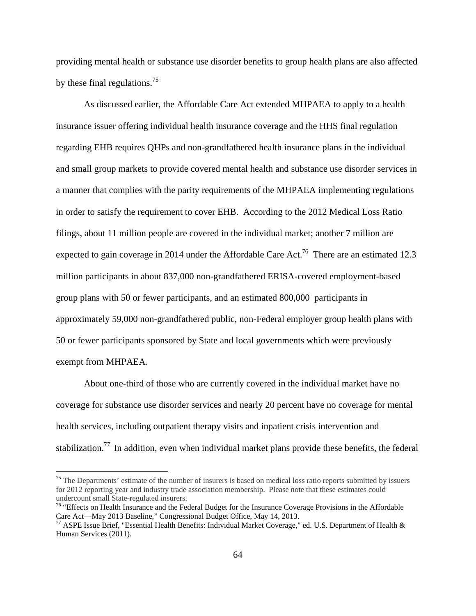providing mental health or substance use disorder benefits to group health plans are also affected by these final regulations.<sup>75</sup>

As discussed earlier, the Affordable Care Act extended MHPAEA to apply to a health insurance issuer offering individual health insurance coverage and the HHS final regulation regarding EHB requires QHPs and non-grandfathered health insurance plans in the individual and small group markets to provide covered mental health and substance use disorder services in a manner that complies with the parity requirements of the MHPAEA implementing regulations in order to satisfy the requirement to cover EHB. According to the 2012 Medical Loss Ratio filings, about 11 million people are covered in the individual market; another 7 million are expected to gain coverage in 2014 under the Affordable Care Act.<sup>76</sup> There are an estimated 12.3 million participants in about 837,000 non-grandfathered ERISA-covered employment-based group plans with 50 or fewer participants, and an estimated 800,000 participants in approximately 59,000 non-grandfathered public, non-Federal employer group health plans with 50 or fewer participants sponsored by State and local governments which were previously exempt from MHPAEA.

About one-third of those who are currently covered in the individual market have no coverage for substance use disorder services and nearly 20 percent have no coverage for mental health services, including outpatient therapy visits and inpatient crisis intervention and stabilization.<sup>77</sup> In addition, even when individual market plans provide these benefits, the federal

1

 $75$  The Departments' estimate of the number of insurers is based on medical loss ratio reports submitted by issuers for 2012 reporting year and industry trade association membership. Please note that these estimates could undercount small State-regulated insurers.

<sup>&</sup>lt;sup>76</sup> "Effects on Health Insurance and the Federal Budget for the Insurance Coverage Provisions in the Affordable Care Act—May 2013 Baseline," Congressional Budget Office, May 14, 2013.

<sup>77</sup> ASPE Issue Brief, "Essential Health Benefits: Individual Market Coverage," ed. U.S. Department of Health & Human Services (2011).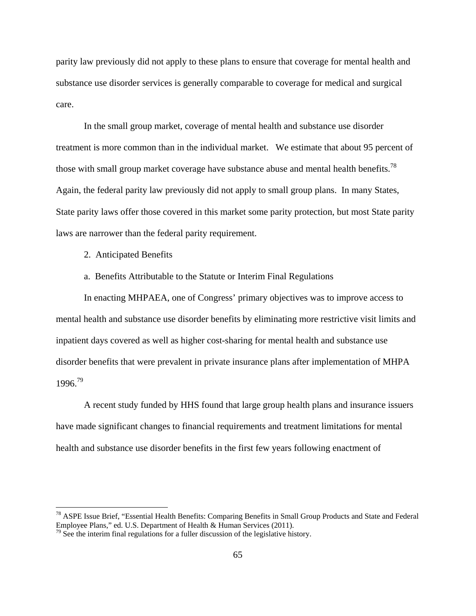parity law previously did not apply to these plans to ensure that coverage for mental health and substance use disorder services is generally comparable to coverage for medical and surgical care.

In the small group market, coverage of mental health and substance use disorder treatment is more common than in the individual market. We estimate that about 95 percent of those with small group market coverage have substance abuse and mental health benefits.<sup>78</sup> Again, the federal parity law previously did not apply to small group plans. In many States, State parity laws offer those covered in this market some parity protection, but most State parity laws are narrower than the federal parity requirement.

2. Anticipated Benefits

 $\overline{a}$ 

a. Benefits Attributable to the Statute or Interim Final Regulations

In enacting MHPAEA, one of Congress' primary objectives was to improve access to mental health and substance use disorder benefits by eliminating more restrictive visit limits and inpatient days covered as well as higher cost-sharing for mental health and substance use disorder benefits that were prevalent in private insurance plans after implementation of MHPA 1996.79

A recent study funded by HHS found that large group health plans and insurance issuers have made significant changes to financial requirements and treatment limitations for mental health and substance use disorder benefits in the first few years following enactment of

<sup>&</sup>lt;sup>78</sup> ASPE Issue Brief, "Essential Health Benefits: Comparing Benefits in Small Group Products and State and Federal Employee Plans," ed. U.S. Department of Health & Human Services (2011).

 $79$  See the interim final regulations for a fuller discussion of the legislative history.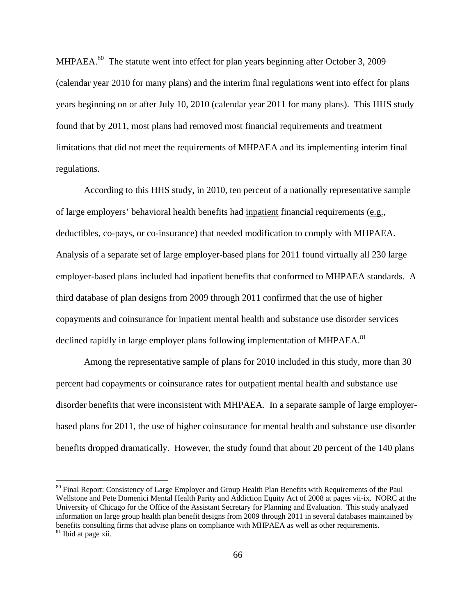MHPAEA.<sup>80</sup> The statute went into effect for plan years beginning after October 3, 2009 (calendar year 2010 for many plans) and the interim final regulations went into effect for plans years beginning on or after July 10, 2010 (calendar year 2011 for many plans). This HHS study found that by 2011, most plans had removed most financial requirements and treatment limitations that did not meet the requirements of MHPAEA and its implementing interim final regulations.

According to this HHS study, in 2010, ten percent of a nationally representative sample of large employers' behavioral health benefits had inpatient financial requirements (e.g., deductibles, co-pays, or co-insurance) that needed modification to comply with MHPAEA. Analysis of a separate set of large employer-based plans for 2011 found virtually all 230 large employer-based plans included had inpatient benefits that conformed to MHPAEA standards. A third database of plan designs from 2009 through 2011 confirmed that the use of higher copayments and coinsurance for inpatient mental health and substance use disorder services declined rapidly in large employer plans following implementation of MHPAEA.<sup>81</sup>

Among the representative sample of plans for 2010 included in this study, more than 30 percent had copayments or coinsurance rates for outpatient mental health and substance use disorder benefits that were inconsistent with MHPAEA. In a separate sample of large employerbased plans for 2011, the use of higher coinsurance for mental health and substance use disorder benefits dropped dramatically. However, the study found that about 20 percent of the 140 plans

<sup>&</sup>lt;sup>80</sup> Final Report: Consistency of Large Employer and Group Health Plan Benefits with Requirements of the Paul Wellstone and Pete Domenici Mental Health Parity and Addiction Equity Act of 2008 at pages vii-ix. NORC at the University of Chicago for the Office of the Assistant Secretary for Planning and Evaluation. This study analyzed information on large group health plan benefit designs from 2009 through 2011 in several databases maintained by benefits consulting firms that advise plans on compliance with MHPAEA as well as other requirements. <sup>81</sup> Ibid at page xii.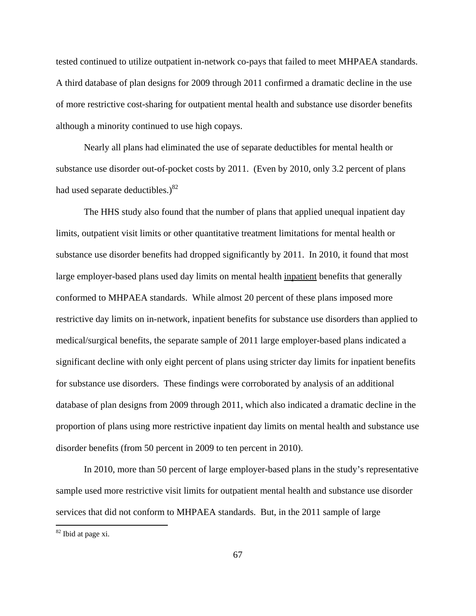tested continued to utilize outpatient in-network co-pays that failed to meet MHPAEA standards. A third database of plan designs for 2009 through 2011 confirmed a dramatic decline in the use of more restrictive cost-sharing for outpatient mental health and substance use disorder benefits although a minority continued to use high copays.

Nearly all plans had eliminated the use of separate deductibles for mental health or substance use disorder out-of-pocket costs by 2011. (Even by 2010, only 3.2 percent of plans had used separate deductibles.) $82$ 

The HHS study also found that the number of plans that applied unequal inpatient day limits, outpatient visit limits or other quantitative treatment limitations for mental health or substance use disorder benefits had dropped significantly by 2011. In 2010, it found that most large employer-based plans used day limits on mental health inpatient benefits that generally conformed to MHPAEA standards. While almost 20 percent of these plans imposed more restrictive day limits on in-network, inpatient benefits for substance use disorders than applied to medical/surgical benefits, the separate sample of 2011 large employer-based plans indicated a significant decline with only eight percent of plans using stricter day limits for inpatient benefits for substance use disorders. These findings were corroborated by analysis of an additional database of plan designs from 2009 through 2011, which also indicated a dramatic decline in the proportion of plans using more restrictive inpatient day limits on mental health and substance use disorder benefits (from 50 percent in 2009 to ten percent in 2010).

In 2010, more than 50 percent of large employer-based plans in the study's representative sample used more restrictive visit limits for outpatient mental health and substance use disorder services that did not conform to MHPAEA standards. But, in the 2011 sample of large

82 Ibid at page xi.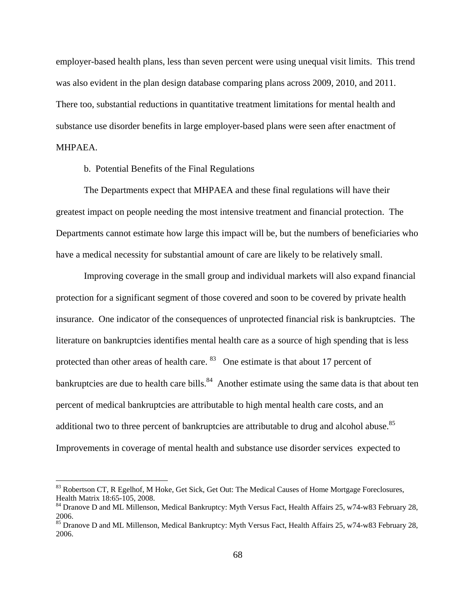employer-based health plans, less than seven percent were using unequal visit limits. This trend was also evident in the plan design database comparing plans across 2009, 2010, and 2011. There too, substantial reductions in quantitative treatment limitations for mental health and substance use disorder benefits in large employer-based plans were seen after enactment of MHPAEA.

b. Potential Benefits of the Final Regulations

1

The Departments expect that MHPAEA and these final regulations will have their greatest impact on people needing the most intensive treatment and financial protection. The Departments cannot estimate how large this impact will be, but the numbers of beneficiaries who have a medical necessity for substantial amount of care are likely to be relatively small.

Improving coverage in the small group and individual markets will also expand financial protection for a significant segment of those covered and soon to be covered by private health insurance. One indicator of the consequences of unprotected financial risk is bankruptcies. The literature on bankruptcies identifies mental health care as a source of high spending that is less protected than other areas of health care. <sup>83</sup> One estimate is that about 17 percent of bankruptcies are due to health care bills.<sup>84</sup> Another estimate using the same data is that about ten percent of medical bankruptcies are attributable to high mental health care costs, and an additional two to three percent of bankruptcies are attributable to drug and alcohol abuse.<sup>85</sup> Improvements in coverage of mental health and substance use disorder services expected to

<sup>&</sup>lt;sup>83</sup> Robertson CT, R Egelhof, M Hoke, Get Sick, Get Out: The Medical Causes of Home Mortgage Foreclosures, Health Matrix 18:65-105, 2008.

<sup>&</sup>lt;sup>84</sup> Dranove D and ML Millenson, Medical Bankruptcy: Myth Versus Fact, Health Affairs 25, w74-w83 February 28, 2006.

<sup>&</sup>lt;sup>85</sup> Dranove D and ML Millenson, Medical Bankruptcy: Myth Versus Fact, Health Affairs 25, w74-w83 February 28, 2006.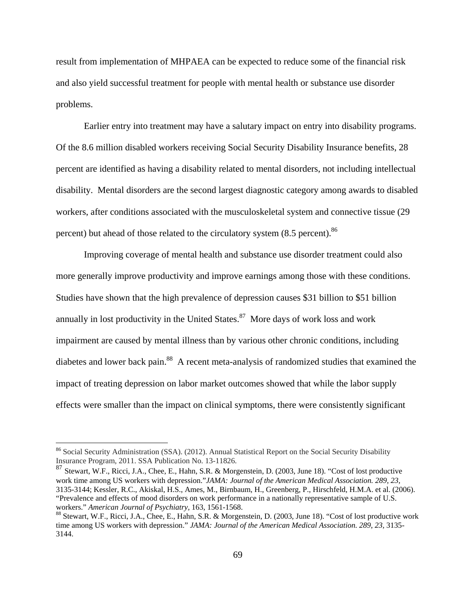result from implementation of MHPAEA can be expected to reduce some of the financial risk and also yield successful treatment for people with mental health or substance use disorder problems.

Earlier entry into treatment may have a salutary impact on entry into disability programs. Of the 8.6 million disabled workers receiving Social Security Disability Insurance benefits, 28 percent are identified as having a disability related to mental disorders, not including intellectual disability. Mental disorders are the second largest diagnostic category among awards to disabled workers, after conditions associated with the musculoskeletal system and connective tissue (29 percent) but ahead of those related to the circulatory system  $(8.5 \text{ percent})$ .<sup>86</sup>

Improving coverage of mental health and substance use disorder treatment could also more generally improve productivity and improve earnings among those with these conditions. Studies have shown that the high prevalence of depression causes \$31 billion to \$51 billion annually in lost productivity in the United States. $87$  More days of work loss and work impairment are caused by mental illness than by various other chronic conditions, including diabetes and lower back pain.<sup>88</sup> A recent meta-analysis of randomized studies that examined the impact of treating depression on labor market outcomes showed that while the labor supply effects were smaller than the impact on clinical symptoms, there were consistently significant

<sup>&</sup>lt;sup>86</sup> Social Security Administration (SSA). (2012). Annual Statistical Report on the Social Security Disability Insurance Program, 2011. SSA Publication No. 13-11826.

<sup>87</sup> Stewart, W.F., Ricci, J.A., Chee, E., Hahn, S.R. & Morgenstein, D. (2003, June 18). "Cost of lost productive work time among US workers with depression."*JAMA: Journal of the American Medical Association. 289, 23,* 3135-3144; Kessler, R.C., Akiskal, H.S., Ames, M., Birnbaum, H., Greenberg, P., Hirschfeld, H.M.A. et al. (2006). "Prevalence and effects of mood disorders on work performance in a nationally representative sample of U.S. workers." *American Journal of Psychiatry*, 163, 1561-1568.<br><sup>88</sup> Stewart, W.F., Ricci, J.A., Chee, E., Hahn, S.R. & Morgenstein, D. (2003, June 18). "Cost of lost productive work

time among US workers with depression." *JAMA: Journal of the American Medical Association. 289, 23,* 3135- 3144.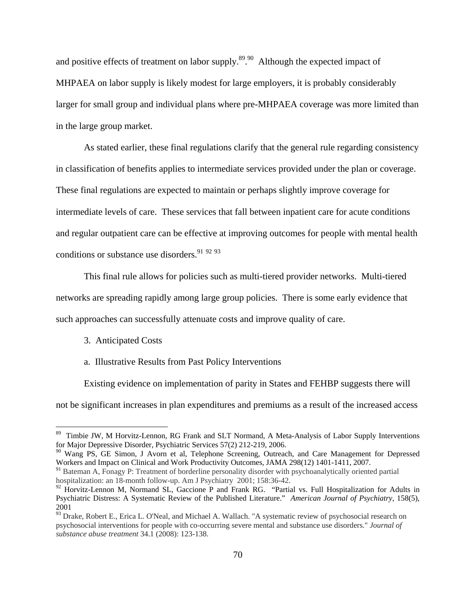and positive effects of treatment on labor supply. $89.90$  Although the expected impact of MHPAEA on labor supply is likely modest for large employers, it is probably considerably larger for small group and individual plans where pre-MHPAEA coverage was more limited than in the large group market.

As stated earlier, these final regulations clarify that the general rule regarding consistency in classification of benefits applies to intermediate services provided under the plan or coverage. These final regulations are expected to maintain or perhaps slightly improve coverage for intermediate levels of care. These services that fall between inpatient care for acute conditions and regular outpatient care can be effective at improving outcomes for people with mental health conditions or substance use disorders.  $91\frac{92\frac{93}{2}}{2}$ 

This final rule allows for policies such as multi-tiered provider networks. Multi-tiered networks are spreading rapidly among large group policies. There is some early evidence that such approaches can successfully attenuate costs and improve quality of care.

## 3. Anticipated Costs

 $\overline{a}$ 

#### a. Illustrative Results from Past Policy Interventions

Existing evidence on implementation of parity in States and FEHBP suggests there will

not be significant increases in plan expenditures and premiums as a result of the increased access

<sup>&</sup>lt;sup>89</sup> Timbie JW, M Horvitz-Lennon, RG Frank and SLT Normand, A Meta-Analysis of Labor Supply Interventions for Major Depressive Disorder, Psychiatric Services 57(2) 212-219, 2006.

<sup>&</sup>lt;sup>90</sup> Wang PS, GE Simon, J Avorn et al, Telephone Screening, Outreach, and Care Management for Depressed Workers and Impact on Clinical and Work Productivity Outcomes, JAMA 298(12) 1401-1411, 2007.

<sup>&</sup>lt;sup>91</sup> Bateman A, Fonagy P: Treatment of borderline personality disorder with psychoanalytically oriented partial hospitalization: an 18-month follow-up. Am J Psychiatry 2001; 158:36-42.

 $92$  Horvitz-Lennon M, Normand SL, Gaccione P and Frank RG. "Partial vs. Full Hospitalization for Adults in Psychiatric Distress: A Systematic Review of the Published Literature." *American Journal of Psychiatry*, 158(5), 2001

<sup>&</sup>lt;sup>93</sup> Drake, Robert E., Erica L. O'Neal, and Michael A. Wallach. "A systematic review of psychosocial research on psychosocial interventions for people with co-occurring severe mental and substance use disorders." *Journal of substance abuse treatment* 34.1 (2008): 123-138.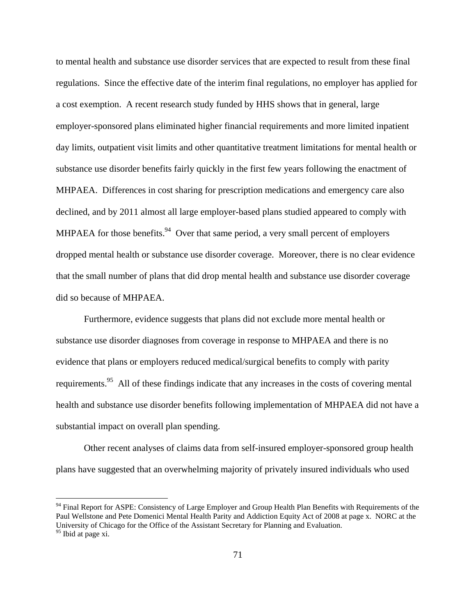to mental health and substance use disorder services that are expected to result from these final regulations. Since the effective date of the interim final regulations, no employer has applied for a cost exemption. A recent research study funded by HHS shows that in general, large employer-sponsored plans eliminated higher financial requirements and more limited inpatient day limits, outpatient visit limits and other quantitative treatment limitations for mental health or substance use disorder benefits fairly quickly in the first few years following the enactment of MHPAEA. Differences in cost sharing for prescription medications and emergency care also declined, and by 2011 almost all large employer-based plans studied appeared to comply with MHPAEA for those benefits.<sup>94</sup> Over that same period, a very small percent of employers dropped mental health or substance use disorder coverage. Moreover, there is no clear evidence that the small number of plans that did drop mental health and substance use disorder coverage did so because of MHPAEA.

Furthermore, evidence suggests that plans did not exclude more mental health or substance use disorder diagnoses from coverage in response to MHPAEA and there is no evidence that plans or employers reduced medical/surgical benefits to comply with parity requirements.<sup>95</sup> All of these findings indicate that any increases in the costs of covering mental health and substance use disorder benefits following implementation of MHPAEA did not have a substantial impact on overall plan spending.

Other recent analyses of claims data from self-insured employer-sponsored group health plans have suggested that an overwhelming majority of privately insured individuals who used

1

<sup>&</sup>lt;sup>94</sup> Final Report for ASPE: Consistency of Large Employer and Group Health Plan Benefits with Requirements of the Paul Wellstone and Pete Domenici Mental Health Parity and Addiction Equity Act of 2008 at page x. NORC at the University of Chicago for the Office of the Assistant Secretary for Planning and Evaluation. <sup>95</sup> Ibid at page xi.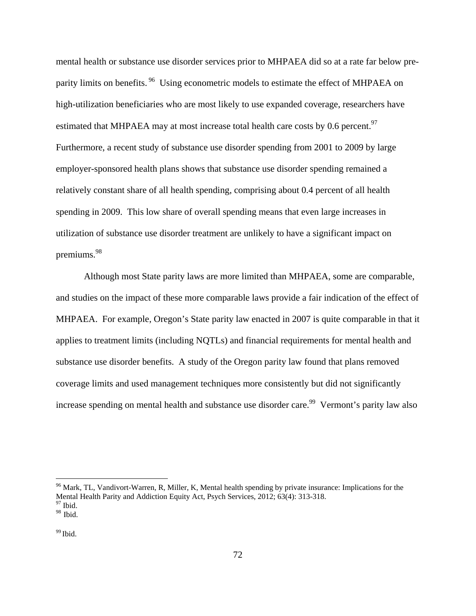mental health or substance use disorder services prior to MHPAEA did so at a rate far below preparity limits on benefits.<sup>96</sup> Using econometric models to estimate the effect of MHPAEA on high-utilization beneficiaries who are most likely to use expanded coverage, researchers have estimated that MHPAEA may at most increase total health care costs by 0.6 percent.<sup>97</sup> Furthermore, a recent study of substance use disorder spending from 2001 to 2009 by large employer-sponsored health plans shows that substance use disorder spending remained a relatively constant share of all health spending, comprising about 0.4 percent of all health spending in 2009. This low share of overall spending means that even large increases in utilization of substance use disorder treatment are unlikely to have a significant impact on premiums.<sup>98</sup>

Although most State parity laws are more limited than MHPAEA, some are comparable, and studies on the impact of these more comparable laws provide a fair indication of the effect of MHPAEA. For example, Oregon's State parity law enacted in 2007 is quite comparable in that it applies to treatment limits (including NQTLs) and financial requirements for mental health and substance use disorder benefits. A study of the Oregon parity law found that plans removed coverage limits and used management techniques more consistently but did not significantly increase spending on mental health and substance use disorder care.<sup>99</sup> Vermont's parity law also

 $96$  Mark, TL, Vandivort-Warren, R, Miller, K, Mental health spending by private insurance: Implications for the Mental Health Parity and Addiction Equity Act, Psych Services, 2012; 63(4): 313-318.<br><sup>97</sup> Ibid.

 $98$  Ibid.

 $99$  Ibid.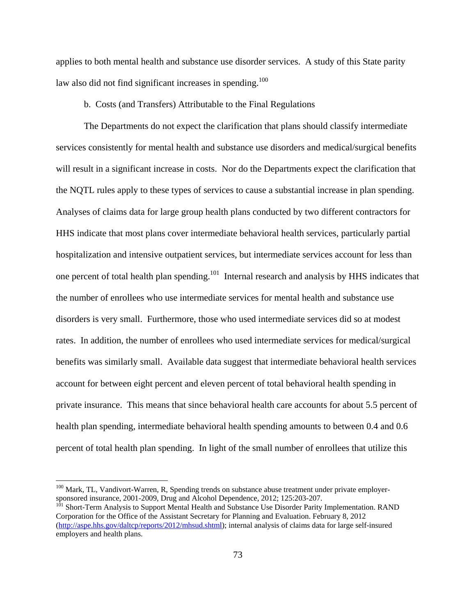applies to both mental health and substance use disorder services. A study of this State parity law also did not find significant increases in spending.<sup>100</sup>

## b. Costs (and Transfers) Attributable to the Final Regulations

The Departments do not expect the clarification that plans should classify intermediate services consistently for mental health and substance use disorders and medical/surgical benefits will result in a significant increase in costs. Nor do the Departments expect the clarification that the NQTL rules apply to these types of services to cause a substantial increase in plan spending. Analyses of claims data for large group health plans conducted by two different contractors for HHS indicate that most plans cover intermediate behavioral health services, particularly partial hospitalization and intensive outpatient services, but intermediate services account for less than one percent of total health plan spending.<sup>101</sup> Internal research and analysis by HHS indicates that the number of enrollees who use intermediate services for mental health and substance use disorders is very small. Furthermore, those who used intermediate services did so at modest rates. In addition, the number of enrollees who used intermediate services for medical/surgical benefits was similarly small. Available data suggest that intermediate behavioral health services account for between eight percent and eleven percent of total behavioral health spending in private insurance. This means that since behavioral health care accounts for about 5.5 percent of health plan spending, intermediate behavioral health spending amounts to between 0.4 and 0.6 percent of total health plan spending. In light of the small number of enrollees that utilize this

 $\overline{a}$ 

 $100$  Mark, TL, Vandivort-Warren, R, Spending trends on substance abuse treatment under private employersponsored insurance, 2001-2009, Drug and Alcohol Dependence, 2012; 125:203-207.

<sup>&</sup>lt;sup>101</sup> Short-Term Analysis to Support Mental Health and Substance Use Disorder Parity Implementation. RAND Corporation for the Office of the Assistant Secretary for Planning and Evaluation. February 8, 2012 (http://aspe.hhs.gov/daltcp/reports/2012/mhsud.shtml); internal analysis of claims data for large self-insured employers and health plans.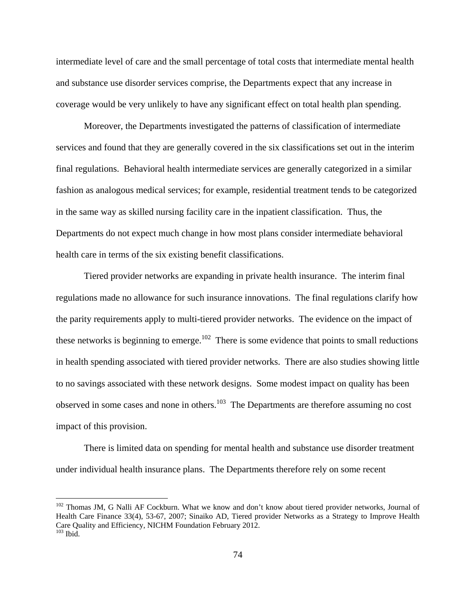intermediate level of care and the small percentage of total costs that intermediate mental health and substance use disorder services comprise, the Departments expect that any increase in coverage would be very unlikely to have any significant effect on total health plan spending.

Moreover, the Departments investigated the patterns of classification of intermediate services and found that they are generally covered in the six classifications set out in the interim final regulations. Behavioral health intermediate services are generally categorized in a similar fashion as analogous medical services; for example, residential treatment tends to be categorized in the same way as skilled nursing facility care in the inpatient classification. Thus, the Departments do not expect much change in how most plans consider intermediate behavioral health care in terms of the six existing benefit classifications.

Tiered provider networks are expanding in private health insurance. The interim final regulations made no allowance for such insurance innovations. The final regulations clarify how the parity requirements apply to multi-tiered provider networks. The evidence on the impact of these networks is beginning to emerge.<sup>102</sup> There is some evidence that points to small reductions in health spending associated with tiered provider networks. There are also studies showing little to no savings associated with these network designs. Some modest impact on quality has been observed in some cases and none in others.<sup>103</sup> The Departments are therefore assuming no cost impact of this provision.

There is limited data on spending for mental health and substance use disorder treatment under individual health insurance plans. The Departments therefore rely on some recent

 $\overline{a}$ 

<sup>&</sup>lt;sup>102</sup> Thomas JM, G Nalli AF Cockburn. What we know and don't know about tiered provider networks, Journal of Health Care Finance 33(4), 53-67, 2007; Sinaiko AD, Tiered provider Networks as a Strategy to Improve Health Care Quality and Efficiency, NICHM Foundation February 2012.  $103$  Ibid.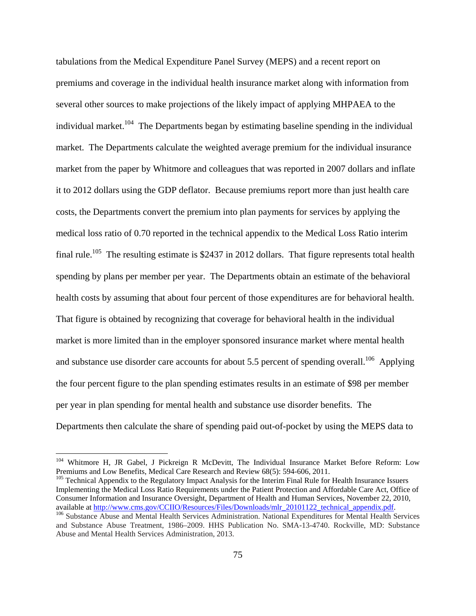tabulations from the Medical Expenditure Panel Survey (MEPS) and a recent report on premiums and coverage in the individual health insurance market along with information from several other sources to make projections of the likely impact of applying MHPAEA to the individual market.<sup>104</sup> The Departments began by estimating baseline spending in the individual market. The Departments calculate the weighted average premium for the individual insurance market from the paper by Whitmore and colleagues that was reported in 2007 dollars and inflate it to 2012 dollars using the GDP deflator. Because premiums report more than just health care costs, the Departments convert the premium into plan payments for services by applying the medical loss ratio of 0.70 reported in the technical appendix to the Medical Loss Ratio interim final rule.<sup>105</sup> The resulting estimate is \$2437 in 2012 dollars. That figure represents total health spending by plans per member per year. The Departments obtain an estimate of the behavioral health costs by assuming that about four percent of those expenditures are for behavioral health. That figure is obtained by recognizing that coverage for behavioral health in the individual market is more limited than in the employer sponsored insurance market where mental health and substance use disorder care accounts for about 5.5 percent of spending overall.<sup>106</sup> Applying the four percent figure to the plan spending estimates results in an estimate of \$98 per member per year in plan spending for mental health and substance use disorder benefits. The Departments then calculate the share of spending paid out-of-pocket by using the MEPS data to

1

<sup>&</sup>lt;sup>104</sup> Whitmore H, JR Gabel, J Pickreign R McDevitt, The Individual Insurance Market Before Reform: Low Premiums and Low Benefits, Medical Care Research and Review 68(5): 594-606, 2011.<br><sup>105</sup> Technical Appendix to the Regulatory Impact Analysis for the Interim Final Rule for Health Insurance Issuers

Implementing the Medical Loss Ratio Requirements under the Patient Protection and Affordable Care Act, Office of Consumer Information and Insurance Oversight, Department of Health and Human Services, November 22, 2010, available at http://www.cms.gov/CCIIO/Resources/Files/Downloads/mlr 20101122 technical appendix.pdf.

<sup>&</sup>lt;sup>106</sup> Substance Abuse and Mental Health Services Administration. National Expenditures for Mental Health Services and Substance Abuse Treatment, 1986–2009. HHS Publication No. SMA-13-4740. Rockville, MD: Substance Abuse and Mental Health Services Administration, 2013.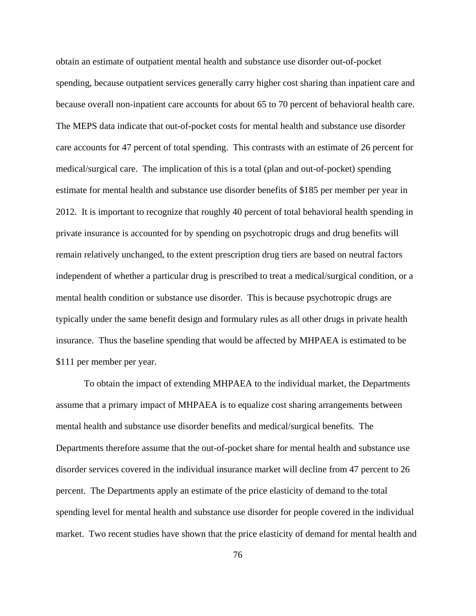obtain an estimate of outpatient mental health and substance use disorder out-of-pocket spending, because outpatient services generally carry higher cost sharing than inpatient care and because overall non-inpatient care accounts for about 65 to 70 percent of behavioral health care. The MEPS data indicate that out-of-pocket costs for mental health and substance use disorder care accounts for 47 percent of total spending. This contrasts with an estimate of 26 percent for medical/surgical care. The implication of this is a total (plan and out-of-pocket) spending estimate for mental health and substance use disorder benefits of \$185 per member per year in 2012. It is important to recognize that roughly 40 percent of total behavioral health spending in private insurance is accounted for by spending on psychotropic drugs and drug benefits will remain relatively unchanged, to the extent prescription drug tiers are based on neutral factors independent of whether a particular drug is prescribed to treat a medical/surgical condition, or a mental health condition or substance use disorder. This is because psychotropic drugs are typically under the same benefit design and formulary rules as all other drugs in private health insurance. Thus the baseline spending that would be affected by MHPAEA is estimated to be \$111 per member per year.

To obtain the impact of extending MHPAEA to the individual market, the Departments assume that a primary impact of MHPAEA is to equalize cost sharing arrangements between mental health and substance use disorder benefits and medical/surgical benefits. The Departments therefore assume that the out-of-pocket share for mental health and substance use disorder services covered in the individual insurance market will decline from 47 percent to 26 percent. The Departments apply an estimate of the price elasticity of demand to the total spending level for mental health and substance use disorder for people covered in the individual market. Two recent studies have shown that the price elasticity of demand for mental health and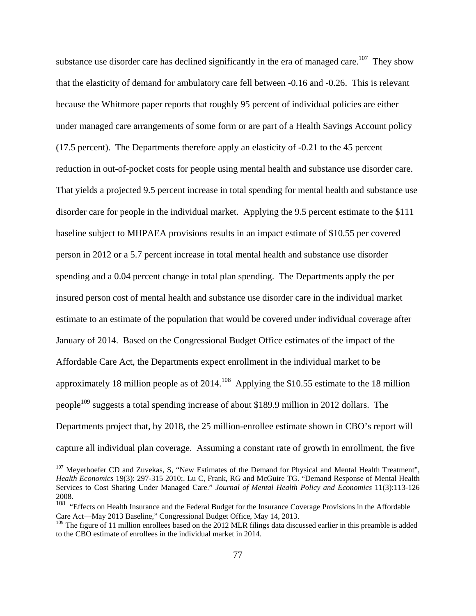substance use disorder care has declined significantly in the era of managed care.<sup>107</sup> They show that the elasticity of demand for ambulatory care fell between -0.16 and -0.26. This is relevant because the Whitmore paper reports that roughly 95 percent of individual policies are either under managed care arrangements of some form or are part of a Health Savings Account policy (17.5 percent). The Departments therefore apply an elasticity of -0.21 to the 45 percent reduction in out-of-pocket costs for people using mental health and substance use disorder care. That yields a projected 9.5 percent increase in total spending for mental health and substance use disorder care for people in the individual market. Applying the 9.5 percent estimate to the \$111 baseline subject to MHPAEA provisions results in an impact estimate of \$10.55 per covered person in 2012 or a 5.7 percent increase in total mental health and substance use disorder spending and a 0.04 percent change in total plan spending. The Departments apply the per insured person cost of mental health and substance use disorder care in the individual market estimate to an estimate of the population that would be covered under individual coverage after January of 2014. Based on the Congressional Budget Office estimates of the impact of the Affordable Care Act, the Departments expect enrollment in the individual market to be approximately 18 million people as of  $2014$ <sup>108</sup> Applying the \$10.55 estimate to the 18 million people<sup>109</sup> suggests a total spending increase of about \$189.9 million in 2012 dollars. The Departments project that, by 2018, the 25 million-enrollee estimate shown in CBO's report will capture all individual plan coverage. Assuming a constant rate of growth in enrollment, the five

 $\overline{a}$ 

<sup>&</sup>lt;sup>107</sup> Meyerhoefer CD and Zuvekas, S, "New Estimates of the Demand for Physical and Mental Health Treatment", *Health Economics* 19(3): 297-315 2010;. Lu C, Frank, RG and McGuire TG. "Demand Response of Mental Health Services to Cost Sharing Under Managed Care." *Journal of Mental Health Policy and Economics* 11(3):113-126 2008.

<sup>&</sup>lt;sup>108</sup> "Effects on Health Insurance and the Federal Budget for the Insurance Coverage Provisions in the Affordable Care Act—May 2013 Baseline," Congressional Budget Office, May 14, 2013.

<sup>&</sup>lt;sup>109</sup> The figure of 11 million enrollees based on the 2012 MLR filings data discussed earlier in this preamble is added to the CBO estimate of enrollees in the individual market in 2014.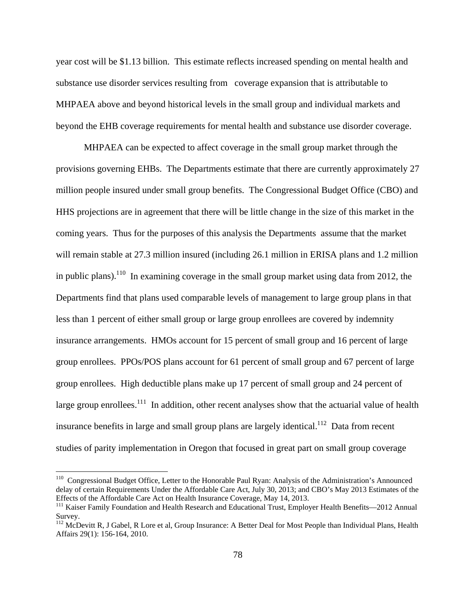year cost will be \$1.13 billion. This estimate reflects increased spending on mental health and substance use disorder services resulting from coverage expansion that is attributable to MHPAEA above and beyond historical levels in the small group and individual markets and beyond the EHB coverage requirements for mental health and substance use disorder coverage.

MHPAEA can be expected to affect coverage in the small group market through the provisions governing EHBs. The Departments estimate that there are currently approximately 27 million people insured under small group benefits. The Congressional Budget Office (CBO) and HHS projections are in agreement that there will be little change in the size of this market in the coming years. Thus for the purposes of this analysis the Departments assume that the market will remain stable at 27.3 million insured (including 26.1 million in ERISA plans and 1.2 million in public plans).<sup>110</sup> In examining coverage in the small group market using data from 2012, the Departments find that plans used comparable levels of management to large group plans in that less than 1 percent of either small group or large group enrollees are covered by indemnity insurance arrangements. HMOs account for 15 percent of small group and 16 percent of large group enrollees. PPOs/POS plans account for 61 percent of small group and 67 percent of large group enrollees. High deductible plans make up 17 percent of small group and 24 percent of large group enrollees.<sup>111</sup> In addition, other recent analyses show that the actuarial value of health insurance benefits in large and small group plans are largely identical.<sup>112</sup> Data from recent studies of parity implementation in Oregon that focused in great part on small group coverage

 $\overline{a}$ 

<sup>&</sup>lt;sup>110</sup> Congressional Budget Office, Letter to the Honorable Paul Ryan: Analysis of the Administration's Announced delay of certain Requirements Under the Affordable Care Act, July 30, 2013; and CBO's May 2013 Estimates of the Effects of the Affordable Care Act on Health Insurance Coverage, May 14, 2013.

<sup>&</sup>lt;sup>111</sup> Kaiser Family Foundation and Health Research and Educational Trust, Employer Health Benefits—2012 Annual Survey.

<sup>&</sup>lt;sup>112</sup> McDevitt R, J Gabel, R Lore et al, Group Insurance: A Better Deal for Most People than Individual Plans, Health Affairs 29(1): 156-164, 2010.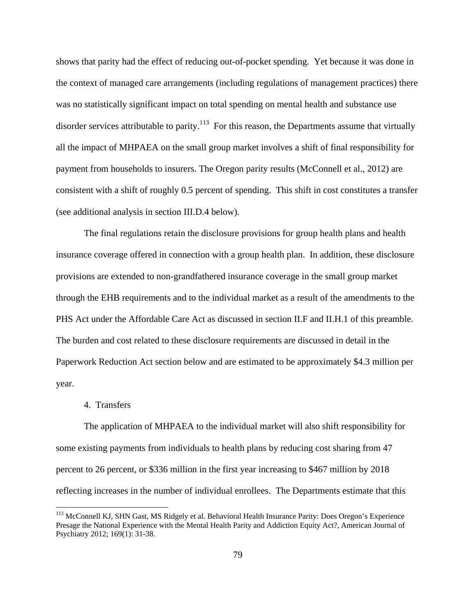shows that parity had the effect of reducing out-of-pocket spending. Yet because it was done in the context of managed care arrangements (including regulations of management practices) there was no statistically significant impact on total spending on mental health and substance use disorder services attributable to parity.<sup>113</sup> For this reason, the Departments assume that virtually all the impact of MHPAEA on the small group market involves a shift of final responsibility for payment from households to insurers. The Oregon parity results (McConnell et al., 2012) are consistent with a shift of roughly 0.5 percent of spending. This shift in cost constitutes a transfer (see additional analysis in section III.D.4 below).

The final regulations retain the disclosure provisions for group health plans and health insurance coverage offered in connection with a group health plan. In addition, these disclosure provisions are extended to non-grandfathered insurance coverage in the small group market through the EHB requirements and to the individual market as a result of the amendments to the PHS Act under the Affordable Care Act as discussed in section II.F and II.H.1 of this preamble. The burden and cost related to these disclosure requirements are discussed in detail in the Paperwork Reduction Act section below and are estimated to be approximately \$4.3 million per year.

#### 4. Transfers

1

The application of MHPAEA to the individual market will also shift responsibility for some existing payments from individuals to health plans by reducing cost sharing from 47 percent to 26 percent, or \$336 million in the first year increasing to \$467 million by 2018 reflecting increases in the number of individual enrollees. The Departments estimate that this

<sup>&</sup>lt;sup>113</sup> McConnell KJ, SHN Gast, MS Ridgely et al. Behavioral Health Insurance Parity: Does Oregon's Experience Presage the National Experience with the Mental Health Parity and Addiction Equity Act?, American Journal of Psychiatry 2012; 169(1): 31-38.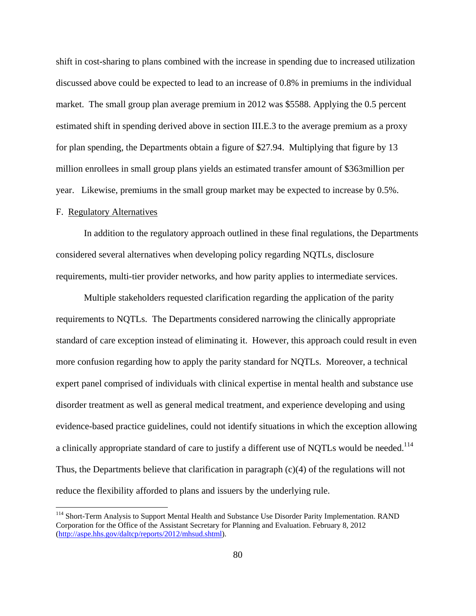shift in cost-sharing to plans combined with the increase in spending due to increased utilization discussed above could be expected to lead to an increase of 0.8% in premiums in the individual market. The small group plan average premium in 2012 was \$5588. Applying the 0.5 percent estimated shift in spending derived above in section III.E.3 to the average premium as a proxy for plan spending, the Departments obtain a figure of \$27.94. Multiplying that figure by 13 million enrollees in small group plans yields an estimated transfer amount of \$363million per year. Likewise, premiums in the small group market may be expected to increase by 0.5%.

## F. Regulatory Alternatives

1

In addition to the regulatory approach outlined in these final regulations, the Departments considered several alternatives when developing policy regarding NQTLs, disclosure requirements, multi-tier provider networks, and how parity applies to intermediate services.

Multiple stakeholders requested clarification regarding the application of the parity requirements to NQTLs. The Departments considered narrowing the clinically appropriate standard of care exception instead of eliminating it. However, this approach could result in even more confusion regarding how to apply the parity standard for NQTLs. Moreover, a technical expert panel comprised of individuals with clinical expertise in mental health and substance use disorder treatment as well as general medical treatment, and experience developing and using evidence-based practice guidelines, could not identify situations in which the exception allowing a clinically appropriate standard of care to justify a different use of NQTLs would be needed.<sup>114</sup> Thus, the Departments believe that clarification in paragraph (c)(4) of the regulations will not reduce the flexibility afforded to plans and issuers by the underlying rule.

<sup>&</sup>lt;sup>114</sup> Short-Term Analysis to Support Mental Health and Substance Use Disorder Parity Implementation. RAND Corporation for the Office of the Assistant Secretary for Planning and Evaluation. February 8, 2012 (http://aspe.hhs.gov/daltcp/reports/2012/mhsud.shtml).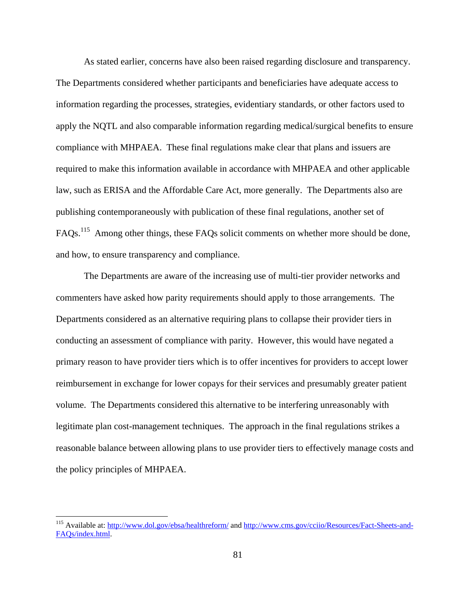As stated earlier, concerns have also been raised regarding disclosure and transparency. The Departments considered whether participants and beneficiaries have adequate access to information regarding the processes, strategies, evidentiary standards, or other factors used to apply the NQTL and also comparable information regarding medical/surgical benefits to ensure compliance with MHPAEA. These final regulations make clear that plans and issuers are required to make this information available in accordance with MHPAEA and other applicable law, such as ERISA and the Affordable Care Act, more generally. The Departments also are publishing contemporaneously with publication of these final regulations, another set of FAQs.<sup>115</sup> Among other things, these FAQs solicit comments on whether more should be done, and how, to ensure transparency and compliance.

The Departments are aware of the increasing use of multi-tier provider networks and commenters have asked how parity requirements should apply to those arrangements. The Departments considered as an alternative requiring plans to collapse their provider tiers in conducting an assessment of compliance with parity. However, this would have negated a primary reason to have provider tiers which is to offer incentives for providers to accept lower reimbursement in exchange for lower copays for their services and presumably greater patient volume. The Departments considered this alternative to be interfering unreasonably with legitimate plan cost-management techniques. The approach in the final regulations strikes a reasonable balance between allowing plans to use provider tiers to effectively manage costs and the policy principles of MHPAEA.

 $\overline{a}$ 

<sup>&</sup>lt;sup>115</sup> Available at: http://www.dol.gov/ebsa/healthreform/ and http://www.cms.gov/cciio/Resources/Fact-Sheets-and-FAQs/index.html.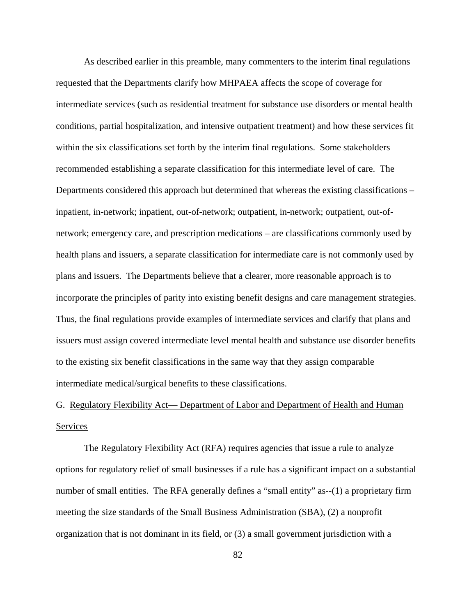As described earlier in this preamble, many commenters to the interim final regulations requested that the Departments clarify how MHPAEA affects the scope of coverage for intermediate services (such as residential treatment for substance use disorders or mental health conditions, partial hospitalization, and intensive outpatient treatment) and how these services fit within the six classifications set forth by the interim final regulations. Some stakeholders recommended establishing a separate classification for this intermediate level of care. The Departments considered this approach but determined that whereas the existing classifications – inpatient, in-network; inpatient, out-of-network; outpatient, in-network; outpatient, out-ofnetwork; emergency care, and prescription medications – are classifications commonly used by health plans and issuers, a separate classification for intermediate care is not commonly used by plans and issuers. The Departments believe that a clearer, more reasonable approach is to incorporate the principles of parity into existing benefit designs and care management strategies. Thus, the final regulations provide examples of intermediate services and clarify that plans and issuers must assign covered intermediate level mental health and substance use disorder benefits to the existing six benefit classifications in the same way that they assign comparable intermediate medical/surgical benefits to these classifications.

# G. Regulatory Flexibility Act— Department of Labor and Department of Health and Human Services

The Regulatory Flexibility Act (RFA) requires agencies that issue a rule to analyze options for regulatory relief of small businesses if a rule has a significant impact on a substantial number of small entities. The RFA generally defines a "small entity" as--(1) a proprietary firm meeting the size standards of the Small Business Administration (SBA), (2) a nonprofit organization that is not dominant in its field, or (3) a small government jurisdiction with a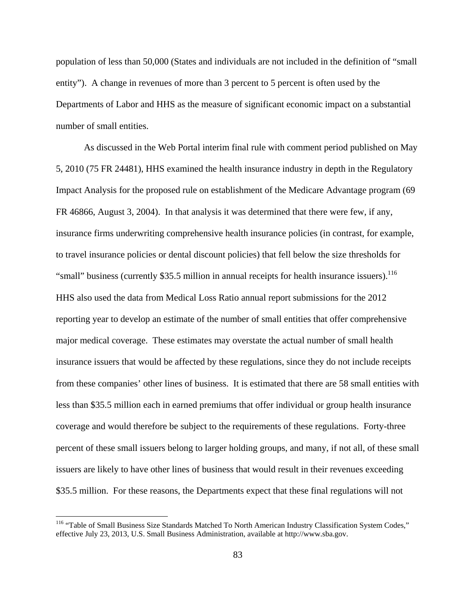population of less than 50,000 (States and individuals are not included in the definition of "small entity"). A change in revenues of more than 3 percent to 5 percent is often used by the Departments of Labor and HHS as the measure of significant economic impact on a substantial number of small entities.

As discussed in the Web Portal interim final rule with comment period published on May 5, 2010 (75 FR 24481), HHS examined the health insurance industry in depth in the Regulatory Impact Analysis for the proposed rule on establishment of the Medicare Advantage program (69 FR 46866, August 3, 2004). In that analysis it was determined that there were few, if any, insurance firms underwriting comprehensive health insurance policies (in contrast, for example, to travel insurance policies or dental discount policies) that fell below the size thresholds for "small" business (currently \$35.5 million in annual receipts for health insurance issuers).<sup>116</sup> HHS also used the data from Medical Loss Ratio annual report submissions for the 2012 reporting year to develop an estimate of the number of small entities that offer comprehensive major medical coverage. These estimates may overstate the actual number of small health insurance issuers that would be affected by these regulations, since they do not include receipts from these companies' other lines of business. It is estimated that there are 58 small entities with less than \$35.5 million each in earned premiums that offer individual or group health insurance coverage and would therefore be subject to the requirements of these regulations. Forty-three percent of these small issuers belong to larger holding groups, and many, if not all, of these small issuers are likely to have other lines of business that would result in their revenues exceeding \$35.5 million. For these reasons, the Departments expect that these final regulations will not

<u>.</u>

<sup>&</sup>lt;sup>116</sup> "Table of Small Business Size Standards Matched To North American Industry Classification System Codes," effective July 23, 2013, U.S. Small Business Administration, available at http://www.sba.gov.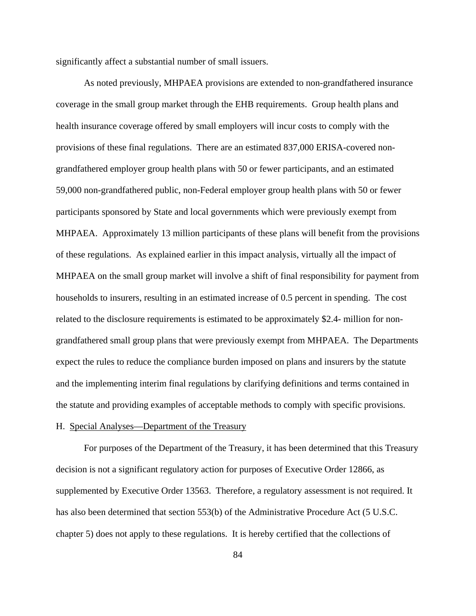significantly affect a substantial number of small issuers.

As noted previously, MHPAEA provisions are extended to non-grandfathered insurance coverage in the small group market through the EHB requirements. Group health plans and health insurance coverage offered by small employers will incur costs to comply with the provisions of these final regulations. There are an estimated 837,000 ERISA-covered nongrandfathered employer group health plans with 50 or fewer participants, and an estimated 59,000 non-grandfathered public, non-Federal employer group health plans with 50 or fewer participants sponsored by State and local governments which were previously exempt from MHPAEA. Approximately 13 million participants of these plans will benefit from the provisions of these regulations. As explained earlier in this impact analysis, virtually all the impact of MHPAEA on the small group market will involve a shift of final responsibility for payment from households to insurers, resulting in an estimated increase of 0.5 percent in spending. The cost related to the disclosure requirements is estimated to be approximately \$2.4- million for nongrandfathered small group plans that were previously exempt from MHPAEA. The Departments expect the rules to reduce the compliance burden imposed on plans and insurers by the statute and the implementing interim final regulations by clarifying definitions and terms contained in the statute and providing examples of acceptable methods to comply with specific provisions.

## H. Special Analyses—Department of the Treasury

For purposes of the Department of the Treasury, it has been determined that this Treasury decision is not a significant regulatory action for purposes of Executive Order 12866, as supplemented by Executive Order 13563. Therefore, a regulatory assessment is not required. It has also been determined that section 553(b) of the Administrative Procedure Act (5 U.S.C. chapter 5) does not apply to these regulations. It is hereby certified that the collections of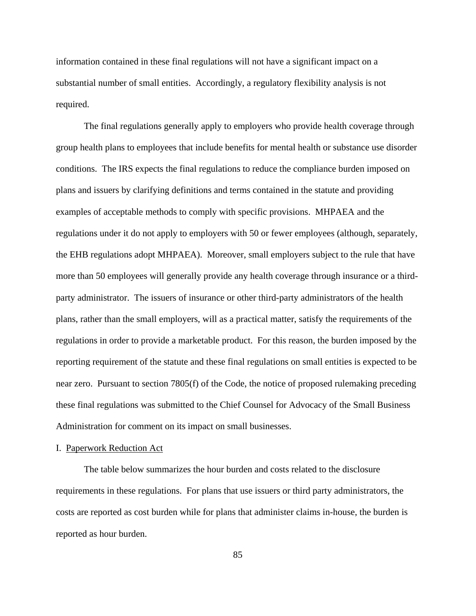information contained in these final regulations will not have a significant impact on a substantial number of small entities. Accordingly, a regulatory flexibility analysis is not required.

The final regulations generally apply to employers who provide health coverage through group health plans to employees that include benefits for mental health or substance use disorder conditions. The IRS expects the final regulations to reduce the compliance burden imposed on plans and issuers by clarifying definitions and terms contained in the statute and providing examples of acceptable methods to comply with specific provisions. MHPAEA and the regulations under it do not apply to employers with 50 or fewer employees (although, separately, the EHB regulations adopt MHPAEA). Moreover, small employers subject to the rule that have more than 50 employees will generally provide any health coverage through insurance or a thirdparty administrator. The issuers of insurance or other third-party administrators of the health plans, rather than the small employers, will as a practical matter, satisfy the requirements of the regulations in order to provide a marketable product. For this reason, the burden imposed by the reporting requirement of the statute and these final regulations on small entities is expected to be near zero. Pursuant to section 7805(f) of the Code, the notice of proposed rulemaking preceding these final regulations was submitted to the Chief Counsel for Advocacy of the Small Business Administration for comment on its impact on small businesses.

## I. Paperwork Reduction Act

The table below summarizes the hour burden and costs related to the disclosure requirements in these regulations. For plans that use issuers or third party administrators, the costs are reported as cost burden while for plans that administer claims in-house, the burden is reported as hour burden.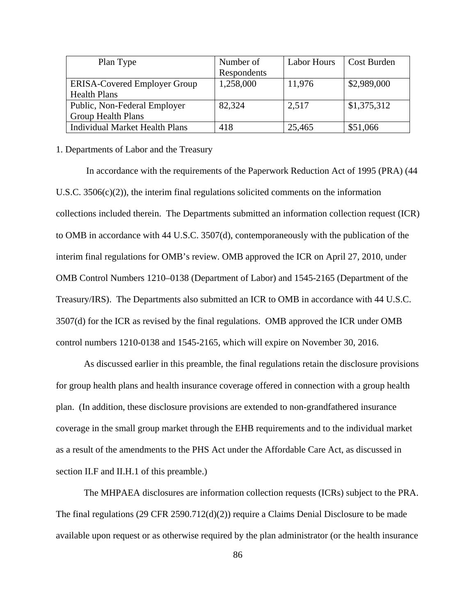| Plan Type                           | Number of   | <b>Labor Hours</b> | Cost Burden |
|-------------------------------------|-------------|--------------------|-------------|
|                                     | Respondents |                    |             |
| <b>ERISA-Covered Employer Group</b> | 1,258,000   | 11,976             | \$2,989,000 |
| <b>Health Plans</b>                 |             |                    |             |
| Public, Non-Federal Employer        | 82,324      | 2,517              | \$1,375,312 |
| <b>Group Health Plans</b>           |             |                    |             |
| Individual Market Health Plans      | 418         | 25,465             | \$51,066    |

## 1. Departments of Labor and the Treasury

 In accordance with the requirements of the Paperwork Reduction Act of 1995 (PRA) (44 U.S.C. 3506(c)(2)), the interim final regulations solicited comments on the information collections included therein. The Departments submitted an information collection request (ICR) to OMB in accordance with 44 U.S.C. 3507(d), contemporaneously with the publication of the interim final regulations for OMB's review. OMB approved the ICR on April 27, 2010, under OMB Control Numbers 1210–0138 (Department of Labor) and 1545-2165 (Department of the Treasury/IRS). The Departments also submitted an ICR to OMB in accordance with 44 U.S.C. 3507(d) for the ICR as revised by the final regulations. OMB approved the ICR under OMB control numbers 1210-0138 and 1545-2165, which will expire on November 30, 2016.

As discussed earlier in this preamble, the final regulations retain the disclosure provisions for group health plans and health insurance coverage offered in connection with a group health plan. (In addition, these disclosure provisions are extended to non-grandfathered insurance coverage in the small group market through the EHB requirements and to the individual market as a result of the amendments to the PHS Act under the Affordable Care Act, as discussed in section II.F and II.H.1 of this preamble.)

The MHPAEA disclosures are information collection requests (ICRs) subject to the PRA. The final regulations (29 CFR 2590.712(d)(2)) require a Claims Denial Disclosure to be made available upon request or as otherwise required by the plan administrator (or the health insurance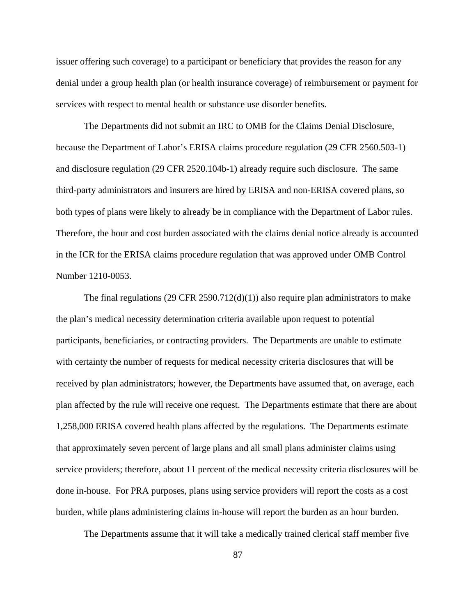issuer offering such coverage) to a participant or beneficiary that provides the reason for any denial under a group health plan (or health insurance coverage) of reimbursement or payment for services with respect to mental health or substance use disorder benefits.

The Departments did not submit an IRC to OMB for the Claims Denial Disclosure, because the Department of Labor's ERISA claims procedure regulation (29 CFR 2560.503-1) and disclosure regulation (29 CFR 2520.104b-1) already require such disclosure. The same third-party administrators and insurers are hired by ERISA and non-ERISA covered plans, so both types of plans were likely to already be in compliance with the Department of Labor rules. Therefore, the hour and cost burden associated with the claims denial notice already is accounted in the ICR for the ERISA claims procedure regulation that was approved under OMB Control Number 1210-0053.

The final regulations (29 CFR 2590.712(d)(1)) also require plan administrators to make the plan's medical necessity determination criteria available upon request to potential participants, beneficiaries, or contracting providers. The Departments are unable to estimate with certainty the number of requests for medical necessity criteria disclosures that will be received by plan administrators; however, the Departments have assumed that, on average, each plan affected by the rule will receive one request. The Departments estimate that there are about 1,258,000 ERISA covered health plans affected by the regulations. The Departments estimate that approximately seven percent of large plans and all small plans administer claims using service providers; therefore, about 11 percent of the medical necessity criteria disclosures will be done in-house. For PRA purposes, plans using service providers will report the costs as a cost burden, while plans administering claims in-house will report the burden as an hour burden.

The Departments assume that it will take a medically trained clerical staff member five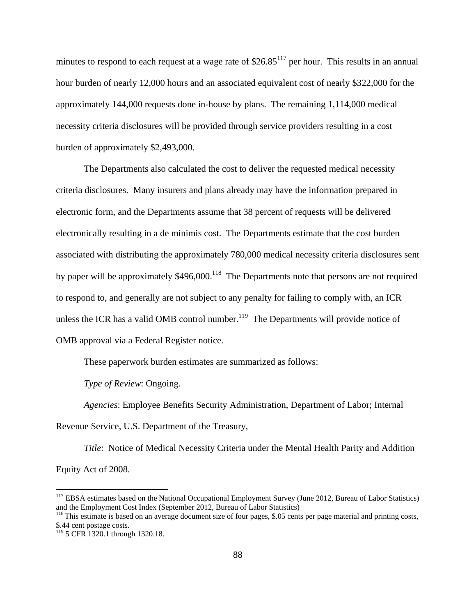minutes to respond to each request at a wage rate of  $$26.85<sup>117</sup>$  per hour. This results in an annual hour burden of nearly 12,000 hours and an associated equivalent cost of nearly \$322,000 for the approximately 144,000 requests done in-house by plans. The remaining 1,114,000 medical necessity criteria disclosures will be provided through service providers resulting in a cost burden of approximately \$2,493,000.

The Departments also calculated the cost to deliver the requested medical necessity criteria disclosures. Many insurers and plans already may have the information prepared in electronic form, and the Departments assume that 38 percent of requests will be delivered electronically resulting in a de minimis cost. The Departments estimate that the cost burden associated with distributing the approximately 780,000 medical necessity criteria disclosures sent by paper will be approximately  $$496,000$ .<sup>118</sup> The Departments note that persons are not required to respond to, and generally are not subject to any penalty for failing to comply with, an ICR unless the ICR has a valid OMB control number.<sup>119</sup> The Departments will provide notice of OMB approval via a Federal Register notice.

These paperwork burden estimates are summarized as follows:

*Type of Review*: Ongoing.

*Agencies*: Employee Benefits Security Administration, Department of Labor; Internal Revenue Service, U.S. Department of the Treasury,

*Title*: Notice of Medical Necessity Criteria under the Mental Health Parity and Addition Equity Act of 2008.

 $\overline{a}$ 

<sup>&</sup>lt;sup>117</sup> EBSA estimates based on the National Occupational Employment Survey (June 2012, Bureau of Labor Statistics) and the Employment Cost Index (September 2012, Bureau of Labor Statistics)

<sup>&</sup>lt;sup>118</sup> This estimate is based on an average document size of four pages, \$.05 cents per page material and printing costs, \$.44 cent postage costs.

<sup>&</sup>lt;sup>119</sup> 5 CFR 1320.1 through 1320.18.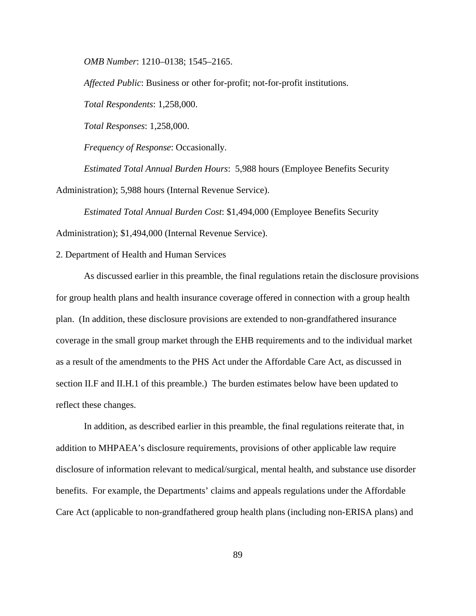*OMB Number*: 1210–0138; 1545–2165.

*Affected Public*: Business or other for-profit; not-for-profit institutions. *Total Respondents*: 1,258,000. *Total Responses*: 1,258,000.

*Frequency of Response*: Occasionally.

*Estimated Total Annual Burden Hours*: 5,988 hours (Employee Benefits Security Administration); 5,988 hours (Internal Revenue Service).

*Estimated Total Annual Burden Cost*: \$1,494,000 (Employee Benefits Security Administration); \$1,494,000 (Internal Revenue Service).

2. Department of Health and Human Services

As discussed earlier in this preamble, the final regulations retain the disclosure provisions for group health plans and health insurance coverage offered in connection with a group health plan. (In addition, these disclosure provisions are extended to non-grandfathered insurance coverage in the small group market through the EHB requirements and to the individual market as a result of the amendments to the PHS Act under the Affordable Care Act, as discussed in section II.F and II.H.1 of this preamble.) The burden estimates below have been updated to reflect these changes.

 In addition, as described earlier in this preamble, the final regulations reiterate that, in addition to MHPAEA's disclosure requirements, provisions of other applicable law require disclosure of information relevant to medical/surgical, mental health, and substance use disorder benefits. For example, the Departments' claims and appeals regulations under the Affordable Care Act (applicable to non-grandfathered group health plans (including non-ERISA plans) and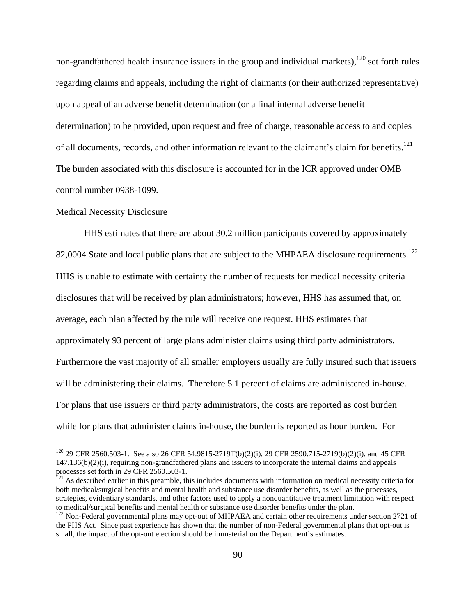non-grandfathered health insurance issuers in the group and individual markets),  $120$  set forth rules regarding claims and appeals, including the right of claimants (or their authorized representative) upon appeal of an adverse benefit determination (or a final internal adverse benefit determination) to be provided, upon request and free of charge, reasonable access to and copies of all documents, records, and other information relevant to the claimant's claim for benefits.<sup>121</sup> The burden associated with this disclosure is accounted for in the ICR approved under OMB control number 0938-1099.

#### Medical Necessity Disclosure

 $\overline{a}$ 

HHS estimates that there are about 30.2 million participants covered by approximately 82,0004 State and local public plans that are subject to the MHPAEA disclosure requirements.<sup>122</sup> HHS is unable to estimate with certainty the number of requests for medical necessity criteria disclosures that will be received by plan administrators; however, HHS has assumed that, on average, each plan affected by the rule will receive one request. HHS estimates that approximately 93 percent of large plans administer claims using third party administrators. Furthermore the vast majority of all smaller employers usually are fully insured such that issuers will be administering their claims. Therefore 5.1 percent of claims are administered in-house. For plans that use issuers or third party administrators, the costs are reported as cost burden while for plans that administer claims in-house, the burden is reported as hour burden. For

<sup>120 29</sup> CFR 2560.503-1. See also 26 CFR 54.9815-2719T(b)(2)(i), 29 CFR 2590.715-2719(b)(2)(i), and 45 CFR 147.136(b)(2)(i), requiring non-grandfathered plans and issuers to incorporate the internal claims and appeals processes set forth in 29 CFR 2560.503-1.

<sup>&</sup>lt;sup>121</sup> As described earlier in this preamble, this includes documents with information on medical necessity criteria for both medical/surgical benefits and mental health and substance use disorder benefits, as well as the processes, strategies, evidentiary standards, and other factors used to apply a nonquantitative treatment limitation with respect to medical/surgical benefits and mental health or substance use disorder benefits under the plan.

<sup>&</sup>lt;sup>122</sup> Non-Federal governmental plans may opt-out of MHPAEA and certain other requirements under section 2721 of the PHS Act. Since past experience has shown that the number of non-Federal governmental plans that opt-out is small, the impact of the opt-out election should be immaterial on the Department's estimates.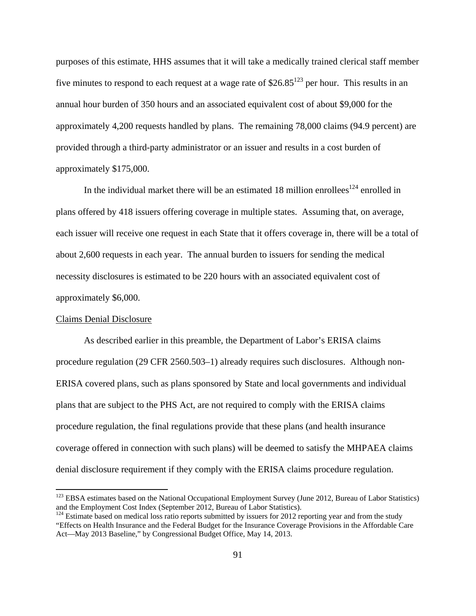purposes of this estimate, HHS assumes that it will take a medically trained clerical staff member five minutes to respond to each request at a wage rate of  $$26.85<sup>123</sup>$  per hour. This results in an annual hour burden of 350 hours and an associated equivalent cost of about \$9,000 for the approximately 4,200 requests handled by plans. The remaining 78,000 claims (94.9 percent) are provided through a third-party administrator or an issuer and results in a cost burden of approximately \$175,000.

In the individual market there will be an estimated 18 million enrollees<sup>124</sup> enrolled in plans offered by 418 issuers offering coverage in multiple states. Assuming that, on average, each issuer will receive one request in each State that it offers coverage in, there will be a total of about 2,600 requests in each year. The annual burden to issuers for sending the medical necessity disclosures is estimated to be 220 hours with an associated equivalent cost of approximately \$6,000.

#### Claims Denial Disclosure

 $\overline{a}$ 

As described earlier in this preamble, the Department of Labor's ERISA claims procedure regulation (29 CFR 2560.503–1) already requires such disclosures. Although non-ERISA covered plans, such as plans sponsored by State and local governments and individual plans that are subject to the PHS Act, are not required to comply with the ERISA claims procedure regulation, the final regulations provide that these plans (and health insurance coverage offered in connection with such plans) will be deemed to satisfy the MHPAEA claims denial disclosure requirement if they comply with the ERISA claims procedure regulation.

<sup>&</sup>lt;sup>123</sup> EBSA estimates based on the National Occupational Employment Survey (June 2012, Bureau of Labor Statistics) and the Employment Cost Index (September 2012, Bureau of Labor Statistics).

 $124$  Estimate based on medical loss ratio reports submitted by issuers for 2012 reporting year and from the study "Effects on Health Insurance and the Federal Budget for the Insurance Coverage Provisions in the Affordable Care Act—May 2013 Baseline," by Congressional Budget Office, May 14, 2013.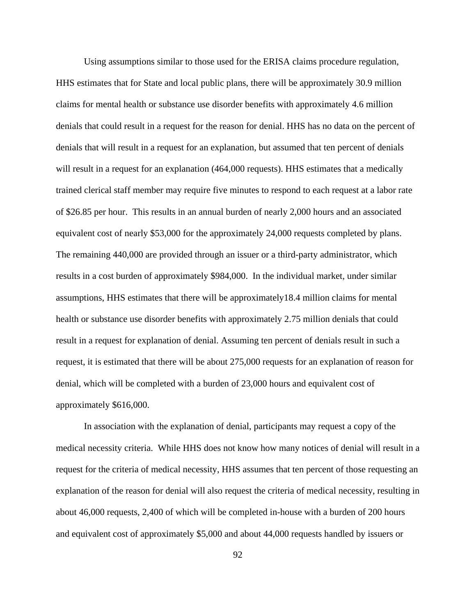Using assumptions similar to those used for the ERISA claims procedure regulation, HHS estimates that for State and local public plans, there will be approximately 30.9 million claims for mental health or substance use disorder benefits with approximately 4.6 million denials that could result in a request for the reason for denial. HHS has no data on the percent of denials that will result in a request for an explanation, but assumed that ten percent of denials will result in a request for an explanation (464,000 requests). HHS estimates that a medically trained clerical staff member may require five minutes to respond to each request at a labor rate of \$26.85 per hour. This results in an annual burden of nearly 2,000 hours and an associated equivalent cost of nearly \$53,000 for the approximately 24,000 requests completed by plans. The remaining 440,000 are provided through an issuer or a third-party administrator, which results in a cost burden of approximately \$984,000. In the individual market, under similar assumptions, HHS estimates that there will be approximately18.4 million claims for mental health or substance use disorder benefits with approximately 2.75 million denials that could result in a request for explanation of denial. Assuming ten percent of denials result in such a request, it is estimated that there will be about 275,000 requests for an explanation of reason for denial, which will be completed with a burden of 23,000 hours and equivalent cost of approximately \$616,000.

In association with the explanation of denial, participants may request a copy of the medical necessity criteria. While HHS does not know how many notices of denial will result in a request for the criteria of medical necessity, HHS assumes that ten percent of those requesting an explanation of the reason for denial will also request the criteria of medical necessity, resulting in about 46,000 requests, 2,400 of which will be completed in-house with a burden of 200 hours and equivalent cost of approximately \$5,000 and about 44,000 requests handled by issuers or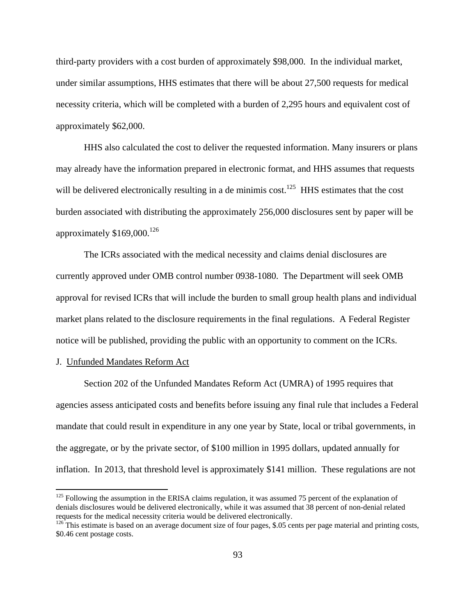third-party providers with a cost burden of approximately \$98,000. In the individual market, under similar assumptions, HHS estimates that there will be about 27,500 requests for medical necessity criteria, which will be completed with a burden of 2,295 hours and equivalent cost of approximately \$62,000.

HHS also calculated the cost to deliver the requested information. Many insurers or plans may already have the information prepared in electronic format, and HHS assumes that requests will be delivered electronically resulting in a de minimis cost.<sup>125</sup> HHS estimates that the cost burden associated with distributing the approximately 256,000 disclosures sent by paper will be approximately  $$169,000.<sup>126</sup>$ 

The ICRs associated with the medical necessity and claims denial disclosures are currently approved under OMB control number 0938-1080. The Department will seek OMB approval for revised ICRs that will include the burden to small group health plans and individual market plans related to the disclosure requirements in the final regulations. A Federal Register notice will be published, providing the public with an opportunity to comment on the ICRs.

## J. Unfunded Mandates Reform Act

 $\overline{a}$ 

Section 202 of the Unfunded Mandates Reform Act (UMRA) of 1995 requires that agencies assess anticipated costs and benefits before issuing any final rule that includes a Federal mandate that could result in expenditure in any one year by State, local or tribal governments, in the aggregate, or by the private sector, of \$100 million in 1995 dollars, updated annually for inflation. In 2013, that threshold level is approximately \$141 million. These regulations are not

 $125$  Following the assumption in the ERISA claims regulation, it was assumed 75 percent of the explanation of denials disclosures would be delivered electronically, while it was assumed that 38 percent of non-denial related requests for the medical necessity criteria would be delivered electronically. 126 This estimate is based on an average document size of four pages, \$.05 cents per page material and printing costs,

<sup>\$0.46</sup> cent postage costs.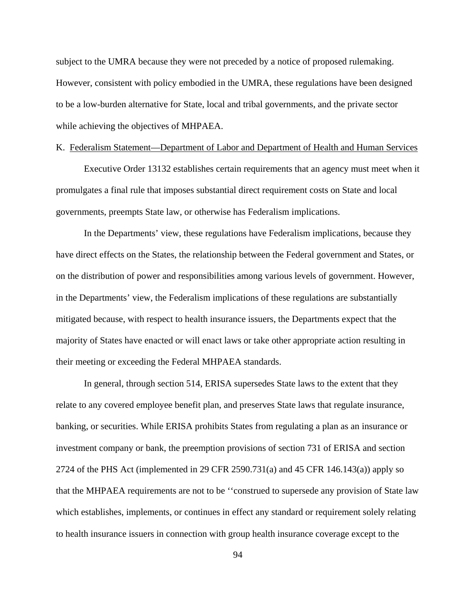subject to the UMRA because they were not preceded by a notice of proposed rulemaking. However, consistent with policy embodied in the UMRA, these regulations have been designed to be a low-burden alternative for State, local and tribal governments, and the private sector while achieving the objectives of MHPAEA.

## K. Federalism Statement—Department of Labor and Department of Health and Human Services

Executive Order 13132 establishes certain requirements that an agency must meet when it promulgates a final rule that imposes substantial direct requirement costs on State and local governments, preempts State law, or otherwise has Federalism implications.

In the Departments' view, these regulations have Federalism implications, because they have direct effects on the States, the relationship between the Federal government and States, or on the distribution of power and responsibilities among various levels of government. However, in the Departments' view, the Federalism implications of these regulations are substantially mitigated because, with respect to health insurance issuers, the Departments expect that the majority of States have enacted or will enact laws or take other appropriate action resulting in their meeting or exceeding the Federal MHPAEA standards.

In general, through section 514, ERISA supersedes State laws to the extent that they relate to any covered employee benefit plan, and preserves State laws that regulate insurance, banking, or securities. While ERISA prohibits States from regulating a plan as an insurance or investment company or bank, the preemption provisions of section 731 of ERISA and section 2724 of the PHS Act (implemented in 29 CFR 2590.731(a) and 45 CFR 146.143(a)) apply so that the MHPAEA requirements are not to be ''construed to supersede any provision of State law which establishes, implements, or continues in effect any standard or requirement solely relating to health insurance issuers in connection with group health insurance coverage except to the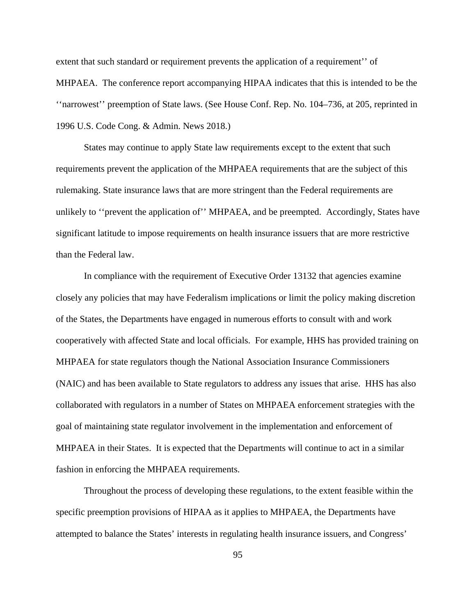extent that such standard or requirement prevents the application of a requirement'' of MHPAEA. The conference report accompanying HIPAA indicates that this is intended to be the ''narrowest'' preemption of State laws. (See House Conf. Rep. No. 104–736, at 205, reprinted in 1996 U.S. Code Cong. & Admin. News 2018.)

States may continue to apply State law requirements except to the extent that such requirements prevent the application of the MHPAEA requirements that are the subject of this rulemaking. State insurance laws that are more stringent than the Federal requirements are unlikely to ''prevent the application of'' MHPAEA, and be preempted. Accordingly, States have significant latitude to impose requirements on health insurance issuers that are more restrictive than the Federal law.

In compliance with the requirement of Executive Order 13132 that agencies examine closely any policies that may have Federalism implications or limit the policy making discretion of the States, the Departments have engaged in numerous efforts to consult with and work cooperatively with affected State and local officials. For example, HHS has provided training on MHPAEA for state regulators though the National Association Insurance Commissioners (NAIC) and has been available to State regulators to address any issues that arise. HHS has also collaborated with regulators in a number of States on MHPAEA enforcement strategies with the goal of maintaining state regulator involvement in the implementation and enforcement of MHPAEA in their States. It is expected that the Departments will continue to act in a similar fashion in enforcing the MHPAEA requirements.

Throughout the process of developing these regulations, to the extent feasible within the specific preemption provisions of HIPAA as it applies to MHPAEA, the Departments have attempted to balance the States' interests in regulating health insurance issuers, and Congress'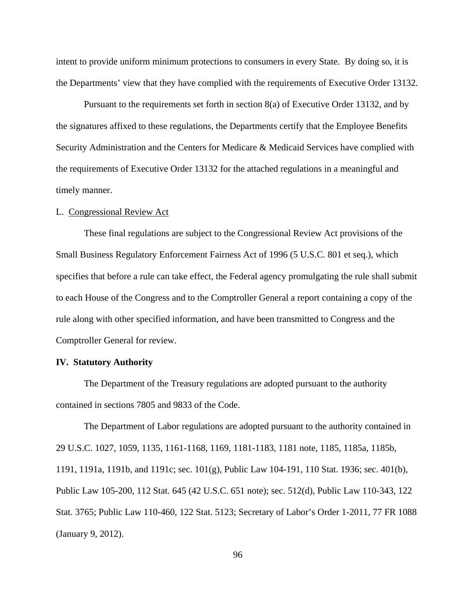intent to provide uniform minimum protections to consumers in every State. By doing so, it is the Departments' view that they have complied with the requirements of Executive Order 13132.

Pursuant to the requirements set forth in section 8(a) of Executive Order 13132, and by the signatures affixed to these regulations, the Departments certify that the Employee Benefits Security Administration and the Centers for Medicare & Medicaid Services have complied with the requirements of Executive Order 13132 for the attached regulations in a meaningful and timely manner.

#### L. Congressional Review Act

These final regulations are subject to the Congressional Review Act provisions of the Small Business Regulatory Enforcement Fairness Act of 1996 (5 U.S.C. 801 et seq.), which specifies that before a rule can take effect, the Federal agency promulgating the rule shall submit to each House of the Congress and to the Comptroller General a report containing a copy of the rule along with other specified information, and have been transmitted to Congress and the Comptroller General for review.

## **IV. Statutory Authority**

The Department of the Treasury regulations are adopted pursuant to the authority contained in sections 7805 and 9833 of the Code.

 The Department of Labor regulations are adopted pursuant to the authority contained in 29 U.S.C. 1027, 1059, 1135, 1161-1168, 1169, 1181-1183, 1181 note, 1185, 1185a, 1185b, 1191, 1191a, 1191b, and 1191c; sec. 101(g), Public Law 104-191, 110 Stat. 1936; sec. 401(b), Public Law 105-200, 112 Stat. 645 (42 U.S.C. 651 note); sec. 512(d), Public Law 110-343, 122 Stat. 3765; Public Law 110-460, 122 Stat. 5123; Secretary of Labor's Order 1-2011, 77 FR 1088 (January 9, 2012).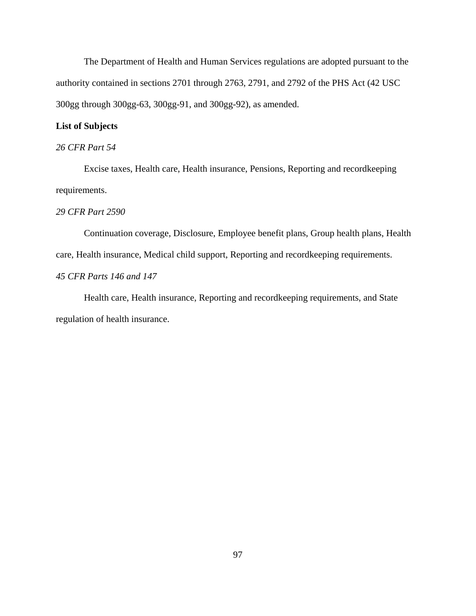The Department of Health and Human Services regulations are adopted pursuant to the authority contained in sections 2701 through 2763, 2791, and 2792 of the PHS Act (42 USC 300gg through 300gg-63, 300gg-91, and 300gg-92), as amended.

# **List of Subjects**

# *26 CFR Part 54*

Excise taxes, Health care, Health insurance, Pensions, Reporting and recordkeeping requirements.

## *29 CFR Part 2590*

Continuation coverage, Disclosure, Employee benefit plans, Group health plans, Health care, Health insurance, Medical child support, Reporting and recordkeeping requirements. *45 CFR Parts 146 and 147*

Health care, Health insurance, Reporting and recordkeeping requirements, and State regulation of health insurance.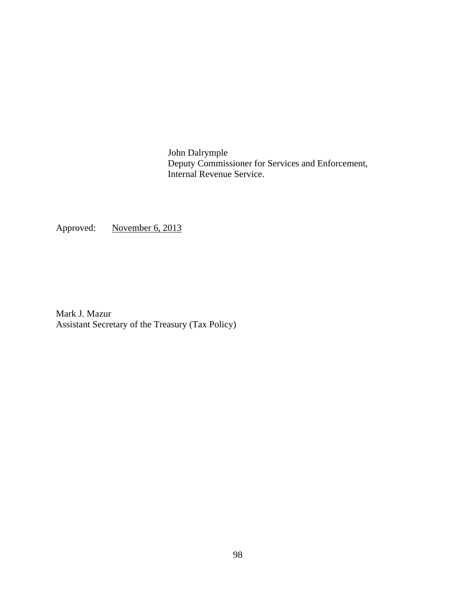John Dalrymple Deputy Commissioner for Services and Enforcement, Internal Revenue Service.

Approved: November 6, 2013

Mark J. Mazur Assistant Secretary of the Treasury (Tax Policy)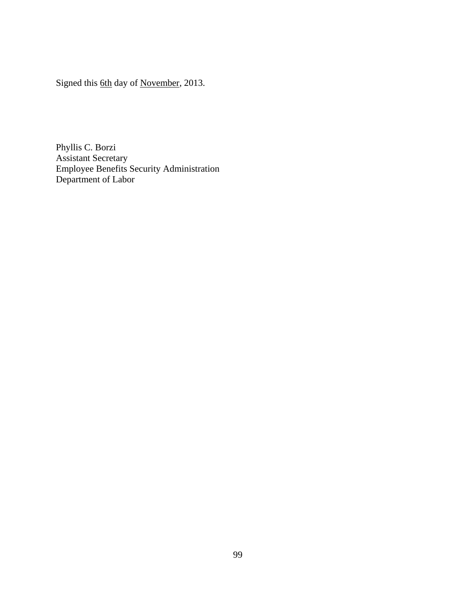Signed this 6th day of November, 2013.

Phyllis C. Borzi Assistant Secretary Employee Benefits Security Administration Department of Labor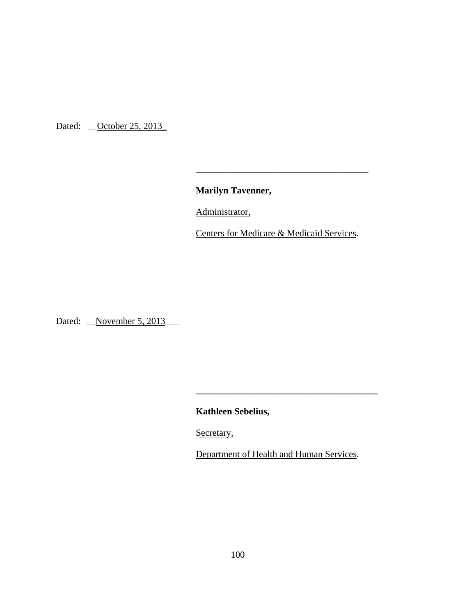Dated: <u>October 25, 2013</u>

**Marilyn Tavenner,**

Administrator,

 $\overline{\phantom{a}}$  , and the contract of the contract of the contract of the contract of the contract of the contract of the contract of the contract of the contract of the contract of the contract of the contract of the contrac

Centers for Medicare & Medicaid Services.

Dated: <u>November 5, 2013</u>

**Kathleen Sebelius,** 

Secretary,

Department of Health and Human Services.

**\_\_\_\_\_\_\_\_\_\_\_\_\_\_\_\_\_\_\_\_\_\_\_\_\_\_\_\_\_\_\_\_\_\_\_\_\_\_\_**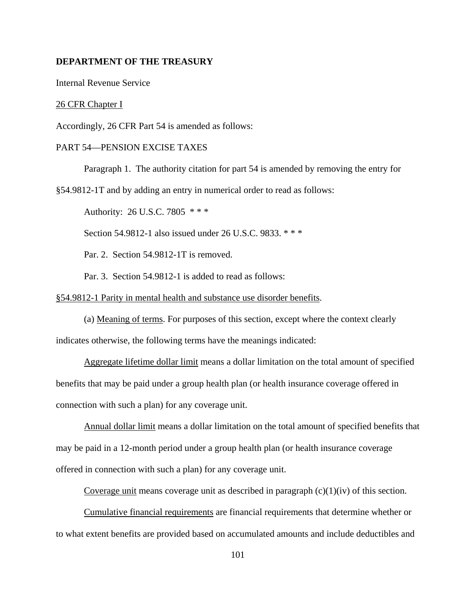## **DEPARTMENT OF THE TREASURY**

Internal Revenue Service

26 CFR Chapter I

Accordingly, 26 CFR Part 54 is amended as follows:

## PART 54—PENSION EXCISE TAXES

Paragraph 1. The authority citation for part 54 is amended by removing the entry for

§54.9812-1T and by adding an entry in numerical order to read as follows:

Authority: 26 U.S.C. 7805 \* \* \*

Section 54.9812-1 also issued under 26 U.S.C. 9833. \*\*\*

Par. 2. Section 54.9812-1T is removed.

Par. 3. Section 54.9812-1 is added to read as follows:

## §54.9812-1 Parity in mental health and substance use disorder benefits.

(a) Meaning of terms. For purposes of this section, except where the context clearly indicates otherwise, the following terms have the meanings indicated:

Aggregate lifetime dollar limit means a dollar limitation on the total amount of specified benefits that may be paid under a group health plan (or health insurance coverage offered in connection with such a plan) for any coverage unit.

Annual dollar limit means a dollar limitation on the total amount of specified benefits that may be paid in a 12-month period under a group health plan (or health insurance coverage offered in connection with such a plan) for any coverage unit.

Coverage unit means coverage unit as described in paragraph  $(c)(1)(iv)$  of this section.

Cumulative financial requirements are financial requirements that determine whether or to what extent benefits are provided based on accumulated amounts and include deductibles and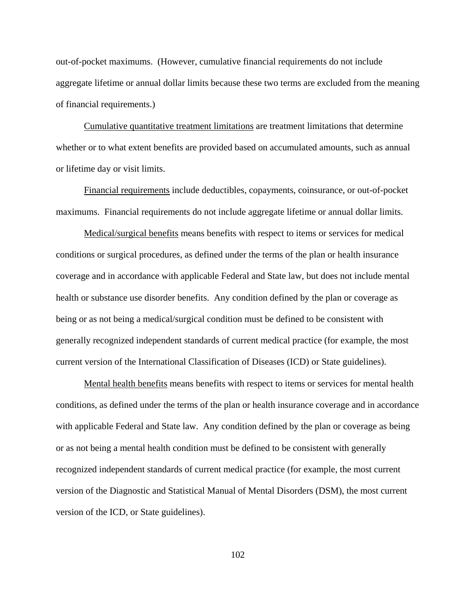out-of-pocket maximums. (However, cumulative financial requirements do not include aggregate lifetime or annual dollar limits because these two terms are excluded from the meaning of financial requirements.)

Cumulative quantitative treatment limitations are treatment limitations that determine whether or to what extent benefits are provided based on accumulated amounts, such as annual or lifetime day or visit limits.

Financial requirements include deductibles, copayments, coinsurance, or out-of-pocket maximums. Financial requirements do not include aggregate lifetime or annual dollar limits.

Medical/surgical benefits means benefits with respect to items or services for medical conditions or surgical procedures, as defined under the terms of the plan or health insurance coverage and in accordance with applicable Federal and State law, but does not include mental health or substance use disorder benefits. Any condition defined by the plan or coverage as being or as not being a medical/surgical condition must be defined to be consistent with generally recognized independent standards of current medical practice (for example, the most current version of the International Classification of Diseases (ICD) or State guidelines).

Mental health benefits means benefits with respect to items or services for mental health conditions, as defined under the terms of the plan or health insurance coverage and in accordance with applicable Federal and State law. Any condition defined by the plan or coverage as being or as not being a mental health condition must be defined to be consistent with generally recognized independent standards of current medical practice (for example, the most current version of the Diagnostic and Statistical Manual of Mental Disorders (DSM), the most current version of the ICD, or State guidelines).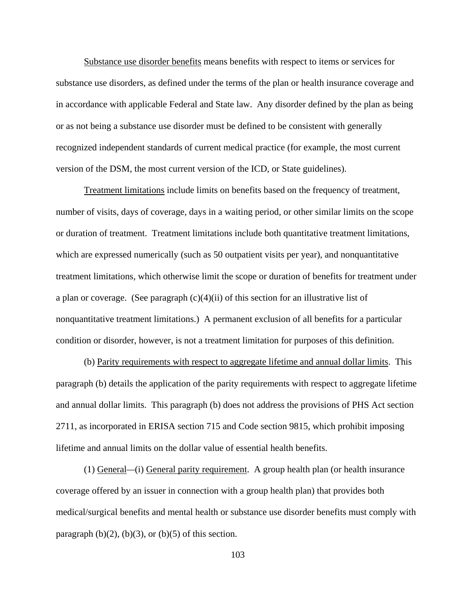Substance use disorder benefits means benefits with respect to items or services for substance use disorders, as defined under the terms of the plan or health insurance coverage and in accordance with applicable Federal and State law. Any disorder defined by the plan as being or as not being a substance use disorder must be defined to be consistent with generally recognized independent standards of current medical practice (for example, the most current version of the DSM, the most current version of the ICD, or State guidelines).

Treatment limitations include limits on benefits based on the frequency of treatment, number of visits, days of coverage, days in a waiting period, or other similar limits on the scope or duration of treatment. Treatment limitations include both quantitative treatment limitations, which are expressed numerically (such as 50 outpatient visits per year), and nonquantitative treatment limitations, which otherwise limit the scope or duration of benefits for treatment under a plan or coverage. (See paragraph  $(c)(4)(ii)$  of this section for an illustrative list of nonquantitative treatment limitations.) A permanent exclusion of all benefits for a particular condition or disorder, however, is not a treatment limitation for purposes of this definition.

(b) Parity requirements with respect to aggregate lifetime and annual dollar limits. This paragraph (b) details the application of the parity requirements with respect to aggregate lifetime and annual dollar limits. This paragraph (b) does not address the provisions of PHS Act section 2711, as incorporated in ERISA section 715 and Code section 9815, which prohibit imposing lifetime and annual limits on the dollar value of essential health benefits.

(1) General*—*(i) General parity requirement. A group health plan (or health insurance coverage offered by an issuer in connection with a group health plan) that provides both medical/surgical benefits and mental health or substance use disorder benefits must comply with paragraph  $(b)(2)$ ,  $(b)(3)$ , or  $(b)(5)$  of this section.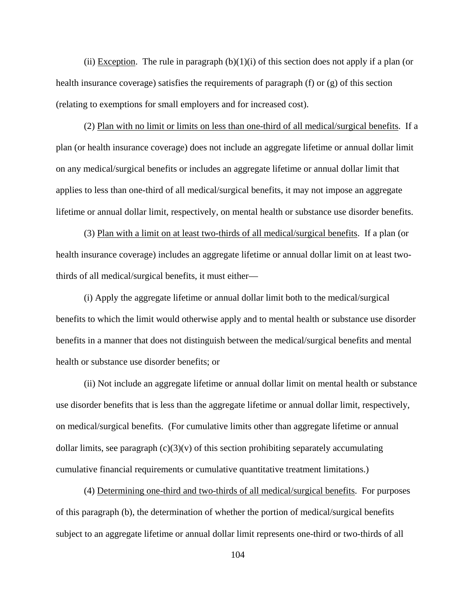(ii) Exception. The rule in paragraph  $(b)(1)(i)$  of this section does not apply if a plan (or health insurance coverage) satisfies the requirements of paragraph (f) or (g) of this section (relating to exemptions for small employers and for increased cost).

(2) Plan with no limit or limits on less than one-third of all medical/surgical benefits. If a plan (or health insurance coverage) does not include an aggregate lifetime or annual dollar limit on any medical/surgical benefits or includes an aggregate lifetime or annual dollar limit that applies to less than one-third of all medical/surgical benefits, it may not impose an aggregate lifetime or annual dollar limit, respectively, on mental health or substance use disorder benefits.

(3) Plan with a limit on at least two-thirds of all medical/surgical benefits. If a plan (or health insurance coverage) includes an aggregate lifetime or annual dollar limit on at least twothirds of all medical/surgical benefits, it must either—

(i) Apply the aggregate lifetime or annual dollar limit both to the medical/surgical benefits to which the limit would otherwise apply and to mental health or substance use disorder benefits in a manner that does not distinguish between the medical/surgical benefits and mental health or substance use disorder benefits; or

(ii) Not include an aggregate lifetime or annual dollar limit on mental health or substance use disorder benefits that is less than the aggregate lifetime or annual dollar limit, respectively, on medical/surgical benefits. (For cumulative limits other than aggregate lifetime or annual dollar limits, see paragraph  $(c)(3)(v)$  of this section prohibiting separately accumulating cumulative financial requirements or cumulative quantitative treatment limitations.)

 (4) Determining one-third and two-thirds of all medical/surgical benefits. For purposes of this paragraph (b), the determination of whether the portion of medical/surgical benefits subject to an aggregate lifetime or annual dollar limit represents one-third or two-thirds of all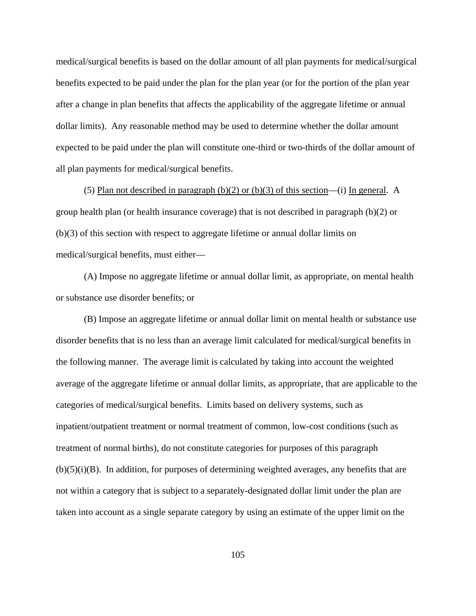medical/surgical benefits is based on the dollar amount of all plan payments for medical/surgical benefits expected to be paid under the plan for the plan year (or for the portion of the plan year after a change in plan benefits that affects the applicability of the aggregate lifetime or annual dollar limits). Any reasonable method may be used to determine whether the dollar amount expected to be paid under the plan will constitute one-third or two-thirds of the dollar amount of all plan payments for medical/surgical benefits.

(5) Plan not described in paragraph (b)(2) or (b)(3) of this section—(i) In general.A group health plan (or health insurance coverage) that is not described in paragraph (b)(2) or (b)(3) of this section with respect to aggregate lifetime or annual dollar limits on medical/surgical benefits, must either—

(A) Impose no aggregate lifetime or annual dollar limit, as appropriate, on mental health or substance use disorder benefits; or

(B) Impose an aggregate lifetime or annual dollar limit on mental health or substance use disorder benefits that is no less than an average limit calculated for medical/surgical benefits in the following manner. The average limit is calculated by taking into account the weighted average of the aggregate lifetime or annual dollar limits, as appropriate, that are applicable to the categories of medical/surgical benefits. Limits based on delivery systems, such as inpatient/outpatient treatment or normal treatment of common, low-cost conditions (such as treatment of normal births), do not constitute categories for purposes of this paragraph  $(b)(5)(i)(B)$ . In addition, for purposes of determining weighted averages, any benefits that are not within a category that is subject to a separately-designated dollar limit under the plan are taken into account as a single separate category by using an estimate of the upper limit on the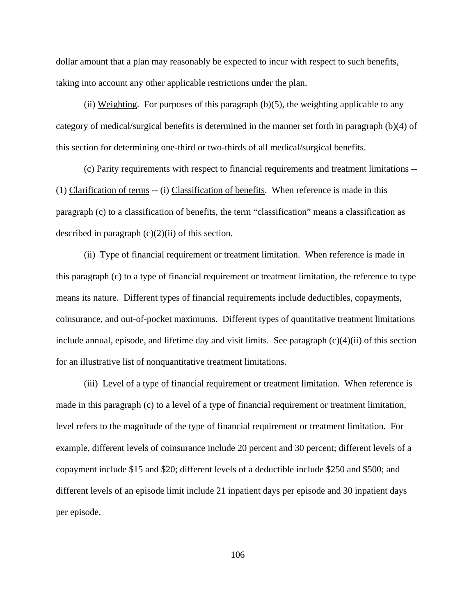dollar amount that a plan may reasonably be expected to incur with respect to such benefits, taking into account any other applicable restrictions under the plan.

(ii) Weighting.For purposes of this paragraph (b)(5), the weighting applicable to any category of medical/surgical benefits is determined in the manner set forth in paragraph (b)(4) of this section for determining one-third or two-thirds of all medical/surgical benefits.

 (c) Parity requirements with respect to financial requirements and treatment limitations -- (1) Clarification of terms -- (i) Classification of benefits. When reference is made in this paragraph (c) to a classification of benefits, the term "classification" means a classification as described in paragraph  $(c)(2)(ii)$  of this section.

(ii) Type of financial requirement or treatment limitation. When reference is made in this paragraph (c) to a type of financial requirement or treatment limitation, the reference to type means its nature. Different types of financial requirements include deductibles, copayments, coinsurance, and out-of-pocket maximums. Different types of quantitative treatment limitations include annual, episode, and lifetime day and visit limits. See paragraph  $(c)(4)(ii)$  of this section for an illustrative list of nonquantitative treatment limitations.

(iii) Level of a type of financial requirement or treatment limitation. When reference is made in this paragraph (c) to a level of a type of financial requirement or treatment limitation, level refers to the magnitude of the type of financial requirement or treatment limitation. For example, different levels of coinsurance include 20 percent and 30 percent; different levels of a copayment include \$15 and \$20; different levels of a deductible include \$250 and \$500; and different levels of an episode limit include 21 inpatient days per episode and 30 inpatient days per episode.

106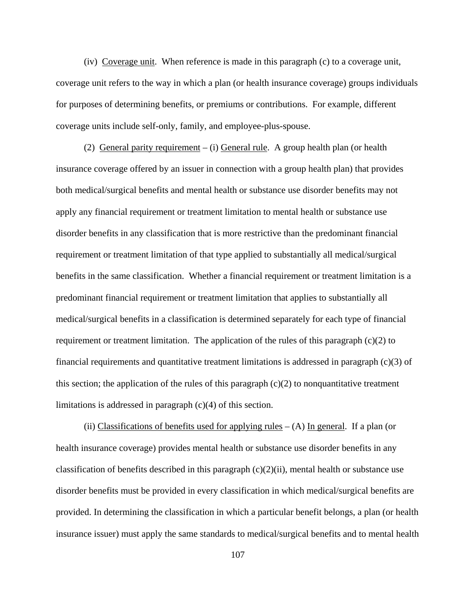(iv) Coverage unit. When reference is made in this paragraph (c) to a coverage unit, coverage unit refers to the way in which a plan (or health insurance coverage) groups individuals for purposes of determining benefits, or premiums or contributions. For example, different coverage units include self-only, family, and employee-plus-spouse.

(2) General parity requirement – (i) General rule. A group health plan (or health insurance coverage offered by an issuer in connection with a group health plan) that provides both medical/surgical benefits and mental health or substance use disorder benefits may not apply any financial requirement or treatment limitation to mental health or substance use disorder benefits in any classification that is more restrictive than the predominant financial requirement or treatment limitation of that type applied to substantially all medical/surgical benefits in the same classification. Whether a financial requirement or treatment limitation is a predominant financial requirement or treatment limitation that applies to substantially all medical/surgical benefits in a classification is determined separately for each type of financial requirement or treatment limitation. The application of the rules of this paragraph  $(c)(2)$  to financial requirements and quantitative treatment limitations is addressed in paragraph (c)(3) of this section; the application of the rules of this paragraph  $(c)(2)$  to nonquantitative treatment limitations is addressed in paragraph (c)(4) of this section.

(ii) Classifications of benefits used for applying rules  $-$  (A) In general. If a plan (or health insurance coverage) provides mental health or substance use disorder benefits in any classification of benefits described in this paragraph  $(c)(2)(ii)$ , mental health or substance use disorder benefits must be provided in every classification in which medical/surgical benefits are provided. In determining the classification in which a particular benefit belongs, a plan (or health insurance issuer) must apply the same standards to medical/surgical benefits and to mental health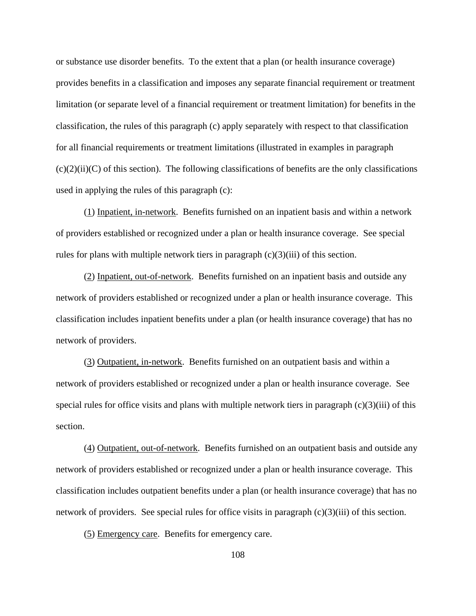or substance use disorder benefits. To the extent that a plan (or health insurance coverage) provides benefits in a classification and imposes any separate financial requirement or treatment limitation (or separate level of a financial requirement or treatment limitation) for benefits in the classification, the rules of this paragraph (c) apply separately with respect to that classification for all financial requirements or treatment limitations (illustrated in examples in paragraph  $(c)(2)(ii)(C)$  of this section). The following classifications of benefits are the only classifications used in applying the rules of this paragraph (c):

(1) Inpatient, in-network. Benefits furnished on an inpatient basis and within a network of providers established or recognized under a plan or health insurance coverage. See special rules for plans with multiple network tiers in paragraph  $(c)(3)(iii)$  of this section.

(2) Inpatient, out-of-network. Benefits furnished on an inpatient basis and outside any network of providers established or recognized under a plan or health insurance coverage. This classification includes inpatient benefits under a plan (or health insurance coverage) that has no network of providers.

(3) Outpatient, in-network. Benefits furnished on an outpatient basis and within a network of providers established or recognized under a plan or health insurance coverage. See special rules for office visits and plans with multiple network tiers in paragraph  $(c)(3)(iii)$  of this section.

(4) Outpatient, out-of-network. Benefits furnished on an outpatient basis and outside any network of providers established or recognized under a plan or health insurance coverage. This classification includes outpatient benefits under a plan (or health insurance coverage) that has no network of providers. See special rules for office visits in paragraph  $(c)(3)(iii)$  of this section.

(5) Emergency care. Benefits for emergency care.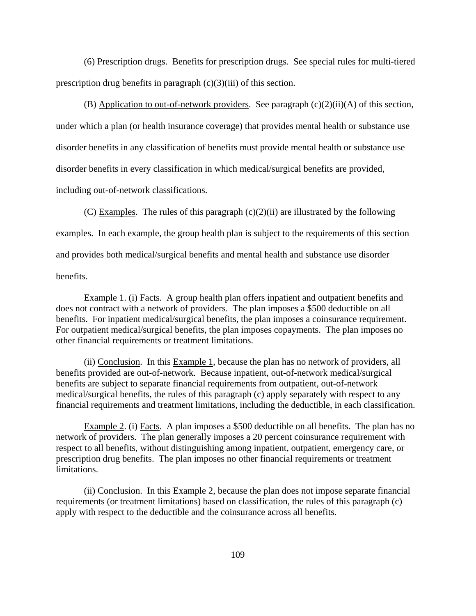(6) Prescription drugs. Benefits for prescription drugs. See special rules for multi-tiered prescription drug benefits in paragraph  $(c)(3)(iii)$  of this section.

(B) Application to out-of-network providers. See paragraph  $(c)(2)(ii)(A)$  of this section, under which a plan (or health insurance coverage) that provides mental health or substance use disorder benefits in any classification of benefits must provide mental health or substance use disorder benefits in every classification in which medical/surgical benefits are provided, including out-of-network classifications.

(C) Examples. The rules of this paragraph  $(c)(2)(ii)$  are illustrated by the following examples. In each example, the group health plan is subject to the requirements of this section and provides both medical/surgical benefits and mental health and substance use disorder benefits.

Example 1. (i) Facts. A group health plan offers inpatient and outpatient benefits and does not contract with a network of providers. The plan imposes a \$500 deductible on all benefits. For inpatient medical/surgical benefits, the plan imposes a coinsurance requirement. For outpatient medical/surgical benefits, the plan imposes copayments. The plan imposes no other financial requirements or treatment limitations.

(ii) Conclusion. In this Example 1, because the plan has no network of providers, all benefits provided are out-of-network. Because inpatient, out-of-network medical/surgical benefits are subject to separate financial requirements from outpatient, out-of-network medical/surgical benefits, the rules of this paragraph (c) apply separately with respect to any financial requirements and treatment limitations, including the deductible, in each classification.

Example 2. (i) Facts. A plan imposes a \$500 deductible on all benefits. The plan has no network of providers. The plan generally imposes a 20 percent coinsurance requirement with respect to all benefits, without distinguishing among inpatient, outpatient, emergency care, or prescription drug benefits. The plan imposes no other financial requirements or treatment limitations.

(ii) Conclusion. In this Example 2, because the plan does not impose separate financial requirements (or treatment limitations) based on classification, the rules of this paragraph (c) apply with respect to the deductible and the coinsurance across all benefits.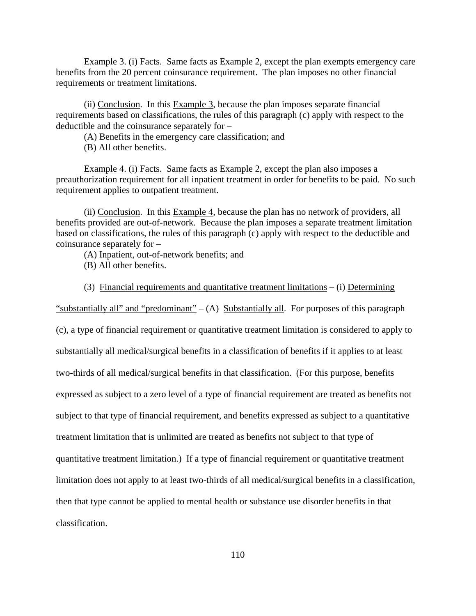Example 3. (i) Facts. Same facts as Example 2, except the plan exempts emergency care benefits from the 20 percent coinsurance requirement. The plan imposes no other financial requirements or treatment limitations.

(ii) Conclusion. In this Example 3, because the plan imposes separate financial requirements based on classifications, the rules of this paragraph (c) apply with respect to the deductible and the coinsurance separately for –

(A) Benefits in the emergency care classification; and

(B) All other benefits.

Example 4. (i) Facts. Same facts as Example 2, except the plan also imposes a preauthorization requirement for all inpatient treatment in order for benefits to be paid. No such requirement applies to outpatient treatment.

 (ii) Conclusion. In this Example 4, because the plan has no network of providers, all benefits provided are out-of-network. Because the plan imposes a separate treatment limitation based on classifications, the rules of this paragraph (c) apply with respect to the deductible and coinsurance separately for –

(A) Inpatient, out-of-network benefits; and

(B) All other benefits.

(3) Financial requirements and quantitative treatment limitations – (i) Determining

"substantially all" and "predominant" –  $(A)$  Substantially all. For purposes of this paragraph

(c), a type of financial requirement or quantitative treatment limitation is considered to apply to substantially all medical/surgical benefits in a classification of benefits if it applies to at least two-thirds of all medical/surgical benefits in that classification. (For this purpose, benefits expressed as subject to a zero level of a type of financial requirement are treated as benefits not subject to that type of financial requirement, and benefits expressed as subject to a quantitative treatment limitation that is unlimited are treated as benefits not subject to that type of quantitative treatment limitation.) If a type of financial requirement or quantitative treatment limitation does not apply to at least two-thirds of all medical/surgical benefits in a classification, then that type cannot be applied to mental health or substance use disorder benefits in that classification.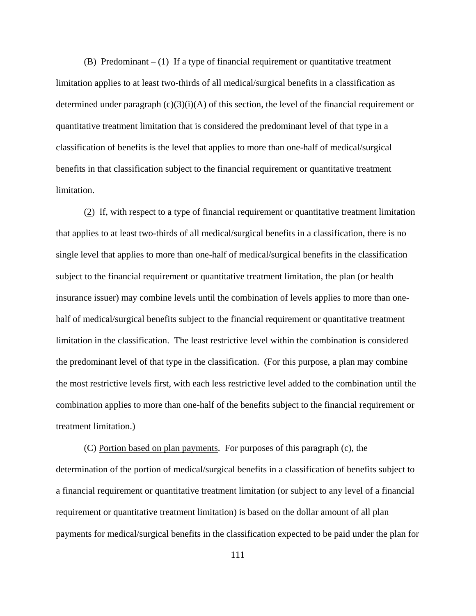(B) Predominant  $- (1)$  If a type of financial requirement or quantitative treatment limitation applies to at least two-thirds of all medical/surgical benefits in a classification as determined under paragraph  $(c)(3)(i)(A)$  of this section, the level of the financial requirement or quantitative treatment limitation that is considered the predominant level of that type in a classification of benefits is the level that applies to more than one-half of medical/surgical benefits in that classification subject to the financial requirement or quantitative treatment limitation.

(2) If, with respect to a type of financial requirement or quantitative treatment limitation that applies to at least two-thirds of all medical/surgical benefits in a classification, there is no single level that applies to more than one-half of medical/surgical benefits in the classification subject to the financial requirement or quantitative treatment limitation, the plan (or health insurance issuer) may combine levels until the combination of levels applies to more than onehalf of medical/surgical benefits subject to the financial requirement or quantitative treatment limitation in the classification. The least restrictive level within the combination is considered the predominant level of that type in the classification. (For this purpose, a plan may combine the most restrictive levels first, with each less restrictive level added to the combination until the combination applies to more than one-half of the benefits subject to the financial requirement or treatment limitation.)

(C) Portion based on plan payments. For purposes of this paragraph (c), the determination of the portion of medical/surgical benefits in a classification of benefits subject to a financial requirement or quantitative treatment limitation (or subject to any level of a financial requirement or quantitative treatment limitation) is based on the dollar amount of all plan payments for medical/surgical benefits in the classification expected to be paid under the plan for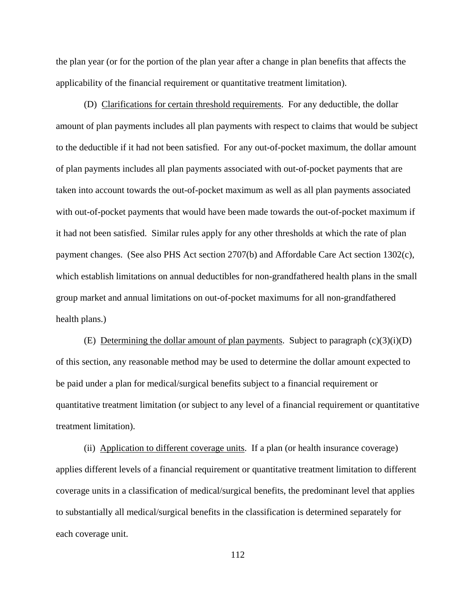the plan year (or for the portion of the plan year after a change in plan benefits that affects the applicability of the financial requirement or quantitative treatment limitation).

(D) Clarifications for certain threshold requirements. For any deductible, the dollar amount of plan payments includes all plan payments with respect to claims that would be subject to the deductible if it had not been satisfied. For any out-of-pocket maximum, the dollar amount of plan payments includes all plan payments associated with out-of-pocket payments that are taken into account towards the out-of-pocket maximum as well as all plan payments associated with out-of-pocket payments that would have been made towards the out-of-pocket maximum if it had not been satisfied. Similar rules apply for any other thresholds at which the rate of plan payment changes. (See also PHS Act section 2707(b) and Affordable Care Act section 1302(c), which establish limitations on annual deductibles for non-grandfathered health plans in the small group market and annual limitations on out-of-pocket maximums for all non-grandfathered health plans.)

(E) Determining the dollar amount of plan payments. Subject to paragraph  $(c)(3)(i)(D)$ of this section, any reasonable method may be used to determine the dollar amount expected to be paid under a plan for medical/surgical benefits subject to a financial requirement or quantitative treatment limitation (or subject to any level of a financial requirement or quantitative treatment limitation).

(ii) Application to different coverage units. If a plan (or health insurance coverage) applies different levels of a financial requirement or quantitative treatment limitation to different coverage units in a classification of medical/surgical benefits, the predominant level that applies to substantially all medical/surgical benefits in the classification is determined separately for each coverage unit.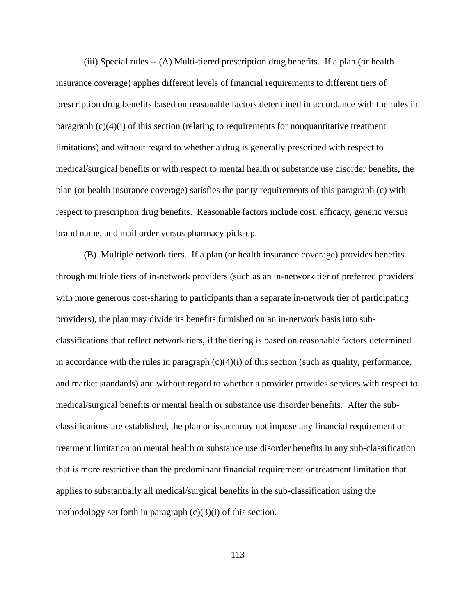(iii) Special rules  $-(A)$  Multi-tiered prescription drug benefits. If a plan (or health insurance coverage) applies different levels of financial requirements to different tiers of prescription drug benefits based on reasonable factors determined in accordance with the rules in paragraph (c)(4)(i) of this section (relating to requirements for nonquantitative treatment limitations) and without regard to whether a drug is generally prescribed with respect to medical/surgical benefits or with respect to mental health or substance use disorder benefits, the plan (or health insurance coverage) satisfies the parity requirements of this paragraph (c) with respect to prescription drug benefits. Reasonable factors include cost, efficacy, generic versus brand name, and mail order versus pharmacy pick-up.

(B) Multiple network tiers. If a plan (or health insurance coverage) provides benefits through multiple tiers of in-network providers (such as an in-network tier of preferred providers with more generous cost-sharing to participants than a separate in-network tier of participating providers), the plan may divide its benefits furnished on an in-network basis into subclassifications that reflect network tiers, if the tiering is based on reasonable factors determined in accordance with the rules in paragraph  $(c)(4)(i)$  of this section (such as quality, performance, and market standards) and without regard to whether a provider provides services with respect to medical/surgical benefits or mental health or substance use disorder benefits. After the subclassifications are established, the plan or issuer may not impose any financial requirement or treatment limitation on mental health or substance use disorder benefits in any sub-classification that is more restrictive than the predominant financial requirement or treatment limitation that applies to substantially all medical/surgical benefits in the sub-classification using the methodology set forth in paragraph  $(c)(3)(i)$  of this section.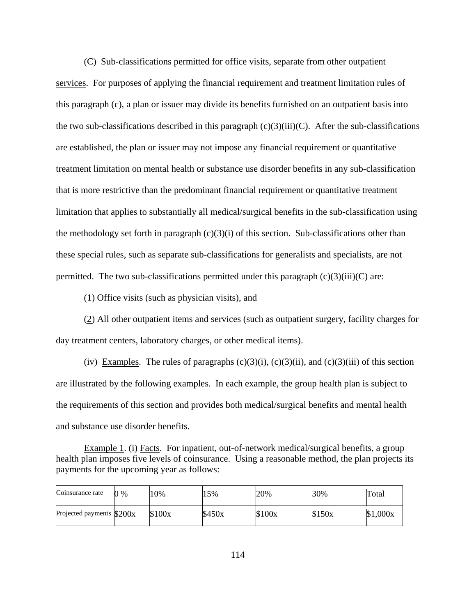(C) Sub-classifications permitted for office visits, separate from other outpatient services. For purposes of applying the financial requirement and treatment limitation rules of this paragraph (c), a plan or issuer may divide its benefits furnished on an outpatient basis into the two sub-classifications described in this paragraph  $(c)(3)(iii)(C)$ . After the sub-classifications are established, the plan or issuer may not impose any financial requirement or quantitative treatment limitation on mental health or substance use disorder benefits in any sub-classification that is more restrictive than the predominant financial requirement or quantitative treatment limitation that applies to substantially all medical/surgical benefits in the sub-classification using the methodology set forth in paragraph  $(c)(3)(i)$  of this section. Sub-classifications other than these special rules, such as separate sub-classifications for generalists and specialists, are not permitted. The two sub-classifications permitted under this paragraph  $(c)(3)(iii)(C)$  are:

(1) Office visits (such as physician visits), and

 $\overline{\phantom{a}}$ 

∽−

(2) All other outpatient items and services (such as outpatient surgery, facility charges for day treatment centers, laboratory charges, or other medical items).

(iv) Examples. The rules of paragraphs  $(c)(3)(i)$ ,  $(c)(3)(ii)$ , and  $(c)(3)(iii)$  of this section are illustrated by the following examples. In each example, the group health plan is subject to the requirements of this section and provides both medical/surgical benefits and mental health and substance use disorder benefits.

Example 1. (i) Facts. For inpatient, out-of-network medical/surgical benefits, a group health plan imposes five levels of coinsurance. Using a reasonable method, the plan projects its payments for the upcoming year as follows:

| Coinsurance rate           | $\gamma$ % | 10%    | 15%    | 20%    | 30%    | Total    |
|----------------------------|------------|--------|--------|--------|--------|----------|
| Projected payments $$200x$ |            | \$100x | \$450x | \$100x | \$150x | \$1,000x |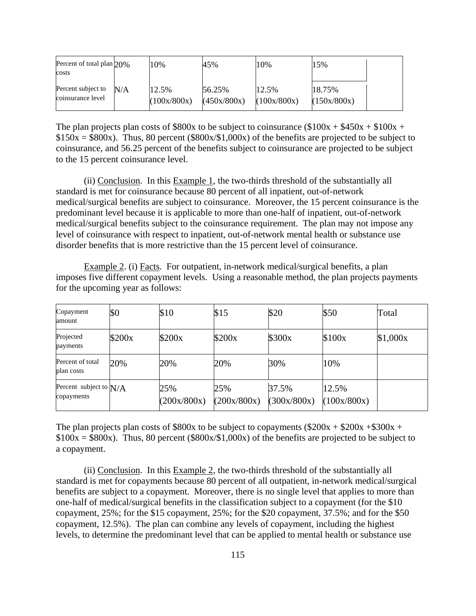| Percent of total plan 20%<br>costs      |     | 10%                  | 45%                   | 10%                  | 15%                   |  |
|-----------------------------------------|-----|----------------------|-----------------------|----------------------|-----------------------|--|
| Percent subject to<br>coinsurance level | N/A | 12.5%<br>(100x/800x) | 56.25%<br>(450x/800x) | 12.5%<br>(100x/800x) | 18.75%<br>(150x/800x) |  |

The plan projects plan costs of \$800x to be subject to coinsurance (\$100x +  $$450x + $100x +$  $$150x = $800x$ . Thus, 80 percent (\$800x/\$1,000x) of the benefits are projected to be subject to coinsurance, and 56.25 percent of the benefits subject to coinsurance are projected to be subject to the 15 percent coinsurance level.

 (ii) Conclusion. In this Example 1, the two-thirds threshold of the substantially all standard is met for coinsurance because 80 percent of all inpatient, out-of-network medical/surgical benefits are subject to coinsurance. Moreover, the 15 percent coinsurance is the predominant level because it is applicable to more than one-half of inpatient, out-of-network medical/surgical benefits subject to the coinsurance requirement. The plan may not impose any level of coinsurance with respect to inpatient, out-of-network mental health or substance use disorder benefits that is more restrictive than the 15 percent level of coinsurance.

Example 2. (i) Facts. For outpatient, in-network medical/surgical benefits, a plan imposes five different copayment levels. Using a reasonable method, the plan projects payments for the upcoming year as follows:

| Copayment<br>amount                    | \$0    | \$10               | \$15               | \$20                 | \$50                 | Total    |
|----------------------------------------|--------|--------------------|--------------------|----------------------|----------------------|----------|
| Projected<br>payments                  | \$200x | \$200x             | \$200x             | \$300x               | \$100x               | \$1,000x |
| Percent of total<br>plan costs         | 20%    | 20%                | 20%                | 30%                  | 10%                  |          |
| Percent subject to $N/A$<br>copayments |        | 25%<br>(200x/800x) | 25%<br>(200x/800x) | 37.5%<br>(300x/800x) | 12.5%<br>(100x/800x) |          |

The plan projects plan costs of \$800x to be subject to copayments (\$200x + \$200x + \$300x +  $$100x = $800x$ . Thus, 80 percent (\$800x/\$1,000x) of the benefits are projected to be subject to a copayment.

 (ii) Conclusion. In this Example 2, the two-thirds threshold of the substantially all standard is met for copayments because 80 percent of all outpatient, in-network medical/surgical benefits are subject to a copayment. Moreover, there is no single level that applies to more than one-half of medical/surgical benefits in the classification subject to a copayment (for the \$10 copayment, 25%; for the \$15 copayment, 25%; for the \$20 copayment, 37.5%; and for the \$50 copayment, 12.5%). The plan can combine any levels of copayment, including the highest levels, to determine the predominant level that can be applied to mental health or substance use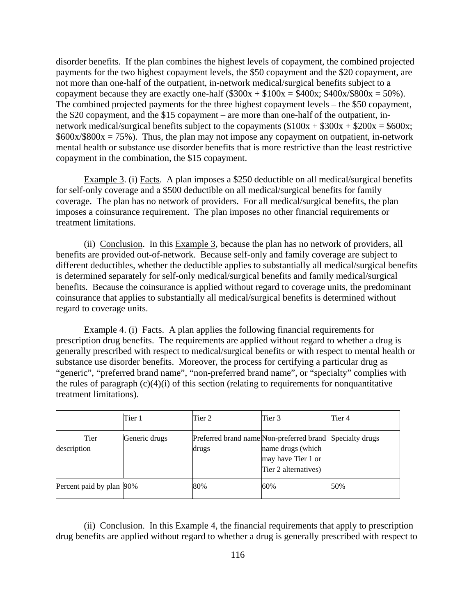disorder benefits. If the plan combines the highest levels of copayment, the combined projected payments for the two highest copayment levels, the \$50 copayment and the \$20 copayment, are not more than one-half of the outpatient, in-network medical/surgical benefits subject to a copayment because they are exactly one-half  $(\$300x + \$100x = \$400x; \$400x/\$800x = 50\%$ ). The combined projected payments for the three highest copayment levels – the \$50 copayment, the \$20 copayment, and the \$15 copayment – are more than one-half of the outpatient, innetwork medical/surgical benefits subject to the copayments  $(\$100x + \$300x + \$200x = \$600x;$  $$600x/$800x = 75\%$ . Thus, the plan may not impose any copayment on outpatient, in-network mental health or substance use disorder benefits that is more restrictive than the least restrictive copayment in the combination, the \$15 copayment.

Example 3. (i) Facts. A plan imposes a \$250 deductible on all medical/surgical benefits for self-only coverage and a \$500 deductible on all medical/surgical benefits for family coverage. The plan has no network of providers. For all medical/surgical benefits, the plan imposes a coinsurance requirement. The plan imposes no other financial requirements or treatment limitations.

(ii) Conclusion. In this Example 3, because the plan has no network of providers, all benefits are provided out-of-network. Because self-only and family coverage are subject to different deductibles, whether the deductible applies to substantially all medical/surgical benefits is determined separately for self-only medical/surgical benefits and family medical/surgical benefits. Because the coinsurance is applied without regard to coverage units, the predominant coinsurance that applies to substantially all medical/surgical benefits is determined without regard to coverage units.

Example 4. (i) Facts. A plan applies the following financial requirements for prescription drug benefits. The requirements are applied without regard to whether a drug is generally prescribed with respect to medical/surgical benefits or with respect to mental health or substance use disorder benefits. Moreover, the process for certifying a particular drug as "generic", "preferred brand name", "non-preferred brand name", or "specialty" complies with the rules of paragraph  $(c)(4)(i)$  of this section (relating to requirements for nonquantitative treatment limitations).

|                          | Tier 1        | Tier 2                                                            | Tier 3                                                          | Tier 4 |
|--------------------------|---------------|-------------------------------------------------------------------|-----------------------------------------------------------------|--------|
| Tier<br>description      | Generic drugs | Preferred brand name Non-preferred brand Specialty drugs<br>drugs | name drugs (which<br>may have Tier 1 or<br>Tier 2 alternatives) |        |
| Percent paid by plan 90% |               | 80%                                                               | 60%                                                             | 50%    |

(ii) Conclusion. In this  $Example 4$ , the financial requirements that apply to prescription drug benefits are applied without regard to whether a drug is generally prescribed with respect to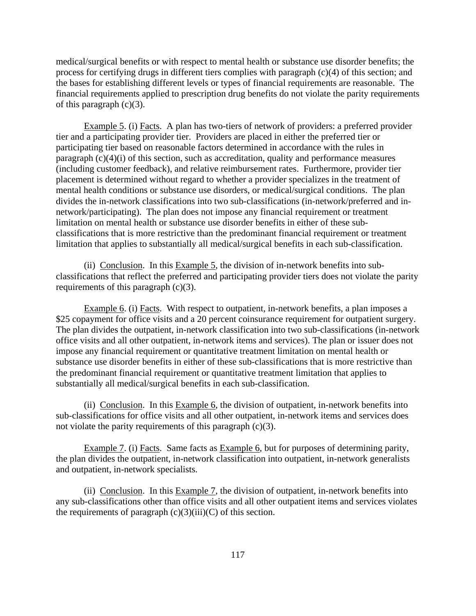medical/surgical benefits or with respect to mental health or substance use disorder benefits; the process for certifying drugs in different tiers complies with paragraph (c)(4) of this section; and the bases for establishing different levels or types of financial requirements are reasonable. The financial requirements applied to prescription drug benefits do not violate the parity requirements of this paragraph  $(c)(3)$ .

Example 5. (i) Facts. A plan has two-tiers of network of providers: a preferred provider tier and a participating provider tier. Providers are placed in either the preferred tier or participating tier based on reasonable factors determined in accordance with the rules in paragraph  $(c)(4)(i)$  of this section, such as accreditation, quality and performance measures (including customer feedback), and relative reimbursement rates. Furthermore, provider tier placement is determined without regard to whether a provider specializes in the treatment of mental health conditions or substance use disorders, or medical/surgical conditions. The plan divides the in-network classifications into two sub-classifications (in-network/preferred and innetwork/participating). The plan does not impose any financial requirement or treatment limitation on mental health or substance use disorder benefits in either of these subclassifications that is more restrictive than the predominant financial requirement or treatment limitation that applies to substantially all medical/surgical benefits in each sub-classification.

(ii) Conclusion. In this Example 5, the division of in-network benefits into subclassifications that reflect the preferred and participating provider tiers does not violate the parity requirements of this paragraph (c)(3).

Example 6. (i) Facts. With respect to outpatient, in-network benefits, a plan imposes a \$25 copayment for office visits and a 20 percent coinsurance requirement for outpatient surgery. The plan divides the outpatient, in-network classification into two sub-classifications (in-network office visits and all other outpatient, in-network items and services). The plan or issuer does not impose any financial requirement or quantitative treatment limitation on mental health or substance use disorder benefits in either of these sub-classifications that is more restrictive than the predominant financial requirement or quantitative treatment limitation that applies to substantially all medical/surgical benefits in each sub-classification.

(ii) Conclusion. In this Example 6, the division of outpatient, in-network benefits into sub-classifications for office visits and all other outpatient, in-network items and services does not violate the parity requirements of this paragraph (c)(3).

Example 7. (i) Facts. Same facts as Example 6, but for purposes of determining parity, the plan divides the outpatient, in-network classification into outpatient, in-network generalists and outpatient, in-network specialists.

(ii) Conclusion. In this  $Example 7$ , the division of outpatient, in-network benefits into any sub-classifications other than office visits and all other outpatient items and services violates the requirements of paragraph  $(c)(3)(iii)(C)$  of this section.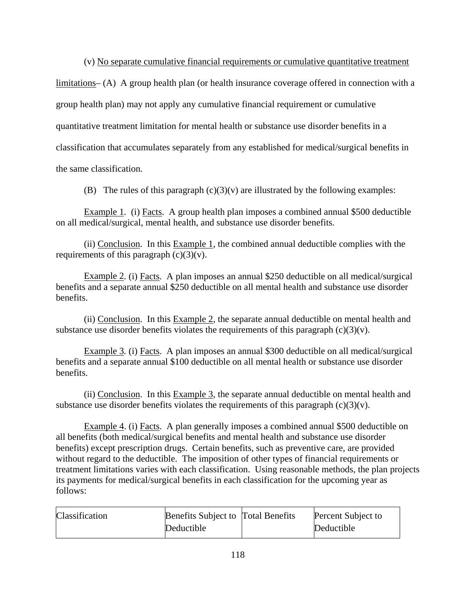(v) No separate cumulative financial requirements or cumulative quantitative treatment

limitations– (A) A group health plan (or health insurance coverage offered in connection with a group health plan) may not apply any cumulative financial requirement or cumulative quantitative treatment limitation for mental health or substance use disorder benefits in a classification that accumulates separately from any established for medical/surgical benefits in the same classification.

(B)The rules of this paragraph (c)(3)(v) are illustrated by the following examples:

Example 1*.* (i) Facts. A group health plan imposes a combined annual \$500 deductible on all medical/surgical, mental health, and substance use disorder benefits.

(ii) Conclusion. In this Example 1, the combined annual deductible complies with the requirements of this paragraph  $(c)(3)(v)$ .

Example 2*.* (i) Facts. A plan imposes an annual \$250 deductible on all medical/surgical benefits and a separate annual \$250 deductible on all mental health and substance use disorder benefits.

(ii) Conclusion. In this Example 2, the separate annual deductible on mental health and substance use disorder benefits violates the requirements of this paragraph  $(c)(3)(v)$ .

Example 3*.* (i) Facts. A plan imposes an annual \$300 deductible on all medical/surgical benefits and a separate annual \$100 deductible on all mental health or substance use disorder benefits.

(ii) Conclusion. In this Example 3, the separate annual deductible on mental health and substance use disorder benefits violates the requirements of this paragraph  $(c)(3)(v)$ .

Example 4. (i) Facts. A plan generally imposes a combined annual \$500 deductible on all benefits (both medical/surgical benefits and mental health and substance use disorder benefits) except prescription drugs. Certain benefits, such as preventive care, are provided without regard to the deductible. The imposition of other types of financial requirements or treatment limitations varies with each classification. Using reasonable methods, the plan projects its payments for medical/surgical benefits in each classification for the upcoming year as follows:

| Classification | <b>Benefits Subject to Total Benefits</b> | Percent Subject to |
|----------------|-------------------------------------------|--------------------|
|                | Deductible                                | Deductible         |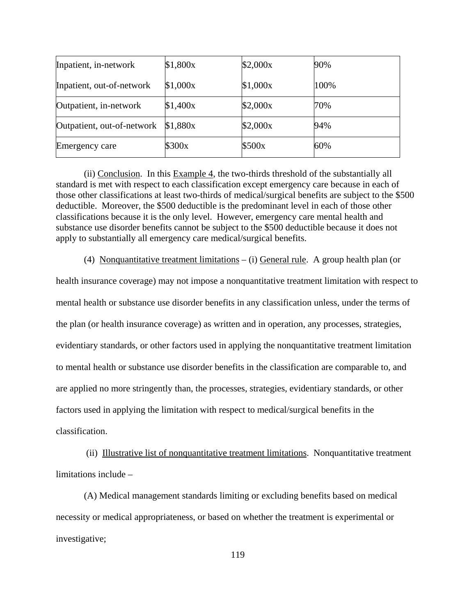| Inpatient, in-network      | \$1,800x | \$2,000x | 90%  |
|----------------------------|----------|----------|------|
| Inpatient, out-of-network  | \$1,000x | \$1,000x | 100% |
| Outpatient, in-network     | \$1,400x | \$2,000x | 70%  |
| Outpatient, out-of-network | \$1,880x | \$2,000x | 94%  |
| <b>Emergency care</b>      | \$300x   | \$500x   | 60%  |

(ii) Conclusion. In this Example 4, the two-thirds threshold of the substantially all standard is met with respect to each classification except emergency care because in each of those other classifications at least two-thirds of medical/surgical benefits are subject to the \$500 deductible. Moreover, the \$500 deductible is the predominant level in each of those other classifications because it is the only level. However, emergency care mental health and substance use disorder benefits cannot be subject to the \$500 deductible because it does not apply to substantially all emergency care medical/surgical benefits.

(4) Nonquantitative treatment limitations – (i) General rule. A group health plan (or

health insurance coverage) may not impose a nonquantitative treatment limitation with respect to mental health or substance use disorder benefits in any classification unless, under the terms of the plan (or health insurance coverage) as written and in operation, any processes, strategies, evidentiary standards, or other factors used in applying the nonquantitative treatment limitation to mental health or substance use disorder benefits in the classification are comparable to, and are applied no more stringently than, the processes, strategies, evidentiary standards, or other factors used in applying the limitation with respect to medical/surgical benefits in the classification.

 (ii) Illustrative list of nonquantitative treatment limitations. Nonquantitative treatment limitations include –

(A) Medical management standards limiting or excluding benefits based on medical necessity or medical appropriateness, or based on whether the treatment is experimental or investigative;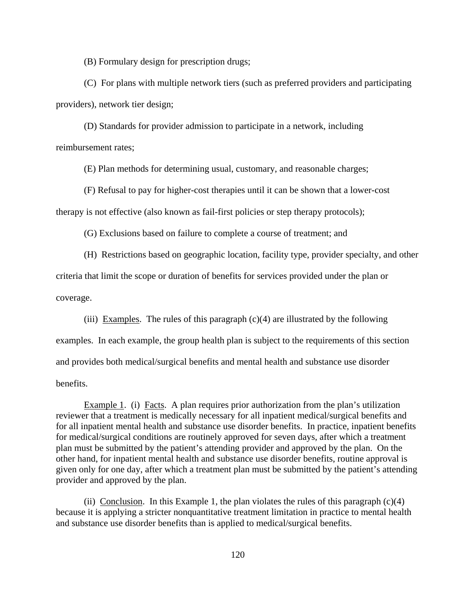(B) Formulary design for prescription drugs;

(C) For plans with multiple network tiers (such as preferred providers and participating providers), network tier design;

(D) Standards for provider admission to participate in a network, including reimbursement rates;

(E) Plan methods for determining usual, customary, and reasonable charges;

(F) Refusal to pay for higher-cost therapies until it can be shown that a lower-cost therapy is not effective (also known as fail-first policies or step therapy protocols);

(G) Exclusions based on failure to complete a course of treatment; and

(H) Restrictions based on geographic location, facility type, provider specialty, and other criteria that limit the scope or duration of benefits for services provided under the plan or coverage.

(iii) Examples. The rules of this paragraph  $(c)(4)$  are illustrated by the following examples. In each example, the group health plan is subject to the requirements of this section and provides both medical/surgical benefits and mental health and substance use disorder benefits.

Example 1. (i) Facts. A plan requires prior authorization from the plan's utilization reviewer that a treatment is medically necessary for all inpatient medical/surgical benefits and for all inpatient mental health and substance use disorder benefits. In practice, inpatient benefits for medical/surgical conditions are routinely approved for seven days, after which a treatment plan must be submitted by the patient's attending provider and approved by the plan. On the other hand, for inpatient mental health and substance use disorder benefits, routine approval is given only for one day, after which a treatment plan must be submitted by the patient's attending provider and approved by the plan.

(ii) Conclusion. In this Example 1, the plan violates the rules of this paragraph  $(c)(4)$ because it is applying a stricter nonquantitative treatment limitation in practice to mental health and substance use disorder benefits than is applied to medical/surgical benefits.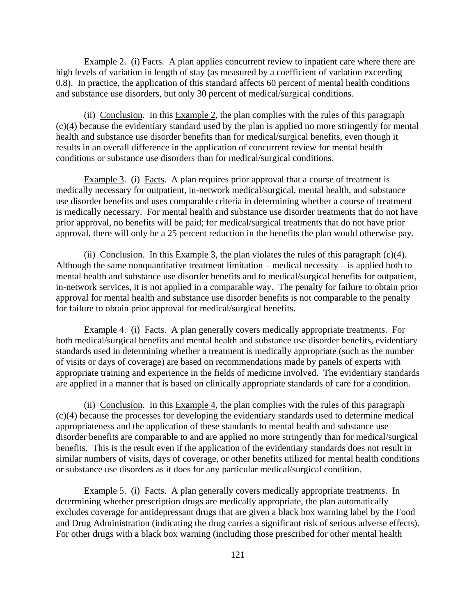Example 2. (i) Facts. A plan applies concurrent review to inpatient care where there are high levels of variation in length of stay (as measured by a coefficient of variation exceeding 0.8). In practice, the application of this standard affects 60 percent of mental health conditions and substance use disorders, but only 30 percent of medical/surgical conditions.

(ii) Conclusion. In this Example 2, the plan complies with the rules of this paragraph (c)(4) because the evidentiary standard used by the plan is applied no more stringently for mental health and substance use disorder benefits than for medical/surgical benefits, even though it results in an overall difference in the application of concurrent review for mental health conditions or substance use disorders than for medical/surgical conditions.

Example 3. (i) Facts. A plan requires prior approval that a course of treatment is medically necessary for outpatient, in-network medical/surgical, mental health, and substance use disorder benefits and uses comparable criteria in determining whether a course of treatment is medically necessary. For mental health and substance use disorder treatments that do not have prior approval, no benefits will be paid; for medical/surgical treatments that do not have prior approval, there will only be a 25 percent reduction in the benefits the plan would otherwise pay.

(ii) Conclusion. In this Example 3, the plan violates the rules of this paragraph  $(c)(4)$ . Although the same nonquantitative treatment limitation – medical necessity – is applied both to mental health and substance use disorder benefits and to medical/surgical benefits for outpatient, in-network services, it is not applied in a comparable way. The penalty for failure to obtain prior approval for mental health and substance use disorder benefits is not comparable to the penalty for failure to obtain prior approval for medical/surgical benefits.

Example 4. (i) Facts. A plan generally covers medically appropriate treatments. For both medical/surgical benefits and mental health and substance use disorder benefits, evidentiary standards used in determining whether a treatment is medically appropriate (such as the number of visits or days of coverage) are based on recommendations made by panels of experts with appropriate training and experience in the fields of medicine involved. The evidentiary standards are applied in a manner that is based on clinically appropriate standards of care for a condition.

(ii) Conclusion. In this Example 4, the plan complies with the rules of this paragraph (c)(4) because the processes for developing the evidentiary standards used to determine medical appropriateness and the application of these standards to mental health and substance use disorder benefits are comparable to and are applied no more stringently than for medical/surgical benefits. This is the result even if the application of the evidentiary standards does not result in similar numbers of visits, days of coverage, or other benefits utilized for mental health conditions or substance use disorders as it does for any particular medical/surgical condition.

Example 5. (i) Facts. A plan generally covers medically appropriate treatments. In determining whether prescription drugs are medically appropriate, the plan automatically excludes coverage for antidepressant drugs that are given a black box warning label by the Food and Drug Administration (indicating the drug carries a significant risk of serious adverse effects). For other drugs with a black box warning (including those prescribed for other mental health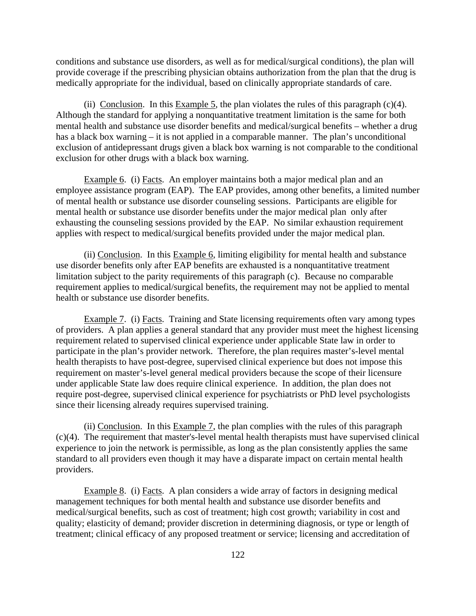conditions and substance use disorders, as well as for medical/surgical conditions), the plan will provide coverage if the prescribing physician obtains authorization from the plan that the drug is medically appropriate for the individual, based on clinically appropriate standards of care.

(ii) Conclusion. In this Example 5, the plan violates the rules of this paragraph  $(c)(4)$ . Although the standard for applying a nonquantitative treatment limitation is the same for both mental health and substance use disorder benefits and medical/surgical benefits – whether a drug has a black box warning – it is not applied in a comparable manner. The plan's unconditional exclusion of antidepressant drugs given a black box warning is not comparable to the conditional exclusion for other drugs with a black box warning.

Example 6. (i) Facts. An employer maintains both a major medical plan and an employee assistance program (EAP). The EAP provides, among other benefits, a limited number of mental health or substance use disorder counseling sessions. Participants are eligible for mental health or substance use disorder benefits under the major medical plan only after exhausting the counseling sessions provided by the EAP. No similar exhaustion requirement applies with respect to medical/surgical benefits provided under the major medical plan.

(ii) Conclusion. In this Example 6, limiting eligibility for mental health and substance use disorder benefits only after EAP benefits are exhausted is a nonquantitative treatment limitation subject to the parity requirements of this paragraph (c). Because no comparable requirement applies to medical/surgical benefits, the requirement may not be applied to mental health or substance use disorder benefits.

Example 7. (i) Facts. Training and State licensing requirements often vary among types of providers. A plan applies a general standard that any provider must meet the highest licensing requirement related to supervised clinical experience under applicable State law in order to participate in the plan's provider network. Therefore, the plan requires master's-level mental health therapists to have post-degree, supervised clinical experience but does not impose this requirement on master's-level general medical providers because the scope of their licensure under applicable State law does require clinical experience. In addition, the plan does not require post-degree, supervised clinical experience for psychiatrists or PhD level psychologists since their licensing already requires supervised training.

(ii) Conclusion. In this Example 7, the plan complies with the rules of this paragraph (c)(4). The requirement that master's-level mental health therapists must have supervised clinical experience to join the network is permissible, as long as the plan consistently applies the same standard to all providers even though it may have a disparate impact on certain mental health providers.

Example 8. (i) Facts. A plan considers a wide array of factors in designing medical management techniques for both mental health and substance use disorder benefits and medical/surgical benefits, such as cost of treatment; high cost growth; variability in cost and quality; elasticity of demand; provider discretion in determining diagnosis, or type or length of treatment; clinical efficacy of any proposed treatment or service; licensing and accreditation of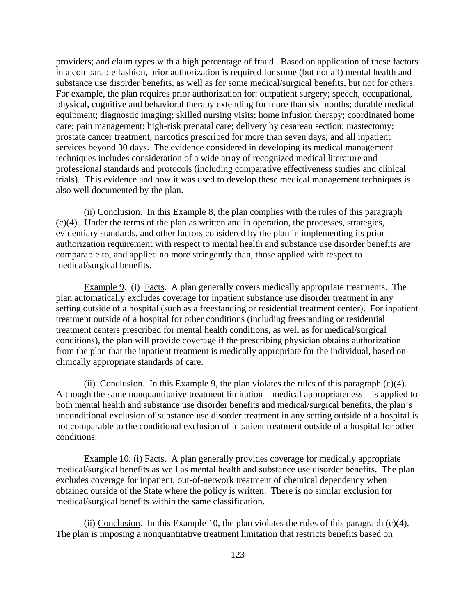providers; and claim types with a high percentage of fraud. Based on application of these factors in a comparable fashion, prior authorization is required for some (but not all) mental health and substance use disorder benefits, as well as for some medical/surgical benefits, but not for others. For example, the plan requires prior authorization for: outpatient surgery; speech, occupational, physical, cognitive and behavioral therapy extending for more than six months; durable medical equipment; diagnostic imaging; skilled nursing visits; home infusion therapy; coordinated home care; pain management; high-risk prenatal care; delivery by cesarean section; mastectomy; prostate cancer treatment; narcotics prescribed for more than seven days; and all inpatient services beyond 30 days. The evidence considered in developing its medical management techniques includes consideration of a wide array of recognized medical literature and professional standards and protocols (including comparative effectiveness studies and clinical trials). This evidence and how it was used to develop these medical management techniques is also well documented by the plan.

(ii) Conclusion. In this Example 8, the plan complies with the rules of this paragraph (c)(4). Under the terms of the plan as written and in operation, the processes, strategies, evidentiary standards, and other factors considered by the plan in implementing its prior authorization requirement with respect to mental health and substance use disorder benefits are comparable to, and applied no more stringently than, those applied with respect to medical/surgical benefits.

Example 9. (i) Facts. A plan generally covers medically appropriate treatments. The plan automatically excludes coverage for inpatient substance use disorder treatment in any setting outside of a hospital (such as a freestanding or residential treatment center). For inpatient treatment outside of a hospital for other conditions (including freestanding or residential treatment centers prescribed for mental health conditions, as well as for medical/surgical conditions), the plan will provide coverage if the prescribing physician obtains authorization from the plan that the inpatient treatment is medically appropriate for the individual, based on clinically appropriate standards of care.

(ii) Conclusion. In this Example 9, the plan violates the rules of this paragraph  $(c)(4)$ . Although the same nonquantitative treatment limitation – medical appropriateness – is applied to both mental health and substance use disorder benefits and medical/surgical benefits, the plan's unconditional exclusion of substance use disorder treatment in any setting outside of a hospital is not comparable to the conditional exclusion of inpatient treatment outside of a hospital for other conditions.

Example 10. (i) Facts. A plan generally provides coverage for medically appropriate medical/surgical benefits as well as mental health and substance use disorder benefits. The plan excludes coverage for inpatient, out-of-network treatment of chemical dependency when obtained outside of the State where the policy is written. There is no similar exclusion for medical/surgical benefits within the same classification.

(ii) Conclusion. In this Example 10, the plan violates the rules of this paragraph  $(c)(4)$ . The plan is imposing a nonquantitative treatment limitation that restricts benefits based on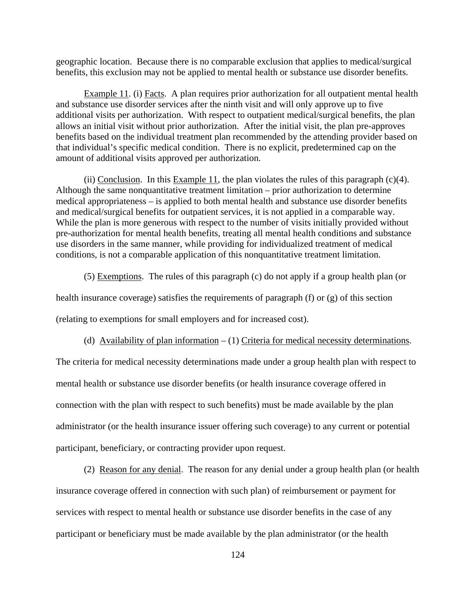geographic location. Because there is no comparable exclusion that applies to medical/surgical benefits, this exclusion may not be applied to mental health or substance use disorder benefits.

Example 11. (i) Facts. A plan requires prior authorization for all outpatient mental health and substance use disorder services after the ninth visit and will only approve up to five additional visits per authorization. With respect to outpatient medical/surgical benefits, the plan allows an initial visit without prior authorization. After the initial visit, the plan pre-approves benefits based on the individual treatment plan recommended by the attending provider based on that individual's specific medical condition. There is no explicit, predetermined cap on the amount of additional visits approved per authorization.

(ii) Conclusion. In this Example 11, the plan violates the rules of this paragraph (c)(4). Although the same nonquantitative treatment limitation – prior authorization to determine medical appropriateness – is applied to both mental health and substance use disorder benefits and medical/surgical benefits for outpatient services, it is not applied in a comparable way. While the plan is more generous with respect to the number of visits initially provided without pre-authorization for mental health benefits, treating all mental health conditions and substance use disorders in the same manner, while providing for individualized treatment of medical conditions, is not a comparable application of this nonquantitative treatment limitation.

(5) Exemptions. The rules of this paragraph (c) do not apply if a group health plan (or

health insurance coverage) satisfies the requirements of paragraph (f) or (g) of this section

(relating to exemptions for small employers and for increased cost).

(d) Availability of plan information  $- (1)$  Criteria for medical necessity determinations.

The criteria for medical necessity determinations made under a group health plan with respect to mental health or substance use disorder benefits (or health insurance coverage offered in connection with the plan with respect to such benefits) must be made available by the plan administrator (or the health insurance issuer offering such coverage) to any current or potential participant, beneficiary, or contracting provider upon request.

(2) Reason for any denial. The reason for any denial under a group health plan (or health insurance coverage offered in connection with such plan) of reimbursement or payment for services with respect to mental health or substance use disorder benefits in the case of any participant or beneficiary must be made available by the plan administrator (or the health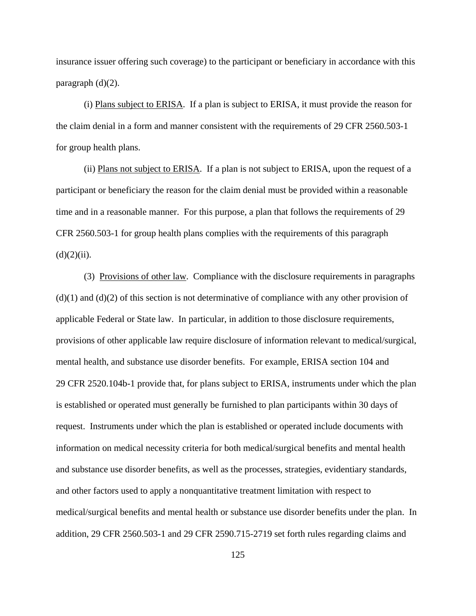insurance issuer offering such coverage) to the participant or beneficiary in accordance with this paragraph (d)(2).

(i) Plans subject to ERISA. If a plan is subject to ERISA, it must provide the reason for the claim denial in a form and manner consistent with the requirements of 29 CFR 2560.503-1 for group health plans.

(ii) Plans not subject to ERISA. If a plan is not subject to ERISA, upon the request of a participant or beneficiary the reason for the claim denial must be provided within a reasonable time and in a reasonable manner. For this purpose, a plan that follows the requirements of 29 CFR 2560.503-1 for group health plans complies with the requirements of this paragraph  $(d)(2)(ii)$ .

 (3) Provisions of other law. Compliance with the disclosure requirements in paragraphs  $(d)(1)$  and  $(d)(2)$  of this section is not determinative of compliance with any other provision of applicable Federal or State law. In particular, in addition to those disclosure requirements, provisions of other applicable law require disclosure of information relevant to medical/surgical, mental health, and substance use disorder benefits. For example, ERISA section 104 and 29 CFR 2520.104b-1 provide that, for plans subject to ERISA, instruments under which the plan is established or operated must generally be furnished to plan participants within 30 days of request. Instruments under which the plan is established or operated include documents with information on medical necessity criteria for both medical/surgical benefits and mental health and substance use disorder benefits, as well as the processes, strategies, evidentiary standards, and other factors used to apply a nonquantitative treatment limitation with respect to medical/surgical benefits and mental health or substance use disorder benefits under the plan. In addition, 29 CFR 2560.503-1 and 29 CFR 2590.715-2719 set forth rules regarding claims and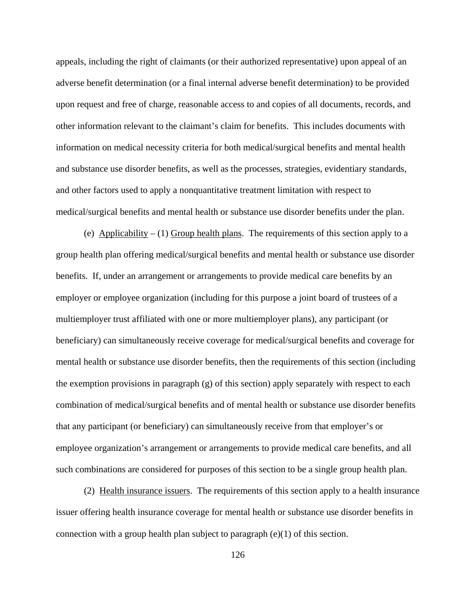appeals, including the right of claimants (or their authorized representative) upon appeal of an adverse benefit determination (or a final internal adverse benefit determination) to be provided upon request and free of charge, reasonable access to and copies of all documents, records, and other information relevant to the claimant's claim for benefits. This includes documents with information on medical necessity criteria for both medical/surgical benefits and mental health and substance use disorder benefits, as well as the processes, strategies, evidentiary standards, and other factors used to apply a nonquantitative treatment limitation with respect to medical/surgical benefits and mental health or substance use disorder benefits under the plan.

(e) Applicability  $- (1)$  Group health plans. The requirements of this section apply to a group health plan offering medical/surgical benefits and mental health or substance use disorder benefits. If, under an arrangement or arrangements to provide medical care benefits by an employer or employee organization (including for this purpose a joint board of trustees of a multiemployer trust affiliated with one or more multiemployer plans), any participant (or beneficiary) can simultaneously receive coverage for medical/surgical benefits and coverage for mental health or substance use disorder benefits, then the requirements of this section (including the exemption provisions in paragraph  $(g)$  of this section) apply separately with respect to each combination of medical/surgical benefits and of mental health or substance use disorder benefits that any participant (or beneficiary) can simultaneously receive from that employer's or employee organization's arrangement or arrangements to provide medical care benefits, and all such combinations are considered for purposes of this section to be a single group health plan.

 (2) Health insurance issuers. The requirements of this section apply to a health insurance issuer offering health insurance coverage for mental health or substance use disorder benefits in connection with a group health plan subject to paragraph  $(e)(1)$  of this section.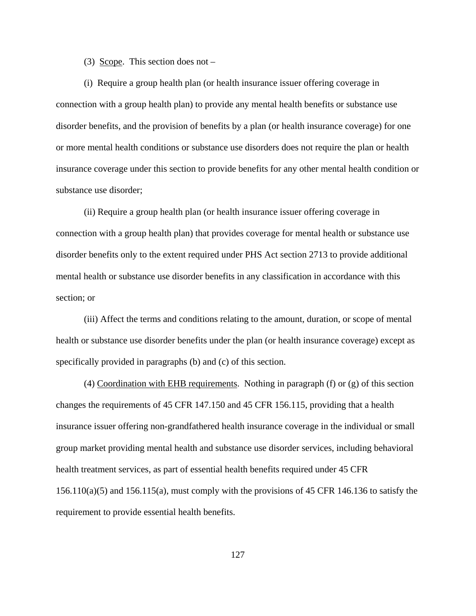(3) Scope. This section does not –

(i) Require a group health plan (or health insurance issuer offering coverage in connection with a group health plan) to provide any mental health benefits or substance use disorder benefits, and the provision of benefits by a plan (or health insurance coverage) for one or more mental health conditions or substance use disorders does not require the plan or health insurance coverage under this section to provide benefits for any other mental health condition or substance use disorder;

(ii) Require a group health plan (or health insurance issuer offering coverage in connection with a group health plan) that provides coverage for mental health or substance use disorder benefits only to the extent required under PHS Act section 2713 to provide additional mental health or substance use disorder benefits in any classification in accordance with this section; or

 (iii) Affect the terms and conditions relating to the amount, duration, or scope of mental health or substance use disorder benefits under the plan (or health insurance coverage) except as specifically provided in paragraphs (b) and (c) of this section.

 (4) Coordination with EHB requirements. Nothing in paragraph (f) or (g) of this section changes the requirements of 45 CFR 147.150 and 45 CFR 156.115, providing that a health insurance issuer offering non-grandfathered health insurance coverage in the individual or small group market providing mental health and substance use disorder services, including behavioral health treatment services, as part of essential health benefits required under 45 CFR 156.110(a)(5) and 156.115(a), must comply with the provisions of 45 CFR 146.136 to satisfy the requirement to provide essential health benefits.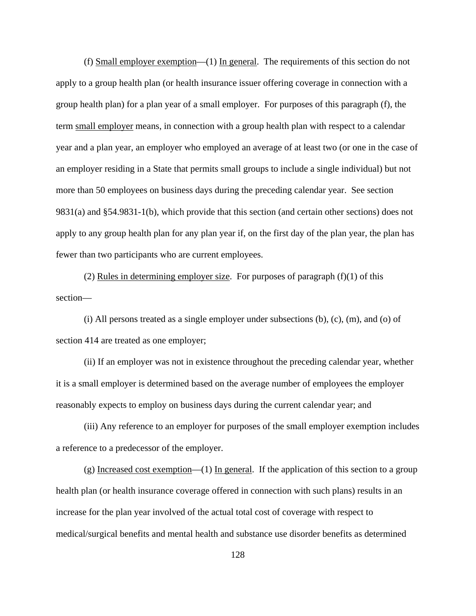(f) Small employer exemption—(1) In general.The requirements of this section do not apply to a group health plan (or health insurance issuer offering coverage in connection with a group health plan) for a plan year of a small employer. For purposes of this paragraph (f), the term small employer means, in connection with a group health plan with respect to a calendar year and a plan year, an employer who employed an average of at least two (or one in the case of an employer residing in a State that permits small groups to include a single individual) but not more than 50 employees on business days during the preceding calendar year. See section 9831(a) and §54.9831-1(b), which provide that this section (and certain other sections) does not apply to any group health plan for any plan year if, on the first day of the plan year, the plan has fewer than two participants who are current employees.

(2) Rules in determining employer size. For purposes of paragraph  $(f)(1)$  of this section—

(i) All persons treated as a single employer under subsections (b), (c), (m), and (o) of section 414 are treated as one employer;

(ii) If an employer was not in existence throughout the preceding calendar year, whether it is a small employer is determined based on the average number of employees the employer reasonably expects to employ on business days during the current calendar year; and

(iii) Any reference to an employer for purposes of the small employer exemption includes a reference to a predecessor of the employer.

 $(g)$  Increased cost exemption—(1) In general. If the application of this section to a group health plan (or health insurance coverage offered in connection with such plans) results in an increase for the plan year involved of the actual total cost of coverage with respect to medical/surgical benefits and mental health and substance use disorder benefits as determined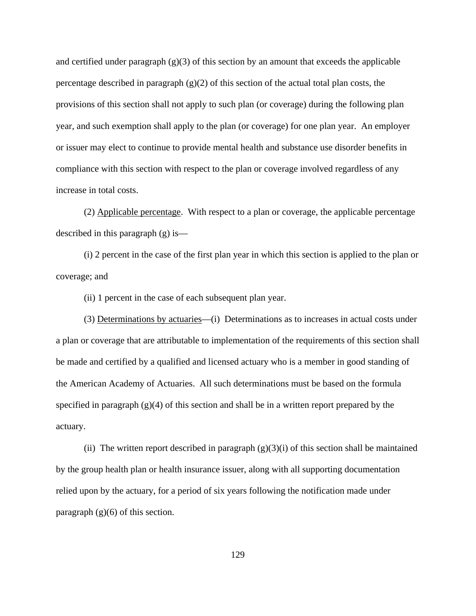and certified under paragraph  $(g)(3)$  of this section by an amount that exceeds the applicable percentage described in paragraph  $(g)(2)$  of this section of the actual total plan costs, the provisions of this section shall not apply to such plan (or coverage) during the following plan year, and such exemption shall apply to the plan (or coverage) for one plan year. An employer or issuer may elect to continue to provide mental health and substance use disorder benefits in compliance with this section with respect to the plan or coverage involved regardless of any increase in total costs.

(2) Applicable percentage. With respect to a plan or coverage, the applicable percentage described in this paragraph (g) is—

(i) 2 percent in the case of the first plan year in which this section is applied to the plan or coverage; and

(ii) 1 percent in the case of each subsequent plan year.

(3) Determinations by actuaries—(i) Determinations as to increases in actual costs under a plan or coverage that are attributable to implementation of the requirements of this section shall be made and certified by a qualified and licensed actuary who is a member in good standing of the American Academy of Actuaries. All such determinations must be based on the formula specified in paragraph  $(g)(4)$  of this section and shall be in a written report prepared by the actuary.

(ii) The written report described in paragraph  $(g)(3)(i)$  of this section shall be maintained by the group health plan or health insurance issuer, along with all supporting documentation relied upon by the actuary, for a period of six years following the notification made under paragraph  $(g)(6)$  of this section.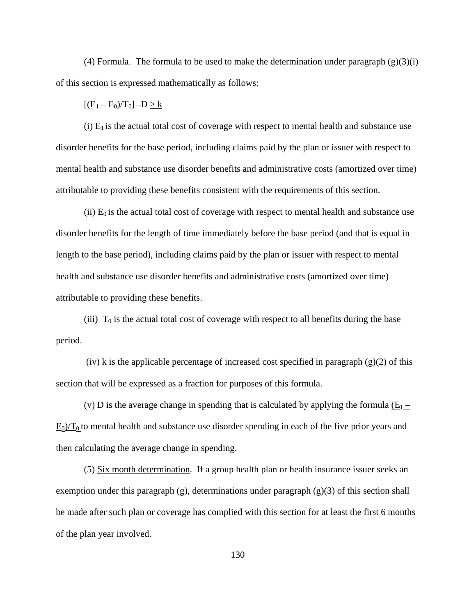(4) Formula. The formula to be used to make the determination under paragraph  $(g)(3)(i)$ of this section is expressed mathematically as follows:

 $[(E_1 - E_0)/T_0] - D > k$ 

(i)  $E_1$  is the actual total cost of coverage with respect to mental health and substance use disorder benefits for the base period, including claims paid by the plan or issuer with respect to mental health and substance use disorder benefits and administrative costs (amortized over time) attributable to providing these benefits consistent with the requirements of this section.

(ii)  $E_0$  is the actual total cost of coverage with respect to mental health and substance use disorder benefits for the length of time immediately before the base period (and that is equal in length to the base period), including claims paid by the plan or issuer with respect to mental health and substance use disorder benefits and administrative costs (amortized over time) attributable to providing these benefits.

(iii)  $T_0$  is the actual total cost of coverage with respect to all benefits during the base period.

(iv) k is the applicable percentage of increased cost specified in paragraph  $(g)(2)$  of this section that will be expressed as a fraction for purposes of this formula.

(v) D is the average change in spending that is calculated by applying the formula  $(E_1 E_0$ / $T_0$  to mental health and substance use disorder spending in each of the five prior years and then calculating the average change in spending.

(5) Six month determination. If a group health plan or health insurance issuer seeks an exemption under this paragraph  $(g)$ , determinations under paragraph  $(g)(3)$  of this section shall be made after such plan or coverage has complied with this section for at least the first 6 months of the plan year involved.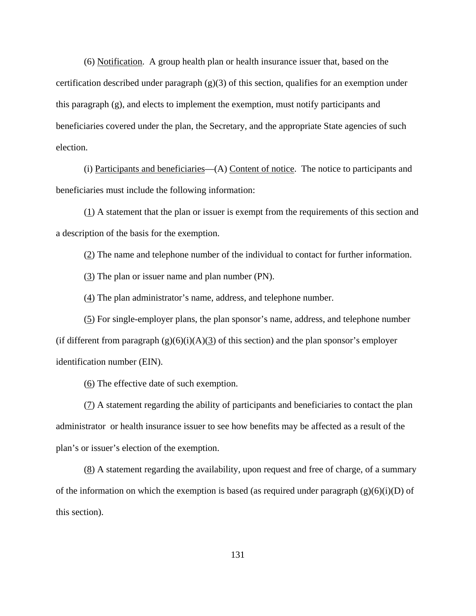(6) Notification. A group health plan or health insurance issuer that, based on the certification described under paragraph  $(g)(3)$  of this section, qualifies for an exemption under this paragraph (g), and elects to implement the exemption, must notify participants and beneficiaries covered under the plan, the Secretary, and the appropriate State agencies of such election.

(i) Participants and beneficiaries—(A) Content of notice. The notice to participants and beneficiaries must include the following information:

(1) A statement that the plan or issuer is exempt from the requirements of this section and a description of the basis for the exemption.

(2) The name and telephone number of the individual to contact for further information.

(3) The plan or issuer name and plan number (PN).

(4) The plan administrator's name, address, and telephone number.

(5) For single-employer plans, the plan sponsor's name, address, and telephone number (if different from paragraph  $(g)(6)(i)(A)(3)$  of this section) and the plan sponsor's employer identification number (EIN).

(6) The effective date of such exemption.

(7) A statement regarding the ability of participants and beneficiaries to contact the plan administrator or health insurance issuer to see how benefits may be affected as a result of the plan's or issuer's election of the exemption.

(8) A statement regarding the availability, upon request and free of charge, of a summary of the information on which the exemption is based (as required under paragraph  $(g)(6)(i)(D)$  of this section).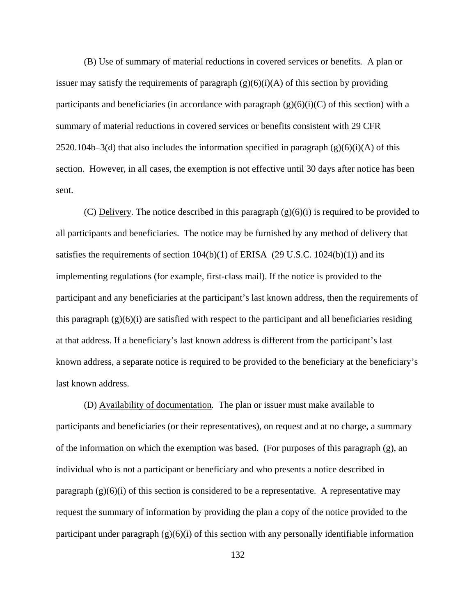(B) Use of summary of material reductions in covered services or benefits*.* A plan or issuer may satisfy the requirements of paragraph  $(g)(6)(i)(A)$  of this section by providing participants and beneficiaries (in accordance with paragraph  $(g)(6)(i)(C)$  of this section) with a summary of material reductions in covered services or benefits consistent with 29 CFR 2520.104b–3(d) that also includes the information specified in paragraph  $(g)(6)(i)(A)$  of this section. However, in all cases, the exemption is not effective until 30 days after notice has been sent.

(C) Delivery*.* The notice described in this paragraph (g)(6)(i) is required to be provided to all participants and beneficiaries. The notice may be furnished by any method of delivery that satisfies the requirements of section  $104(b)(1)$  of ERISA (29 U.S.C.  $1024(b)(1)$ ) and its implementing regulations (for example, first-class mail). If the notice is provided to the participant and any beneficiaries at the participant's last known address, then the requirements of this paragraph  $(g)(6)(i)$  are satisfied with respect to the participant and all beneficiaries residing at that address. If a beneficiary's last known address is different from the participant's last known address, a separate notice is required to be provided to the beneficiary at the beneficiary's last known address.

(D) Availability of documentation*.* The plan or issuer must make available to participants and beneficiaries (or their representatives), on request and at no charge, a summary of the information on which the exemption was based. (For purposes of this paragraph (g), an individual who is not a participant or beneficiary and who presents a notice described in paragraph  $(g)(6)(i)$  of this section is considered to be a representative. A representative may request the summary of information by providing the plan a copy of the notice provided to the participant under paragraph  $(g)(6)(i)$  of this section with any personally identifiable information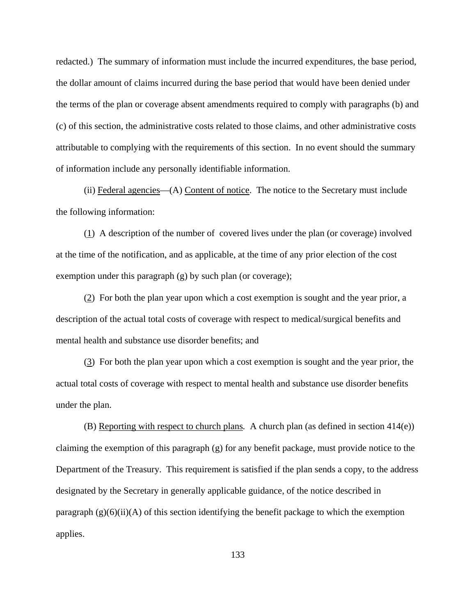redacted.) The summary of information must include the incurred expenditures, the base period, the dollar amount of claims incurred during the base period that would have been denied under the terms of the plan or coverage absent amendments required to comply with paragraphs (b) and (c) of this section, the administrative costs related to those claims, and other administrative costs attributable to complying with the requirements of this section. In no event should the summary of information include any personally identifiable information.

(ii) Federal agencies—(A) Content of notice. The notice to the Secretary must include the following information:

(1) A description of the number of covered lives under the plan (or coverage) involved at the time of the notification, and as applicable, at the time of any prior election of the cost exemption under this paragraph (g) by such plan (or coverage);

(2) For both the plan year upon which a cost exemption is sought and the year prior, a description of the actual total costs of coverage with respect to medical/surgical benefits and mental health and substance use disorder benefits; and

(3) For both the plan year upon which a cost exemption is sought and the year prior, the actual total costs of coverage with respect to mental health and substance use disorder benefits under the plan.

(B) Reporting with respect to church plans*.* A church plan (as defined in section 414(e)) claiming the exemption of this paragraph (g) for any benefit package, must provide notice to the Department of the Treasury. This requirement is satisfied if the plan sends a copy, to the address designated by the Secretary in generally applicable guidance, of the notice described in paragraph  $(g)(6)(ii)(A)$  of this section identifying the benefit package to which the exemption applies.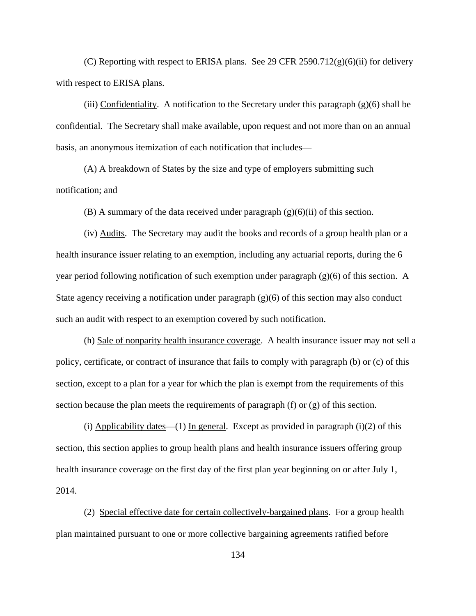(C) Reporting with respect to ERISA plans*.* See 29 CFR 2590.712(g)(6)(ii) for delivery with respect to ERISA plans.

(iii) Confidentiality. A notification to the Secretary under this paragraph  $(g)(6)$  shall be confidential. The Secretary shall make available, upon request and not more than on an annual basis, an anonymous itemization of each notification that includes—

(A) A breakdown of States by the size and type of employers submitting such notification; and

(B) A summary of the data received under paragraph  $(g)(6)(ii)$  of this section.

(iv) Audits. The Secretary may audit the books and records of a group health plan or a health insurance issuer relating to an exemption, including any actuarial reports, during the 6 year period following notification of such exemption under paragraph  $(g)(6)$  of this section. A State agency receiving a notification under paragraph  $(g)(6)$  of this section may also conduct such an audit with respect to an exemption covered by such notification.

(h) Sale of nonparity health insurance coverage. A health insurance issuer may not sell a policy, certificate, or contract of insurance that fails to comply with paragraph (b) or (c) of this section, except to a plan for a year for which the plan is exempt from the requirements of this section because the plan meets the requirements of paragraph  $(f)$  or  $(g)$  of this section.

(i) Applicability dates—(1) In general. Except as provided in paragraph  $(i)(2)$  of this section, this section applies to group health plans and health insurance issuers offering group health insurance coverage on the first day of the first plan year beginning on or after July 1, 2014.

(2) Special effective date for certain collectively-bargained plans. For a group health plan maintained pursuant to one or more collective bargaining agreements ratified before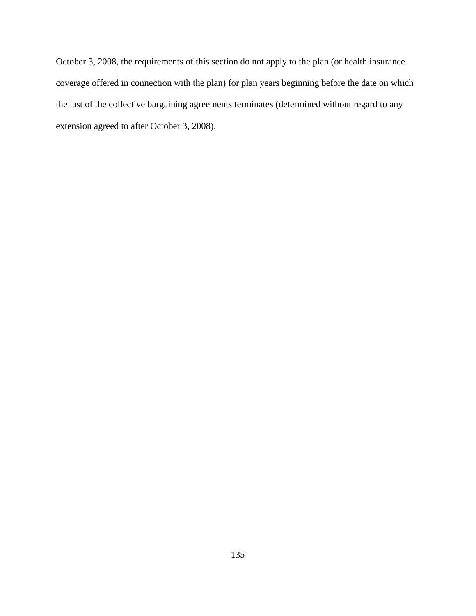October 3, 2008, the requirements of this section do not apply to the plan (or health insurance coverage offered in connection with the plan) for plan years beginning before the date on which the last of the collective bargaining agreements terminates (determined without regard to any extension agreed to after October 3, 2008).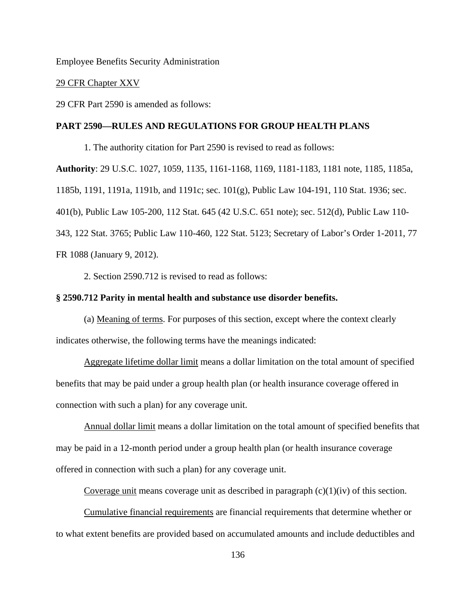Employee Benefits Security Administration

## 29 CFR Chapter XXV

29 CFR Part 2590 is amended as follows:

## **PART 2590—RULES AND REGULATIONS FOR GROUP HEALTH PLANS**

1. The authority citation for Part 2590 is revised to read as follows: **Authority**: 29 U.S.C. 1027, 1059, 1135, 1161-1168, 1169, 1181-1183, 1181 note, 1185, 1185a, 1185b, 1191, 1191a, 1191b, and 1191c; sec. 101(g), Public Law 104-191, 110 Stat. 1936; sec. 401(b), Public Law 105-200, 112 Stat. 645 (42 U.S.C. 651 note); sec. 512(d), Public Law 110- 343, 122 Stat. 3765; Public Law 110-460, 122 Stat. 5123; Secretary of Labor's Order 1-2011, 77

FR 1088 (January 9, 2012).

2. Section 2590.712 is revised to read as follows:

## **§ 2590.712 Parity in mental health and substance use disorder benefits.**

(a) Meaning of terms. For purposes of this section, except where the context clearly indicates otherwise, the following terms have the meanings indicated:

Aggregate lifetime dollar limit means a dollar limitation on the total amount of specified benefits that may be paid under a group health plan (or health insurance coverage offered in connection with such a plan) for any coverage unit.

Annual dollar limit means a dollar limitation on the total amount of specified benefits that may be paid in a 12-month period under a group health plan (or health insurance coverage offered in connection with such a plan) for any coverage unit.

Coverage unit means coverage unit as described in paragraph  $(c)(1)(iv)$  of this section.

Cumulative financial requirements are financial requirements that determine whether or to what extent benefits are provided based on accumulated amounts and include deductibles and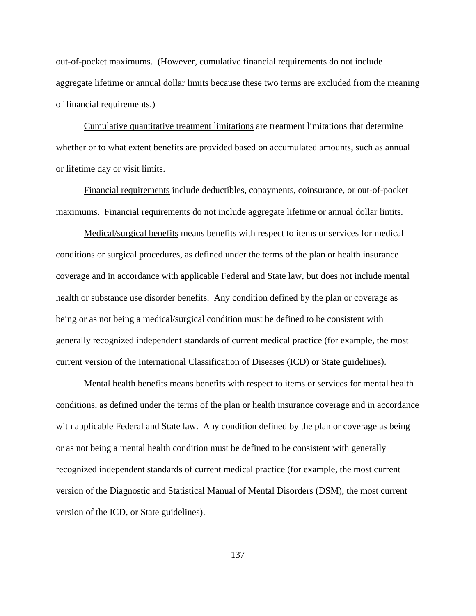out-of-pocket maximums. (However, cumulative financial requirements do not include aggregate lifetime or annual dollar limits because these two terms are excluded from the meaning of financial requirements.)

Cumulative quantitative treatment limitations are treatment limitations that determine whether or to what extent benefits are provided based on accumulated amounts, such as annual or lifetime day or visit limits.

Financial requirements include deductibles, copayments, coinsurance, or out-of-pocket maximums. Financial requirements do not include aggregate lifetime or annual dollar limits.

Medical/surgical benefits means benefits with respect to items or services for medical conditions or surgical procedures, as defined under the terms of the plan or health insurance coverage and in accordance with applicable Federal and State law, but does not include mental health or substance use disorder benefits. Any condition defined by the plan or coverage as being or as not being a medical/surgical condition must be defined to be consistent with generally recognized independent standards of current medical practice (for example, the most current version of the International Classification of Diseases (ICD) or State guidelines).

Mental health benefits means benefits with respect to items or services for mental health conditions, as defined under the terms of the plan or health insurance coverage and in accordance with applicable Federal and State law. Any condition defined by the plan or coverage as being or as not being a mental health condition must be defined to be consistent with generally recognized independent standards of current medical practice (for example, the most current version of the Diagnostic and Statistical Manual of Mental Disorders (DSM), the most current version of the ICD, or State guidelines).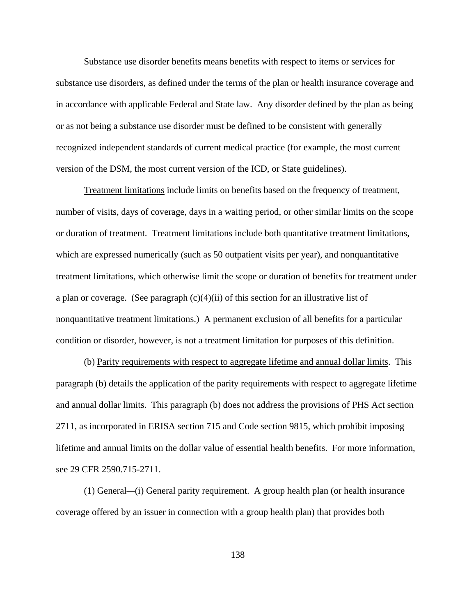Substance use disorder benefits means benefits with respect to items or services for substance use disorders, as defined under the terms of the plan or health insurance coverage and in accordance with applicable Federal and State law. Any disorder defined by the plan as being or as not being a substance use disorder must be defined to be consistent with generally recognized independent standards of current medical practice (for example, the most current version of the DSM, the most current version of the ICD, or State guidelines).

Treatment limitations include limits on benefits based on the frequency of treatment, number of visits, days of coverage, days in a waiting period, or other similar limits on the scope or duration of treatment. Treatment limitations include both quantitative treatment limitations, which are expressed numerically (such as 50 outpatient visits per year), and nonquantitative treatment limitations, which otherwise limit the scope or duration of benefits for treatment under a plan or coverage. (See paragraph  $(c)(4)(ii)$  of this section for an illustrative list of nonquantitative treatment limitations.) A permanent exclusion of all benefits for a particular condition or disorder, however, is not a treatment limitation for purposes of this definition.

(b) Parity requirements with respect to aggregate lifetime and annual dollar limits. This paragraph (b) details the application of the parity requirements with respect to aggregate lifetime and annual dollar limits. This paragraph (b) does not address the provisions of PHS Act section 2711, as incorporated in ERISA section 715 and Code section 9815, which prohibit imposing lifetime and annual limits on the dollar value of essential health benefits. For more information, see 29 CFR 2590.715-2711.

(1) General*—*(i) General parity requirement.A group health plan (or health insurance coverage offered by an issuer in connection with a group health plan) that provides both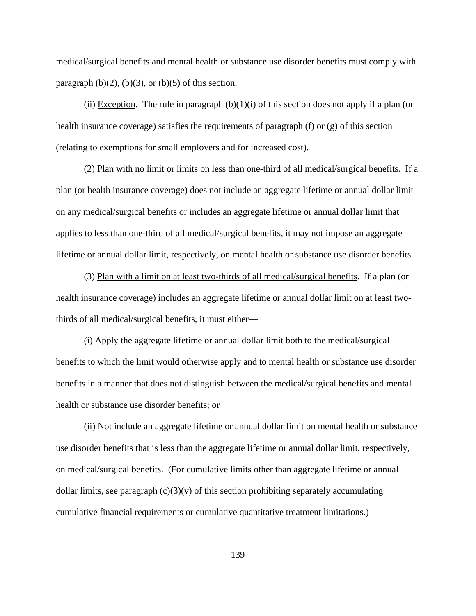medical/surgical benefits and mental health or substance use disorder benefits must comply with paragraph  $(b)(2)$ ,  $(b)(3)$ , or  $(b)(5)$  of this section.

(ii) Exception. The rule in paragraph  $(b)(1)(i)$  of this section does not apply if a plan (or health insurance coverage) satisfies the requirements of paragraph (f) or (g) of this section (relating to exemptions for small employers and for increased cost).

(2) Plan with no limit or limits on less than one-third of all medical/surgical benefits.If a plan (or health insurance coverage) does not include an aggregate lifetime or annual dollar limit on any medical/surgical benefits or includes an aggregate lifetime or annual dollar limit that applies to less than one-third of all medical/surgical benefits, it may not impose an aggregate lifetime or annual dollar limit, respectively, on mental health or substance use disorder benefits.

(3) Plan with a limit on at least two-thirds of all medical/surgical benefits.If a plan (or health insurance coverage) includes an aggregate lifetime or annual dollar limit on at least twothirds of all medical/surgical benefits, it must either—

(i) Apply the aggregate lifetime or annual dollar limit both to the medical/surgical benefits to which the limit would otherwise apply and to mental health or substance use disorder benefits in a manner that does not distinguish between the medical/surgical benefits and mental health or substance use disorder benefits; or

(ii) Not include an aggregate lifetime or annual dollar limit on mental health or substance use disorder benefits that is less than the aggregate lifetime or annual dollar limit, respectively, on medical/surgical benefits. (For cumulative limits other than aggregate lifetime or annual dollar limits, see paragraph  $(c)(3)(v)$  of this section prohibiting separately accumulating cumulative financial requirements or cumulative quantitative treatment limitations.)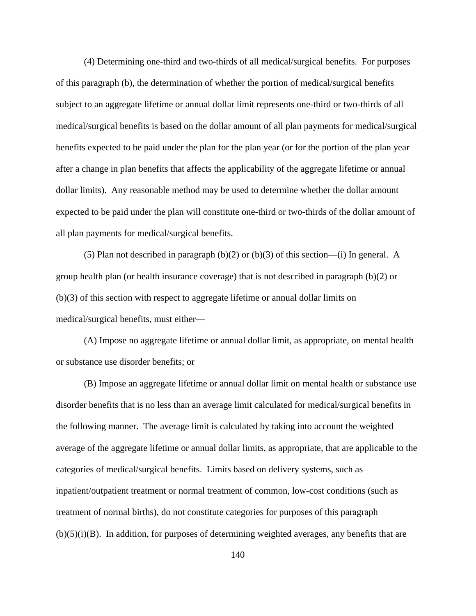(4) Determining one-third and two-thirds of all medical/surgical benefits. For purposes of this paragraph (b), the determination of whether the portion of medical/surgical benefits subject to an aggregate lifetime or annual dollar limit represents one-third or two-thirds of all medical/surgical benefits is based on the dollar amount of all plan payments for medical/surgical benefits expected to be paid under the plan for the plan year (or for the portion of the plan year after a change in plan benefits that affects the applicability of the aggregate lifetime or annual dollar limits). Any reasonable method may be used to determine whether the dollar amount expected to be paid under the plan will constitute one-third or two-thirds of the dollar amount of all plan payments for medical/surgical benefits.

(5) Plan not described in paragraph (b)(2) or (b)(3) of this section—(i) In general.A group health plan (or health insurance coverage) that is not described in paragraph (b)(2) or (b)(3) of this section with respect to aggregate lifetime or annual dollar limits on medical/surgical benefits, must either—

(A) Impose no aggregate lifetime or annual dollar limit, as appropriate, on mental health or substance use disorder benefits; or

(B) Impose an aggregate lifetime or annual dollar limit on mental health or substance use disorder benefits that is no less than an average limit calculated for medical/surgical benefits in the following manner. The average limit is calculated by taking into account the weighted average of the aggregate lifetime or annual dollar limits, as appropriate, that are applicable to the categories of medical/surgical benefits. Limits based on delivery systems, such as inpatient/outpatient treatment or normal treatment of common, low-cost conditions (such as treatment of normal births), do not constitute categories for purposes of this paragraph  $(b)(5)(i)(B)$ . In addition, for purposes of determining weighted averages, any benefits that are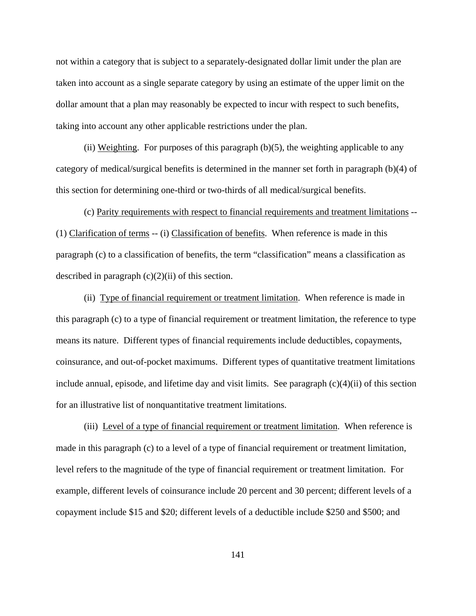not within a category that is subject to a separately-designated dollar limit under the plan are taken into account as a single separate category by using an estimate of the upper limit on the dollar amount that a plan may reasonably be expected to incur with respect to such benefits, taking into account any other applicable restrictions under the plan.

(ii) Weighting.For purposes of this paragraph (b)(5), the weighting applicable to any category of medical/surgical benefits is determined in the manner set forth in paragraph (b)(4) of this section for determining one-third or two-thirds of all medical/surgical benefits.

 (c) Parity requirements with respect to financial requirements and treatment limitations -- (1) Clarification of terms -- (i) Classification of benefits. When reference is made in this paragraph (c) to a classification of benefits, the term "classification" means a classification as described in paragraph  $(c)(2)(ii)$  of this section.

(ii) Type of financial requirement or treatment limitation. When reference is made in this paragraph (c) to a type of financial requirement or treatment limitation, the reference to type means its nature. Different types of financial requirements include deductibles, copayments, coinsurance, and out-of-pocket maximums. Different types of quantitative treatment limitations include annual, episode, and lifetime day and visit limits. See paragraph  $(c)(4)(ii)$  of this section for an illustrative list of nonquantitative treatment limitations.

(iii) Level of a type of financial requirement or treatment limitation. When reference is made in this paragraph (c) to a level of a type of financial requirement or treatment limitation, level refers to the magnitude of the type of financial requirement or treatment limitation. For example, different levels of coinsurance include 20 percent and 30 percent; different levels of a copayment include \$15 and \$20; different levels of a deductible include \$250 and \$500; and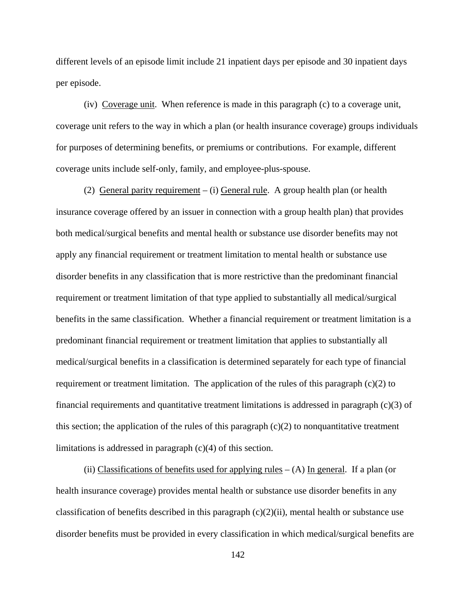different levels of an episode limit include 21 inpatient days per episode and 30 inpatient days per episode.

(iv) Coverage unit. When reference is made in this paragraph (c) to a coverage unit, coverage unit refers to the way in which a plan (or health insurance coverage) groups individuals for purposes of determining benefits, or premiums or contributions. For example, different coverage units include self-only, family, and employee-plus-spouse.

(2) General parity requirement – (i) General rule. A group health plan (or health insurance coverage offered by an issuer in connection with a group health plan) that provides both medical/surgical benefits and mental health or substance use disorder benefits may not apply any financial requirement or treatment limitation to mental health or substance use disorder benefits in any classification that is more restrictive than the predominant financial requirement or treatment limitation of that type applied to substantially all medical/surgical benefits in the same classification. Whether a financial requirement or treatment limitation is a predominant financial requirement or treatment limitation that applies to substantially all medical/surgical benefits in a classification is determined separately for each type of financial requirement or treatment limitation. The application of the rules of this paragraph  $(c)(2)$  to financial requirements and quantitative treatment limitations is addressed in paragraph (c)(3) of this section; the application of the rules of this paragraph  $(c)(2)$  to nonquantitative treatment limitations is addressed in paragraph (c)(4) of this section.

(ii) Classifications of benefits used for applying rules  $-$  (A) In general. If a plan (or health insurance coverage) provides mental health or substance use disorder benefits in any classification of benefits described in this paragraph  $(c)(2)(ii)$ , mental health or substance use disorder benefits must be provided in every classification in which medical/surgical benefits are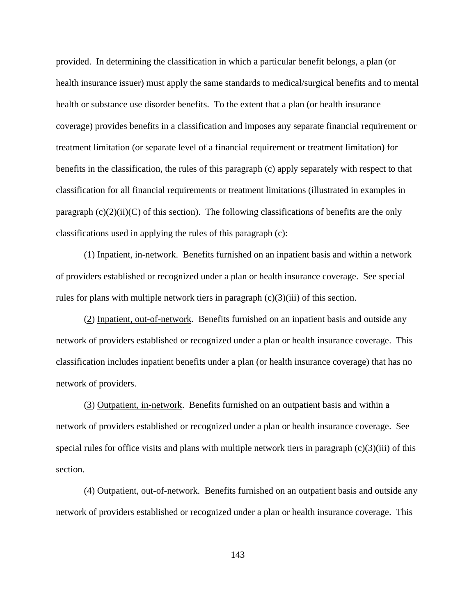provided. In determining the classification in which a particular benefit belongs, a plan (or health insurance issuer) must apply the same standards to medical/surgical benefits and to mental health or substance use disorder benefits. To the extent that a plan (or health insurance coverage) provides benefits in a classification and imposes any separate financial requirement or treatment limitation (or separate level of a financial requirement or treatment limitation) for benefits in the classification, the rules of this paragraph (c) apply separately with respect to that classification for all financial requirements or treatment limitations (illustrated in examples in paragraph  $(c)(2)(ii)(C)$  of this section). The following classifications of benefits are the only classifications used in applying the rules of this paragraph (c):

(1) Inpatient, in-network. Benefits furnished on an inpatient basis and within a network of providers established or recognized under a plan or health insurance coverage. See special rules for plans with multiple network tiers in paragraph  $(c)(3)(iii)$  of this section.

(2) Inpatient, out-of-network. Benefits furnished on an inpatient basis and outside any network of providers established or recognized under a plan or health insurance coverage. This classification includes inpatient benefits under a plan (or health insurance coverage) that has no network of providers.

(3) Outpatient, in-network. Benefits furnished on an outpatient basis and within a network of providers established or recognized under a plan or health insurance coverage. See special rules for office visits and plans with multiple network tiers in paragraph  $(c)(3)(iii)$  of this section.

(4) Outpatient, out-of-network. Benefits furnished on an outpatient basis and outside any network of providers established or recognized under a plan or health insurance coverage. This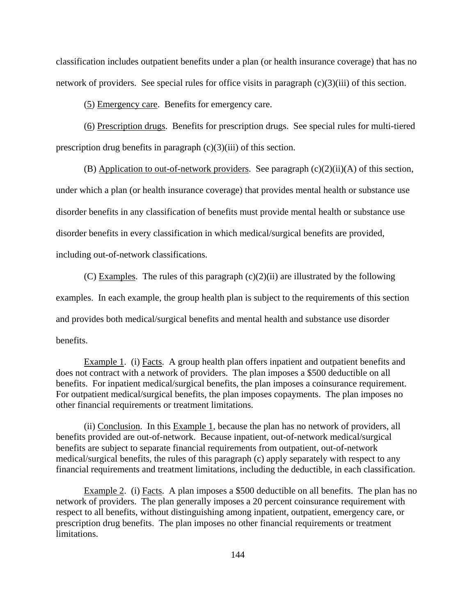classification includes outpatient benefits under a plan (or health insurance coverage) that has no network of providers. See special rules for office visits in paragraph  $(c)(3)(iii)$  of this section.

(5) Emergency care. Benefits for emergency care.

(6) Prescription drugs. Benefits for prescription drugs. See special rules for multi-tiered prescription drug benefits in paragraph (c)(3)(iii) of this section.

(B) Application to out-of-network providers. See paragraph  $(c)(2)(ii)(A)$  of this section, under which a plan (or health insurance coverage) that provides mental health or substance use disorder benefits in any classification of benefits must provide mental health or substance use disorder benefits in every classification in which medical/surgical benefits are provided, including out-of-network classifications.

(C) Examples. The rules of this paragraph  $(c)(2)(ii)$  are illustrated by the following examples. In each example, the group health plan is subject to the requirements of this section and provides both medical/surgical benefits and mental health and substance use disorder benefits.

Example 1. (i) Facts. A group health plan offers inpatient and outpatient benefits and does not contract with a network of providers. The plan imposes a \$500 deductible on all benefits. For inpatient medical/surgical benefits, the plan imposes a coinsurance requirement. For outpatient medical/surgical benefits, the plan imposes copayments. The plan imposes no other financial requirements or treatment limitations.

(ii) Conclusion. In this Example 1, because the plan has no network of providers, all benefits provided are out-of-network. Because inpatient, out-of-network medical/surgical benefits are subject to separate financial requirements from outpatient, out-of-network medical/surgical benefits, the rules of this paragraph (c) apply separately with respect to any financial requirements and treatment limitations, including the deductible, in each classification.

Example 2. (i) Facts. A plan imposes a \$500 deductible on all benefits. The plan has no network of providers. The plan generally imposes a 20 percent coinsurance requirement with respect to all benefits, without distinguishing among inpatient, outpatient, emergency care, or prescription drug benefits. The plan imposes no other financial requirements or treatment limitations.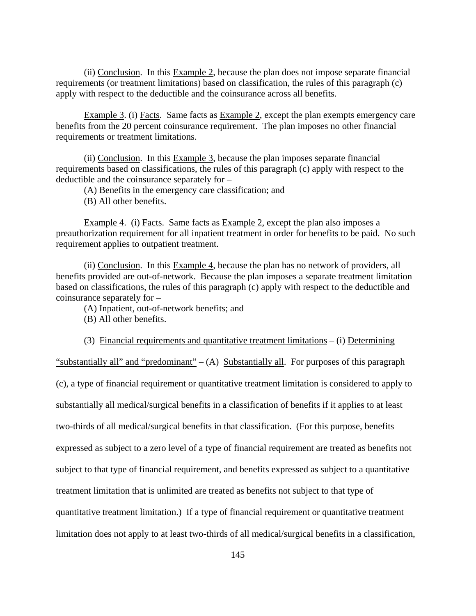(ii) Conclusion. In this Example 2, because the plan does not impose separate financial requirements (or treatment limitations) based on classification, the rules of this paragraph (c) apply with respect to the deductible and the coinsurance across all benefits.

Example 3. (i) Facts. Same facts as Example 2, except the plan exempts emergency care benefits from the 20 percent coinsurance requirement. The plan imposes no other financial requirements or treatment limitations.

(ii) Conclusion. In this Example 3, because the plan imposes separate financial requirements based on classifications, the rules of this paragraph (c) apply with respect to the deductible and the coinsurance separately for –

(A) Benefits in the emergency care classification; and

(B) All other benefits.

Example 4. (i) Facts. Same facts as Example 2, except the plan also imposes a preauthorization requirement for all inpatient treatment in order for benefits to be paid. No such requirement applies to outpatient treatment.

 (ii) Conclusion. In this Example 4, because the plan has no network of providers, all benefits provided are out-of-network. Because the plan imposes a separate treatment limitation based on classifications, the rules of this paragraph (c) apply with respect to the deductible and coinsurance separately for –

(A) Inpatient, out-of-network benefits; and

(B) All other benefits.

(3) Financial requirements and quantitative treatment limitations – (i) Determining

"substantially all" and "predominant" –  $(A)$  Substantially all. For purposes of this paragraph (c), a type of financial requirement or quantitative treatment limitation is considered to apply to substantially all medical/surgical benefits in a classification of benefits if it applies to at least two-thirds of all medical/surgical benefits in that classification. (For this purpose, benefits expressed as subject to a zero level of a type of financial requirement are treated as benefits not subject to that type of financial requirement, and benefits expressed as subject to a quantitative treatment limitation that is unlimited are treated as benefits not subject to that type of quantitative treatment limitation.) If a type of financial requirement or quantitative treatment limitation does not apply to at least two-thirds of all medical/surgical benefits in a classification,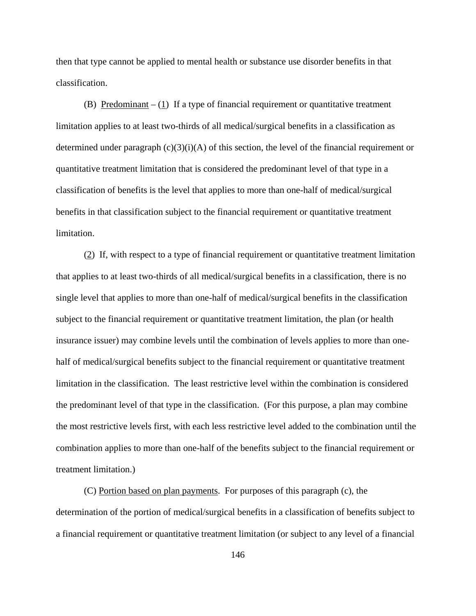then that type cannot be applied to mental health or substance use disorder benefits in that classification.

(B) Predominant  $- (1)$  If a type of financial requirement or quantitative treatment limitation applies to at least two-thirds of all medical/surgical benefits in a classification as determined under paragraph  $(c)(3)(i)(A)$  of this section, the level of the financial requirement or quantitative treatment limitation that is considered the predominant level of that type in a classification of benefits is the level that applies to more than one-half of medical/surgical benefits in that classification subject to the financial requirement or quantitative treatment limitation.

(2) If, with respect to a type of financial requirement or quantitative treatment limitation that applies to at least two-thirds of all medical/surgical benefits in a classification, there is no single level that applies to more than one-half of medical/surgical benefits in the classification subject to the financial requirement or quantitative treatment limitation, the plan (or health insurance issuer) may combine levels until the combination of levels applies to more than onehalf of medical/surgical benefits subject to the financial requirement or quantitative treatment limitation in the classification. The least restrictive level within the combination is considered the predominant level of that type in the classification. (For this purpose, a plan may combine the most restrictive levels first, with each less restrictive level added to the combination until the combination applies to more than one-half of the benefits subject to the financial requirement or treatment limitation.)

(C) Portion based on plan payments. For purposes of this paragraph (c), the determination of the portion of medical/surgical benefits in a classification of benefits subject to a financial requirement or quantitative treatment limitation (or subject to any level of a financial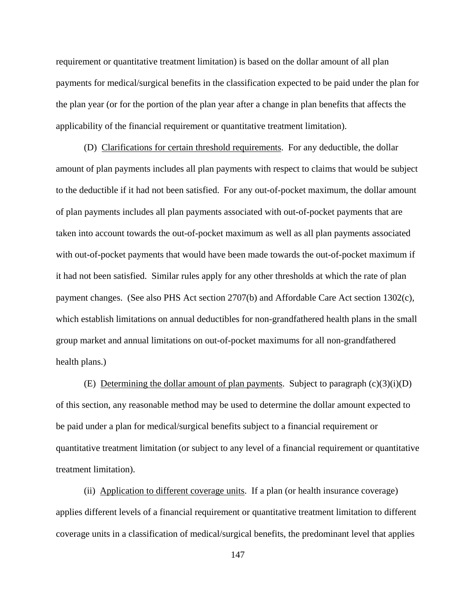requirement or quantitative treatment limitation) is based on the dollar amount of all plan payments for medical/surgical benefits in the classification expected to be paid under the plan for the plan year (or for the portion of the plan year after a change in plan benefits that affects the applicability of the financial requirement or quantitative treatment limitation).

(D) Clarifications for certain threshold requirements. For any deductible, the dollar amount of plan payments includes all plan payments with respect to claims that would be subject to the deductible if it had not been satisfied. For any out-of-pocket maximum, the dollar amount of plan payments includes all plan payments associated with out-of-pocket payments that are taken into account towards the out-of-pocket maximum as well as all plan payments associated with out-of-pocket payments that would have been made towards the out-of-pocket maximum if it had not been satisfied. Similar rules apply for any other thresholds at which the rate of plan payment changes. (See also PHS Act section 2707(b) and Affordable Care Act section 1302(c), which establish limitations on annual deductibles for non-grandfathered health plans in the small group market and annual limitations on out-of-pocket maximums for all non-grandfathered health plans.)

(E) Determining the dollar amount of plan payments. Subject to paragraph  $(c)(3)(i)(D)$ of this section, any reasonable method may be used to determine the dollar amount expected to be paid under a plan for medical/surgical benefits subject to a financial requirement or quantitative treatment limitation (or subject to any level of a financial requirement or quantitative treatment limitation).

(ii) Application to different coverage units. If a plan (or health insurance coverage) applies different levels of a financial requirement or quantitative treatment limitation to different coverage units in a classification of medical/surgical benefits, the predominant level that applies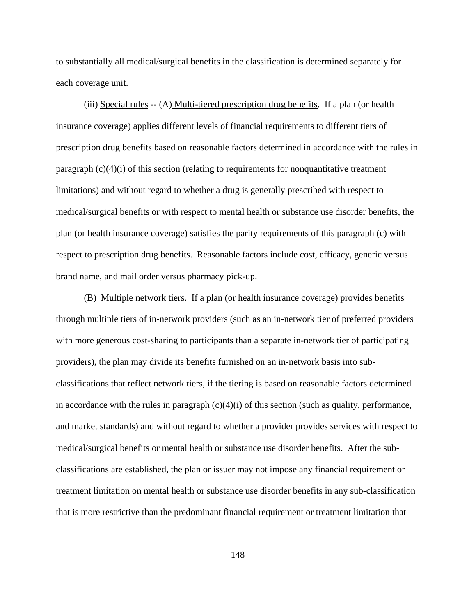to substantially all medical/surgical benefits in the classification is determined separately for each coverage unit.

(iii) Special rules -- (A) Multi-tiered prescription drug benefits. If a plan (or health insurance coverage) applies different levels of financial requirements to different tiers of prescription drug benefits based on reasonable factors determined in accordance with the rules in paragraph  $(c)(4)(i)$  of this section (relating to requirements for nonquantitative treatment limitations) and without regard to whether a drug is generally prescribed with respect to medical/surgical benefits or with respect to mental health or substance use disorder benefits, the plan (or health insurance coverage) satisfies the parity requirements of this paragraph (c) with respect to prescription drug benefits. Reasonable factors include cost, efficacy, generic versus brand name, and mail order versus pharmacy pick-up.

(B) Multiple network tiers. If a plan (or health insurance coverage) provides benefits through multiple tiers of in-network providers (such as an in-network tier of preferred providers with more generous cost-sharing to participants than a separate in-network tier of participating providers), the plan may divide its benefits furnished on an in-network basis into subclassifications that reflect network tiers, if the tiering is based on reasonable factors determined in accordance with the rules in paragraph  $(c)(4)(i)$  of this section (such as quality, performance, and market standards) and without regard to whether a provider provides services with respect to medical/surgical benefits or mental health or substance use disorder benefits. After the subclassifications are established, the plan or issuer may not impose any financial requirement or treatment limitation on mental health or substance use disorder benefits in any sub-classification that is more restrictive than the predominant financial requirement or treatment limitation that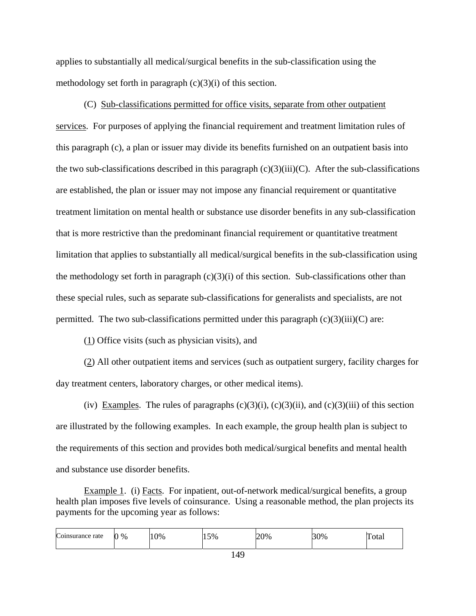applies to substantially all medical/surgical benefits in the sub-classification using the methodology set forth in paragraph  $(c)(3)(i)$  of this section.

(C) Sub-classifications permitted for office visits, separate from other outpatient services. For purposes of applying the financial requirement and treatment limitation rules of this paragraph (c), a plan or issuer may divide its benefits furnished on an outpatient basis into the two sub-classifications described in this paragraph  $(c)(3)(iii)(C)$ . After the sub-classifications are established, the plan or issuer may not impose any financial requirement or quantitative treatment limitation on mental health or substance use disorder benefits in any sub-classification that is more restrictive than the predominant financial requirement or quantitative treatment limitation that applies to substantially all medical/surgical benefits in the sub-classification using the methodology set forth in paragraph  $(c)(3)(i)$  of this section. Sub-classifications other than these special rules, such as separate sub-classifications for generalists and specialists, are not permitted. The two sub-classifications permitted under this paragraph  $(c)(3)(iii)(C)$  are:

 $(1)$  Office visits (such as physician visits), and

(2) All other outpatient items and services (such as outpatient surgery, facility charges for day treatment centers, laboratory charges, or other medical items).

(iv) Examples. The rules of paragraphs  $(c)(3)(i)$ ,  $(c)(3)(ii)$ , and  $(c)(3)(iii)$  of this section are illustrated by the following examples. In each example, the group health plan is subject to the requirements of this section and provides both medical/surgical benefits and mental health and substance use disorder benefits.

Example 1. (i) Facts. For inpatient, out-of-network medical/surgical benefits, a group health plan imposes five levels of coinsurance. Using a reasonable method, the plan projects its payments for the upcoming year as follows:

| $\sqrt{ }$<br>Coinsurance rate | $\%$<br>~ | 0% | $15\%$ | 0% | 30% | —<br>$\Delta$ fr<br>' Utar |
|--------------------------------|-----------|----|--------|----|-----|----------------------------|
| .                              |           |    |        |    |     |                            |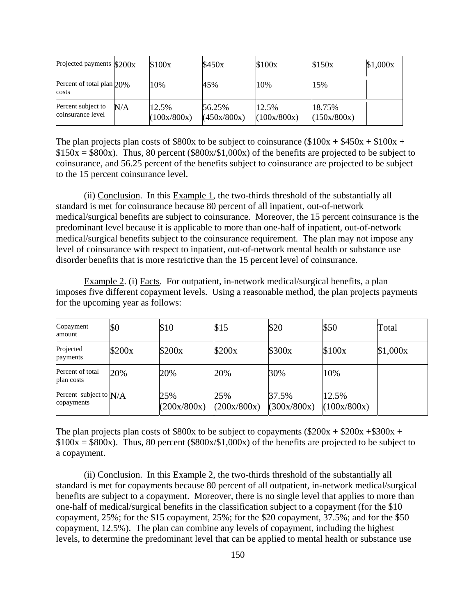| Projected payments $$200x$              |     | \$100x               | \$450x                | \$100x               | \$150x                | \$1,000x |
|-----------------------------------------|-----|----------------------|-----------------------|----------------------|-----------------------|----------|
| Percent of total plan $20\%$<br>costs   |     | 10%                  | 45%                   | 10%                  | 15%                   |          |
| Percent subject to<br>coinsurance level | N/A | 12.5%<br>(100x/800x) | 56.25%<br>(450x/800x) | 12.5%<br>(100x/800x) | 18.75%<br>(150x/800x) |          |

The plan projects plan costs of \$800x to be subject to coinsurance (\$100x +  $$450x + $100x +$  $$150x = $800x$ . Thus, 80 percent (\$800x/\$1,000x) of the benefits are projected to be subject to coinsurance, and 56.25 percent of the benefits subject to coinsurance are projected to be subject to the 15 percent coinsurance level.

 (ii) Conclusion. In this Example 1, the two-thirds threshold of the substantially all standard is met for coinsurance because 80 percent of all inpatient, out-of-network medical/surgical benefits are subject to coinsurance. Moreover, the 15 percent coinsurance is the predominant level because it is applicable to more than one-half of inpatient, out-of-network medical/surgical benefits subject to the coinsurance requirement. The plan may not impose any level of coinsurance with respect to inpatient, out-of-network mental health or substance use disorder benefits that is more restrictive than the 15 percent level of coinsurance.

Example 2. (i) Facts. For outpatient, in-network medical/surgical benefits, a plan imposes five different copayment levels. Using a reasonable method, the plan projects payments for the upcoming year as follows:

| Copayment<br>amount                    | \$0    | \$10               | \$15               | \$20                 | \$50                 | Total    |
|----------------------------------------|--------|--------------------|--------------------|----------------------|----------------------|----------|
| Projected<br>payments                  | \$200x | \$200x             | \$200x             | \$300x               | \$100x               | \$1,000x |
| Percent of total<br>plan costs         | 20%    | 20%                | 20%                | 30%                  | 10%                  |          |
| Percent subject to $N/A$<br>copayments |        | 25%<br>(200x/800x) | 25%<br>(200x/800x) | 37.5%<br>(300x/800x) | 12.5%<br>(100x/800x) |          |

The plan projects plan costs of \$800x to be subject to copayments (\$200x + \$200x + \$300x +  $$100x = $800x$ . Thus, 80 percent (\$800x/\$1,000x) of the benefits are projected to be subject to a copayment.

 (ii) Conclusion. In this Example 2, the two-thirds threshold of the substantially all standard is met for copayments because 80 percent of all outpatient, in-network medical/surgical benefits are subject to a copayment. Moreover, there is no single level that applies to more than one-half of medical/surgical benefits in the classification subject to a copayment (for the \$10 copayment, 25%; for the \$15 copayment, 25%; for the \$20 copayment, 37.5%; and for the \$50 copayment, 12.5%). The plan can combine any levels of copayment, including the highest levels, to determine the predominant level that can be applied to mental health or substance use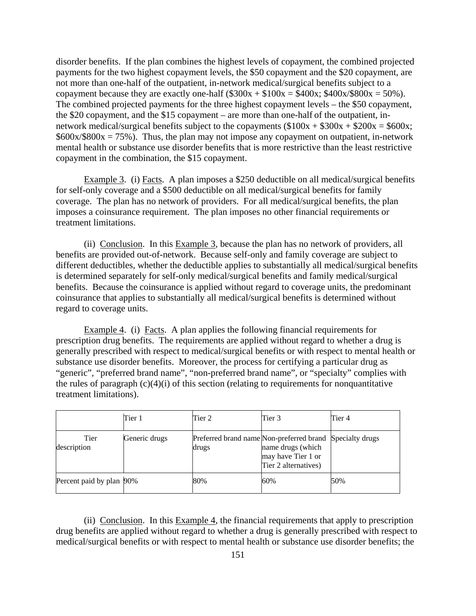disorder benefits. If the plan combines the highest levels of copayment, the combined projected payments for the two highest copayment levels, the \$50 copayment and the \$20 copayment, are not more than one-half of the outpatient, in-network medical/surgical benefits subject to a copayment because they are exactly one-half  $(\$300x + \$100x = \$400x; \$400x/\$800x = 50\%$ ). The combined projected payments for the three highest copayment levels – the \$50 copayment, the \$20 copayment, and the \$15 copayment – are more than one-half of the outpatient, innetwork medical/surgical benefits subject to the copayments  $(\$100x + \$300x + \$200x = \$600x;$  $$600x/$800x = 75\%$ . Thus, the plan may not impose any copayment on outpatient, in-network mental health or substance use disorder benefits that is more restrictive than the least restrictive copayment in the combination, the \$15 copayment.

Example 3. (i) Facts. A plan imposes a \$250 deductible on all medical/surgical benefits for self-only coverage and a \$500 deductible on all medical/surgical benefits for family coverage. The plan has no network of providers. For all medical/surgical benefits, the plan imposes a coinsurance requirement. The plan imposes no other financial requirements or treatment limitations.

(ii) Conclusion. In this Example 3, because the plan has no network of providers, all benefits are provided out-of-network. Because self-only and family coverage are subject to different deductibles, whether the deductible applies to substantially all medical/surgical benefits is determined separately for self-only medical/surgical benefits and family medical/surgical benefits. Because the coinsurance is applied without regard to coverage units, the predominant coinsurance that applies to substantially all medical/surgical benefits is determined without regard to coverage units.

Example 4. (i) Facts. A plan applies the following financial requirements for prescription drug benefits. The requirements are applied without regard to whether a drug is generally prescribed with respect to medical/surgical benefits or with respect to mental health or substance use disorder benefits. Moreover, the process for certifying a particular drug as "generic", "preferred brand name", "non-preferred brand name", or "specialty" complies with the rules of paragraph  $(c)(4)(i)$  of this section (relating to requirements for nonquantitative treatment limitations).

|                          | Tier 1        | Tier 2                                                            | Tier 3                                                          | Tier 4 |
|--------------------------|---------------|-------------------------------------------------------------------|-----------------------------------------------------------------|--------|
| Tier<br>description      | Generic drugs | Preferred brand name Non-preferred brand Specialty drugs<br>drugs | name drugs (which<br>may have Tier 1 or<br>Tier 2 alternatives) |        |
| Percent paid by plan 90% |               | 80%                                                               | 60%                                                             | 50%    |

(ii) Conclusion. In this Example 4, the financial requirements that apply to prescription drug benefits are applied without regard to whether a drug is generally prescribed with respect to medical/surgical benefits or with respect to mental health or substance use disorder benefits; the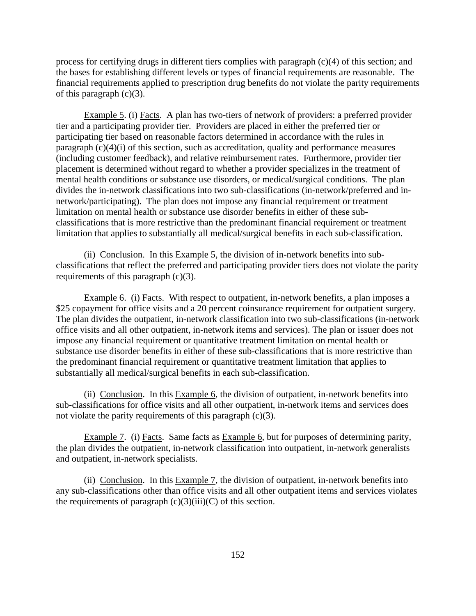process for certifying drugs in different tiers complies with paragraph (c)(4) of this section; and the bases for establishing different levels or types of financial requirements are reasonable. The financial requirements applied to prescription drug benefits do not violate the parity requirements of this paragraph  $(c)(3)$ .

Example 5. (i) Facts. A plan has two-tiers of network of providers: a preferred provider tier and a participating provider tier. Providers are placed in either the preferred tier or participating tier based on reasonable factors determined in accordance with the rules in paragraph  $(c)(4)(i)$  of this section, such as accreditation, quality and performance measures (including customer feedback), and relative reimbursement rates. Furthermore, provider tier placement is determined without regard to whether a provider specializes in the treatment of mental health conditions or substance use disorders, or medical/surgical conditions. The plan divides the in-network classifications into two sub-classifications (in-network/preferred and innetwork/participating). The plan does not impose any financial requirement or treatment limitation on mental health or substance use disorder benefits in either of these subclassifications that is more restrictive than the predominant financial requirement or treatment limitation that applies to substantially all medical/surgical benefits in each sub-classification.

(ii) Conclusion. In this Example 5, the division of in-network benefits into subclassifications that reflect the preferred and participating provider tiers does not violate the parity requirements of this paragraph (c)(3).

Example 6. (i) Facts. With respect to outpatient, in-network benefits, a plan imposes a \$25 copayment for office visits and a 20 percent coinsurance requirement for outpatient surgery. The plan divides the outpatient, in-network classification into two sub-classifications (in-network office visits and all other outpatient, in-network items and services). The plan or issuer does not impose any financial requirement or quantitative treatment limitation on mental health or substance use disorder benefits in either of these sub-classifications that is more restrictive than the predominant financial requirement or quantitative treatment limitation that applies to substantially all medical/surgical benefits in each sub-classification.

(ii) Conclusion. In this Example 6, the division of outpatient, in-network benefits into sub-classifications for office visits and all other outpatient, in-network items and services does not violate the parity requirements of this paragraph (c)(3).

Example 7. (i) Facts. Same facts as Example 6, but for purposes of determining parity, the plan divides the outpatient, in-network classification into outpatient, in-network generalists and outpatient, in-network specialists.

(ii) Conclusion. In this Example 7, the division of outpatient, in-network benefits into any sub-classifications other than office visits and all other outpatient items and services violates the requirements of paragraph  $(c)(3)(iii)(C)$  of this section.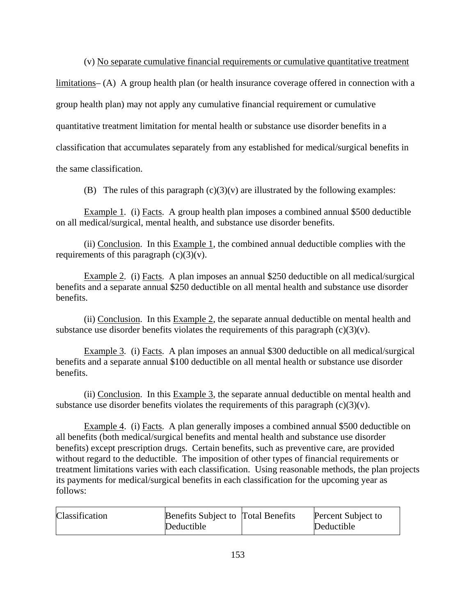(v) No separate cumulative financial requirements or cumulative quantitative treatment

limitations– (A) A group health plan (or health insurance coverage offered in connection with a group health plan) may not apply any cumulative financial requirement or cumulative quantitative treatment limitation for mental health or substance use disorder benefits in a classification that accumulates separately from any established for medical/surgical benefits in the same classification.

(B)The rules of this paragraph (c)(3)(v) are illustrated by the following examples:

Example 1*.* (i) Facts. A group health plan imposes a combined annual \$500 deductible on all medical/surgical, mental health, and substance use disorder benefits.

(ii) Conclusion. In this Example 1, the combined annual deductible complies with the requirements of this paragraph  $(c)(3)(v)$ .

Example 2*.* (i) Facts. A plan imposes an annual \$250 deductible on all medical/surgical benefits and a separate annual \$250 deductible on all mental health and substance use disorder benefits.

(ii) Conclusion. In this Example 2, the separate annual deductible on mental health and substance use disorder benefits violates the requirements of this paragraph  $(c)(3)(v)$ .

Example 3*.* (i) Facts. A plan imposes an annual \$300 deductible on all medical/surgical benefits and a separate annual \$100 deductible on all mental health or substance use disorder benefits.

(ii) Conclusion. In this Example 3, the separate annual deductible on mental health and substance use disorder benefits violates the requirements of this paragraph  $(c)(3)(v)$ .

Example 4. (i) Facts. A plan generally imposes a combined annual \$500 deductible on all benefits (both medical/surgical benefits and mental health and substance use disorder benefits) except prescription drugs. Certain benefits, such as preventive care, are provided without regard to the deductible. The imposition of other types of financial requirements or treatment limitations varies with each classification. Using reasonable methods, the plan projects its payments for medical/surgical benefits in each classification for the upcoming year as follows:

| Classification | <b>Benefits Subject to Total Benefits</b> | Percent Subject to |
|----------------|-------------------------------------------|--------------------|
|                | Deductible                                | Deductible         |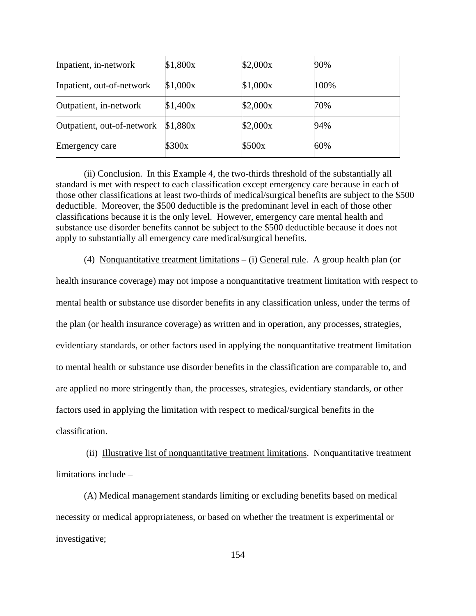| Inpatient, in-network      | \$1,800x | \$2,000x | 90%  |
|----------------------------|----------|----------|------|
| Inpatient, out-of-network  | \$1,000x | \$1,000x | 100% |
| Outpatient, in-network     | \$1,400x | \$2,000x | 70%  |
| Outpatient, out-of-network | \$1,880x | \$2,000x | 94%  |
| <b>Emergency care</b>      | \$300x   | \$500x   | 60%  |

(ii) Conclusion. In this Example 4, the two-thirds threshold of the substantially all standard is met with respect to each classification except emergency care because in each of those other classifications at least two-thirds of medical/surgical benefits are subject to the \$500 deductible. Moreover, the \$500 deductible is the predominant level in each of those other classifications because it is the only level. However, emergency care mental health and substance use disorder benefits cannot be subject to the \$500 deductible because it does not apply to substantially all emergency care medical/surgical benefits.

(4) Nonquantitative treatment limitations – (i) General rule. A group health plan (or

health insurance coverage) may not impose a nonquantitative treatment limitation with respect to mental health or substance use disorder benefits in any classification unless, under the terms of the plan (or health insurance coverage) as written and in operation, any processes, strategies, evidentiary standards, or other factors used in applying the nonquantitative treatment limitation to mental health or substance use disorder benefits in the classification are comparable to, and are applied no more stringently than, the processes, strategies, evidentiary standards, or other factors used in applying the limitation with respect to medical/surgical benefits in the classification.

 (ii) Illustrative list of nonquantitative treatment limitations. Nonquantitative treatment limitations include –

(A) Medical management standards limiting or excluding benefits based on medical necessity or medical appropriateness, or based on whether the treatment is experimental or investigative;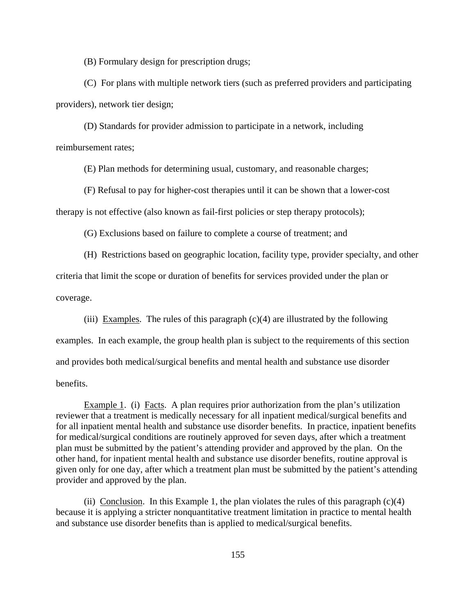(B) Formulary design for prescription drugs;

(C) For plans with multiple network tiers (such as preferred providers and participating providers), network tier design;

(D) Standards for provider admission to participate in a network, including reimbursement rates;

(E) Plan methods for determining usual, customary, and reasonable charges;

(F) Refusal to pay for higher-cost therapies until it can be shown that a lower-cost therapy is not effective (also known as fail-first policies or step therapy protocols);

(G) Exclusions based on failure to complete a course of treatment; and

(H) Restrictions based on geographic location, facility type, provider specialty, and other criteria that limit the scope or duration of benefits for services provided under the plan or coverage.

(iii) Examples. The rules of this paragraph  $(c)(4)$  are illustrated by the following examples. In each example, the group health plan is subject to the requirements of this section and provides both medical/surgical benefits and mental health and substance use disorder benefits.

Example 1. (i) Facts. A plan requires prior authorization from the plan's utilization reviewer that a treatment is medically necessary for all inpatient medical/surgical benefits and for all inpatient mental health and substance use disorder benefits. In practice, inpatient benefits for medical/surgical conditions are routinely approved for seven days, after which a treatment plan must be submitted by the patient's attending provider and approved by the plan. On the other hand, for inpatient mental health and substance use disorder benefits, routine approval is given only for one day, after which a treatment plan must be submitted by the patient's attending provider and approved by the plan.

(ii) Conclusion. In this Example 1, the plan violates the rules of this paragraph  $(c)(4)$ because it is applying a stricter nonquantitative treatment limitation in practice to mental health and substance use disorder benefits than is applied to medical/surgical benefits.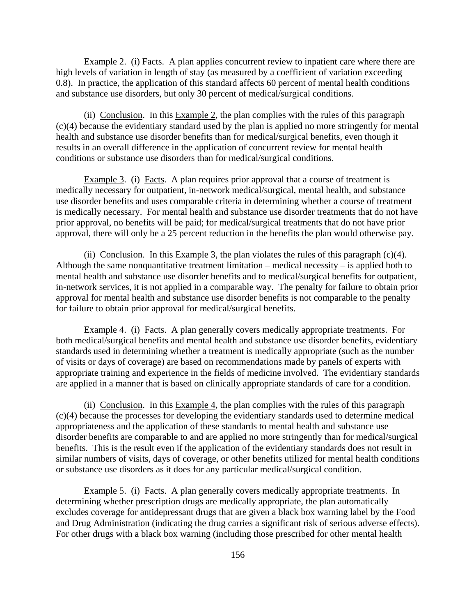Example 2. (i) Facts. A plan applies concurrent review to inpatient care where there are high levels of variation in length of stay (as measured by a coefficient of variation exceeding 0.8). In practice, the application of this standard affects 60 percent of mental health conditions and substance use disorders, but only 30 percent of medical/surgical conditions.

(ii) Conclusion. In this Example 2, the plan complies with the rules of this paragraph (c)(4) because the evidentiary standard used by the plan is applied no more stringently for mental health and substance use disorder benefits than for medical/surgical benefits, even though it results in an overall difference in the application of concurrent review for mental health conditions or substance use disorders than for medical/surgical conditions.

Example 3. (i) Facts. A plan requires prior approval that a course of treatment is medically necessary for outpatient, in-network medical/surgical, mental health, and substance use disorder benefits and uses comparable criteria in determining whether a course of treatment is medically necessary. For mental health and substance use disorder treatments that do not have prior approval, no benefits will be paid; for medical/surgical treatments that do not have prior approval, there will only be a 25 percent reduction in the benefits the plan would otherwise pay.

(ii) Conclusion. In this Example 3, the plan violates the rules of this paragraph  $(c)(4)$ . Although the same nonquantitative treatment limitation – medical necessity – is applied both to mental health and substance use disorder benefits and to medical/surgical benefits for outpatient, in-network services, it is not applied in a comparable way. The penalty for failure to obtain prior approval for mental health and substance use disorder benefits is not comparable to the penalty for failure to obtain prior approval for medical/surgical benefits.

Example 4. (i) Facts. A plan generally covers medically appropriate treatments. For both medical/surgical benefits and mental health and substance use disorder benefits, evidentiary standards used in determining whether a treatment is medically appropriate (such as the number of visits or days of coverage) are based on recommendations made by panels of experts with appropriate training and experience in the fields of medicine involved. The evidentiary standards are applied in a manner that is based on clinically appropriate standards of care for a condition.

(ii) Conclusion. In this Example 4, the plan complies with the rules of this paragraph (c)(4) because the processes for developing the evidentiary standards used to determine medical appropriateness and the application of these standards to mental health and substance use disorder benefits are comparable to and are applied no more stringently than for medical/surgical benefits. This is the result even if the application of the evidentiary standards does not result in similar numbers of visits, days of coverage, or other benefits utilized for mental health conditions or substance use disorders as it does for any particular medical/surgical condition.

Example 5. (i) Facts. A plan generally covers medically appropriate treatments. In determining whether prescription drugs are medically appropriate, the plan automatically excludes coverage for antidepressant drugs that are given a black box warning label by the Food and Drug Administration (indicating the drug carries a significant risk of serious adverse effects). For other drugs with a black box warning (including those prescribed for other mental health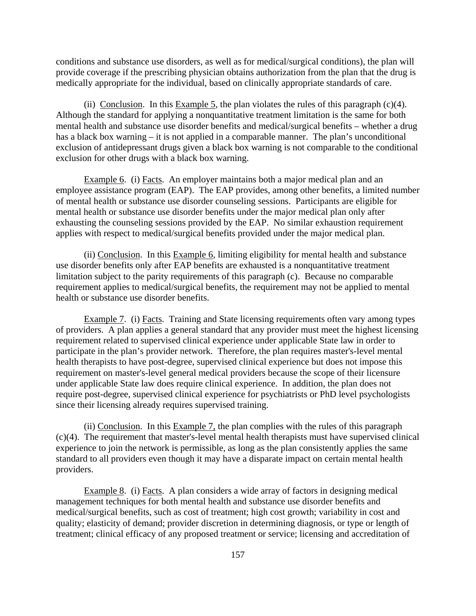conditions and substance use disorders, as well as for medical/surgical conditions), the plan will provide coverage if the prescribing physician obtains authorization from the plan that the drug is medically appropriate for the individual, based on clinically appropriate standards of care.

(ii) Conclusion. In this Example 5, the plan violates the rules of this paragraph  $(c)(4)$ . Although the standard for applying a nonquantitative treatment limitation is the same for both mental health and substance use disorder benefits and medical/surgical benefits – whether a drug has a black box warning – it is not applied in a comparable manner. The plan's unconditional exclusion of antidepressant drugs given a black box warning is not comparable to the conditional exclusion for other drugs with a black box warning.

Example 6. (i) Facts. An employer maintains both a major medical plan and an employee assistance program (EAP). The EAP provides, among other benefits, a limited number of mental health or substance use disorder counseling sessions. Participants are eligible for mental health or substance use disorder benefits under the major medical plan only after exhausting the counseling sessions provided by the EAP. No similar exhaustion requirement applies with respect to medical/surgical benefits provided under the major medical plan.

(ii) Conclusion. In this Example 6, limiting eligibility for mental health and substance use disorder benefits only after EAP benefits are exhausted is a nonquantitative treatment limitation subject to the parity requirements of this paragraph (c). Because no comparable requirement applies to medical/surgical benefits, the requirement may not be applied to mental health or substance use disorder benefits.

Example 7. (i) Facts. Training and State licensing requirements often vary among types of providers. A plan applies a general standard that any provider must meet the highest licensing requirement related to supervised clinical experience under applicable State law in order to participate in the plan's provider network. Therefore, the plan requires master's-level mental health therapists to have post-degree, supervised clinical experience but does not impose this requirement on master's-level general medical providers because the scope of their licensure under applicable State law does require clinical experience. In addition, the plan does not require post-degree, supervised clinical experience for psychiatrists or PhD level psychologists since their licensing already requires supervised training.

(ii) Conclusion. In this Example 7, the plan complies with the rules of this paragraph (c)(4). The requirement that master's-level mental health therapists must have supervised clinical experience to join the network is permissible, as long as the plan consistently applies the same standard to all providers even though it may have a disparate impact on certain mental health providers.

Example 8. (i) Facts. A plan considers a wide array of factors in designing medical management techniques for both mental health and substance use disorder benefits and medical/surgical benefits, such as cost of treatment; high cost growth; variability in cost and quality; elasticity of demand; provider discretion in determining diagnosis, or type or length of treatment; clinical efficacy of any proposed treatment or service; licensing and accreditation of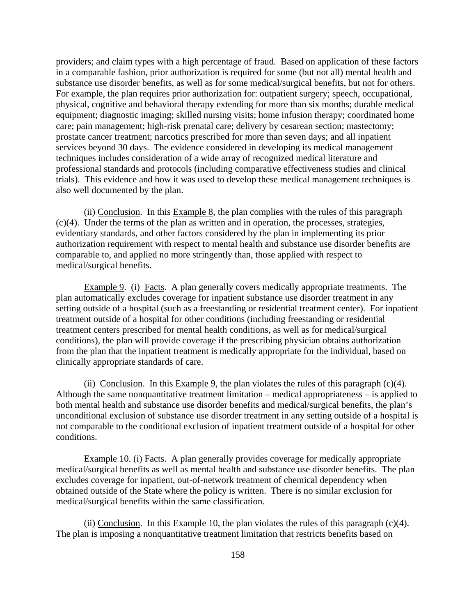providers; and claim types with a high percentage of fraud. Based on application of these factors in a comparable fashion, prior authorization is required for some (but not all) mental health and substance use disorder benefits, as well as for some medical/surgical benefits, but not for others. For example, the plan requires prior authorization for: outpatient surgery; speech, occupational, physical, cognitive and behavioral therapy extending for more than six months; durable medical equipment; diagnostic imaging; skilled nursing visits; home infusion therapy; coordinated home care; pain management; high-risk prenatal care; delivery by cesarean section; mastectomy; prostate cancer treatment; narcotics prescribed for more than seven days; and all inpatient services beyond 30 days. The evidence considered in developing its medical management techniques includes consideration of a wide array of recognized medical literature and professional standards and protocols (including comparative effectiveness studies and clinical trials). This evidence and how it was used to develop these medical management techniques is also well documented by the plan.

(ii) Conclusion. In this Example 8, the plan complies with the rules of this paragraph (c)(4). Under the terms of the plan as written and in operation, the processes, strategies, evidentiary standards, and other factors considered by the plan in implementing its prior authorization requirement with respect to mental health and substance use disorder benefits are comparable to, and applied no more stringently than, those applied with respect to medical/surgical benefits.

Example 9. (i) Facts. A plan generally covers medically appropriate treatments. The plan automatically excludes coverage for inpatient substance use disorder treatment in any setting outside of a hospital (such as a freestanding or residential treatment center). For inpatient treatment outside of a hospital for other conditions (including freestanding or residential treatment centers prescribed for mental health conditions, as well as for medical/surgical conditions), the plan will provide coverage if the prescribing physician obtains authorization from the plan that the inpatient treatment is medically appropriate for the individual, based on clinically appropriate standards of care.

(ii) Conclusion. In this Example 9, the plan violates the rules of this paragraph  $(c)(4)$ . Although the same nonquantitative treatment limitation – medical appropriateness – is applied to both mental health and substance use disorder benefits and medical/surgical benefits, the plan's unconditional exclusion of substance use disorder treatment in any setting outside of a hospital is not comparable to the conditional exclusion of inpatient treatment outside of a hospital for other conditions.

Example 10. (i) Facts. A plan generally provides coverage for medically appropriate medical/surgical benefits as well as mental health and substance use disorder benefits. The plan excludes coverage for inpatient, out-of-network treatment of chemical dependency when obtained outside of the State where the policy is written. There is no similar exclusion for medical/surgical benefits within the same classification.

(ii) Conclusion. In this Example 10, the plan violates the rules of this paragraph  $(c)(4)$ . The plan is imposing a nonquantitative treatment limitation that restricts benefits based on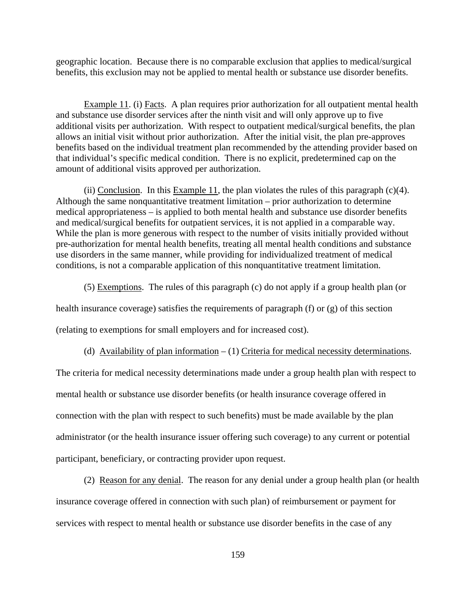geographic location. Because there is no comparable exclusion that applies to medical/surgical benefits, this exclusion may not be applied to mental health or substance use disorder benefits.

Example 11. (i) Facts. A plan requires prior authorization for all outpatient mental health and substance use disorder services after the ninth visit and will only approve up to five additional visits per authorization. With respect to outpatient medical/surgical benefits, the plan allows an initial visit without prior authorization. After the initial visit, the plan pre-approves benefits based on the individual treatment plan recommended by the attending provider based on that individual's specific medical condition. There is no explicit, predetermined cap on the amount of additional visits approved per authorization.

(ii) Conclusion. In this Example 11, the plan violates the rules of this paragraph  $(c)(4)$ . Although the same nonquantitative treatment limitation – prior authorization to determine medical appropriateness – is applied to both mental health and substance use disorder benefits and medical/surgical benefits for outpatient services, it is not applied in a comparable way. While the plan is more generous with respect to the number of visits initially provided without pre-authorization for mental health benefits, treating all mental health conditions and substance use disorders in the same manner, while providing for individualized treatment of medical conditions, is not a comparable application of this nonquantitative treatment limitation.

(5) Exemptions. The rules of this paragraph (c) do not apply if a group health plan (or

health insurance coverage) satisfies the requirements of paragraph (f) or (g) of this section

(relating to exemptions for small employers and for increased cost).

(d) Availability of plan information  $- (1)$  Criteria for medical necessity determinations.

The criteria for medical necessity determinations made under a group health plan with respect to mental health or substance use disorder benefits (or health insurance coverage offered in connection with the plan with respect to such benefits) must be made available by the plan administrator (or the health insurance issuer offering such coverage) to any current or potential participant, beneficiary, or contracting provider upon request.

(2) Reason for any denial. The reason for any denial under a group health plan (or health insurance coverage offered in connection with such plan) of reimbursement or payment for services with respect to mental health or substance use disorder benefits in the case of any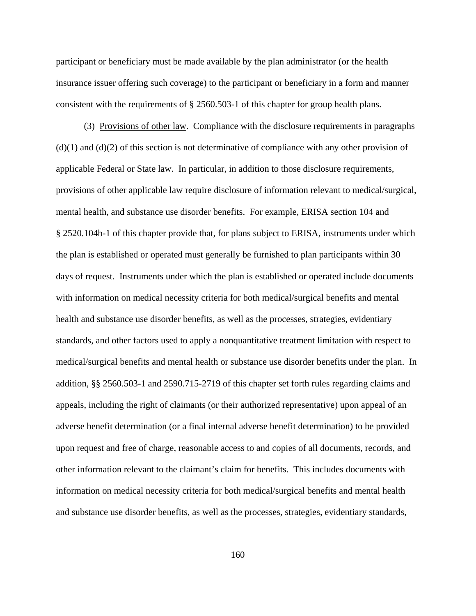participant or beneficiary must be made available by the plan administrator (or the health insurance issuer offering such coverage) to the participant or beneficiary in a form and manner consistent with the requirements of § 2560.503-1 of this chapter for group health plans.

 (3) Provisions of other law. Compliance with the disclosure requirements in paragraphs  $(d)(1)$  and  $(d)(2)$  of this section is not determinative of compliance with any other provision of applicable Federal or State law. In particular, in addition to those disclosure requirements, provisions of other applicable law require disclosure of information relevant to medical/surgical, mental health, and substance use disorder benefits. For example, ERISA section 104 and § 2520.104b-1 of this chapter provide that, for plans subject to ERISA, instruments under which the plan is established or operated must generally be furnished to plan participants within 30 days of request. Instruments under which the plan is established or operated include documents with information on medical necessity criteria for both medical/surgical benefits and mental health and substance use disorder benefits, as well as the processes, strategies, evidentiary standards, and other factors used to apply a nonquantitative treatment limitation with respect to medical/surgical benefits and mental health or substance use disorder benefits under the plan. In addition, §§ 2560.503-1 and 2590.715-2719 of this chapter set forth rules regarding claims and appeals, including the right of claimants (or their authorized representative) upon appeal of an adverse benefit determination (or a final internal adverse benefit determination) to be provided upon request and free of charge, reasonable access to and copies of all documents, records, and other information relevant to the claimant's claim for benefits. This includes documents with information on medical necessity criteria for both medical/surgical benefits and mental health and substance use disorder benefits, as well as the processes, strategies, evidentiary standards,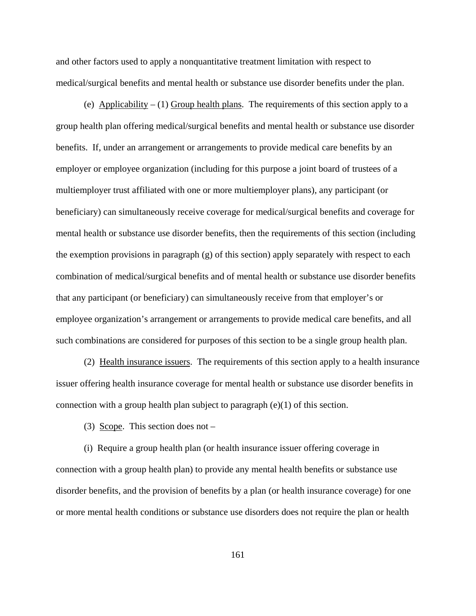and other factors used to apply a nonquantitative treatment limitation with respect to medical/surgical benefits and mental health or substance use disorder benefits under the plan.

(e) Applicability  $- (1)$  Group health plans. The requirements of this section apply to a group health plan offering medical/surgical benefits and mental health or substance use disorder benefits. If, under an arrangement or arrangements to provide medical care benefits by an employer or employee organization (including for this purpose a joint board of trustees of a multiemployer trust affiliated with one or more multiemployer plans), any participant (or beneficiary) can simultaneously receive coverage for medical/surgical benefits and coverage for mental health or substance use disorder benefits, then the requirements of this section (including the exemption provisions in paragraph (g) of this section) apply separately with respect to each combination of medical/surgical benefits and of mental health or substance use disorder benefits that any participant (or beneficiary) can simultaneously receive from that employer's or employee organization's arrangement or arrangements to provide medical care benefits, and all such combinations are considered for purposes of this section to be a single group health plan.

 (2) Health insurance issuers. The requirements of this section apply to a health insurance issuer offering health insurance coverage for mental health or substance use disorder benefits in connection with a group health plan subject to paragraph  $(e)(1)$  of this section.

(3) Scope. This section does not –

(i) Require a group health plan (or health insurance issuer offering coverage in connection with a group health plan) to provide any mental health benefits or substance use disorder benefits, and the provision of benefits by a plan (or health insurance coverage) for one or more mental health conditions or substance use disorders does not require the plan or health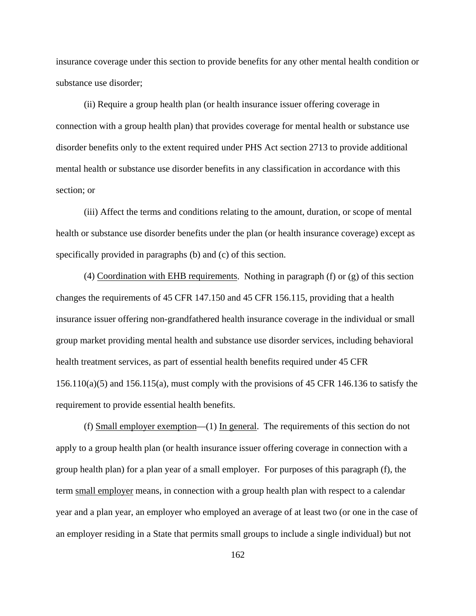insurance coverage under this section to provide benefits for any other mental health condition or substance use disorder;

(ii) Require a group health plan (or health insurance issuer offering coverage in connection with a group health plan) that provides coverage for mental health or substance use disorder benefits only to the extent required under PHS Act section 2713 to provide additional mental health or substance use disorder benefits in any classification in accordance with this section; or

 (iii) Affect the terms and conditions relating to the amount, duration, or scope of mental health or substance use disorder benefits under the plan (or health insurance coverage) except as specifically provided in paragraphs (b) and (c) of this section.

 (4) Coordination with EHB requirements. Nothing in paragraph (f) or (g) of this section changes the requirements of 45 CFR 147.150 and 45 CFR 156.115, providing that a health insurance issuer offering non-grandfathered health insurance coverage in the individual or small group market providing mental health and substance use disorder services, including behavioral health treatment services, as part of essential health benefits required under 45 CFR  $156.110(a)(5)$  and  $156.115(a)$ , must comply with the provisions of 45 CFR 146.136 to satisfy the requirement to provide essential health benefits.

 (f) Small employer exemption—(1) In general.The requirements of this section do not apply to a group health plan (or health insurance issuer offering coverage in connection with a group health plan) for a plan year of a small employer. For purposes of this paragraph (f), the term small employer means, in connection with a group health plan with respect to a calendar year and a plan year, an employer who employed an average of at least two (or one in the case of an employer residing in a State that permits small groups to include a single individual) but not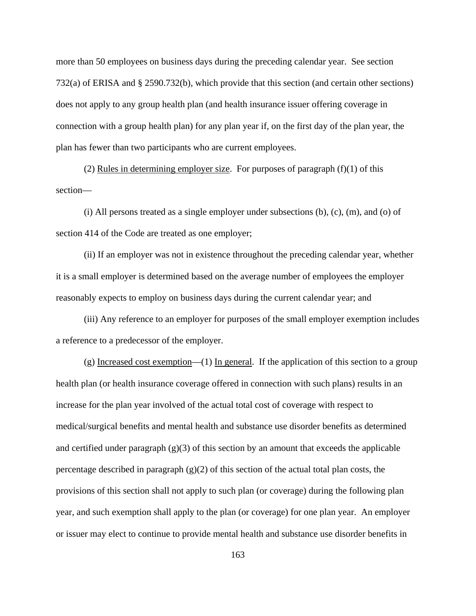more than 50 employees on business days during the preceding calendar year. See section 732(a) of ERISA and § 2590.732(b), which provide that this section (and certain other sections) does not apply to any group health plan (and health insurance issuer offering coverage in connection with a group health plan) for any plan year if, on the first day of the plan year, the plan has fewer than two participants who are current employees.

(2) Rules in determining employer size. For purposes of paragraph  $(f)(1)$  of this section—

(i) All persons treated as a single employer under subsections (b), (c), (m), and (o) of section 414 of the Code are treated as one employer;

(ii) If an employer was not in existence throughout the preceding calendar year, whether it is a small employer is determined based on the average number of employees the employer reasonably expects to employ on business days during the current calendar year; and

(iii) Any reference to an employer for purposes of the small employer exemption includes a reference to a predecessor of the employer.

(g) Increased cost exemption—(1) In general. If the application of this section to a group health plan (or health insurance coverage offered in connection with such plans) results in an increase for the plan year involved of the actual total cost of coverage with respect to medical/surgical benefits and mental health and substance use disorder benefits as determined and certified under paragraph  $(g)(3)$  of this section by an amount that exceeds the applicable percentage described in paragraph  $(g)(2)$  of this section of the actual total plan costs, the provisions of this section shall not apply to such plan (or coverage) during the following plan year, and such exemption shall apply to the plan (or coverage) for one plan year. An employer or issuer may elect to continue to provide mental health and substance use disorder benefits in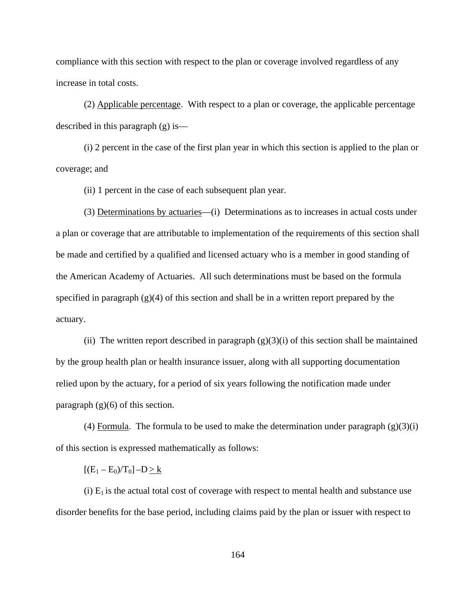compliance with this section with respect to the plan or coverage involved regardless of any increase in total costs.

(2) Applicable percentage. With respect to a plan or coverage, the applicable percentage described in this paragraph (g) is—

(i) 2 percent in the case of the first plan year in which this section is applied to the plan or coverage; and

(ii) 1 percent in the case of each subsequent plan year.

(3) Determinations by actuaries—(i) Determinations as to increases in actual costs under a plan or coverage that are attributable to implementation of the requirements of this section shall be made and certified by a qualified and licensed actuary who is a member in good standing of the American Academy of Actuaries. All such determinations must be based on the formula specified in paragraph  $(g)(4)$  of this section and shall be in a written report prepared by the actuary.

(ii) The written report described in paragraph  $(g)(3)(i)$  of this section shall be maintained by the group health plan or health insurance issuer, along with all supporting documentation relied upon by the actuary, for a period of six years following the notification made under paragraph  $(g)(6)$  of this section.

(4) Formula. The formula to be used to make the determination under paragraph  $(g)(3)(i)$ of this section is expressed mathematically as follows:

 $[(E_1 - E_0)/T_0] - D \ge k$ 

(i)  $E_1$  is the actual total cost of coverage with respect to mental health and substance use disorder benefits for the base period, including claims paid by the plan or issuer with respect to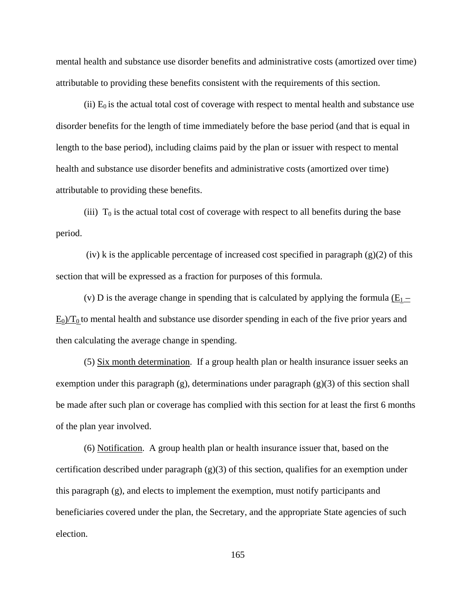mental health and substance use disorder benefits and administrative costs (amortized over time) attributable to providing these benefits consistent with the requirements of this section.

(ii)  $E_0$  is the actual total cost of coverage with respect to mental health and substance use disorder benefits for the length of time immediately before the base period (and that is equal in length to the base period), including claims paid by the plan or issuer with respect to mental health and substance use disorder benefits and administrative costs (amortized over time) attributable to providing these benefits.

(iii)  $T_0$  is the actual total cost of coverage with respect to all benefits during the base period.

 $(iv)$  k is the applicable percentage of increased cost specified in paragraph  $(g)(2)$  of this section that will be expressed as a fraction for purposes of this formula.

(v) D is the average change in spending that is calculated by applying the formula  $(E_1 E_0/T_0$  to mental health and substance use disorder spending in each of the five prior years and then calculating the average change in spending.

(5) Six month determination. If a group health plan or health insurance issuer seeks an exemption under this paragraph  $(g)$ , determinations under paragraph  $(g)(3)$  of this section shall be made after such plan or coverage has complied with this section for at least the first 6 months of the plan year involved.

(6) Notification. A group health plan or health insurance issuer that, based on the certification described under paragraph  $(g)(3)$  of this section, qualifies for an exemption under this paragraph (g), and elects to implement the exemption, must notify participants and beneficiaries covered under the plan, the Secretary, and the appropriate State agencies of such election.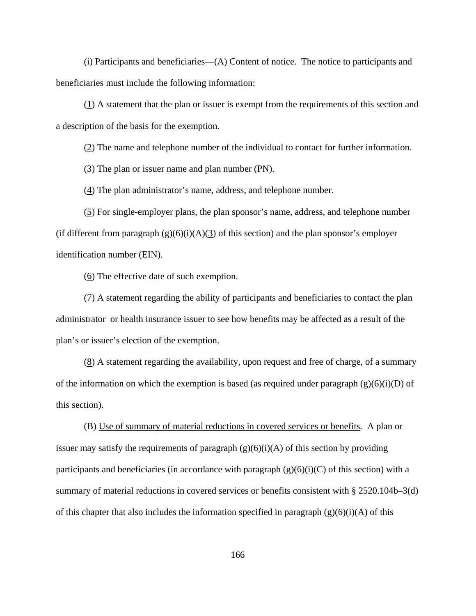(i) Participants and beneficiaries—(A) Content of notice. The notice to participants and beneficiaries must include the following information:

(1) A statement that the plan or issuer is exempt from the requirements of this section and a description of the basis for the exemption.

(2) The name and telephone number of the individual to contact for further information.

(3) The plan or issuer name and plan number (PN).

(4) The plan administrator's name, address, and telephone number.

(5) For single-employer plans, the plan sponsor's name, address, and telephone number (if different from paragraph  $(g)(6)(i)(A)(3)$  of this section) and the plan sponsor's employer identification number (EIN).

(6) The effective date of such exemption.

(7) A statement regarding the ability of participants and beneficiaries to contact the plan administrator or health insurance issuer to see how benefits may be affected as a result of the plan's or issuer's election of the exemption.

(8) A statement regarding the availability, upon request and free of charge, of a summary of the information on which the exemption is based (as required under paragraph  $(g)(6)(i)(D)$  of this section).

(B) Use of summary of material reductions in covered services or benefits*.* A plan or issuer may satisfy the requirements of paragraph  $(g)(6)(i)(A)$  of this section by providing participants and beneficiaries (in accordance with paragraph  $(g)(6)(i)(C)$  of this section) with a summary of material reductions in covered services or benefits consistent with § 2520.104b–3(d) of this chapter that also includes the information specified in paragraph  $(g)(6)(i)(A)$  of this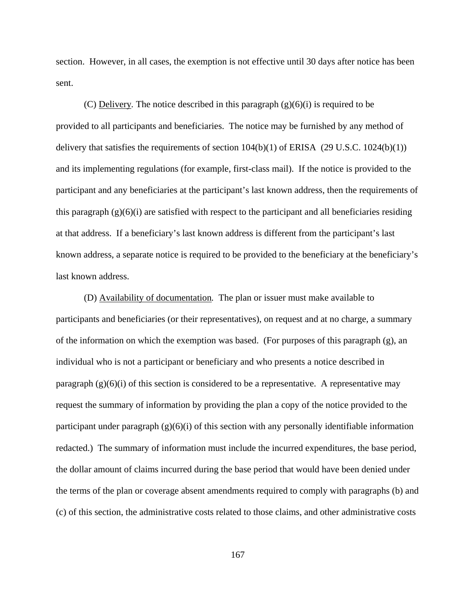section. However, in all cases, the exemption is not effective until 30 days after notice has been sent.

(C) Delivery*.* The notice described in this paragraph (g)(6)(i) is required to be provided to all participants and beneficiaries. The notice may be furnished by any method of delivery that satisfies the requirements of section  $104(b)(1)$  of ERISA (29 U.S.C.  $1024(b)(1)$ ) and its implementing regulations (for example, first-class mail). If the notice is provided to the participant and any beneficiaries at the participant's last known address, then the requirements of this paragraph  $(g)(6)(i)$  are satisfied with respect to the participant and all beneficiaries residing at that address. If a beneficiary's last known address is different from the participant's last known address, a separate notice is required to be provided to the beneficiary at the beneficiary's last known address.

(D) Availability of documentation*.* The plan or issuer must make available to participants and beneficiaries (or their representatives), on request and at no charge, a summary of the information on which the exemption was based. (For purposes of this paragraph (g), an individual who is not a participant or beneficiary and who presents a notice described in paragraph  $(g)(6)(i)$  of this section is considered to be a representative. A representative may request the summary of information by providing the plan a copy of the notice provided to the participant under paragraph  $(g)(6)(i)$  of this section with any personally identifiable information redacted.) The summary of information must include the incurred expenditures, the base period, the dollar amount of claims incurred during the base period that would have been denied under the terms of the plan or coverage absent amendments required to comply with paragraphs (b) and (c) of this section, the administrative costs related to those claims, and other administrative costs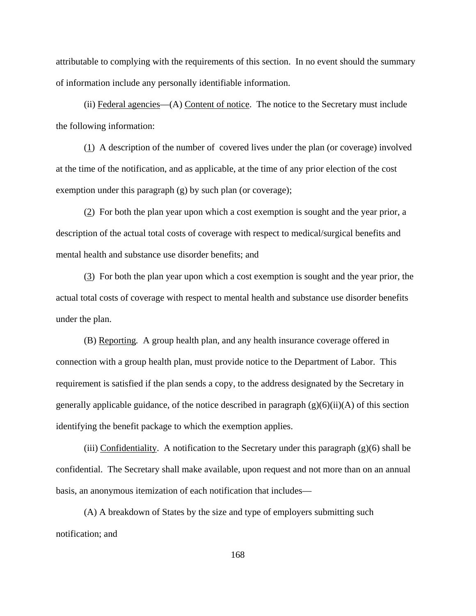attributable to complying with the requirements of this section. In no event should the summary of information include any personally identifiable information.

(ii) Federal agencies—(A) Content of notice. The notice to the Secretary must include the following information:

(1) A description of the number of covered lives under the plan (or coverage) involved at the time of the notification, and as applicable, at the time of any prior election of the cost exemption under this paragraph (g) by such plan (or coverage);

(2) For both the plan year upon which a cost exemption is sought and the year prior, a description of the actual total costs of coverage with respect to medical/surgical benefits and mental health and substance use disorder benefits; and

(3) For both the plan year upon which a cost exemption is sought and the year prior, the actual total costs of coverage with respect to mental health and substance use disorder benefits under the plan.

(B) Reporting*.* A group health plan, and any health insurance coverage offered in connection with a group health plan, must provide notice to the Department of Labor. This requirement is satisfied if the plan sends a copy, to the address designated by the Secretary in generally applicable guidance, of the notice described in paragraph  $(g)(6)(ii)(A)$  of this section identifying the benefit package to which the exemption applies.

(iii) Confidentiality. A notification to the Secretary under this paragraph  $(g)(6)$  shall be confidential. The Secretary shall make available, upon request and not more than on an annual basis, an anonymous itemization of each notification that includes—

(A) A breakdown of States by the size and type of employers submitting such notification; and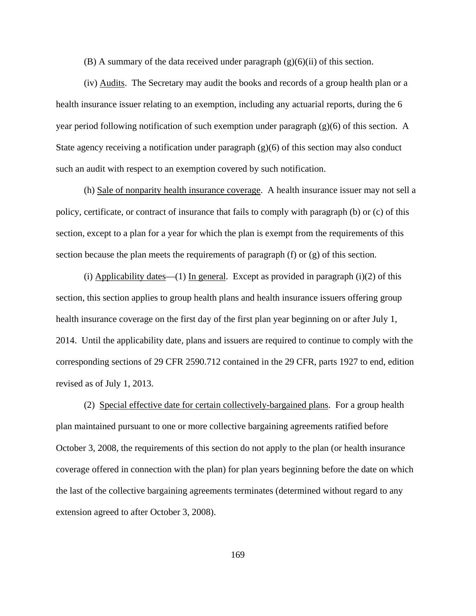(B) A summary of the data received under paragraph  $(g)(6)(ii)$  of this section.

(iv) Audits. The Secretary may audit the books and records of a group health plan or a health insurance issuer relating to an exemption, including any actuarial reports, during the 6 year period following notification of such exemption under paragraph (g)(6) of this section. A State agency receiving a notification under paragraph  $(g)(6)$  of this section may also conduct such an audit with respect to an exemption covered by such notification.

(h) Sale of nonparity health insurance coverage. A health insurance issuer may not sell a policy, certificate, or contract of insurance that fails to comply with paragraph (b) or (c) of this section, except to a plan for a year for which the plan is exempt from the requirements of this section because the plan meets the requirements of paragraph (f) or (g) of this section.

(i) Applicability dates—(1) In general. Except as provided in paragraph (i)(2) of this section, this section applies to group health plans and health insurance issuers offering group health insurance coverage on the first day of the first plan year beginning on or after July 1, 2014. Until the applicability date, plans and issuers are required to continue to comply with the corresponding sections of 29 CFR 2590.712 contained in the 29 CFR, parts 1927 to end, edition revised as of July 1, 2013.

(2) Special effective date for certain collectively-bargained plans. For a group health plan maintained pursuant to one or more collective bargaining agreements ratified before October 3, 2008, the requirements of this section do not apply to the plan (or health insurance coverage offered in connection with the plan) for plan years beginning before the date on which the last of the collective bargaining agreements terminates (determined without regard to any extension agreed to after October 3, 2008).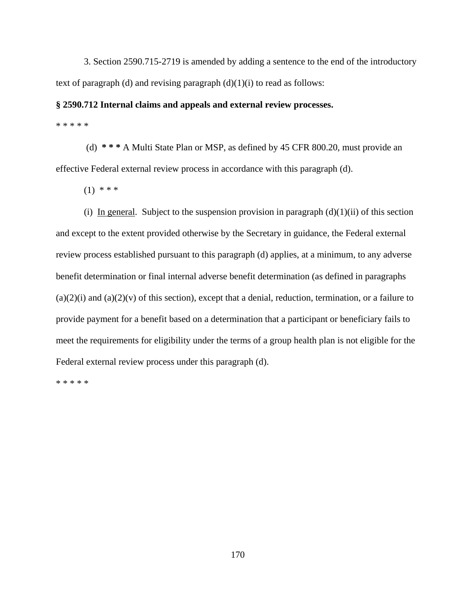3. Section 2590.715-2719 is amended by adding a sentence to the end of the introductory text of paragraph (d) and revising paragraph  $(d)(1)(i)$  to read as follows:

### **§ 2590.712 Internal claims and appeals and external review processes.**

\* \* \* \* \*

(d) **\* \* \*** A Multi State Plan or MSP, as defined by 45 CFR 800.20, must provide an effective Federal external review process in accordance with this paragraph (d).

 $(1)$  \* \* \*

(i) In general. Subject to the suspension provision in paragraph  $(d)(1)(ii)$  of this section and except to the extent provided otherwise by the Secretary in guidance, the Federal external review process established pursuant to this paragraph (d) applies, at a minimum, to any adverse benefit determination or final internal adverse benefit determination (as defined in paragraphs  $(a)(2)(i)$  and  $(a)(2)(v)$  of this section), except that a denial, reduction, termination, or a failure to provide payment for a benefit based on a determination that a participant or beneficiary fails to meet the requirements for eligibility under the terms of a group health plan is not eligible for the Federal external review process under this paragraph (d).

\* \* \* \* \*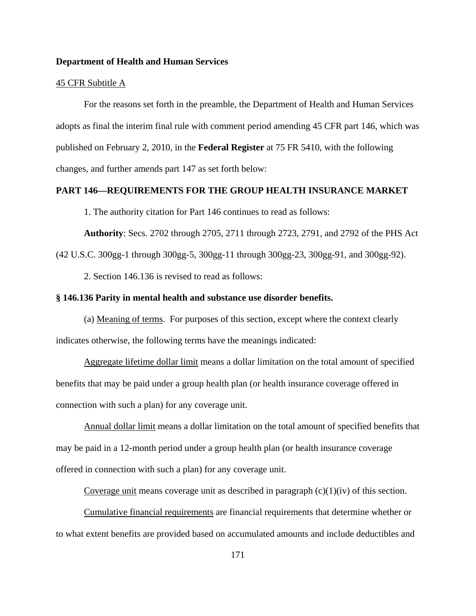#### **Department of Health and Human Services**

# 45 CFR Subtitle A

For the reasons set forth in the preamble, the Department of Health and Human Services adopts as final the interim final rule with comment period amending 45 CFR part 146, which was published on February 2, 2010, in the **Federal Register** at 75 FR 5410, with the following changes, and further amends part 147 as set forth below:

# **PART 146—REQUIREMENTS FOR THE GROUP HEALTH INSURANCE MARKET**

1. The authority citation for Part 146 continues to read as follows:

**Authority**: Secs. 2702 through 2705, 2711 through 2723, 2791, and 2792 of the PHS Act

(42 U.S.C. 300gg-1 through 300gg-5, 300gg-11 through 300gg-23, 300gg-91, and 300gg-92).

2. Section 146.136 is revised to read as follows:

## **§ 146.136 Parity in mental health and substance use disorder benefits.**

(a) Meaning of terms.For purposes of this section, except where the context clearly indicates otherwise, the following terms have the meanings indicated:

Aggregate lifetime dollar limit means a dollar limitation on the total amount of specified benefits that may be paid under a group health plan (or health insurance coverage offered in connection with such a plan) for any coverage unit.

Annual dollar limit means a dollar limitation on the total amount of specified benefits that may be paid in a 12-month period under a group health plan (or health insurance coverage offered in connection with such a plan) for any coverage unit.

Coverage unit means coverage unit as described in paragraph  $(c)(1)(iv)$  of this section.

Cumulative financial requirements are financial requirements that determine whether or to what extent benefits are provided based on accumulated amounts and include deductibles and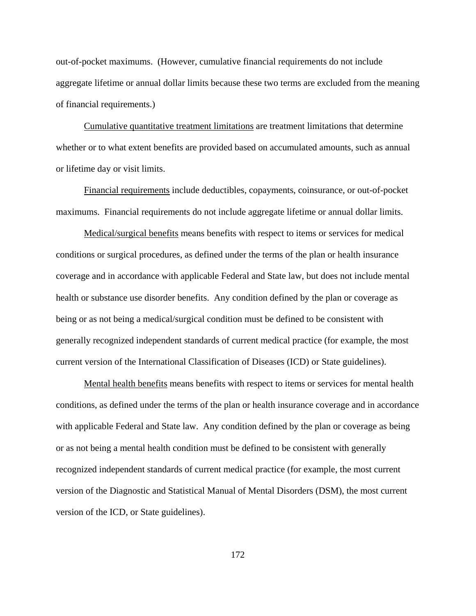out-of-pocket maximums. (However, cumulative financial requirements do not include aggregate lifetime or annual dollar limits because these two terms are excluded from the meaning of financial requirements.)

Cumulative quantitative treatment limitations are treatment limitations that determine whether or to what extent benefits are provided based on accumulated amounts, such as annual or lifetime day or visit limits.

Financial requirements include deductibles, copayments, coinsurance, or out-of-pocket maximums. Financial requirements do not include aggregate lifetime or annual dollar limits.

Medical/surgical benefits means benefits with respect to items or services for medical conditions or surgical procedures, as defined under the terms of the plan or health insurance coverage and in accordance with applicable Federal and State law, but does not include mental health or substance use disorder benefits. Any condition defined by the plan or coverage as being or as not being a medical/surgical condition must be defined to be consistent with generally recognized independent standards of current medical practice (for example, the most current version of the International Classification of Diseases (ICD) or State guidelines).

Mental health benefits means benefits with respect to items or services for mental health conditions, as defined under the terms of the plan or health insurance coverage and in accordance with applicable Federal and State law. Any condition defined by the plan or coverage as being or as not being a mental health condition must be defined to be consistent with generally recognized independent standards of current medical practice (for example, the most current version of the Diagnostic and Statistical Manual of Mental Disorders (DSM), the most current version of the ICD, or State guidelines).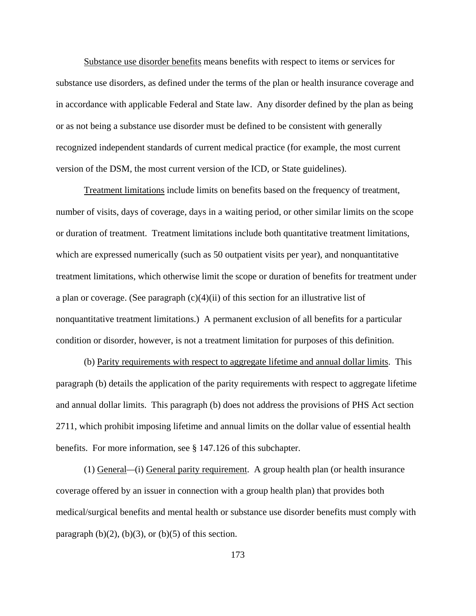Substance use disorder benefits means benefits with respect to items or services for substance use disorders, as defined under the terms of the plan or health insurance coverage and in accordance with applicable Federal and State law. Any disorder defined by the plan as being or as not being a substance use disorder must be defined to be consistent with generally recognized independent standards of current medical practice (for example, the most current version of the DSM, the most current version of the ICD, or State guidelines).

Treatment limitations include limits on benefits based on the frequency of treatment, number of visits, days of coverage, days in a waiting period, or other similar limits on the scope or duration of treatment. Treatment limitations include both quantitative treatment limitations, which are expressed numerically (such as 50 outpatient visits per year), and nonquantitative treatment limitations, which otherwise limit the scope or duration of benefits for treatment under a plan or coverage. (See paragraph  $(c)(4)(ii)$  of this section for an illustrative list of nonquantitative treatment limitations.) A permanent exclusion of all benefits for a particular condition or disorder, however, is not a treatment limitation for purposes of this definition.

(b) Parity requirements with respect to aggregate lifetime and annual dollar limits. This paragraph (b) details the application of the parity requirements with respect to aggregate lifetime and annual dollar limits. This paragraph (b) does not address the provisions of PHS Act section 2711, which prohibit imposing lifetime and annual limits on the dollar value of essential health benefits. For more information, see § 147.126 of this subchapter.

(1) General*—*(i) General parity requirement. A group health plan (or health insurance coverage offered by an issuer in connection with a group health plan) that provides both medical/surgical benefits and mental health or substance use disorder benefits must comply with paragraph  $(b)(2)$ ,  $(b)(3)$ , or  $(b)(5)$  of this section.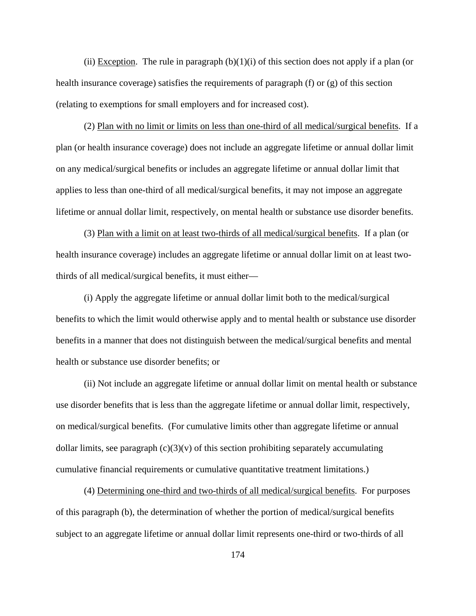(ii) Exception. The rule in paragraph  $(b)(1)(i)$  of this section does not apply if a plan (or health insurance coverage) satisfies the requirements of paragraph (f) or (g) of this section (relating to exemptions for small employers and for increased cost).

(2) Plan with no limit or limits on less than one-third of all medical/surgical benefits.If a plan (or health insurance coverage) does not include an aggregate lifetime or annual dollar limit on any medical/surgical benefits or includes an aggregate lifetime or annual dollar limit that applies to less than one-third of all medical/surgical benefits, it may not impose an aggregate lifetime or annual dollar limit, respectively, on mental health or substance use disorder benefits.

(3) Plan with a limit on at least two-thirds of all medical/surgical benefits. If a plan (or health insurance coverage) includes an aggregate lifetime or annual dollar limit on at least twothirds of all medical/surgical benefits, it must either—

(i) Apply the aggregate lifetime or annual dollar limit both to the medical/surgical benefits to which the limit would otherwise apply and to mental health or substance use disorder benefits in a manner that does not distinguish between the medical/surgical benefits and mental health or substance use disorder benefits; or

(ii) Not include an aggregate lifetime or annual dollar limit on mental health or substance use disorder benefits that is less than the aggregate lifetime or annual dollar limit, respectively, on medical/surgical benefits. (For cumulative limits other than aggregate lifetime or annual dollar limits, see paragraph  $(c)(3)(v)$  of this section prohibiting separately accumulating cumulative financial requirements or cumulative quantitative treatment limitations.)

 (4) Determining one-third and two-thirds of all medical/surgical benefits. For purposes of this paragraph (b), the determination of whether the portion of medical/surgical benefits subject to an aggregate lifetime or annual dollar limit represents one-third or two-thirds of all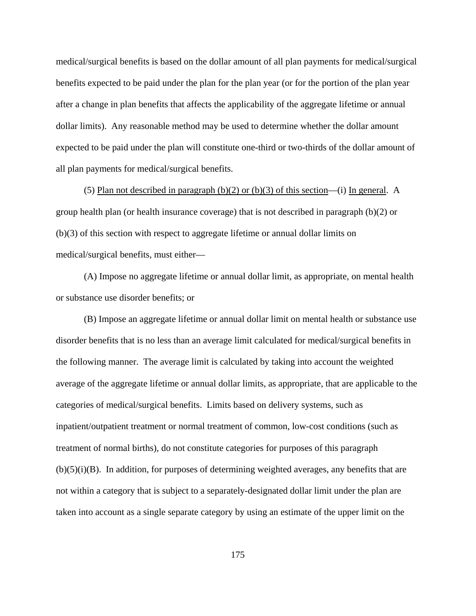medical/surgical benefits is based on the dollar amount of all plan payments for medical/surgical benefits expected to be paid under the plan for the plan year (or for the portion of the plan year after a change in plan benefits that affects the applicability of the aggregate lifetime or annual dollar limits). Any reasonable method may be used to determine whether the dollar amount expected to be paid under the plan will constitute one-third or two-thirds of the dollar amount of all plan payments for medical/surgical benefits.

(5) Plan not described in paragraph (b)(2) or (b)(3) of this section—(i) In general.A group health plan (or health insurance coverage) that is not described in paragraph (b)(2) or (b)(3) of this section with respect to aggregate lifetime or annual dollar limits on medical/surgical benefits, must either—

(A) Impose no aggregate lifetime or annual dollar limit, as appropriate, on mental health or substance use disorder benefits; or

(B) Impose an aggregate lifetime or annual dollar limit on mental health or substance use disorder benefits that is no less than an average limit calculated for medical/surgical benefits in the following manner. The average limit is calculated by taking into account the weighted average of the aggregate lifetime or annual dollar limits, as appropriate, that are applicable to the categories of medical/surgical benefits. Limits based on delivery systems, such as inpatient/outpatient treatment or normal treatment of common, low-cost conditions (such as treatment of normal births), do not constitute categories for purposes of this paragraph  $(b)(5)(i)(B)$ . In addition, for purposes of determining weighted averages, any benefits that are not within a category that is subject to a separately-designated dollar limit under the plan are taken into account as a single separate category by using an estimate of the upper limit on the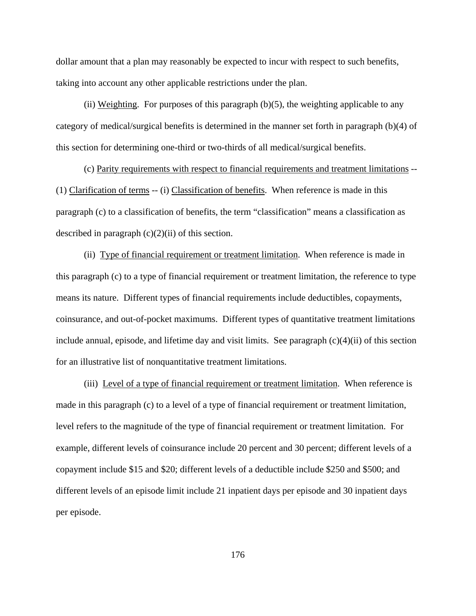dollar amount that a plan may reasonably be expected to incur with respect to such benefits, taking into account any other applicable restrictions under the plan.

(ii) Weighting.For purposes of this paragraph (b)(5), the weighting applicable to any category of medical/surgical benefits is determined in the manner set forth in paragraph (b)(4) of this section for determining one-third or two-thirds of all medical/surgical benefits.

 (c) Parity requirements with respect to financial requirements and treatment limitations -- (1) Clarification of terms -- (i) Classification of benefits. When reference is made in this paragraph (c) to a classification of benefits, the term "classification" means a classification as described in paragraph  $(c)(2)(ii)$  of this section.

(ii) Type of financial requirement or treatment limitation. When reference is made in this paragraph (c) to a type of financial requirement or treatment limitation, the reference to type means its nature. Different types of financial requirements include deductibles, copayments, coinsurance, and out-of-pocket maximums. Different types of quantitative treatment limitations include annual, episode, and lifetime day and visit limits. See paragraph  $(c)(4)(ii)$  of this section for an illustrative list of nonquantitative treatment limitations.

(iii) Level of a type of financial requirement or treatment limitation. When reference is made in this paragraph (c) to a level of a type of financial requirement or treatment limitation, level refers to the magnitude of the type of financial requirement or treatment limitation. For example, different levels of coinsurance include 20 percent and 30 percent; different levels of a copayment include \$15 and \$20; different levels of a deductible include \$250 and \$500; and different levels of an episode limit include 21 inpatient days per episode and 30 inpatient days per episode.

176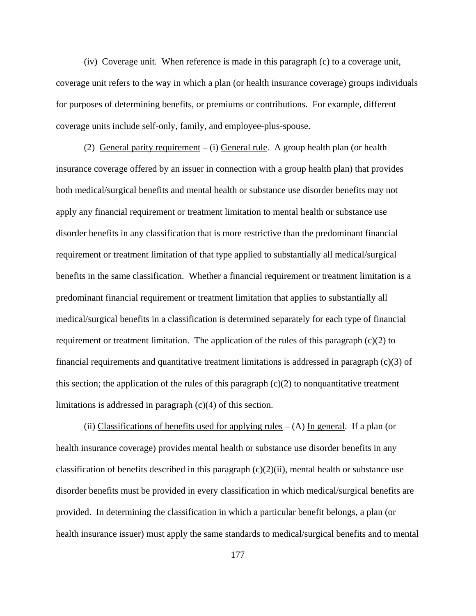(iv) Coverage unit. When reference is made in this paragraph (c) to a coverage unit, coverage unit refers to the way in which a plan (or health insurance coverage) groups individuals for purposes of determining benefits, or premiums or contributions. For example, different coverage units include self-only, family, and employee-plus-spouse.

(2) General parity requirement – (i) General rule. A group health plan (or health insurance coverage offered by an issuer in connection with a group health plan) that provides both medical/surgical benefits and mental health or substance use disorder benefits may not apply any financial requirement or treatment limitation to mental health or substance use disorder benefits in any classification that is more restrictive than the predominant financial requirement or treatment limitation of that type applied to substantially all medical/surgical benefits in the same classification. Whether a financial requirement or treatment limitation is a predominant financial requirement or treatment limitation that applies to substantially all medical/surgical benefits in a classification is determined separately for each type of financial requirement or treatment limitation. The application of the rules of this paragraph  $(c)(2)$  to financial requirements and quantitative treatment limitations is addressed in paragraph (c)(3) of this section; the application of the rules of this paragraph  $(c)(2)$  to nonquantitative treatment limitations is addressed in paragraph (c)(4) of this section.

(ii) Classifications of benefits used for applying rules  $-$  (A) In general. If a plan (or health insurance coverage) provides mental health or substance use disorder benefits in any classification of benefits described in this paragraph  $(c)(2)(ii)$ , mental health or substance use disorder benefits must be provided in every classification in which medical/surgical benefits are provided. In determining the classification in which a particular benefit belongs, a plan (or health insurance issuer) must apply the same standards to medical/surgical benefits and to mental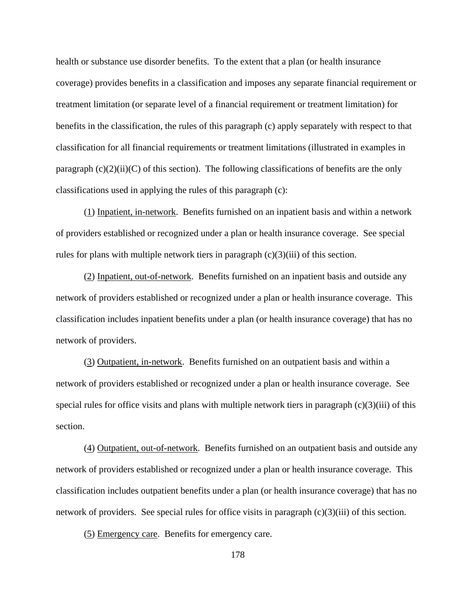health or substance use disorder benefits. To the extent that a plan (or health insurance coverage) provides benefits in a classification and imposes any separate financial requirement or treatment limitation (or separate level of a financial requirement or treatment limitation) for benefits in the classification, the rules of this paragraph (c) apply separately with respect to that classification for all financial requirements or treatment limitations (illustrated in examples in paragraph  $(c)(2)(ii)(C)$  of this section). The following classifications of benefits are the only classifications used in applying the rules of this paragraph (c):

(1) Inpatient, in-network. Benefits furnished on an inpatient basis and within a network of providers established or recognized under a plan or health insurance coverage. See special rules for plans with multiple network tiers in paragraph  $(c)(3)(iii)$  of this section.

(2) Inpatient, out-of-network. Benefits furnished on an inpatient basis and outside any network of providers established or recognized under a plan or health insurance coverage. This classification includes inpatient benefits under a plan (or health insurance coverage) that has no network of providers.

(3) Outpatient, in-network. Benefits furnished on an outpatient basis and within a network of providers established or recognized under a plan or health insurance coverage. See special rules for office visits and plans with multiple network tiers in paragraph  $(c)(3)(iii)$  of this section.

(4) Outpatient, out-of-network. Benefits furnished on an outpatient basis and outside any network of providers established or recognized under a plan or health insurance coverage. This classification includes outpatient benefits under a plan (or health insurance coverage) that has no network of providers. See special rules for office visits in paragraph  $(c)(3)(iii)$  of this section.

(5) Emergency care. Benefits for emergency care.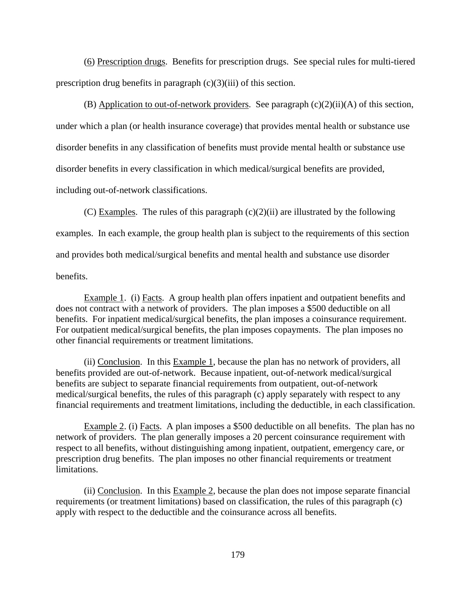(6) Prescription drugs. Benefits for prescription drugs. See special rules for multi-tiered prescription drug benefits in paragraph  $(c)(3)(iii)$  of this section.

(B) Application to out-of-network providers. See paragraph  $(c)(2)(ii)(A)$  of this section, under which a plan (or health insurance coverage) that provides mental health or substance use disorder benefits in any classification of benefits must provide mental health or substance use disorder benefits in every classification in which medical/surgical benefits are provided, including out-of-network classifications.

(C) Examples. The rules of this paragraph  $(c)(2)(ii)$  are illustrated by the following examples. In each example, the group health plan is subject to the requirements of this section and provides both medical/surgical benefits and mental health and substance use disorder benefits.

Example 1. (i) Facts. A group health plan offers inpatient and outpatient benefits and does not contract with a network of providers. The plan imposes a \$500 deductible on all benefits. For inpatient medical/surgical benefits, the plan imposes a coinsurance requirement. For outpatient medical/surgical benefits, the plan imposes copayments. The plan imposes no other financial requirements or treatment limitations.

(ii) Conclusion. In this Example 1, because the plan has no network of providers, all benefits provided are out-of-network. Because inpatient, out-of-network medical/surgical benefits are subject to separate financial requirements from outpatient, out-of-network medical/surgical benefits, the rules of this paragraph (c) apply separately with respect to any financial requirements and treatment limitations, including the deductible, in each classification.

Example 2. (i) Facts. A plan imposes a \$500 deductible on all benefits. The plan has no network of providers. The plan generally imposes a 20 percent coinsurance requirement with respect to all benefits, without distinguishing among inpatient, outpatient, emergency care, or prescription drug benefits. The plan imposes no other financial requirements or treatment limitations.

(ii) Conclusion. In this Example 2, because the plan does not impose separate financial requirements (or treatment limitations) based on classification, the rules of this paragraph (c) apply with respect to the deductible and the coinsurance across all benefits.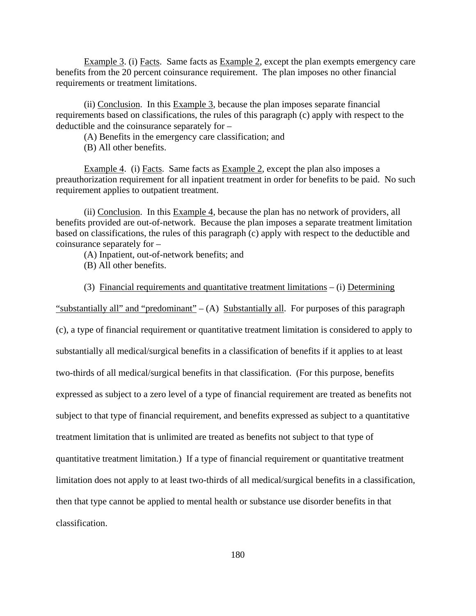Example 3. (i) Facts. Same facts as Example 2, except the plan exempts emergency care benefits from the 20 percent coinsurance requirement. The plan imposes no other financial requirements or treatment limitations.

(ii) Conclusion. In this Example 3, because the plan imposes separate financial requirements based on classifications, the rules of this paragraph (c) apply with respect to the deductible and the coinsurance separately for –

(A) Benefits in the emergency care classification; and

(B) All other benefits.

Example 4. (i) Facts. Same facts as Example 2, except the plan also imposes a preauthorization requirement for all inpatient treatment in order for benefits to be paid. No such requirement applies to outpatient treatment.

 (ii) Conclusion. In this Example 4, because the plan has no network of providers, all benefits provided are out-of-network. Because the plan imposes a separate treatment limitation based on classifications, the rules of this paragraph (c) apply with respect to the deductible and coinsurance separately for –

(A) Inpatient, out-of-network benefits; and

(B) All other benefits.

(3) Financial requirements and quantitative treatment limitations – (i) Determining

"substantially all" and "predominant" –  $(A)$  Substantially all. For purposes of this paragraph

(c), a type of financial requirement or quantitative treatment limitation is considered to apply to substantially all medical/surgical benefits in a classification of benefits if it applies to at least two-thirds of all medical/surgical benefits in that classification. (For this purpose, benefits expressed as subject to a zero level of a type of financial requirement are treated as benefits not subject to that type of financial requirement, and benefits expressed as subject to a quantitative treatment limitation that is unlimited are treated as benefits not subject to that type of quantitative treatment limitation.) If a type of financial requirement or quantitative treatment limitation does not apply to at least two-thirds of all medical/surgical benefits in a classification, then that type cannot be applied to mental health or substance use disorder benefits in that classification.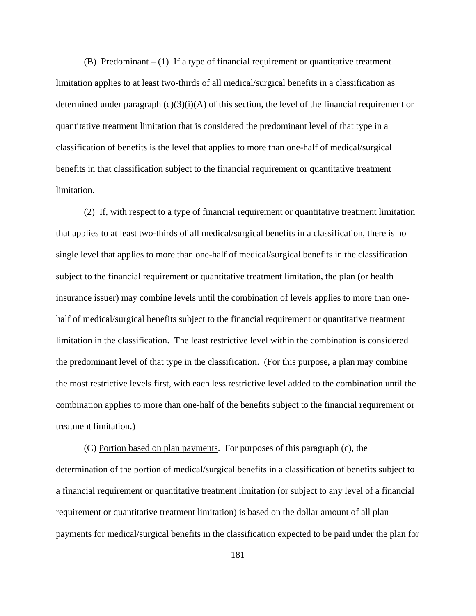(B) Predominant  $- (1)$  If a type of financial requirement or quantitative treatment limitation applies to at least two-thirds of all medical/surgical benefits in a classification as determined under paragraph  $(c)(3)(i)(A)$  of this section, the level of the financial requirement or quantitative treatment limitation that is considered the predominant level of that type in a classification of benefits is the level that applies to more than one-half of medical/surgical benefits in that classification subject to the financial requirement or quantitative treatment limitation.

(2) If, with respect to a type of financial requirement or quantitative treatment limitation that applies to at least two-thirds of all medical/surgical benefits in a classification, there is no single level that applies to more than one-half of medical/surgical benefits in the classification subject to the financial requirement or quantitative treatment limitation, the plan (or health insurance issuer) may combine levels until the combination of levels applies to more than onehalf of medical/surgical benefits subject to the financial requirement or quantitative treatment limitation in the classification. The least restrictive level within the combination is considered the predominant level of that type in the classification. (For this purpose, a plan may combine the most restrictive levels first, with each less restrictive level added to the combination until the combination applies to more than one-half of the benefits subject to the financial requirement or treatment limitation.)

(C) Portion based on plan payments. For purposes of this paragraph (c), the determination of the portion of medical/surgical benefits in a classification of benefits subject to a financial requirement or quantitative treatment limitation (or subject to any level of a financial requirement or quantitative treatment limitation) is based on the dollar amount of all plan payments for medical/surgical benefits in the classification expected to be paid under the plan for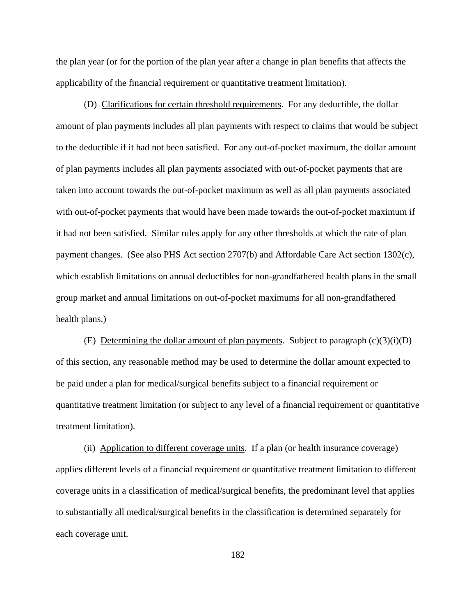the plan year (or for the portion of the plan year after a change in plan benefits that affects the applicability of the financial requirement or quantitative treatment limitation).

(D) Clarifications for certain threshold requirements. For any deductible, the dollar amount of plan payments includes all plan payments with respect to claims that would be subject to the deductible if it had not been satisfied. For any out-of-pocket maximum, the dollar amount of plan payments includes all plan payments associated with out-of-pocket payments that are taken into account towards the out-of-pocket maximum as well as all plan payments associated with out-of-pocket payments that would have been made towards the out-of-pocket maximum if it had not been satisfied. Similar rules apply for any other thresholds at which the rate of plan payment changes. (See also PHS Act section 2707(b) and Affordable Care Act section 1302(c), which establish limitations on annual deductibles for non-grandfathered health plans in the small group market and annual limitations on out-of-pocket maximums for all non-grandfathered health plans.)

(E) Determining the dollar amount of plan payments. Subject to paragraph  $(c)(3)(i)(D)$ of this section, any reasonable method may be used to determine the dollar amount expected to be paid under a plan for medical/surgical benefits subject to a financial requirement or quantitative treatment limitation (or subject to any level of a financial requirement or quantitative treatment limitation).

(ii) Application to different coverage units. If a plan (or health insurance coverage) applies different levels of a financial requirement or quantitative treatment limitation to different coverage units in a classification of medical/surgical benefits, the predominant level that applies to substantially all medical/surgical benefits in the classification is determined separately for each coverage unit.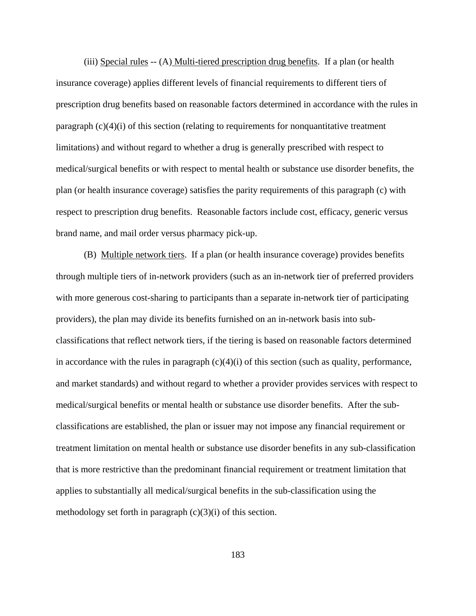(iii) Special rules -- (A) Multi-tiered prescription drug benefits. If a plan (or health insurance coverage) applies different levels of financial requirements to different tiers of prescription drug benefits based on reasonable factors determined in accordance with the rules in paragraph (c)(4)(i) of this section (relating to requirements for nonquantitative treatment limitations) and without regard to whether a drug is generally prescribed with respect to medical/surgical benefits or with respect to mental health or substance use disorder benefits, the plan (or health insurance coverage) satisfies the parity requirements of this paragraph (c) with respect to prescription drug benefits. Reasonable factors include cost, efficacy, generic versus brand name, and mail order versus pharmacy pick-up.

(B) Multiple network tiers. If a plan (or health insurance coverage) provides benefits through multiple tiers of in-network providers (such as an in-network tier of preferred providers with more generous cost-sharing to participants than a separate in-network tier of participating providers), the plan may divide its benefits furnished on an in-network basis into subclassifications that reflect network tiers, if the tiering is based on reasonable factors determined in accordance with the rules in paragraph  $(c)(4)(i)$  of this section (such as quality, performance, and market standards) and without regard to whether a provider provides services with respect to medical/surgical benefits or mental health or substance use disorder benefits. After the subclassifications are established, the plan or issuer may not impose any financial requirement or treatment limitation on mental health or substance use disorder benefits in any sub-classification that is more restrictive than the predominant financial requirement or treatment limitation that applies to substantially all medical/surgical benefits in the sub-classification using the methodology set forth in paragraph  $(c)(3)(i)$  of this section.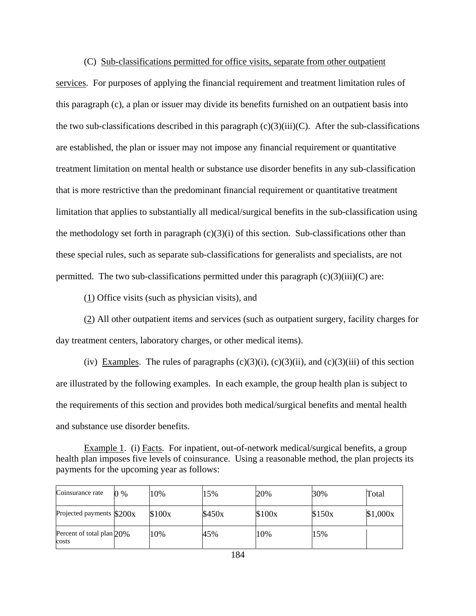(C) Sub-classifications permitted for office visits, separate from other outpatient services. For purposes of applying the financial requirement and treatment limitation rules of this paragraph (c), a plan or issuer may divide its benefits furnished on an outpatient basis into the two sub-classifications described in this paragraph  $(c)(3)(iii)(C)$ . After the sub-classifications are established, the plan or issuer may not impose any financial requirement or quantitative treatment limitation on mental health or substance use disorder benefits in any sub-classification that is more restrictive than the predominant financial requirement or quantitative treatment limitation that applies to substantially all medical/surgical benefits in the sub-classification using the methodology set forth in paragraph  $(c)(3)(i)$  of this section. Sub-classifications other than these special rules, such as separate sub-classifications for generalists and specialists, are not permitted. The two sub-classifications permitted under this paragraph  $(c)(3)(iii)(C)$  are:

(1) Office visits (such as physician visits), and

 $\overline{\phantom{a}}$ 

 $\overline{1}$ 

(2) All other outpatient items and services (such as outpatient surgery, facility charges for day treatment centers, laboratory charges, or other medical items).

(iv) Examples. The rules of paragraphs  $(c)(3)(i)$ ,  $(c)(3)(ii)$ , and  $(c)(3)(iii)$  of this section are illustrated by the following examples. In each example, the group health plan is subject to the requirements of this section and provides both medical/surgical benefits and mental health and substance use disorder benefits.

Example 1. (i) Facts. For inpatient, out-of-network medical/surgical benefits, a group health plan imposes five levels of coinsurance. Using a reasonable method, the plan projects its payments for the upcoming year as follows:

| Coinsurance rate                      | ) % | 10%    | 15%    | 20%    | 30%    | Total    |
|---------------------------------------|-----|--------|--------|--------|--------|----------|
| Projected payments $$200x$            |     | \$100x | \$450x | \$100x | \$150x | \$1,000x |
| Percent of total plan $20\%$<br>costs |     | 10%    | 45%    | 10%    | 15%    |          |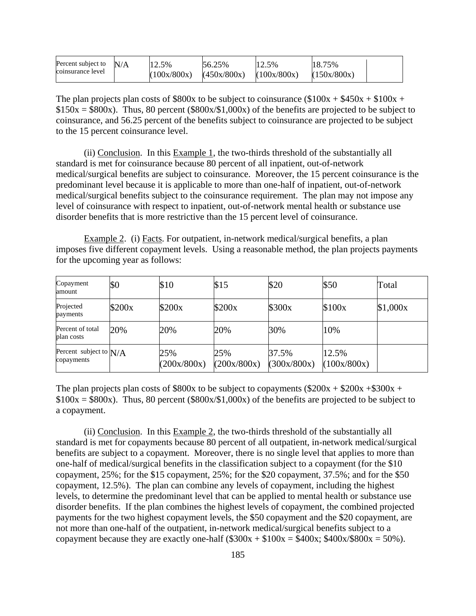| Percent subject to | N/A | 12.5%       | 56.25%      | 12.5%       | 18.75%      |  |
|--------------------|-----|-------------|-------------|-------------|-------------|--|
| coinsurance level  |     | (100x/800x) | (450x/800x) | (100x/800x) | (150x/800x) |  |

The plan projects plan costs of \$800x to be subject to coinsurance (\$100x +  $$450x + $100x +$  $$150x = $800x$ . Thus, 80 percent (\$800x/\$1,000x) of the benefits are projected to be subject to coinsurance, and 56.25 percent of the benefits subject to coinsurance are projected to be subject to the 15 percent coinsurance level.

 (ii) Conclusion. In this Example 1, the two-thirds threshold of the substantially all standard is met for coinsurance because 80 percent of all inpatient, out-of-network medical/surgical benefits are subject to coinsurance. Moreover, the 15 percent coinsurance is the predominant level because it is applicable to more than one-half of inpatient, out-of-network medical/surgical benefits subject to the coinsurance requirement. The plan may not impose any level of coinsurance with respect to inpatient, out-of-network mental health or substance use disorder benefits that is more restrictive than the 15 percent level of coinsurance.

Example 2. (i) Facts. For outpatient, in-network medical/surgical benefits, a plan imposes five different copayment levels. Using a reasonable method, the plan projects payments for the upcoming year as follows:

| Copayment<br>amount                    | \$0    | \$10               | \$15               | \$20                 | \$50                 | Total    |
|----------------------------------------|--------|--------------------|--------------------|----------------------|----------------------|----------|
| Projected<br>payments                  | \$200x | \$200x             | \$200x             | \$300x               | \$100x               | \$1,000x |
| Percent of total<br>plan costs         | 20%    | 20%                | 20%                | 30%                  | 10%                  |          |
| Percent subject to $N/A$<br>copayments |        | 25%<br>(200x/800x) | 25%<br>(200x/800x) | 37.5%<br>(300x/800x) | 12.5%<br>(100x/800x) |          |

The plan projects plan costs of \$800x to be subject to copayments (\$200x + \$200x + \$300x +  $$100x = $800x$ . Thus, 80 percent (\$800x/\$1,000x) of the benefits are projected to be subject to a copayment.

 (ii) Conclusion. In this Example 2, the two-thirds threshold of the substantially all standard is met for copayments because 80 percent of all outpatient, in-network medical/surgical benefits are subject to a copayment. Moreover, there is no single level that applies to more than one-half of medical/surgical benefits in the classification subject to a copayment (for the \$10 copayment, 25%; for the \$15 copayment, 25%; for the \$20 copayment, 37.5%; and for the \$50 copayment, 12.5%). The plan can combine any levels of copayment, including the highest levels, to determine the predominant level that can be applied to mental health or substance use disorder benefits. If the plan combines the highest levels of copayment, the combined projected payments for the two highest copayment levels, the \$50 copayment and the \$20 copayment, are not more than one-half of the outpatient, in-network medical/surgical benefits subject to a copayment because they are exactly one-half  $(\$300x + \$100x = \$400x; \$400x/\$800x = 50\%$ ).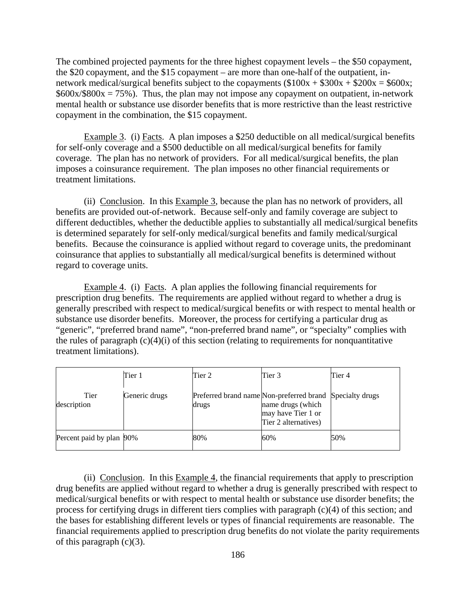The combined projected payments for the three highest copayment levels – the \$50 copayment, the \$20 copayment, and the \$15 copayment – are more than one-half of the outpatient, innetwork medical/surgical benefits subject to the copayments  $(\$100x + \$300x + \$200x = \$600x;$  $$600x/$800x = 75\%$ . Thus, the plan may not impose any copayment on outpatient, in-network mental health or substance use disorder benefits that is more restrictive than the least restrictive copayment in the combination, the \$15 copayment.

Example 3. (i) Facts. A plan imposes a \$250 deductible on all medical/surgical benefits for self-only coverage and a \$500 deductible on all medical/surgical benefits for family coverage. The plan has no network of providers. For all medical/surgical benefits, the plan imposes a coinsurance requirement. The plan imposes no other financial requirements or treatment limitations.

(ii) Conclusion. In this Example 3, because the plan has no network of providers, all benefits are provided out-of-network. Because self-only and family coverage are subject to different deductibles, whether the deductible applies to substantially all medical/surgical benefits is determined separately for self-only medical/surgical benefits and family medical/surgical benefits. Because the coinsurance is applied without regard to coverage units, the predominant coinsurance that applies to substantially all medical/surgical benefits is determined without regard to coverage units.

Example 4. (i) Facts. A plan applies the following financial requirements for prescription drug benefits. The requirements are applied without regard to whether a drug is generally prescribed with respect to medical/surgical benefits or with respect to mental health or substance use disorder benefits. Moreover, the process for certifying a particular drug as "generic", "preferred brand name", "non-preferred brand name", or "specialty" complies with the rules of paragraph  $(c)(4)(i)$  of this section (relating to requirements for nonquantitative treatment limitations).

|                          | Tier 1        | Tier 2                                                            | Tier 3                                                          | Tier 4 |
|--------------------------|---------------|-------------------------------------------------------------------|-----------------------------------------------------------------|--------|
| Tier<br>description      | Generic drugs | Preferred brand name Non-preferred brand Specialty drugs<br>drugs | name drugs (which<br>may have Tier 1 or<br>Tier 2 alternatives) |        |
| Percent paid by plan 90% |               | 80%                                                               | 60%                                                             | 50%    |

(ii) Conclusion. In this Example 4, the financial requirements that apply to prescription drug benefits are applied without regard to whether a drug is generally prescribed with respect to medical/surgical benefits or with respect to mental health or substance use disorder benefits; the process for certifying drugs in different tiers complies with paragraph (c)(4) of this section; and the bases for establishing different levels or types of financial requirements are reasonable. The financial requirements applied to prescription drug benefits do not violate the parity requirements of this paragraph  $(c)(3)$ .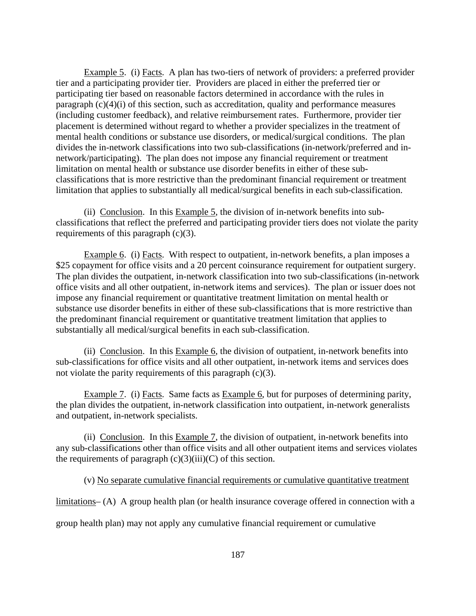Example 5. (i) Facts. A plan has two-tiers of network of providers: a preferred provider tier and a participating provider tier. Providers are placed in either the preferred tier or participating tier based on reasonable factors determined in accordance with the rules in paragraph (c)(4)(i) of this section, such as accreditation, quality and performance measures (including customer feedback), and relative reimbursement rates. Furthermore, provider tier placement is determined without regard to whether a provider specializes in the treatment of mental health conditions or substance use disorders, or medical/surgical conditions. The plan divides the in-network classifications into two sub-classifications (in-network/preferred and innetwork/participating). The plan does not impose any financial requirement or treatment limitation on mental health or substance use disorder benefits in either of these subclassifications that is more restrictive than the predominant financial requirement or treatment limitation that applies to substantially all medical/surgical benefits in each sub-classification.

(ii) Conclusion. In this Example 5, the division of in-network benefits into subclassifications that reflect the preferred and participating provider tiers does not violate the parity requirements of this paragraph (c)(3).

Example 6. (i) Facts. With respect to outpatient, in-network benefits, a plan imposes a \$25 copayment for office visits and a 20 percent coinsurance requirement for outpatient surgery. The plan divides the outpatient, in-network classification into two sub-classifications (in-network office visits and all other outpatient, in-network items and services). The plan or issuer does not impose any financial requirement or quantitative treatment limitation on mental health or substance use disorder benefits in either of these sub-classifications that is more restrictive than the predominant financial requirement or quantitative treatment limitation that applies to substantially all medical/surgical benefits in each sub-classification.

(ii) Conclusion. In this Example 6, the division of outpatient, in-network benefits into sub-classifications for office visits and all other outpatient, in-network items and services does not violate the parity requirements of this paragraph (c)(3).

Example 7. (i) Facts. Same facts as Example 6, but for purposes of determining parity, the plan divides the outpatient, in-network classification into outpatient, in-network generalists and outpatient, in-network specialists.

(ii) Conclusion. In this Example 7, the division of outpatient, in-network benefits into any sub-classifications other than office visits and all other outpatient items and services violates the requirements of paragraph  $(c)(3)(iii)(C)$  of this section.

(v) No separate cumulative financial requirements or cumulative quantitative treatment

limitations– (A) A group health plan (or health insurance coverage offered in connection with a

group health plan) may not apply any cumulative financial requirement or cumulative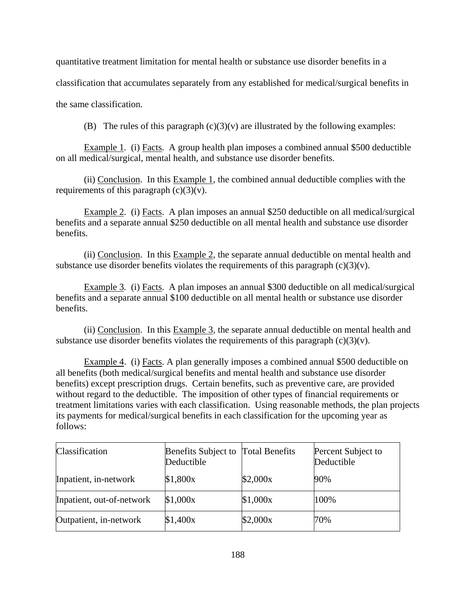quantitative treatment limitation for mental health or substance use disorder benefits in a

classification that accumulates separately from any established for medical/surgical benefits in

the same classification.

(B)The rules of this paragraph (c)(3)(v) are illustrated by the following examples:

Example 1*.* (i) Facts. A group health plan imposes a combined annual \$500 deductible on all medical/surgical, mental health, and substance use disorder benefits.

(ii) Conclusion. In this Example 1, the combined annual deductible complies with the requirements of this paragraph  $(c)(3)(v)$ .

Example 2*.* (i) Facts. A plan imposes an annual \$250 deductible on all medical/surgical benefits and a separate annual \$250 deductible on all mental health and substance use disorder benefits.

(ii) Conclusion. In this Example 2, the separate annual deductible on mental health and substance use disorder benefits violates the requirements of this paragraph  $(c)(3)(v)$ .

Example 3*.* (i) Facts. A plan imposes an annual \$300 deductible on all medical/surgical benefits and a separate annual \$100 deductible on all mental health or substance use disorder benefits.

(ii) Conclusion. In this Example 3, the separate annual deductible on mental health and substance use disorder benefits violates the requirements of this paragraph  $(c)(3)(v)$ .

Example 4. (i) Facts. A plan generally imposes a combined annual \$500 deductible on all benefits (both medical/surgical benefits and mental health and substance use disorder benefits) except prescription drugs. Certain benefits, such as preventive care, are provided without regard to the deductible. The imposition of other types of financial requirements or treatment limitations varies with each classification. Using reasonable methods, the plan projects its payments for medical/surgical benefits in each classification for the upcoming year as follows:

| Classification            | Benefits Subject to Total Benefits<br>Deductible |          | Percent Subject to<br>Deductible |
|---------------------------|--------------------------------------------------|----------|----------------------------------|
| Inpatient, in-network     | \$1,800x                                         | \$2,000x | 90%                              |
| Inpatient, out-of-network | \$1,000x                                         | \$1,000x | 100%                             |
| Outpatient, in-network    | \$1,400x                                         | \$2,000x | 70%                              |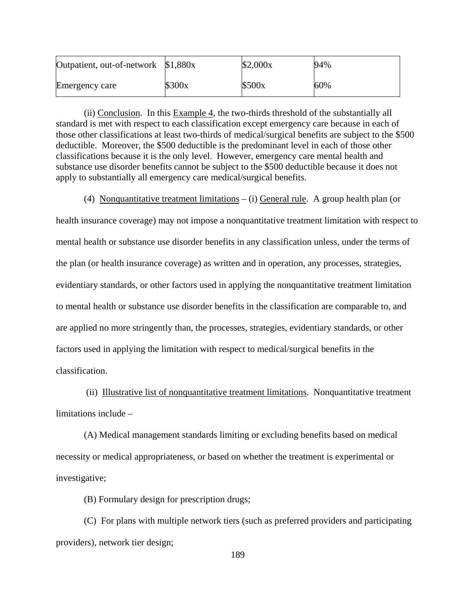| Outpatient, out-of-network \$1,880x |        | \$2,000x | 94% |
|-------------------------------------|--------|----------|-----|
| Emergency care                      | \$300x | \$500x   | 60% |

(ii) Conclusion. In this Example 4, the two-thirds threshold of the substantially all standard is met with respect to each classification except emergency care because in each of those other classifications at least two-thirds of medical/surgical benefits are subject to the \$500 deductible. Moreover, the \$500 deductible is the predominant level in each of those other classifications because it is the only level. However, emergency care mental health and substance use disorder benefits cannot be subject to the \$500 deductible because it does not apply to substantially all emergency care medical/surgical benefits.

(4) Nonquantitative treatment limitations – (i) General rule. A group health plan (or

health insurance coverage) may not impose a nonquantitative treatment limitation with respect to mental health or substance use disorder benefits in any classification unless, under the terms of the plan (or health insurance coverage) as written and in operation, any processes, strategies, evidentiary standards, or other factors used in applying the nonquantitative treatment limitation to mental health or substance use disorder benefits in the classification are comparable to, and are applied no more stringently than, the processes, strategies, evidentiary standards, or other factors used in applying the limitation with respect to medical/surgical benefits in the classification.

 (ii) Illustrative list of nonquantitative treatment limitations. Nonquantitative treatment limitations include –

(A) Medical management standards limiting or excluding benefits based on medical necessity or medical appropriateness, or based on whether the treatment is experimental or investigative;

(B) Formulary design for prescription drugs;

(C) For plans with multiple network tiers (such as preferred providers and participating providers), network tier design;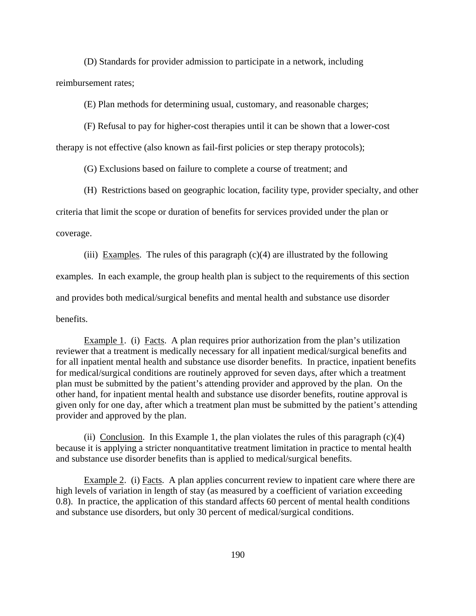(D) Standards for provider admission to participate in a network, including

reimbursement rates;

(E) Plan methods for determining usual, customary, and reasonable charges;

(F) Refusal to pay for higher-cost therapies until it can be shown that a lower-cost

therapy is not effective (also known as fail-first policies or step therapy protocols);

(G) Exclusions based on failure to complete a course of treatment; and

(H) Restrictions based on geographic location, facility type, provider specialty, and other

criteria that limit the scope or duration of benefits for services provided under the plan or

coverage.

(iii) Examples. The rules of this paragraph  $(c)(4)$  are illustrated by the following examples. In each example, the group health plan is subject to the requirements of this section and provides both medical/surgical benefits and mental health and substance use disorder benefits.

Example 1. (i) Facts. A plan requires prior authorization from the plan's utilization reviewer that a treatment is medically necessary for all inpatient medical/surgical benefits and for all inpatient mental health and substance use disorder benefits. In practice, inpatient benefits for medical/surgical conditions are routinely approved for seven days, after which a treatment plan must be submitted by the patient's attending provider and approved by the plan. On the other hand, for inpatient mental health and substance use disorder benefits, routine approval is given only for one day, after which a treatment plan must be submitted by the patient's attending provider and approved by the plan.

(ii) Conclusion. In this Example 1, the plan violates the rules of this paragraph  $(c)(4)$ because it is applying a stricter nonquantitative treatment limitation in practice to mental health and substance use disorder benefits than is applied to medical/surgical benefits.

Example 2. (i) Facts. A plan applies concurrent review to inpatient care where there are high levels of variation in length of stay (as measured by a coefficient of variation exceeding 0.8). In practice, the application of this standard affects 60 percent of mental health conditions and substance use disorders, but only 30 percent of medical/surgical conditions.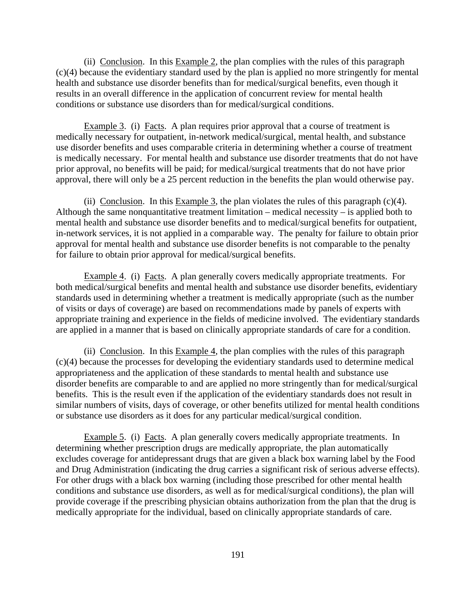(ii) Conclusion. In this Example 2, the plan complies with the rules of this paragraph (c)(4) because the evidentiary standard used by the plan is applied no more stringently for mental health and substance use disorder benefits than for medical/surgical benefits, even though it results in an overall difference in the application of concurrent review for mental health conditions or substance use disorders than for medical/surgical conditions.

Example 3. (i) Facts. A plan requires prior approval that a course of treatment is medically necessary for outpatient, in-network medical/surgical, mental health, and substance use disorder benefits and uses comparable criteria in determining whether a course of treatment is medically necessary. For mental health and substance use disorder treatments that do not have prior approval, no benefits will be paid; for medical/surgical treatments that do not have prior approval, there will only be a 25 percent reduction in the benefits the plan would otherwise pay.

(ii) Conclusion. In this Example 3, the plan violates the rules of this paragraph  $(c)(4)$ . Although the same nonquantitative treatment limitation – medical necessity – is applied both to mental health and substance use disorder benefits and to medical/surgical benefits for outpatient, in-network services, it is not applied in a comparable way. The penalty for failure to obtain prior approval for mental health and substance use disorder benefits is not comparable to the penalty for failure to obtain prior approval for medical/surgical benefits.

Example 4. (i) Facts. A plan generally covers medically appropriate treatments. For both medical/surgical benefits and mental health and substance use disorder benefits, evidentiary standards used in determining whether a treatment is medically appropriate (such as the number of visits or days of coverage) are based on recommendations made by panels of experts with appropriate training and experience in the fields of medicine involved. The evidentiary standards are applied in a manner that is based on clinically appropriate standards of care for a condition.

(ii) Conclusion. In this Example 4, the plan complies with the rules of this paragraph (c)(4) because the processes for developing the evidentiary standards used to determine medical appropriateness and the application of these standards to mental health and substance use disorder benefits are comparable to and are applied no more stringently than for medical/surgical benefits. This is the result even if the application of the evidentiary standards does not result in similar numbers of visits, days of coverage, or other benefits utilized for mental health conditions or substance use disorders as it does for any particular medical/surgical condition.

Example 5. (i) Facts. A plan generally covers medically appropriate treatments. In determining whether prescription drugs are medically appropriate, the plan automatically excludes coverage for antidepressant drugs that are given a black box warning label by the Food and Drug Administration (indicating the drug carries a significant risk of serious adverse effects). For other drugs with a black box warning (including those prescribed for other mental health conditions and substance use disorders, as well as for medical/surgical conditions), the plan will provide coverage if the prescribing physician obtains authorization from the plan that the drug is medically appropriate for the individual, based on clinically appropriate standards of care.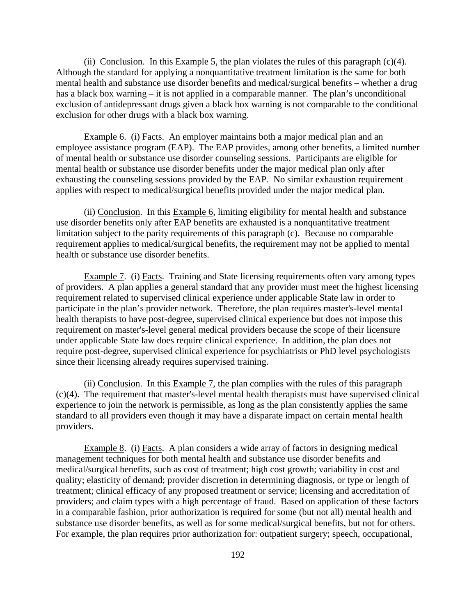(ii) Conclusion. In this Example 5, the plan violates the rules of this paragraph  $(c)(4)$ . Although the standard for applying a nonquantitative treatment limitation is the same for both mental health and substance use disorder benefits and medical/surgical benefits – whether a drug has a black box warning – it is not applied in a comparable manner. The plan's unconditional exclusion of antidepressant drugs given a black box warning is not comparable to the conditional exclusion for other drugs with a black box warning.

Example 6. (i) Facts. An employer maintains both a major medical plan and an employee assistance program (EAP). The EAP provides, among other benefits, a limited number of mental health or substance use disorder counseling sessions. Participants are eligible for mental health or substance use disorder benefits under the major medical plan only after exhausting the counseling sessions provided by the EAP. No similar exhaustion requirement applies with respect to medical/surgical benefits provided under the major medical plan.

(ii) Conclusion. In this Example 6, limiting eligibility for mental health and substance use disorder benefits only after EAP benefits are exhausted is a nonquantitative treatment limitation subject to the parity requirements of this paragraph (c). Because no comparable requirement applies to medical/surgical benefits, the requirement may not be applied to mental health or substance use disorder benefits.

Example 7. (i) Facts. Training and State licensing requirements often vary among types of providers. A plan applies a general standard that any provider must meet the highest licensing requirement related to supervised clinical experience under applicable State law in order to participate in the plan's provider network. Therefore, the plan requires master's-level mental health therapists to have post-degree, supervised clinical experience but does not impose this requirement on master's-level general medical providers because the scope of their licensure under applicable State law does require clinical experience. In addition, the plan does not require post-degree, supervised clinical experience for psychiatrists or PhD level psychologists since their licensing already requires supervised training.

(ii) Conclusion. In this Example 7, the plan complies with the rules of this paragraph (c)(4). The requirement that master's-level mental health therapists must have supervised clinical experience to join the network is permissible, as long as the plan consistently applies the same standard to all providers even though it may have a disparate impact on certain mental health providers.

Example 8. (i) Facts. A plan considers a wide array of factors in designing medical management techniques for both mental health and substance use disorder benefits and medical/surgical benefits, such as cost of treatment; high cost growth; variability in cost and quality; elasticity of demand; provider discretion in determining diagnosis, or type or length of treatment; clinical efficacy of any proposed treatment or service; licensing and accreditation of providers; and claim types with a high percentage of fraud. Based on application of these factors in a comparable fashion, prior authorization is required for some (but not all) mental health and substance use disorder benefits, as well as for some medical/surgical benefits, but not for others. For example, the plan requires prior authorization for: outpatient surgery; speech, occupational,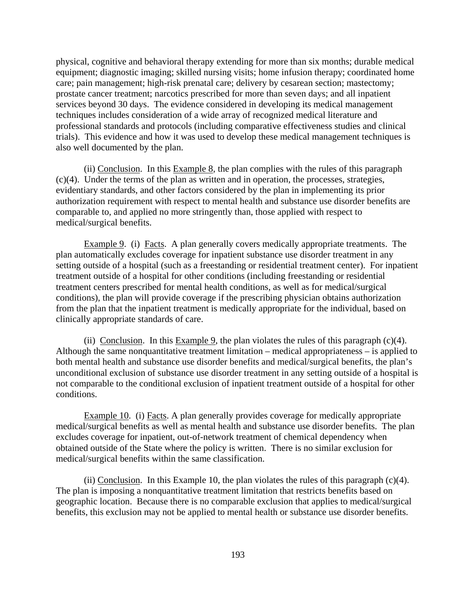physical, cognitive and behavioral therapy extending for more than six months; durable medical equipment; diagnostic imaging; skilled nursing visits; home infusion therapy; coordinated home care; pain management; high-risk prenatal care; delivery by cesarean section; mastectomy; prostate cancer treatment; narcotics prescribed for more than seven days; and all inpatient services beyond 30 days. The evidence considered in developing its medical management techniques includes consideration of a wide array of recognized medical literature and professional standards and protocols (including comparative effectiveness studies and clinical trials). This evidence and how it was used to develop these medical management techniques is also well documented by the plan.

(ii) Conclusion. In this Example 8, the plan complies with the rules of this paragraph (c)(4). Under the terms of the plan as written and in operation, the processes, strategies, evidentiary standards, and other factors considered by the plan in implementing its prior authorization requirement with respect to mental health and substance use disorder benefits are comparable to, and applied no more stringently than, those applied with respect to medical/surgical benefits.

Example 9. (i) Facts. A plan generally covers medically appropriate treatments. The plan automatically excludes coverage for inpatient substance use disorder treatment in any setting outside of a hospital (such as a freestanding or residential treatment center). For inpatient treatment outside of a hospital for other conditions (including freestanding or residential treatment centers prescribed for mental health conditions, as well as for medical/surgical conditions), the plan will provide coverage if the prescribing physician obtains authorization from the plan that the inpatient treatment is medically appropriate for the individual, based on clinically appropriate standards of care.

(ii) Conclusion. In this Example 9, the plan violates the rules of this paragraph  $(c)(4)$ . Although the same nonquantitative treatment limitation – medical appropriateness – is applied to both mental health and substance use disorder benefits and medical/surgical benefits, the plan's unconditional exclusion of substance use disorder treatment in any setting outside of a hospital is not comparable to the conditional exclusion of inpatient treatment outside of a hospital for other conditions.

Example 10. (i) Facts. A plan generally provides coverage for medically appropriate medical/surgical benefits as well as mental health and substance use disorder benefits. The plan excludes coverage for inpatient, out-of-network treatment of chemical dependency when obtained outside of the State where the policy is written. There is no similar exclusion for medical/surgical benefits within the same classification.

(ii) Conclusion. In this Example 10, the plan violates the rules of this paragraph (c)(4). The plan is imposing a nonquantitative treatment limitation that restricts benefits based on geographic location. Because there is no comparable exclusion that applies to medical/surgical benefits, this exclusion may not be applied to mental health or substance use disorder benefits.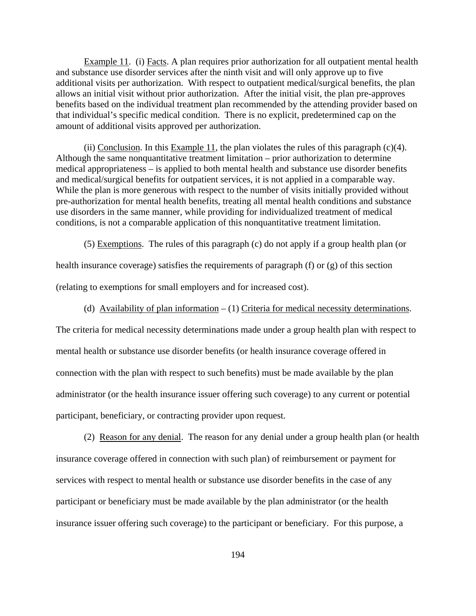Example 11. (i) Facts. A plan requires prior authorization for all outpatient mental health and substance use disorder services after the ninth visit and will only approve up to five additional visits per authorization. With respect to outpatient medical/surgical benefits, the plan allows an initial visit without prior authorization. After the initial visit, the plan pre-approves benefits based on the individual treatment plan recommended by the attending provider based on that individual's specific medical condition. There is no explicit, predetermined cap on the amount of additional visits approved per authorization.

(ii) Conclusion. In this Example 11, the plan violates the rules of this paragraph  $(c)(4)$ . Although the same nonquantitative treatment limitation – prior authorization to determine medical appropriateness – is applied to both mental health and substance use disorder benefits and medical/surgical benefits for outpatient services, it is not applied in a comparable way. While the plan is more generous with respect to the number of visits initially provided without pre-authorization for mental health benefits, treating all mental health conditions and substance use disorders in the same manner, while providing for individualized treatment of medical conditions, is not a comparable application of this nonquantitative treatment limitation.

(5) Exemptions. The rules of this paragraph (c) do not apply if a group health plan (or health insurance coverage) satisfies the requirements of paragraph (f) or (g) of this section

(relating to exemptions for small employers and for increased cost).

(d) Availability of plan information  $- (1)$  Criteria for medical necessity determinations.

The criteria for medical necessity determinations made under a group health plan with respect to mental health or substance use disorder benefits (or health insurance coverage offered in connection with the plan with respect to such benefits) must be made available by the plan administrator (or the health insurance issuer offering such coverage) to any current or potential participant, beneficiary, or contracting provider upon request.

(2) Reason for any denial. The reason for any denial under a group health plan (or health insurance coverage offered in connection with such plan) of reimbursement or payment for services with respect to mental health or substance use disorder benefits in the case of any participant or beneficiary must be made available by the plan administrator (or the health insurance issuer offering such coverage) to the participant or beneficiary. For this purpose, a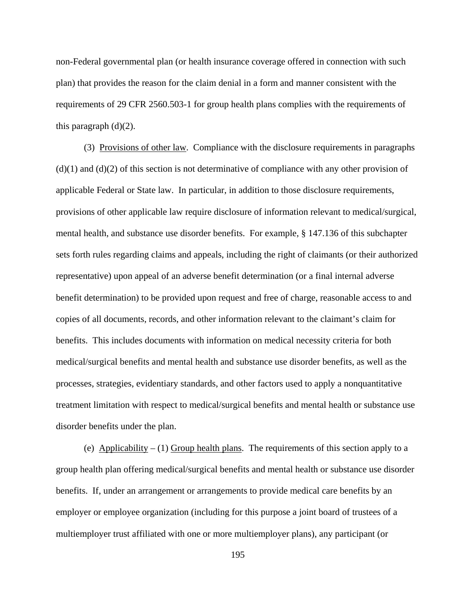non-Federal governmental plan (or health insurance coverage offered in connection with such plan) that provides the reason for the claim denial in a form and manner consistent with the requirements of 29 CFR 2560.503-1 for group health plans complies with the requirements of this paragraph  $(d)(2)$ .

 (3) Provisions of other law. Compliance with the disclosure requirements in paragraphs  $(d)(1)$  and  $(d)(2)$  of this section is not determinative of compliance with any other provision of applicable Federal or State law. In particular, in addition to those disclosure requirements, provisions of other applicable law require disclosure of information relevant to medical/surgical, mental health, and substance use disorder benefits. For example, § 147.136 of this subchapter sets forth rules regarding claims and appeals, including the right of claimants (or their authorized representative) upon appeal of an adverse benefit determination (or a final internal adverse benefit determination) to be provided upon request and free of charge, reasonable access to and copies of all documents, records, and other information relevant to the claimant's claim for benefits. This includes documents with information on medical necessity criteria for both medical/surgical benefits and mental health and substance use disorder benefits, as well as the processes, strategies, evidentiary standards, and other factors used to apply a nonquantitative treatment limitation with respect to medical/surgical benefits and mental health or substance use disorder benefits under the plan.

(e) Applicability – (1) Group health plans. The requirements of this section apply to a group health plan offering medical/surgical benefits and mental health or substance use disorder benefits. If, under an arrangement or arrangements to provide medical care benefits by an employer or employee organization (including for this purpose a joint board of trustees of a multiemployer trust affiliated with one or more multiemployer plans), any participant (or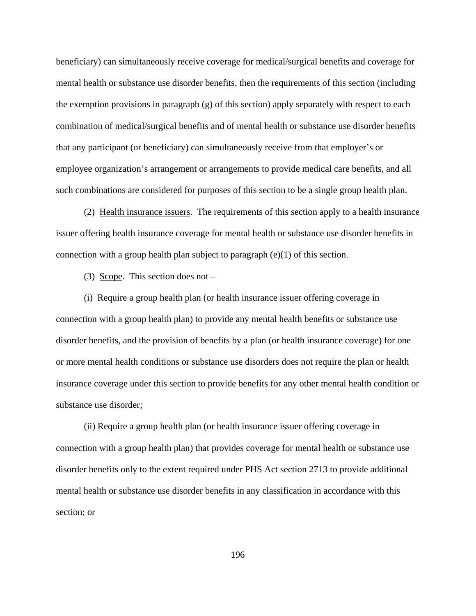beneficiary) can simultaneously receive coverage for medical/surgical benefits and coverage for mental health or substance use disorder benefits, then the requirements of this section (including the exemption provisions in paragraph (g) of this section) apply separately with respect to each combination of medical/surgical benefits and of mental health or substance use disorder benefits that any participant (or beneficiary) can simultaneously receive from that employer's or employee organization's arrangement or arrangements to provide medical care benefits, and all such combinations are considered for purposes of this section to be a single group health plan.

 (2) Health insurance issuers. The requirements of this section apply to a health insurance issuer offering health insurance coverage for mental health or substance use disorder benefits in connection with a group health plan subject to paragraph (e)(1) of this section.

(3) Scope. This section does not –

(i) Require a group health plan (or health insurance issuer offering coverage in connection with a group health plan) to provide any mental health benefits or substance use disorder benefits, and the provision of benefits by a plan (or health insurance coverage) for one or more mental health conditions or substance use disorders does not require the plan or health insurance coverage under this section to provide benefits for any other mental health condition or substance use disorder;

(ii) Require a group health plan (or health insurance issuer offering coverage in connection with a group health plan) that provides coverage for mental health or substance use disorder benefits only to the extent required under PHS Act section 2713 to provide additional mental health or substance use disorder benefits in any classification in accordance with this section; or

196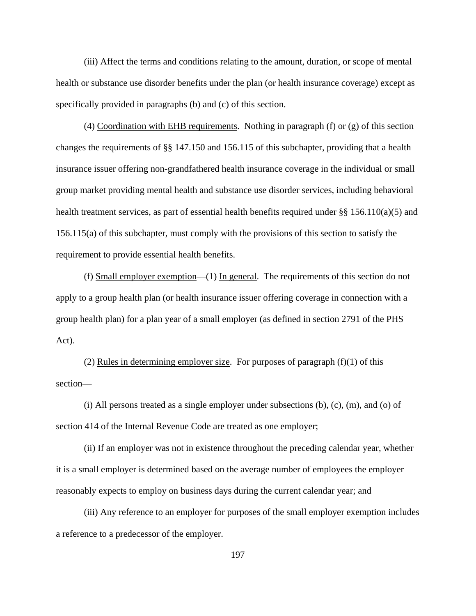(iii) Affect the terms and conditions relating to the amount, duration, or scope of mental health or substance use disorder benefits under the plan (or health insurance coverage) except as specifically provided in paragraphs (b) and (c) of this section.

 (4) Coordination with EHB requirements. Nothing in paragraph (f) or (g) of this section changes the requirements of §§ 147.150 and 156.115 of this subchapter, providing that a health insurance issuer offering non-grandfathered health insurance coverage in the individual or small group market providing mental health and substance use disorder services, including behavioral health treatment services, as part of essential health benefits required under §§ 156.110(a)(5) and 156.115(a) of this subchapter, must comply with the provisions of this section to satisfy the requirement to provide essential health benefits.

(f) Small employer exemption— $(1)$  In general. The requirements of this section do not apply to a group health plan (or health insurance issuer offering coverage in connection with a group health plan) for a plan year of a small employer (as defined in section 2791 of the PHS Act).

(2) Rules in determining employer size. For purposes of paragraph  $(f)(1)$  of this section—

 $(i)$  All persons treated as a single employer under subsections  $(b)$ ,  $(c)$ ,  $(m)$ , and  $(o)$  of section 414 of the Internal Revenue Code are treated as one employer;

(ii) If an employer was not in existence throughout the preceding calendar year, whether it is a small employer is determined based on the average number of employees the employer reasonably expects to employ on business days during the current calendar year; and

(iii) Any reference to an employer for purposes of the small employer exemption includes a reference to a predecessor of the employer.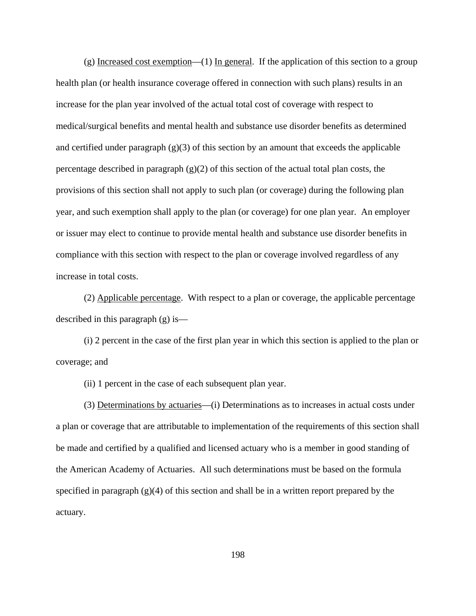(g) Increased cost exemption—(1) In general. If the application of this section to a group health plan (or health insurance coverage offered in connection with such plans) results in an increase for the plan year involved of the actual total cost of coverage with respect to medical/surgical benefits and mental health and substance use disorder benefits as determined and certified under paragraph  $(g)(3)$  of this section by an amount that exceeds the applicable percentage described in paragraph  $(g)(2)$  of this section of the actual total plan costs, the provisions of this section shall not apply to such plan (or coverage) during the following plan year, and such exemption shall apply to the plan (or coverage) for one plan year. An employer or issuer may elect to continue to provide mental health and substance use disorder benefits in compliance with this section with respect to the plan or coverage involved regardless of any increase in total costs.

(2) Applicable percentage. With respect to a plan or coverage, the applicable percentage described in this paragraph (g) is—

(i) 2 percent in the case of the first plan year in which this section is applied to the plan or coverage; and

(ii) 1 percent in the case of each subsequent plan year.

(3) Determinations by actuaries—(i) Determinations as to increases in actual costs under a plan or coverage that are attributable to implementation of the requirements of this section shall be made and certified by a qualified and licensed actuary who is a member in good standing of the American Academy of Actuaries. All such determinations must be based on the formula specified in paragraph  $(g)(4)$  of this section and shall be in a written report prepared by the actuary.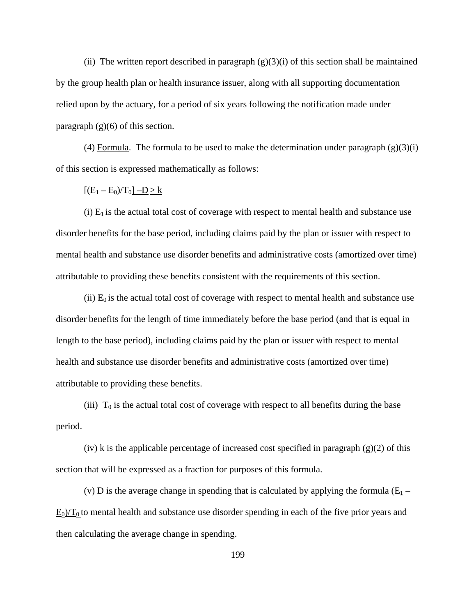(ii) The written report described in paragraph  $(g)(3)(i)$  of this section shall be maintained by the group health plan or health insurance issuer, along with all supporting documentation relied upon by the actuary, for a period of six years following the notification made under paragraph  $(g)(6)$  of this section.

(4) Formula. The formula to be used to make the determination under paragraph  $(g)(3)(i)$ of this section is expressed mathematically as follows:

 $[(E_1 - E_0)/T_0]$  –D > k

(i)  $E_1$  is the actual total cost of coverage with respect to mental health and substance use disorder benefits for the base period, including claims paid by the plan or issuer with respect to mental health and substance use disorder benefits and administrative costs (amortized over time) attributable to providing these benefits consistent with the requirements of this section.

(ii)  $E_0$  is the actual total cost of coverage with respect to mental health and substance use disorder benefits for the length of time immediately before the base period (and that is equal in length to the base period), including claims paid by the plan or issuer with respect to mental health and substance use disorder benefits and administrative costs (amortized over time) attributable to providing these benefits.

(iii)  $T_0$  is the actual total cost of coverage with respect to all benefits during the base period.

 $(iv)$  k is the applicable percentage of increased cost specified in paragraph  $(g)(2)$  of this section that will be expressed as a fraction for purposes of this formula.

(v) D is the average change in spending that is calculated by applying the formula  $(E_1 E_0/T_0$  to mental health and substance use disorder spending in each of the five prior years and then calculating the average change in spending.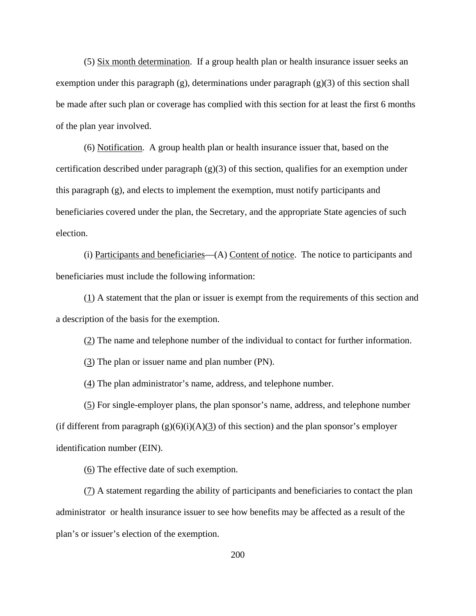(5) Six month determination. If a group health plan or health insurance issuer seeks an exemption under this paragraph  $(g)$ , determinations under paragraph  $(g)(3)$  of this section shall be made after such plan or coverage has complied with this section for at least the first 6 months of the plan year involved.

(6) Notification. A group health plan or health insurance issuer that, based on the certification described under paragraph (g)(3) of this section, qualifies for an exemption under this paragraph (g), and elects to implement the exemption, must notify participants and beneficiaries covered under the plan, the Secretary, and the appropriate State agencies of such election.

(i) Participants and beneficiaries—(A) Content of notice. The notice to participants and beneficiaries must include the following information:

(1) A statement that the plan or issuer is exempt from the requirements of this section and a description of the basis for the exemption.

(2) The name and telephone number of the individual to contact for further information.

(3) The plan or issuer name and plan number (PN).

(4) The plan administrator's name, address, and telephone number.

(5) For single-employer plans, the plan sponsor's name, address, and telephone number (if different from paragraph  $(g)(6)(i)(A)(3)$  of this section) and the plan sponsor's employer identification number (EIN).

(6) The effective date of such exemption.

(7) A statement regarding the ability of participants and beneficiaries to contact the plan administrator or health insurance issuer to see how benefits may be affected as a result of the plan's or issuer's election of the exemption.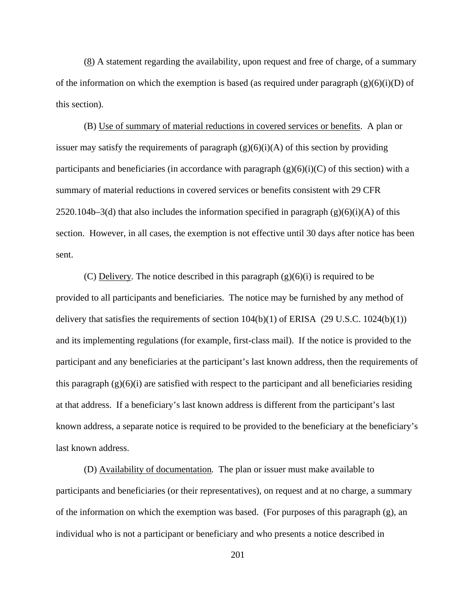(8) A statement regarding the availability, upon request and free of charge, of a summary of the information on which the exemption is based (as required under paragraph  $(g)(6)(i)(D)$  of this section).

(B) Use of summary of material reductions in covered services or benefits. A plan or issuer may satisfy the requirements of paragraph  $(g)(6)(i)(A)$  of this section by providing participants and beneficiaries (in accordance with paragraph  $(g)(6)(i)(C)$  of this section) with a summary of material reductions in covered services or benefits consistent with 29 CFR 2520.104b–3(d) that also includes the information specified in paragraph  $(g)(6)(i)(A)$  of this section. However, in all cases, the exemption is not effective until 30 days after notice has been sent.

(C) Delivery*.* The notice described in this paragraph (g)(6)(i) is required to be provided to all participants and beneficiaries. The notice may be furnished by any method of delivery that satisfies the requirements of section  $104(b)(1)$  of ERISA (29 U.S.C.  $1024(b)(1)$ ) and its implementing regulations (for example, first-class mail). If the notice is provided to the participant and any beneficiaries at the participant's last known address, then the requirements of this paragraph  $(g)(6)(i)$  are satisfied with respect to the participant and all beneficiaries residing at that address. If a beneficiary's last known address is different from the participant's last known address, a separate notice is required to be provided to the beneficiary at the beneficiary's last known address.

(D) Availability of documentation*.* The plan or issuer must make available to participants and beneficiaries (or their representatives), on request and at no charge, a summary of the information on which the exemption was based. (For purposes of this paragraph (g), an individual who is not a participant or beneficiary and who presents a notice described in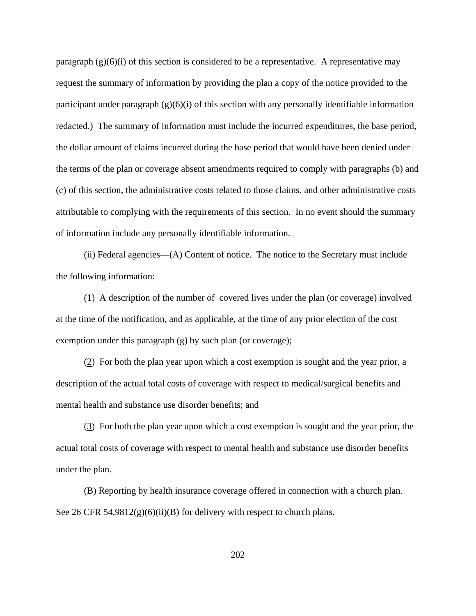paragraph  $(g)(6)(i)$  of this section is considered to be a representative. A representative may request the summary of information by providing the plan a copy of the notice provided to the participant under paragraph  $(g)(6)(i)$  of this section with any personally identifiable information redacted.) The summary of information must include the incurred expenditures, the base period, the dollar amount of claims incurred during the base period that would have been denied under the terms of the plan or coverage absent amendments required to comply with paragraphs (b) and (c) of this section, the administrative costs related to those claims, and other administrative costs attributable to complying with the requirements of this section. In no event should the summary of information include any personally identifiable information.

(ii) Federal agencies—(A) Content of notice. The notice to the Secretary must include the following information:

(1) A description of the number of covered lives under the plan (or coverage) involved at the time of the notification, and as applicable, at the time of any prior election of the cost exemption under this paragraph (g) by such plan (or coverage);

(2) For both the plan year upon which a cost exemption is sought and the year prior, a description of the actual total costs of coverage with respect to medical/surgical benefits and mental health and substance use disorder benefits; and

(3) For both the plan year upon which a cost exemption is sought and the year prior, the actual total costs of coverage with respect to mental health and substance use disorder benefits under the plan.

(B) Reporting by health insurance coverage offered in connection with a church plan*.*  See 26 CFR 54.9812 $(g)(6)(ii)(B)$  for delivery with respect to church plans.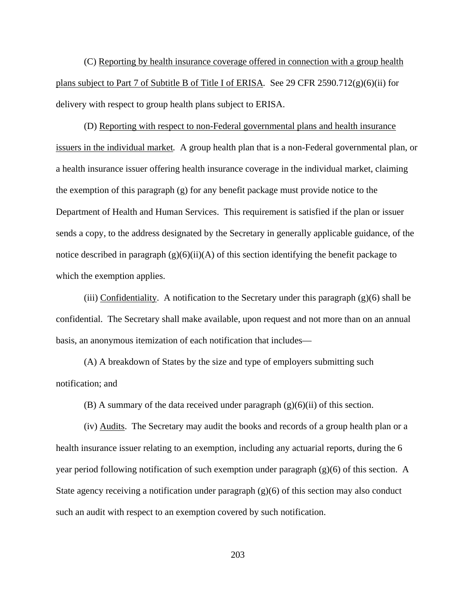(C) Reporting by health insurance coverage offered in connection with a group health plans subject to Part 7 of Subtitle B of Title I of ERISA*.* See 29 CFR 2590.712(g)(6)(ii) for delivery with respect to group health plans subject to ERISA.

(D) Reporting with respect to non-Federal governmental plans and health insurance issuers in the individual market*.* A group health plan that is a non-Federal governmental plan, or a health insurance issuer offering health insurance coverage in the individual market, claiming the exemption of this paragraph  $(g)$  for any benefit package must provide notice to the Department of Health and Human Services. This requirement is satisfied if the plan or issuer sends a copy, to the address designated by the Secretary in generally applicable guidance, of the notice described in paragraph  $(g)(6)(ii)(A)$  of this section identifying the benefit package to which the exemption applies.

(iii) Confidentiality. A notification to the Secretary under this paragraph  $(g)(6)$  shall be confidential. The Secretary shall make available, upon request and not more than on an annual basis, an anonymous itemization of each notification that includes—

(A) A breakdown of States by the size and type of employers submitting such notification; and

(B) A summary of the data received under paragraph  $(g)(6)(ii)$  of this section.

(iv) Audits. The Secretary may audit the books and records of a group health plan or a health insurance issuer relating to an exemption, including any actuarial reports, during the 6 year period following notification of such exemption under paragraph  $(g)(6)$  of this section. A State agency receiving a notification under paragraph (g)(6) of this section may also conduct such an audit with respect to an exemption covered by such notification.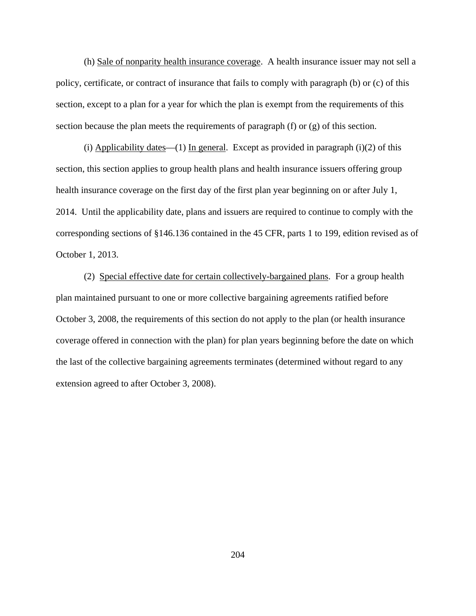(h) Sale of nonparity health insurance coverage. A health insurance issuer may not sell a policy, certificate, or contract of insurance that fails to comply with paragraph (b) or (c) of this section, except to a plan for a year for which the plan is exempt from the requirements of this section because the plan meets the requirements of paragraph (f) or (g) of this section.

(i) Applicability dates—(1) In general. Except as provided in paragraph (i)(2) of this section, this section applies to group health plans and health insurance issuers offering group health insurance coverage on the first day of the first plan year beginning on or after July 1, 2014. Until the applicability date, plans and issuers are required to continue to comply with the corresponding sections of §146.136 contained in the 45 CFR, parts 1 to 199, edition revised as of October 1, 2013.

(2) Special effective date for certain collectively-bargained plans. For a group health plan maintained pursuant to one or more collective bargaining agreements ratified before October 3, 2008, the requirements of this section do not apply to the plan (or health insurance coverage offered in connection with the plan) for plan years beginning before the date on which the last of the collective bargaining agreements terminates (determined without regard to any extension agreed to after October 3, 2008).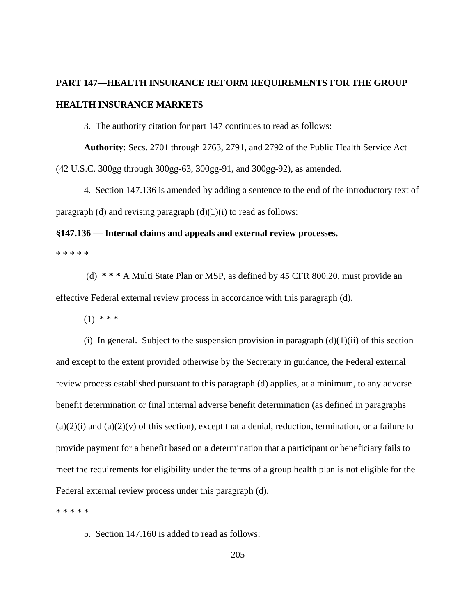## **PART 147—HEALTH INSURANCE REFORM REQUIREMENTS FOR THE GROUP HEALTH INSURANCE MARKETS**

3. The authority citation for part 147 continues to read as follows:

**Authority**: Secs. 2701 through 2763, 2791, and 2792 of the Public Health Service Act (42 U.S.C. 300gg through 300gg-63, 300gg-91, and 300gg-92), as amended.

4. Section 147.136 is amended by adding a sentence to the end of the introductory text of paragraph (d) and revising paragraph  $(d)(1)(i)$  to read as follows:

## **§147.136 — Internal claims and appeals and external review processes.**

\* \* \* \* \*

(d) **\* \* \*** A Multi State Plan or MSP, as defined by 45 CFR 800.20, must provide an effective Federal external review process in accordance with this paragraph (d).

 $(1)$  \* \* \*

(i) In general. Subject to the suspension provision in paragraph  $(d)(1)(ii)$  of this section and except to the extent provided otherwise by the Secretary in guidance, the Federal external review process established pursuant to this paragraph (d) applies, at a minimum, to any adverse benefit determination or final internal adverse benefit determination (as defined in paragraphs  $(a)(2)(i)$  and  $(a)(2)(v)$  of this section), except that a denial, reduction, termination, or a failure to provide payment for a benefit based on a determination that a participant or beneficiary fails to meet the requirements for eligibility under the terms of a group health plan is not eligible for the Federal external review process under this paragraph (d).

\* \* \* \* \*

5. Section 147.160 is added to read as follows: